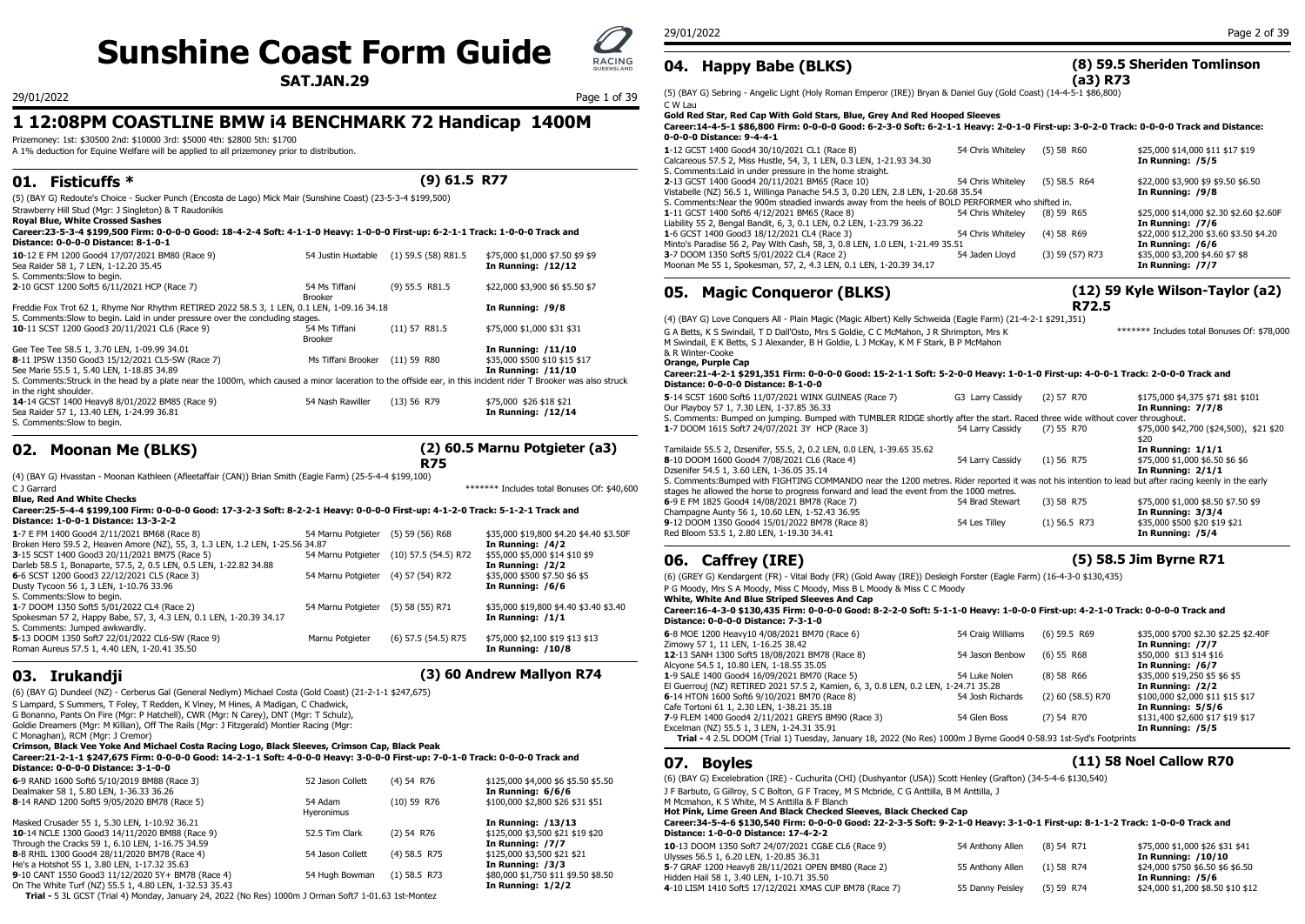# **Sunshine Coast Form Guide**  $Q_{\text{RACING}}$

**SAT.JAN.29**

## **1 12:08PM COASTLINE BMW i4 BENCHMARK 72 Handicap 1400M**

Prizemoney: 1st: \$30500 2nd: \$10000 3rd: \$5000 4th: \$2800 5th: \$1700

A 1% deduction for Equine Welfare will be applied to all prizemoney prior to distribution.

## **01. Fisticuffs \* (9) 61.5 R77**

(5) (BAY G) Redoute's Choice - Sucker Punch (Encosta de Lago) Mick Mair (Sunshine Coast) (23-5-3-4 \$199,500)

Strawberry Hill Stud (Mgr: J Singleton) & T Raudonikis

### **Royal Blue, White Crossed Sashes**

#### **Career:23-5-3-4 \$199,500 Firm: 0-0-0-0 Good: 18-4-2-4 Soft: 4-1-1-0 Heavy: 1-0-0-0 First-up: 6-2-1-1 Track: 1-0-0-0 Track and Distance: 0-0-0-0 Distance: 8-1-0-1**

| 10-12 E FM 1200 Good4 17/07/2021 BM80 (Race 9)<br>Sea Raider 58 1, 7 LEN, 1-12.20 35.45                                                                                                                                                                                                                                                                                                                                                           | 54 Justin Huxtable                                         | $(1)$ 59.5 (58) R81.5 | \$75,000 \$1,000 \$7.50 \$9 \$9<br><b>In Running: /12/12</b>                                            | 3-7 DOOM 1350 Soft5 5/01/2022 CL4 (Race 2)<br>54 Jaden Llovd<br>Moonan Me 55 1, Spokesman, 57, 2, 4.3 LEN, 0.1 LEN, 1-20.39 34.17                                                                                                                                                                                                                                                                                                                                                 | $(3)$ 59 $(5)$          |
|---------------------------------------------------------------------------------------------------------------------------------------------------------------------------------------------------------------------------------------------------------------------------------------------------------------------------------------------------------------------------------------------------------------------------------------------------|------------------------------------------------------------|-----------------------|---------------------------------------------------------------------------------------------------------|-----------------------------------------------------------------------------------------------------------------------------------------------------------------------------------------------------------------------------------------------------------------------------------------------------------------------------------------------------------------------------------------------------------------------------------------------------------------------------------|-------------------------|
| S. Comments: Slow to begin.<br>2-10 GCST 1200 Soft5 6/11/2021 HCP (Race 7)                                                                                                                                                                                                                                                                                                                                                                        | 54 Ms Tiffani<br>Brooker                                   | $(9)$ 55.5 R81.5      | \$22,000 \$3,900 \$6 \$5.50 \$7                                                                         | <b>Magic Conqueror (BLKS)</b><br>05.                                                                                                                                                                                                                                                                                                                                                                                                                                              |                         |
| Freddie Fox Trot 62 1, Rhyme Nor Rhythm RETIRED 2022 58.5 3, 1 LEN, 0.1 LEN, 1-09.16 34.18                                                                                                                                                                                                                                                                                                                                                        |                                                            |                       | In Running: /9/8                                                                                        |                                                                                                                                                                                                                                                                                                                                                                                                                                                                                   |                         |
| S. Comments: Slow to begin. Laid in under pressure over the concluding stages.<br>10-11 SCST 1200 Good3 20/11/2021 CL6 (Race 9)<br>Gee Tee Tee 58.5 1, 3.70 LEN, 1-09.99 34.01<br>8-11 IPSW 1350 Good3 15/12/2021 CL5-SW (Race 7)<br>See Marie 55.5 1, 5.40 LEN, 1-18.85 34.89<br>S. Comments: Struck in the head by a plate near the 1000m, which caused a minor laceration to the offside ear, in this incident rider T Brooker was also struck | 54 Ms Tiffani<br>Brooker<br>Ms Tiffani Brooker (11) 59 R80 | $(11)$ 57 R81.5       | \$75,000 \$1,000 \$31 \$31<br>In Running: /11/10<br>\$35,000 \$500 \$10 \$15 \$17<br>In Running: /11/10 | (4) (BAY G) Love Conquers All - Plain Magic (Magic Albert) Kelly Schweida (Eagle Farm) (21-4-2-1 \$291,351)<br>G A Betts, K S Swindail, T D Dall'Osto, Mrs S Goldie, C C McMahon, J R Shrimpton, Mrs K<br>M Swindail, E K Betts, S J Alexander, B H Goldie, L J McKav, K M F Stark, B P McMahon<br>& R Winter-Cooke<br>Orange, Purple Cap<br>Career: 21-4-2-1 \$291,351 Firm: 0-0-0-0 Good: 15-2-1-1 Soft: 5-2-0-0 Heavy: 1-0-1-0 First-up<br>Distance: 0-0-0-0 Distance: 8-1-0-0 |                         |
| in the right shoulder.<br>14-14 GCST 1400 Heavy8 8/01/2022 BM85 (Race 9)<br>Sea Raider 57 1, 13.40 LEN, 1-24.99 36.81<br>S. Comments: Slow to begin.                                                                                                                                                                                                                                                                                              | 54 Nash Rawiller                                           | (13) 56 R79           | \$75,000 \$26 \$18 \$21<br>In Running: /12/14                                                           | 5-14 SCST 1600 Soft6 11/07/2021 WINX GUINEAS (Race 7)<br>G3 Larry Cassidy<br>Our Playbov 57 1, 7.30 LEN, 1-37.85 36.33<br>S. Comments: Bumped on jumping. Bumped with TUMBLER RIDGE shortly after the start. Raced three wide<br>$E_A$ Larm Cassidu (7) EE D.<br>$1.7$ DOOM 1615 Coft 24/07/2021 2V HCD (Boss 2)                                                                                                                                                                  | $(2)$ 57 R <sub>7</sub> |

## **02. Moonan Me (BLKS)**

### **(2) 60.5 Marnu Potgieter (a3)**

(4) (BAY G) Hvasstan - Moonan Kathleen (Afleetaffair (CAN)) Brian Smith (Eagle Farm) (25-5-4-4 \$199,100)

### C J Garrard \*\*\*\*\*\*\* Includes total Bonuses Of: \$40,600

**Blue, Red And White Checks Career:25-5-4-4 \$199,100 Firm: 0-0-0-0 Good: 17-3-2-3 Soft: 8-2-2-1 Heavy: 0-0-0-0 First-up: 4-1-2-0 Track: 5-1-2-1 Track and Distance: 1-0-0-1 Distance: 13-3-2-2**

| <u>Distance, 1-0-0-1 Distance, 19-9-2-2</u>                                   |                                    |                                         |                                         | 9-12 DOOM 1350 GOOD4 15/01/2022 BM78 (Race 8)                                                                                 | 54 Les Tilley     | (1) 56.5 K/3 | \$35,000 \$500 \$20 \$19 \$21        |
|-------------------------------------------------------------------------------|------------------------------------|-----------------------------------------|-----------------------------------------|-------------------------------------------------------------------------------------------------------------------------------|-------------------|--------------|--------------------------------------|
| 1-7 E FM 1400 Good4 2/11/2021 BM68 (Race 8)                                   | 54 Marnu Potgieter (5) 59 (56) R68 |                                         | \$35,000 \$19,800 \$4.20 \$4.40 \$3.50F | Red Bloom 53.5 1, 2.80 LEN, 1-19.30 34.41                                                                                     |                   |              | In Running: /5/4                     |
| Broken Hero 59.5 2, Heaven Amore (NZ), 55, 3, 1.3 LEN, 1.2 LEN, 1-25.56 34.87 |                                    |                                         | In Running: /4/2                        |                                                                                                                               |                   |              |                                      |
| 3-15 SCST 1400 Good3 20/11/2021 BM75 (Race 5)                                 |                                    | 54 Marnu Potgieter (10) 57.5 (54.5) R72 | \$55,000 \$5,000 \$14 \$10 \$9          |                                                                                                                               |                   |              | (5) 58.5 Jim Byrne R71               |
| Darleb 58.5 1, Bonaparte, 57.5, 2, 0.5 LEN, 0.5 LEN, 1-22.82 34.88            |                                    |                                         | In Running: /2/2                        | 06. Caffrey (IRE)                                                                                                             |                   |              |                                      |
| 6-6 SCST 1200 Good3 22/12/2021 CL5 (Race 3)                                   | 54 Marnu Potgieter (4) 57 (54) R72 |                                         | \$35,000 \$500 \$7.50 \$6 \$5           | (6) (GREY G) Kendargent (FR) - Vital Body (FR) (Gold Away (IRE)) Desleigh Forster (Eagle Farm) (16-4-3-0 \$130,435)           |                   |              |                                      |
| Dusty Tycoon 56 1, 3 LEN, 1-10.76 33.96                                       |                                    |                                         | In Running: /6/6                        | P G Moody, Mrs S A Moody, Miss C Moody, Miss B L Moody & Miss C C Moody                                                       |                   |              |                                      |
| S. Comments: Slow to begin.                                                   |                                    |                                         |                                         | White, White And Blue Striped Sleeves And Cap                                                                                 |                   |              |                                      |
| 1-7 DOOM 1350 Soft5 5/01/2022 CL4 (Race 2)                                    | 54 Marnu Potgieter (5) 58 (55) R71 |                                         | \$35,000 \$19,800 \$4.40 \$3.40 \$3.40  | Career:16-4-3-0 \$130,435 Firm: 0-0-0-0 Good: 8-2-2-0 Soft: 5-1-1-0 Heavy: 1-0-0-0 First-up: 4-2-1-0 Track: 0-0-0-0 Track and |                   |              |                                      |
| Spokesman 57 2, Happy Babe, 57, 3, 4.3 LEN, 0.1 LEN, 1-20.39 34.17            |                                    |                                         | In Running: /1/1                        | Distance: 0-0-0-0 Distance: 7-3-1-0                                                                                           |                   |              |                                      |
| S. Comments: Jumped awkwardly.                                                |                                    |                                         |                                         | 6-8 MOE 1200 Heavy10 4/08/2021 BM70 (Race 6)                                                                                  | 54 Craig Williams | (6) 59.5 R69 | \$35,000 \$700 \$2.30 \$2.25 \$2.40F |
| 5-13 DOOM 1350 Soft7 22/01/2022 CL6-SW (Race 9)                               | Marnu Potgieter                    | (6) 57.5 (54.5) R75                     | \$75,000 \$2,100 \$19 \$13 \$13         | Zimowy 57 1, 11 LEN, 1-16.25 38.42                                                                                            |                   |              | In Running: /7/7                     |
| Roman Aureus 57.5 1, 4.40 LEN, 1-20.41 35.50                                  |                                    |                                         | In Running: /10/8                       | 12-13 SANH 1300 Soft5 18/08/2021 BM78 (Race 8)                                                                                | 54 Jason Benbow   | $(6)$ 55 R68 | \$50,000 \$13 \$14 \$16              |
|                                                                               |                                    |                                         |                                         |                                                                                                                               |                   |              |                                      |

## **03. Irukandji (3) 60 Andrew Mallyon R74**

(6) (BAY G) Dundeel (NZ) - Cerberus Gal (General Nediym) Michael Costa (Gold Coast) (21-2-1-1 \$247,675)

S Lampard, S Summers, T Foley, T Redden, K Viney, M Hines, A Madigan, C Chadwick, G Bonanno, Pants On Fire (Mgr: P Hatchell), CWR (Mgr: N Carey), DNT (Mgr: T Schulz),

Goldie Dreamers (Mgr: M Killian), Off The Rails (Mgr: J Fitzgerald) Montier Racing (Mgr:

C Monaghan), RCM (Mgr: J Cremor)

**Crimson, Black Vee Yoke And Michael Costa Racing Logo, Black Sleeves, Crimson Cap, Black Peak**

**Career:21-2-1-1 \$247,675 Firm: 0-0-0-0 Good: 14-2-1-1 Soft: 4-0-0-0 Heavy: 3-0-0-0 First-up: 7-0-1-0 Track: 0-0-0-0 Track and Distance: 0-0-0-0 Distance: 3-1-0-0**

| Distaller. 0-0-0-0 Distaller. 3-1-0-0                  |                  |                |                                     |                                            |
|--------------------------------------------------------|------------------|----------------|-------------------------------------|--------------------------------------------|
| 6-9 RAND 1600 Soft6 5/10/2019 BM88 (Race 3)            | 52 Jason Collett | $(4)$ 54 R76   | \$125,000 \$4,000 \$6 \$5.50 \$5.50 | (6) (BAY G) Excelebr                       |
| Dealmaker 58 1, 5.80 LEN, 1-36.33 36.26                |                  |                | In Running: $6/6/6$                 | J F Barbuto, G Gillro                      |
| 8-14 RAND 1200 Soft5 9/05/2020 BM78 (Race 5)           | 54 Adam          | $(10)$ 59 R76  | \$100,000 \$2,800 \$26 \$31 \$51    | M Mcmahon, K S Wh                          |
|                                                        | Hveronimus       |                |                                     | Hot Pink, Lime Gro                         |
| Masked Crusader 55 1, 5.30 LEN, 1-10.92 36.21          |                  |                | In Running: /13/13                  | Career: 34-5-4-6 \$                        |
| 10-14 NCLE 1300 Good3 14/11/2020 BM88 (Race 9)         | 52.5 Tim Clark   | $(2)$ 54 R76   | \$125,000 \$3,500 \$21 \$19 \$20    | <b>Distance: 1-0-0-0</b>                   |
| Through the Cracks 59 1, 6.10 LEN, 1-16.75 34.59       |                  |                | In Running: /7/7                    | 10-13 DOOM 1350 S                          |
| 8-8 RHIL 1300 Good4 28/11/2020 BM78 (Race 4)           | 54 Jason Collett | $(4)$ 58.5 R75 | \$125,000 \$3,500 \$21 \$21         | Ulysses 56.5 1, 6.20                       |
| He's a Hotshot 55 1, 3.80 LEN, 1-17.32 35.63           |                  |                | In Running: /3/3                    |                                            |
| 9-10 CANT 1550 Good3 11/12/2020 5Y+ BM78 (Race 4)      | 54 Hugh Bowman   | $(1)$ 58.5 R73 | \$80,000 \$1,750 \$11 \$9.50 \$8.50 |                                            |
| On The White Turf (NZ) 55.5 1, 4.80 LEN, 1-32.53 35.43 |                  |                | In Running: $1/2/2$                 | 4-10 LISM 1410 Soft                        |
|                                                        |                  |                |                                     | 5-7 GRAF 1200 Heav<br>Hidden Hail 58 1, 3. |

**Trial -** 5 3L GCST (Trial 4) Monday, January 24, 2022 (No Res) 1000m J Orman Soft7 1-01.63 1st-Montez

29/01/2022 Page 2 of 39

## **04. Happy Babe (BLKS)**

### **(8) 59.5 Sheriden Tomlinson (a3) R73**

29/01/2022 Page 1 of 39 (5) (BAY G) Sebring - Angelic Light (Holy Roman Emperor (IRE)) Bryan & Daniel Guy (Gold Coast) (14-4-5-1 \$86,800) C W Lau

**Gold Red Star, Red Cap With Gold Stars, Blue, Grey And Red Hooped Sleeves**

#### **Career:14-4-5-1 \$86,800 Firm: 0-0-0-0 Good: 6-2-3-0 Soft: 6-2-1-1 Heavy: 2-0-1-0 First-up: 3-0-2-0 Track: 0-0-0-0 Track and Distance: 0-0-0-0 Distance: 9-4-4-1**

| 1-12 GCST 1400 Good4 30/10/2021 CL1 (Race 8)                                                      | 54 Chris Whitelev | $(5)$ 58 R60        | \$25,000 \$14,000 \$11 \$17 \$19        |
|---------------------------------------------------------------------------------------------------|-------------------|---------------------|-----------------------------------------|
| Calcareous 57.5 2, Miss Hustle, 54, 3, 1 LEN, 0.3 LEN, 1-21.93 34.30                              |                   |                     | In Running: /5/5                        |
| S. Comments: Laid in under pressure in the home straight.                                         |                   |                     |                                         |
| 2-13 GCST 1400 Good4 20/11/2021 BM65 (Race 10)                                                    | 54 Chris Whitelev | $(5)$ 58.5 R64      | \$22,000 \$3,900 \$9 \$9.50 \$6.50      |
| Vistabelle (NZ) 56.5 1, Willinga Panache 54.5 3, 0.20 LEN, 2.8 LEN, 1-20.68 35.54                 |                   |                     | In Running: /9/8                        |
| S. Comments: Near the 900m steadied inwards away from the heels of BOLD PERFORMER who shifted in. |                   |                     |                                         |
| 1-11 GCST 1400 Soft6 4/12/2021 BM65 (Race 8)                                                      | 54 Chris Whitelev | $(8)$ 59 R65        | \$25,000 \$14,000 \$2.30 \$2.60 \$2.60F |
| Liability 55 2, Bengal Bandit, 6, 3, 0.1 LEN, 0.2 LEN, 1-23.79 36.22                              |                   |                     | In Running: /7/6                        |
| 1-6 GCST 1400 Good3 18/12/2021 CL4 (Race 3)                                                       | 54 Chris Whitelev | $(4)$ 58 R69        | \$22,000 \$12,200 \$3.60 \$3.50 \$4.20  |
| Minto's Paradise 56 2, Pay With Cash, 58, 3, 0.8 LEN, 1.0 LEN, 1-21.49 35.51                      |                   |                     | In Running: /6/6                        |
| 3-7 DOOM 1350 Soft5 5/01/2022 CL4 (Race 2)                                                        | 54 Jaden Llovd    | $(3)$ 59 $(57)$ R73 | \$35,000 \$3,200 \$4.60 \$7 \$8         |
| Moonan Me 55 1, Spokesman, 57, 2, 4.3 LEN, 0.1 LEN, 1-20.39 34.17                                 |                   |                     | In Running: /7/7                        |
|                                                                                                   |                   |                     |                                         |

### **(12) 59 Kyle Wilson-Taylor (a2) R72.5**

\*\*\*\*\*\*\* Includes total Bonuses Of: \$78,000

#### **Career:21-4-2-1 \$291,351 Firm: 0-0-0-0 Good: 15-2-1-1 Soft: 5-2-0-0 Heavy: 1-0-1-0 First-up: 4-0-0-1 Track: 2-0-0-0 Track and Distance: 0-0-0-0 Distance: 8-1-0-0**

| R79     | \$75,000 \$26 \$18 \$21<br>In Running: /12/14 | 5-14 SCST 1600 Soft6 11/07/2021 WINX GUINEAS (Race 7)<br>Our Playboy 57 1, 7.30 LEN, 1-37.85 36.33                                                    | G3 Larry Cassidy | $(2)$ 57 R70   | \$175,000 \$4,375 \$71 \$81 \$101<br>In Running: 7/7/8 |
|---------|-----------------------------------------------|-------------------------------------------------------------------------------------------------------------------------------------------------------|------------------|----------------|--------------------------------------------------------|
|         |                                               | S. Comments: Bumped on jumping. Bumped with TUMBLER RIDGE shortly after the start. Raced three wide without cover throughout.                         |                  |                |                                                        |
|         |                                               | 1-7 DOOM 1615 Soft7 24/07/2021 3Y HCP (Race 3)                                                                                                        | 54 Larry Cassidy | (7) 55 R70     | \$75,000 \$42,700 (\$24,500), \$21 \$20                |
|         |                                               |                                                                                                                                                       |                  |                | \$20                                                   |
|         | (2) 60.5 Marnu Potgieter (a3)                 | Tamilaide 55.5 2, Dzsenifer, 55.5, 2, 0.2 LEN, 0.0 LEN, 1-39.65 35.62                                                                                 |                  |                | In Running: $1/1/1$                                    |
| R75     |                                               | 8-10 DOOM 1600 Good4 7/08/2021 CL6 (Race 4)                                                                                                           | 54 Larry Cassidy | $(1)$ 56 R75   | \$75,000 \$1,000 \$6.50 \$6 \$6                        |
|         |                                               | Dzsenifer 54.5 1, 3.60 LEN, 1-36.05 35.14                                                                                                             |                  |                | In Running: 2/1/1                                      |
| )O)     |                                               | S. Comments: Bumped with FIGHTING COMMANDO near the 1200 metres. Rider reported it was not his intention to lead but after racing keenly in the early |                  |                |                                                        |
|         | ******* Includes total Bonuses Of: \$40,600   | stages he allowed the horse to progress forward and lead the event from the 1000 metres.                                                              |                  |                |                                                        |
|         |                                               | 6-9 E FM 1825 Good4 14/08/2021 BM78 (Race 7)                                                                                                          | 54 Brad Stewart  | $(3)$ 58 R75   | \$75,000 \$1,000 \$8.50 \$7.50 \$9                     |
|         | p: 4-1-2-0 Track: 5-1-2-1 Track and           | Champagne Aunty 56 1, 10.60 LEN, 1-52.43 36.95                                                                                                        |                  |                | In Running: 3/3/4                                      |
|         |                                               | 9-12 DOOM 1350 Good4 15/01/2022 BM78 (Race 8)                                                                                                         | 54 Les Tillev    | $(1)$ 56.5 R73 | \$35,000 \$500 \$20 \$19 \$21                          |
| 56) R68 | \$35,000 \$19,800 \$4.20 \$4.40 \$3.50F       | Red Bloom 53.5 1, 2.80 LEN, 1-19.30 34.41                                                                                                             |                  |                | In Running: /5/4                                       |
|         |                                               |                                                                                                                                                       |                  |                |                                                        |

## **06. Caffrey (IRE) (5) 58.5 Jim Byrne R71**

## **Distance: 0-0-0-0 Distance: 7-3-1-0**

| 6-8 MOE 1200 Heavy10 4/08/2021 BM70 (Race 6)                                                                      | 54 Craig Williams | $(6)$ 59.5 R69      | \$35,000 \$700 \$2.30 \$2.25 \$2.40F |
|-------------------------------------------------------------------------------------------------------------------|-------------------|---------------------|--------------------------------------|
| Zimowy 57 1, 11 LEN, 1-16.25 38.42                                                                                |                   |                     | In Running: /7/7                     |
| 12-13 SANH 1300 Soft5 18/08/2021 BM78 (Race 8)                                                                    | 54 Jason Benbow   | $(6)$ 55 R68        | \$50,000 \$13 \$14 \$16              |
| Alcyone 54.5 1, 10.80 LEN, 1-18.55 35.05                                                                          |                   |                     | In Running: /6/7                     |
| 1-9 SALE 1400 Good4 16/09/2021 BM70 (Race 5)                                                                      | 54 Luke Nolen     | $(8)$ 58 R66        | \$35,000 \$19,250 \$5 \$6 \$5        |
| El Guerrouj (NZ) RETIRED 2021 57.5 2, Kamien, 6, 3, 0.8 LEN, 0.2 LEN, 1-24.71 35.28                               |                   |                     | In Running: /2/2                     |
| 6-14 HTON 1600 Soft6 9/10/2021 BM70 (Race 8)                                                                      | 54 Josh Richards  | $(2)$ 60 (58.5) R70 | \$100,000 \$2,000 \$11 \$15 \$17     |
| Cafe Tortoni 61 1, 2.30 LEN, 1-38.21 35.18                                                                        |                   |                     | In Running: 5/5/6                    |
| 7-9 FLEM 1400 Good4 2/11/2021 GREYS BM90 (Race 3)                                                                 | 54 Glen Boss      | $(7)$ 54 R70        | \$131,400 \$2,600 \$17 \$19 \$17     |
| Excelman (NZ) 55.5 1, 3 LEN, 1-24.31 35.91                                                                        |                   |                     | In Running: /5/5                     |
| Trial - 4 2.5L DOOM (Trial 1) Tuesday, January 18, 2022 (No Res) 1000m J Byrne Good4 0-58.93 1st-Syd's Footprints |                   |                     |                                      |
|                                                                                                                   |                   |                     |                                      |

## **07. Boyles (11) 58 Noel Callow R70**

(10) 59 R76 \$100,000 \$2,800 \$26 \$31 \$51 M Mcmahon, K S White, M S Anttilla & F Blanch (6) (BAY G) Excelebration (IRE) - Cuchurita (CHI) (Dushyantor (USA)) Scott Henley (Grafton) (34-5-4-6 \$130,540) J F Barbuto, G Gillroy, S C Bolton, G F Tracey, M S Mcbride, C G Anttilla, B M Anttilla, J

**Hot Pink, Lime Green And Black Checked Sleeves, Black Checked Cap**

#### **Career:34-5-4-6 \$130,540 Firm: 0-0-0-0 Good: 22-2-3-5 Soft: 9-2-1-0 Heavy: 3-1-0-1 First-up: 8-1-1-2 Track: 1-0-0-0 Track and Distance: 1-0-0-0 Distance: 17-4-2-2**

| 10-13 DOOM 1350 Soft7 24/07/2021 CG&E CL6 (Race 9)<br>Ulysses 56.5 1, 6.20 LEN, 1-20.85 36.31   | 54 Anthony Allen | (8) 54 R71 | \$75,000 \$1,000 \$26 \$31 \$41<br>In Running: /10/10 |
|-------------------------------------------------------------------------------------------------|------------------|------------|-------------------------------------------------------|
| 5-7 GRAF 1200 Heavy8 28/11/2021 OPEN BM80 (Race 2)<br>Hidden Hail 58 1, 3.40 LEN, 1-10.71 35.50 | 55 Anthony Allen | (1) 58 R74 | \$24,000 \$750 \$6.50 \$6 \$6.50<br>In Running: /5/6  |
| 4-10 LISM 1410 Soft5 17/12/2021 XMAS CUP BM78 (Race 7)                                          | 55 Danny Peisley | (5) 59 R74 | \$24,000 \$1,200 \$8.50 \$10 \$12                     |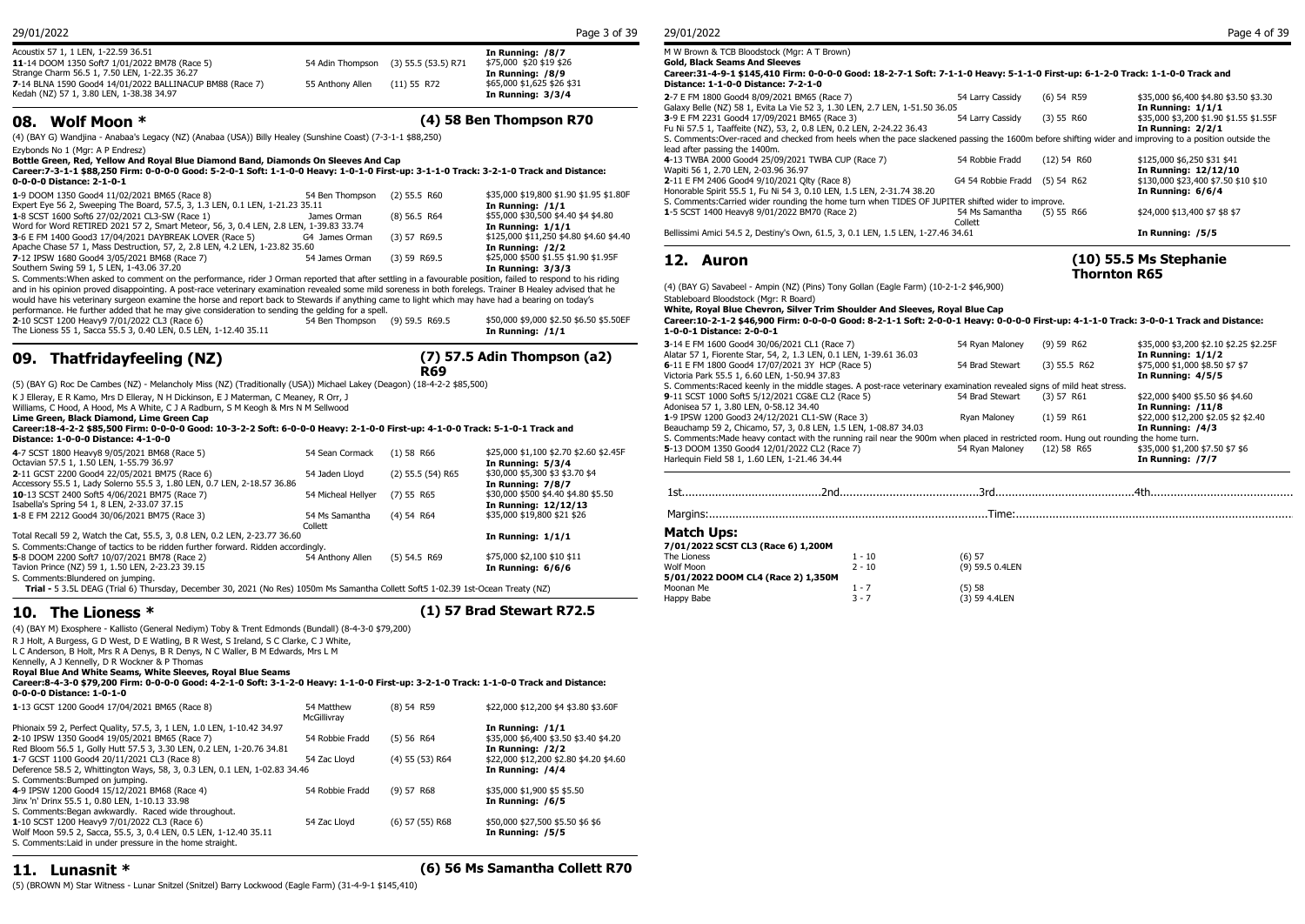| 29/01/2022<br>29/01/2022<br>Page 3 of 39 |
|------------------------------------------|
|------------------------------------------|

| Acoustix 57 1, 1 LEN, 1-22.59 36.51                      |                  |                                      | In Running: /8/7           | M W Brown &    |
|----------------------------------------------------------|------------------|--------------------------------------|----------------------------|----------------|
| 11-14 DOOM 1350 Soft7 1/01/2022 BM78 (Race 5)            |                  | 54 Adin Thompson (3) 55.5 (53.5) R71 | \$75,000 \$20 \$19 \$26    | Gold, Black S  |
| Strange Charm 56.5 1, 7.50 LEN, 1-22.35 36.27            |                  |                                      | In Running: /8/9           | Career: 31-4-9 |
| 7-14 BLNA 1590 Good4 14/01/2022 BALLINACUP BM88 (Race 7) | 55 Anthony Allen | (11) 55 R72                          | \$65,000 \$1,625 \$26 \$31 | Distance: 1-1  |
| Kedah (NZ) 57 1, 3.80 LEN, 1-38.38 34.97                 |                  |                                      | In Running: 3/3/4          | 2-7 E FM 1800  |
|                                                          |                  |                                      |                            |                |

### **08. Wolf Moon \* (4) 58 Ben Thompson R70**

(4) (BAY G) Wandjina - Anabaa's Legacy (NZ) (Anabaa (USA)) Billy Healey (Sunshine Coast) (7-3-1-1 \$88,250)

Ezybonds No 1 (Mgr: A P Endresz) **Bottle Green, Red, Yellow And Royal Blue Diamond Band, Diamonds On Sleeves And Cap**

**Career:7-3-1-1 \$88,250 Firm: 0-0-0-0 Good: 5-2-0-1 Soft: 1-1-0-0 Heavy: 1-0-1-0 First-up: 3-1-1-0 Track: 3-2-1-0 Track and Distance: 0-0-0-0 Distance: 2-1-0-1**

| 3-6 E FM 1400 Good3 17/04/2021 DAYBREAK LOVER (Race 5)<br>Apache Chase 57 1, Mass Destruction, 57, 2, 2.8 LEN, 4.2 LEN, 1-23.82 35.60<br>7-12 IPSW 1680 Good4 3/05/2021 BM68 (Race 7) | G4 James Orman<br>54 James Orman | $(3)$ 57 R69.5<br>$(3)$ 59 R69.5 | \$125,000 \$11,250 \$4.80 \$4.60 \$4.40<br>In Running: /2/2<br>\$25,000 \$500 \$1.55 \$1.90 \$1.95F | Bellissimi Amici 54.5 2, Destiny's Own, 61.5, 3, 0.1 LEN<br>12. Auron                               |
|---------------------------------------------------------------------------------------------------------------------------------------------------------------------------------------|----------------------------------|----------------------------------|-----------------------------------------------------------------------------------------------------|-----------------------------------------------------------------------------------------------------|
| Word for Word RETIRED 2021 57 2, Smart Meteor, 56, 3, 0.4 LEN, 2.8 LEN, 1-39.83 33.74                                                                                                 |                                  |                                  | In Running: $1/1/1$                                                                                 |                                                                                                     |
| Expert Eye 56 2, Sweeping The Board, 57.5, 3, 1.3 LEN, 0.1 LEN, 1-21.23 35.11<br>1-8 SCST 1600 Soft6 27/02/2021 CL3-SW (Race 1)                                                       | James Orman                      | (8) 56.5 R64                     | In Running: $/1/1$<br>\$55,000 \$30,500 \$4.40 \$4 \$4.80                                           | S. Comments: Carried wider rounding the home turn w<br>1-5 SCST 1400 Heavy8 9/01/2022 BM70 (Race 2) |
| 1-9 DOOM 1350 Good4 11/02/2021 BM65 (Race 8)                                                                                                                                          | 54 Ben Thompson                  | $(2)$ 55.5 R60                   | \$35,000 \$19,800 \$1.90 \$1.95 \$1.80F                                                             | Honorable Spirit 55.5 1, Fu Ni 54 3, 0.10 LEN, 1.5 LEN                                              |

S. Comments:When asked to comment on the performance, rider J Orman reported that after settling in a favourable position, failed to respond to his riding and in his opinion proved disappointing. A post-race veterinary examination revealed some mild soreness in both forelegs. Trainer B Healey advised that he would have his veterinary surgeon examine the horse and report back to Stewards if anything came to light which may have had a bearing on today's

performance. He further added that he may give consideration to sending the gelding for a spell.<br>2-10 SCST 1200 Heavy9 7/01/2022 CL3 (Race 6) 59.5 SS 69.5 Mem Thompson (9) 59.5 R69.5 **2**-10 SCST 1200 Heavy9 7/01/2022 CL3 (Race 6) 54 Ben Thompson (9) 59.5 R69.5 \$50,000 \$9,000 \$2.50 \$6.50 \$5.50EF<br>The Lioness 55 1, Sacca 55.5 3, 0.40 LEN, 0.5 LEN, 1-12.40 35.11 **54 Ben** Thompson (9) 59.5 R69.5 **In Running** The Lioness 55 1, Sacca 55.5 3, 0.40 LEN, 0.5 LEN, 1-12.40 35.11

## **09. Thatfridayfeeling (NZ)**



(5) (BAY G) Roc De Cambes (NZ) - Melancholy Miss (NZ) (Traditionally (USA)) Michael Lakey (Deagon) (18-4-2-2 \$85,500)

K J Elleray, E R Kamo, Mrs D Elleray, N H Dickinson, E J Materman, C Meaney, R Orr, J

Williams, C Hood, A Hood, Ms A White, C J A Radburn, S M Keogh & Mrs N M Sellwood **Lime Green, Black Diamond, Lime Green Cap**

**Career:18-4-2-2 \$85,500 Firm: 0-0-0-0 Good: 10-3-2-2 Soft: 6-0-0-0 Heavy: 2-1-0-0 First-up: 4-1-0-0 Track: 5-1-0-1 Track and Distance: 1-0-0-0 Distance: 4-1-0-0**

| 4-7 SCST 1800 Heavy8 9/05/2021 BM68 (Race 5)                                                                                     | 54 Sean Cormack    | $(1)$ 58 R66        | \$25,000 \$1,100 \$2.70 \$2.60 \$2.45F | שט טכנו ויוטטע נו־כ<br>Harlequin Field 58 1, 1 |
|----------------------------------------------------------------------------------------------------------------------------------|--------------------|---------------------|----------------------------------------|------------------------------------------------|
| Octavian 57.5 1, 1.50 LEN, 1-55.79 36.97                                                                                         |                    |                     | In Running: 5/3/4                      |                                                |
| 2-11 GCST 2200 Good4 22/05/2021 BM75 (Race 6)                                                                                    | 54 Jaden Lloyd     | $(2)$ 55.5 (54) R65 | \$30,000 \$5,300 \$3 \$3.70 \$4        |                                                |
| Accessory 55.5 1, Lady Solerno 55.5 3, 1.80 LEN, 0.7 LEN, 2-18.57 36.86                                                          |                    |                     | In Running: 7/8/7                      |                                                |
| 10-13 SCST 2400 Soft5 4/06/2021 BM75 (Race 7)                                                                                    | 54 Micheal Hellver | (7) 55 R65          | \$30,000 \$500 \$4.40 \$4.80 \$5.50    | 1st                                            |
| Isabella's Spring 54 1, 8 LEN, 2-33.07 37.15                                                                                     |                    |                     | In Running: 12/12/13                   |                                                |
| 1-8 E FM 2212 Good4 30/06/2021 BM75 (Race 3)                                                                                     | 54 Ms Samantha     | $(4)$ 54 R64        | \$35,000 \$19,800 \$21 \$26            | Margins:                                       |
|                                                                                                                                  | Collett            |                     |                                        |                                                |
| Total Recall 59 2, Watch the Cat, 55.5, 3, 0.8 LEN, 0.2 LEN, 2-23.77 36.60                                                       |                    |                     | In Running: $1/1/1$                    | <b>Match Ups:</b>                              |
| S. Comments: Change of tactics to be ridden further forward. Ridden accordingly.                                                 |                    |                     |                                        | 7/01/2022 SCST CI                              |
| 5-8 DOOM 2200 Soft7 10/07/2021 BM78 (Race 2)                                                                                     | 54 Anthony Allen   | $(5)$ 54.5 R69      | \$75,000 \$2,100 \$10 \$11             | The Lioness                                    |
| Tavion Prince (NZ) 59 1, 1.50 LEN, 2-23.23 39.15                                                                                 |                    |                     | In Running: 6/6/6                      | Wolf Moon                                      |
| S. Comments: Blundered on jumping.                                                                                               |                    |                     |                                        | 5/01/2022 DOOM (                               |
| Trial - 5 3.5L DEAG (Trial 6) Thursday, December 30, 2021 (No Res) 1050m Ms Samantha Collett Soft5 1-02.39 1st-Ocean Treaty (NZ) |                    |                     |                                        | Moonan Me                                      |
|                                                                                                                                  |                    |                     |                                        | Hanny Rahe                                     |

## **10. The Lioness \* (1) 57 Brad Stewart R72.5**

(4) (BAY M) Exosphere - Kallisto (General Nediym) Toby & Trent Edmonds (Bundall) (8-4-3-0 \$79,200)

R J Holt, A Burgess, G D West, D E Watling, B R West, S Ireland, S C Clarke, C J White,

L C Anderson, B Holt, Mrs R A Denys, B R Denys, N C Waller, B M Edwards, Mrs L M

Kennelly, A J Kennelly, D R Wockner & P Thomas

**Royal Blue And White Seams, White Sleeves, Royal Blue Seams**

**Career:8-4-3-0 \$79,200 Firm: 0-0-0-0 Good: 4-2-1-0 Soft: 3-1-2-0 Heavy: 1-1-0-0 First-up: 3-2-1-0 Track: 1-1-0-0 Track and Distance: 0-0-0-0 Distance: 1-0-1-0**

| 1-13 GCST 1200 Good4 17/04/2021 BM65 (Race 8)                              | 54 Matthew<br>McGillivray | $(8)$ 54 R59      | \$22,000 \$12,200 \$4 \$3.80 \$3.60F   |
|----------------------------------------------------------------------------|---------------------------|-------------------|----------------------------------------|
| Phionaix 59 2, Perfect Quality, 57.5, 3, 1 LEN, 1.0 LEN, 1-10.42 34.97     |                           |                   | In Running: /1/1                       |
| 2-10 IPSW 1350 Good4 19/05/2021 BM65 (Race 7)                              | 54 Robbie Fradd           | (5) 56 R64        | \$35,000 \$6,400 \$3.50 \$3.40 \$4.20  |
| Red Bloom 56.5 1, Golly Hutt 57.5 3, 3.30 LEN, 0.2 LEN, 1-20.76 34.81      |                           |                   | In Running: /2/2                       |
| 1-7 GCST 1100 Good4 20/11/2021 CL3 (Race 8)                                | 54 Zac Llovd              | (4) 55 (53) R64   | \$22,000 \$12,200 \$2.80 \$4.20 \$4.60 |
| Deference 58.5 2, Whittington Ways, 58, 3, 0.3 LEN, 0.1 LEN, 1-02.83 34.46 |                           |                   | In Running: /4/4                       |
| S. Comments: Bumped on jumping.                                            |                           |                   |                                        |
| 4-9 IPSW 1200 Good4 15/12/2021 BM68 (Race 4)                               | 54 Robbie Fradd           | (9) 57 R68        | \$35,000 \$1,900 \$5 \$5.50            |
| Jinx 'n' Drinx 55.5 1, 0.80 LEN, 1-10.13 33.98                             |                           |                   | In Running: /6/5                       |
| S. Comments: Began awkwardly. Raced wide throughout.                       |                           |                   |                                        |
| 1-10 SCST 1200 Heavy9 7/01/2022 CL3 (Race 6)                               | 54 Zac Llovd              | $(6)$ 57 (55) R68 | \$50,000 \$27,500 \$5.50 \$6 \$6       |
| Wolf Moon 59.5 2, Sacca, 55.5, 3, 0.4 LEN, 0.5 LEN, 1-12.40 35.11          |                           |                   | In Running: /5/5                       |
| S. Comments: Laid in under pressure in the home straight.                  |                           |                   |                                        |

**11. Lunasnit \* (6) 56 Ms Samantha Collett R70**

(5) (BROWN M) Star Witness - Lunar Snitzel (Snitzel) Barry Lockwood (Eagle Farm) (31-4-9-1 \$145,410)

**(10) 55.5 Ms Stephanie** 

**Thornton R65**

| M W Brown & TCB Bloodstock (Mgr: A T Brown)                                                                                                                                            |                               |               |                                                              |
|----------------------------------------------------------------------------------------------------------------------------------------------------------------------------------------|-------------------------------|---------------|--------------------------------------------------------------|
| Gold, Black Seams And Sleeves                                                                                                                                                          |                               |               |                                                              |
| Career:31-4-9-1 \$145,410 Firm: 0-0-0-0 Good: 18-2-7-1 Soft: 7-1-1-0 Heavy: 5-1-1-0 First-up: 6-1-2-0 Track: 1-1-0-0 Track and<br>Distance: 1-1-0-0 Distance: 7-2-1-0                  |                               |               |                                                              |
| 2-7 E FM 1800 Good4 8/09/2021 BM65 (Race 7)<br>Galaxy Belle (NZ) 58 1, Evita La Vie 52 3, 1.30 LEN, 2.7 LEN, 1-51.50 36.05                                                             | 54 Larry Cassidy              | $(6)$ 54 R59  | \$35,000 \$6,400 \$4.80 \$3.50 \$3.30<br>In Running: $1/1/1$ |
| 3-9 E FM 2231 Good4 17/09/2021 BM65 (Race 3)<br>Fu Ni 57.5 1, Taaffeite (NZ), 53, 2, 0.8 LEN, 0.2 LEN, 2-24.22 36.43                                                                   | 54 Larry Cassidy              | (3) 55 R60    | \$35,000 \$3,200 \$1.90 \$1.55 \$1.55F<br>In Running: 2/2/1  |
| S. Comments:Over-raced and checked from heels when the pace slackened passing the 1600m before shifting wider and improving to a position outside the<br>lead after passing the 1400m. |                               |               |                                                              |
| 4-13 TWBA 2000 Good4 25/09/2021 TWBA CUP (Race 7)<br>Wapiti 56 1, 2.70 LEN, 2-03.96 36.97                                                                                              | 54 Robbie Fradd               | $(12)$ 54 R60 | \$125,000 \$6,250 \$31 \$41<br>In Running: 12/12/10          |
| 2-11 E FM 2406 Good4 9/10/2021 Oltv (Race 8)<br>Honorable Spirit 55.5 1, Fu Ni 54 3, 0.10 LEN, 1.5 LEN, 2-31.74 38.20                                                                  | G4 54 Robbie Fradd (5) 54 R62 |               | \$130,000 \$23,400 \$7.50 \$10 \$10<br>In Running: 6/6/4     |
| S. Comments: Carried wider rounding the home turn when TIDES OF JUPITER shifted wider to improve.                                                                                      |                               |               |                                                              |
| 1-5 SCST 1400 Heavy8 9/01/2022 BM70 (Race 2)                                                                                                                                           | 54 Ms Samantha<br>Collett     | $(5)$ 55 R66  | \$24,000 \$13,400 \$7 \$8 \$7                                |
| Bellissimi Amici 54.5 2, Destiny's Own, 61.5, 3, 0.1 LEN, 1.5 LEN, 1-27.46 34.61                                                                                                       |                               |               | In Running: /5/5                                             |

(4) (BAY G) Savabeel - Ampin (NZ) (Pins) Tony Gollan (Eagle Farm) (10-2-1-2 \$46,900) Stableboard Bloodstock (Mgr: R Board)

**White, Royal Blue Chevron, Silver Trim Shoulder And Sleeves, Royal Blue Cap**

**Career:10-2-1-2 \$46,900 Firm: 0-0-0-0 Good: 8-2-1-1 Soft: 2-0-0-1 Heavy: 0-0-0-0 First-up: 4-1-1-0 Track: 3-0-0-1 Track and Distance: 1-0-0-1 Distance: 2-0-0-1**

| 3-14 E FM 1600 Good4 30/06/2021 CL1 (Race 7)<br>Alatar 57 1, Fiorente Star, 54, 2, 1.3 LEN, 0.1 LEN, 1-39.61 36.03                   | 54 Rvan Malonev | $(9)$ 59 R62   | \$35,000 \$3,200 \$2.10 \$2.25 \$2.25F<br>In Running: $1/1/2$ |
|--------------------------------------------------------------------------------------------------------------------------------------|-----------------|----------------|---------------------------------------------------------------|
| 6-11 E FM 1800 Good4 17/07/2021 3Y HCP (Race 5)<br>Victoria Park 55.5 1, 6.60 LEN, 1-50.94 37.83                                     | 54 Brad Stewart | $(3)$ 55.5 R62 | \$75,000 \$1,000 \$8.50 \$7 \$7<br>In Running: 4/5/5          |
| S. Comments: Raced keenly in the middle stages. A post-race veterinary examination revealed signs of mild heat stress.               |                 |                |                                                               |
| 9-11 SCST 1000 Soft5 5/12/2021 CG&E CL2 (Race 5)                                                                                     | 54 Brad Stewart | $(3)$ 57 R61   | \$22,000 \$400 \$5.50 \$6 \$4.60                              |
| Adonisea 57 1, 3.80 LEN, 0-58.12 34.40                                                                                               |                 |                | <b>In Running: /11/8</b>                                      |
| 1-9 IPSW 1200 Good3 24/12/2021 CL1-SW (Race 3)                                                                                       | Rvan Malonev    | $(1)$ 59 R61   | \$22,000 \$12,200 \$2.05 \$2 \$2.40                           |
| Beauchamp 59 2, Chicamo, 57, 3, 0.8 LEN, 1.5 LEN, 1-08.87 34.03                                                                      |                 |                | In Running: $/4/3$                                            |
| S. Comments: Made heavy contact with the running rail near the 900m when placed in restricted room. Hung out rounding the home turn. |                 |                |                                                               |
| 5-13 DOOM 1350 Good4 12/01/2022 CL2 (Race 7)                                                                                         | 54 Rvan Malonev | $(12)$ 58 R65  | \$35,000 \$1,200 \$7.50 \$7 \$6                               |
| Harlequin Field 58 1, 1.60 LEN, 1-21.46 34.44                                                                                        |                 |                | In Running: /7/7                                              |
|                                                                                                                                      |                 |                |                                                               |

## 1st..........................................2nd..........................................3rd..........................................4th............................................

Margins:.......... Margins:....................................................................................Time:....................................................................................

### **Match Ups:**

| -----------                        |          |                 |
|------------------------------------|----------|-----------------|
| 7/01/2022 SCST CL3 (Race 6) 1,200M |          |                 |
| The Lioness                        | $1 - 10$ | (6) 57          |
| Wolf Moon                          | $2 - 10$ | (9) 59.5 0.4LEN |
| 5/01/2022 DOOM CL4 (Race 2) 1,350M |          |                 |
| Moonan Me                          | $1 - 7$  | (5) 58          |
| Happy Babe                         | $3 - 7$  | (3) 59 4.4LEN   |
|                                    |          |                 |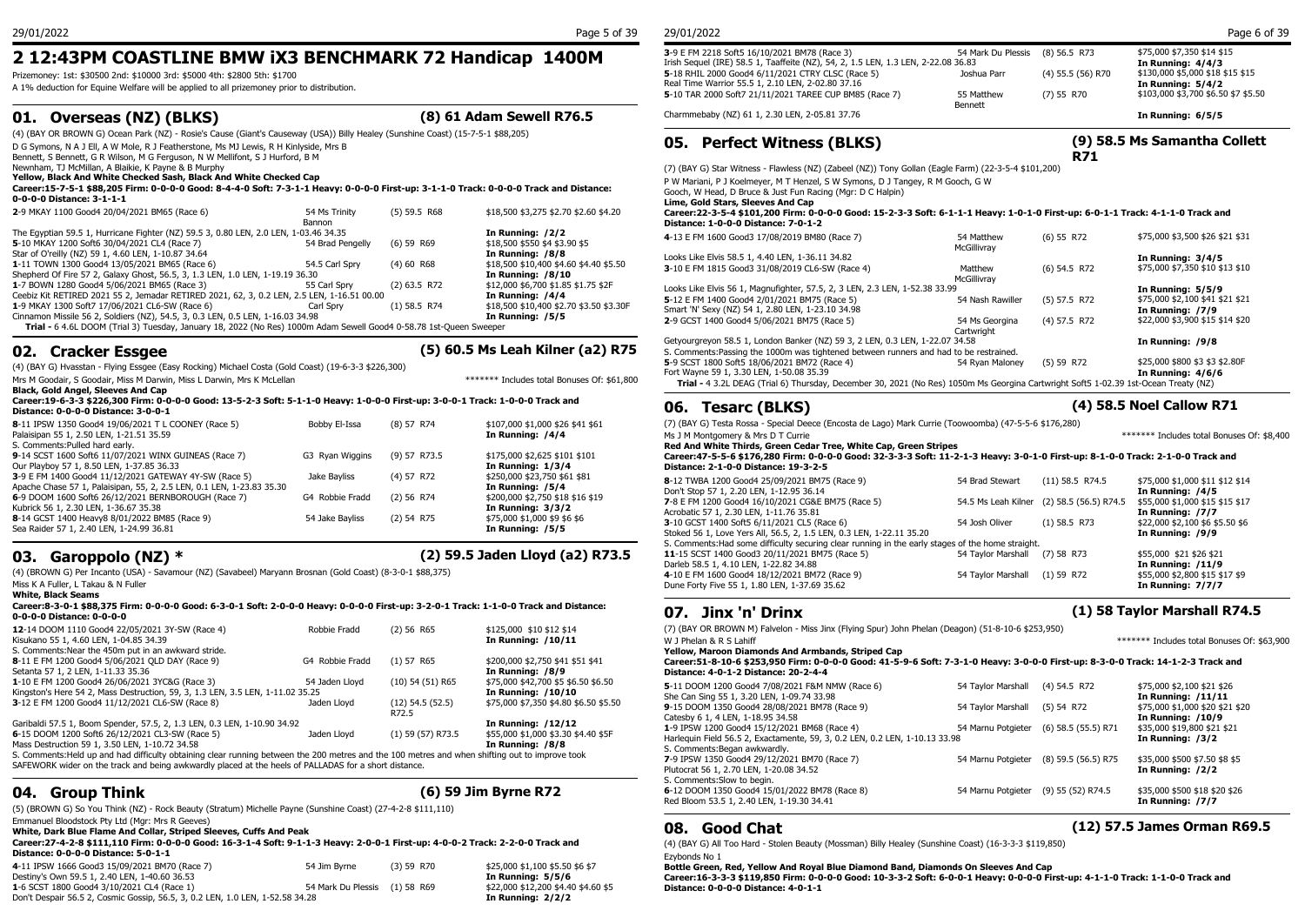## **2 12:43PM COASTLINE BMW iX3 BENCHMARK 72 Handicap 1400M**

Prizemoney: 1st: \$30500 2nd: \$10000 3rd: \$5000 4th: \$2800 5th: \$1700

A 1% deduction for Equine Welfare will be applied to all prizemoney prior to distribution.

## **01. Overseas (NZ) (BLKS) (8) 61 Adam Sewell R76.5**

(4) (BAY OR BROWN G) Ocean Park (NZ) - Rosie's Cause (Giant's Causeway (USA)) Billy Healey (Sunshine Coast) (15-7-5-1 \$88,205)

D G Symons, N A J Ell, A W Mole, R J Featherstone, Ms MJ Lewis, R H Kinlyside, Mrs B Bennett, S Bennett, G R Wilson, M G Ferguson, N W Mellifont, S J Hurford, B M

Newnham, TJ McMillan, A Blaikie, K Payne & B Murphy

**Yellow, Black And White Checked Sash, Black And White Checked Cap**

**Career:15-7-5-1 \$88,205 Firm: 0-0-0-0 Good: 8-4-4-0 Soft: 7-3-1-1 Heavy: 0-0-0-0 First-up: 3-1-1-0 Track: 0-0-0-0 Track and Distance: 0-0-0-0 Distance: 3-1-1-1**

|                                                                                                                    |                  |                |                                         | $=$ $\frac{1}{2}$ $\frac{1}{2}$ $\frac{1}{2}$ $\frac{1}{2}$ $\frac{1}{2}$ $\frac{1}{2}$ $\frac{1}{2}$ $\frac{1}{2}$ $\frac{1}{2}$ $\frac{1}{2}$ $\frac{1}{2}$ $\frac{1}{2}$ |
|--------------------------------------------------------------------------------------------------------------------|------------------|----------------|-----------------------------------------|-----------------------------------------------------------------------------------------------------------------------------------------------------------------------------|
| 2-9 MKAY 1100 Good4 20/04/2021 BM65 (Race 6)                                                                       | 54 Ms Trinity    | $(5)$ 59.5 R68 | \$18,500 \$3,275 \$2.70 \$2.60 \$4.20   | Career: 22-3-5-4 \$10                                                                                                                                                       |
|                                                                                                                    | Bannon           |                |                                         | <b>Distance: 1-0-0-0 Dis</b>                                                                                                                                                |
| The Egyptian 59.5 1, Hurricane Fighter (NZ) 59.5 3, 0.80 LEN, 2.0 LEN, 1-03.46 34.35                               |                  |                | In Running: /2/2                        | 4-13 E FM 1600 Good3                                                                                                                                                        |
| 5-10 MKAY 1200 Soft6 30/04/2021 CL4 (Race 7)                                                                       | 54 Brad Pengelly | $(6)$ 59 R69   | \$18,500 \$550 \$4 \$3.90 \$5           |                                                                                                                                                                             |
| Star of O'reilly (NZ) 59 1, 4.60 LEN, 1-10.87 34.64                                                                |                  |                | In Running: /8/8                        | Looks Like Elvis 58.5 1,                                                                                                                                                    |
| 1-11 TOWN 1300 Good4 13/05/2021 BM65 (Race 6)                                                                      | 54.5 Carl Spry   | $(4)$ 60 R68   | \$18,500 \$10,400 \$4.60 \$4.40 \$5.50  | 3-10 E FM 1815 Good3                                                                                                                                                        |
| Shepherd Of Fire 57 2, Galaxy Ghost, 56.5, 3, 1.3 LEN, 1.0 LEN, 1-19.19 36.30                                      |                  |                | In Running: $/8/10$                     |                                                                                                                                                                             |
| 1-7 BOWN 1280 Good4 5/06/2021 BM65 (Race 3)                                                                        | 55 Carl Sprv     | $(2)$ 63.5 R72 | \$12,000 \$6,700 \$1.85 \$1.75 \$2F     | Looks Like Elvis 56 1, M                                                                                                                                                    |
| Ceebiz Kit RETIRED 2021 55 2, Jemadar RETIRED 2021, 62, 3, 0.2 LEN, 2.5 LEN, 1-16.51 00.00                         |                  |                | In Running: /4/4                        | 5-12 E FM 1400 Good4                                                                                                                                                        |
| 1-9 MKAY 1300 Soft7 17/06/2021 CL6-SW (Race 6)                                                                     | Carl Sprv        | $(1)$ 58.5 R74 | \$18,500 \$10,400 \$2.70 \$3.50 \$3.30F | Smart 'N' Sexy (NZ) 54                                                                                                                                                      |
| Cinnamon Missile 56 2, Soldiers (NZ), 54.5, 3, 0.3 LEN, 0.5 LEN, 1-16.03 34.98                                     |                  |                | In Running: /5/5                        | 2-9 GCST 1400 Good4                                                                                                                                                         |
| Trial - 6 4.6L DOOM (Trial 3) Tuesday, January 18, 2022 (No Res) 1000m Adam Sewell Good4 0-58.78 1st-Queen Sweeper |                  |                |                                         |                                                                                                                                                                             |
|                                                                                                                    |                  |                |                                         |                                                                                                                                                                             |

## **02. Cracker Essgee (5) 60.5 Ms Leah Kilner (a2) R75**

(4) (BAY G) Hvasstan - Flying Essgee (Easy Rocking) Michael Costa (Gold Coast) (19-6-3-3 \$226,300)

Mrs M Goodair, S Goodair, Miss M Darwin, Miss L Darwin, Mrs K McLellan \*\*\*\*\*\*\* Includes total Bonuses Of: \$61,800

**Black, Gold Angel, Sleeves And Cap**

#### **Career:19-6-3-3 \$226,300 Firm: 0-0-0-0 Good: 13-5-2-3 Soft: 5-1-1-0 Heavy: 1-0-0-0 First-up: 3-0-0-1 Track: 1-0-0-0 Track and Distance: 0-0-0-0 Distance: 3-0-0-1**

| Distance: 0-0-0-0 Distance: 3-0-0-1                                   |                 |                |                                  |                      |
|-----------------------------------------------------------------------|-----------------|----------------|----------------------------------|----------------------|
| 8-11 IPSW 1350 Good4 19/06/2021 T L COONEY (Race 5)                   | Bobby El-Issa   | $(8)$ 57 R74   | \$107,000 \$1,000 \$26 \$41 \$61 | (7) (BAY G) Testa    |
| Palaisipan 55 1, 2.50 LEN, 1-21.51 35.59                              |                 |                | In Running: /4/4                 | Ms J M Montgome      |
| S. Comments: Pulled hard early.                                       |                 |                |                                  | <b>Red And White</b> |
| 9-14 SCST 1600 Soft6 11/07/2021 WINX GUINEAS (Race 7)                 | G3 Ryan Wiggins | $(9)$ 57 R73.5 | \$175,000 \$2,625 \$101 \$101    | Career: 47-5-5-6     |
| Our Playboy 57 1, 8.50 LEN, 1-37.85 36.33                             |                 |                | In Running: $1/3/4$              | Distance: 2-1-0      |
| 3-9 E FM 1400 Good4 11/12/2021 GATEWAY 4Y-SW (Race 5)                 | Jake Bavliss    | $(4)$ 57 R72   | \$250,000 \$23,750 \$61 \$81     | 8-12 TWBA 1200       |
| Apache Chase 57 1, Palaisipan, 55, 2, 2.5 LEN, 0.1 LEN, 1-23.83 35.30 |                 |                | In Running: /5/4                 | Don't Stop 57 1, 2   |
| 6-9 DOOM 1600 Soft6 26/12/2021 BERNBOROUGH (Race 7)                   | G4 Robbie Fradd | $(2)$ 56 R74   | \$200,000 \$2,750 \$18 \$16 \$19 | 7-8 E FM 1200 Go     |
| Kubrick 56 1, 2.30 LEN, 1-36.67 35.38                                 |                 |                | In Running: 3/3/2                | Acrobatic 57 1, 2.   |
| 8-14 GCST 1400 Heavy8 8/01/2022 BM85 (Race 9)                         | 54 Jake Bavliss | $(2)$ 54 R75   | \$75,000 \$1,000 \$9 \$6 \$6     | 3-10 GCST 1400 9     |
| Sea Raider 57 1, 2.40 LEN, 1-24.99 36.81                              |                 |                | In Running: /5/5                 | Stoked 56 1, Love    |
|                                                                       |                 |                |                                  |                      |

## **03. Garoppolo (NZ) \* (2) 59.5 Jaden Lloyd (a2) R73.5**

(4) (BROWN G) Per Incanto (USA) - Savamour (NZ) (Savabeel) Maryann Brosnan (Gold Coast) (8-3-0-1 \$88,375)

Miss K A Fuller, L Takau & N Fuller

**White, Black Seams**

Career:8-3-0-1 \$88,375 Firm: 0-0-0-0 Good: 6-3-0-1 Soft: 2-0-0-0 Heavy: 0-0-0-0 First-up: 3-2-0-1 Track: 1-1-0-0 Track and Distance: **0.07. Jinx 'n' Drinx 0-0-0-0 Distance: 0-0-0-0**

| 12-14 DOOM 1110 Good4 22/05/2021 3Y-SW (Race 4)                                                                                                 | Robbie Fradd    | (2) 56 R65            | \$125,000 \$10 \$12 \$14              | (7) (BAY OR BROWN N        |
|-------------------------------------------------------------------------------------------------------------------------------------------------|-----------------|-----------------------|---------------------------------------|----------------------------|
| Kisukano 55 1, 4.60 LEN, 1-04.85 34.39                                                                                                          |                 |                       | In Running: /10/11                    | W J Phelan & R S Lahi      |
| S. Comments: Near the 450m put in an awkward stride.                                                                                            |                 |                       |                                       | Yellow, Maroon Diar        |
| 8-11 E FM 1200 Good4 5/06/2021 QLD DAY (Race 9)                                                                                                 | G4 Robbie Fradd | (1) 57 R65            | \$200,000 \$2,750 \$41 \$51 \$41      | Career: 51-8-10-6 \$       |
| Setanta 57 1, 2 LEN, 1-11.33 35.36                                                                                                              |                 |                       | In Running: /8/9                      | <b>Distance: 4-0-1-2 D</b> |
| 1-10 E FM 1200 Good4 26/06/2021 3YC&G (Race 3)                                                                                                  | 54 Jaden Lloyd  | $(10)$ 54 $(51)$ R65  | \$75,000 \$42,700 \$5 \$6.50 \$6.50   | 5-11 DOOM 1200 Goo         |
| Kingston's Here 54 2, Mass Destruction, 59, 3, 1.3 LEN, 3.5 LEN, 1-11.02 35.25                                                                  |                 |                       | In Running: /10/10                    | She Can Sing 55 1, 3.2     |
| 3-12 E FM 1200 Good4 11/12/2021 CL6-SW (Race 8)                                                                                                 | Jaden Llovd     | $(12)$ 54.5 $(52.5)$  | \$75,000 \$7,350 \$4.80 \$6.50 \$5.50 | 9-15 DOOM 1350 Goo         |
|                                                                                                                                                 |                 | R72.5                 |                                       | Catesby 6 1, 4 LEN, 1-     |
| Garibaldi 57.5 1, Boom Spender, 57.5, 2, 1.3 LEN, 0.3 LEN, 1-10.90 34.92                                                                        |                 |                       | In Running: /12/12                    | 1-9 IPSW 1200 Good4        |
| 6-15 DOOM 1200 Soft6 26/12/2021 CL3-SW (Race 5)                                                                                                 | Jaden Llovd     | $(1)$ 59 $(57)$ R73.5 | \$55,000 \$1,000 \$3.30 \$4.40 \$5F   | Harlequin Field 56.5 2,    |
| Mass Destruction 59 1, 3.50 LEN, 1-10.72 34.58                                                                                                  |                 |                       | In Running: /8/8                      | S. Comments: Began a       |
| S. Comments: Held up and had difficulty obtaining clear running between the 200 metres and the 100 metres and when shifting out to improve took |                 |                       |                                       |                            |

hing clear running between the 200 metres and the 100 metres and when shifting out to improve took SAFEWORK wider on the track and being awkwardly placed at the heels of PALLADAS for a short distance.

## **04. Group Think (6) 59 Jim Byrne R72**

(5) (BROWN G) So You Think (NZ) - Rock Beauty (Stratum) Michelle Payne (Sunshine Coast) (27-4-2-8 \$111,110)

Emmanuel Bloodstock Pty Ltd (Mgr: Mrs R Geeves)

**White, Dark Blue Flame And Collar, Striped Sleeves, Cuffs And Peak**

**Career:27-4-2-8 \$111,110 Firm: 0-0-0-0 Good: 16-3-1-4 Soft: 9-1-1-3 Heavy: 2-0-0-1 First-up: 4-0-0-2 Track: 2-2-0-0 Track and** 

| Distance: 0-0-0-0 Distance: 5-0-1-1                                           |                               |            |                                     | $\{1, 2, 3, 4, 5, 6, 7, 8, 7, 8, 7, 8, 7, 8, 7, 8, 7, 8, 7, 8, 7, 8, 7, 8, 7, 8, 7, 8, 7, 8, 7, 8, 7, 8, 7, 8, 7, 8, 7, 8, 7, 8, 7, 8, 7, 8, 7, 8, 7, 8, 7, 8, 7, 8, 7, 8, 7, 8, 7, 8, 7, 8, 7, 8, 7, 8, 7, 8, 7, 8, 7, 8, 7,$<br>Ezvbonds No 1 |
|-------------------------------------------------------------------------------|-------------------------------|------------|-------------------------------------|-------------------------------------------------------------------------------------------------------------------------------------------------------------------------------------------------------------------------------------------------|
| 4-11 IPSW 1666 Good3 15/09/2021 BM70 (Race 7)                                 | 54 Jim Byrne                  | (3) 59 R70 | \$25,000 \$1,100 \$5.50 \$6 \$7     | Bottle Green, Red, Yellow And Rova                                                                                                                                                                                                              |
| Destiny's Own 59.5 1, 2.40 LEN, 1-40.60 36.53                                 |                               |            | In Running: 5/5/6                   | Career: 16-3-3-3 \$119,850 Firm: 0-0                                                                                                                                                                                                            |
| 1-6 SCST 1800 Good4 3/10/2021 CL4 (Race 1)                                    | 54 Mark Du Plessis (1) 58 R69 |            | \$22,000 \$12,200 \$4.40 \$4.60 \$5 | Distance: 0-0-0-0 Distance: 4-0-1-1                                                                                                                                                                                                             |
| Don't Despair 56.5 2, Cosmic Gossip, 56.5, 3, 0.2 LEN, 1.0 LEN, 1-52.58 34.28 |                               |            | In Running: 2/2/2                   |                                                                                                                                                                                                                                                 |

|             | (8) 56.5 R73                                                                                 | \$75,000 \$7,350 \$14 \$15          |
|-------------|----------------------------------------------------------------------------------------------|-------------------------------------|
|             |                                                                                              | In Running: 4/4/3                   |
| Joshua Parr | (4) 55.5 (56) R70                                                                            | \$130,000 \$5,000 \$18 \$15 \$15    |
|             |                                                                                              | In Running: 5/4/2                   |
| 55 Matthew  | $(7)$ 55 R70                                                                                 | \$103,000 \$3,700 \$6.50 \$7 \$5.50 |
|             |                                                                                              |                                     |
|             |                                                                                              | In Running: 6/5/5                   |
|             | Irish Sequel (IRE) 58.5 1, Taaffeite (NZ), 54, 2, 1.5 LEN, 1.3 LEN, 2-22.08 36.83<br>Bennett | 54 Mark Du Plessis                  |

**05. Perfect Witness (BLKS)**

(7) (BAY G) Star Witness - Flawless (NZ) (Zabeel (NZ)) Tony Gollan (Eagle Farm) (22-3-5-4 \$101,200)

P W Mariani, P J Koelmeyer, M T Henzel, S W Symons, D J Tangey, R M Gooch, G W

Gooch, W Head, D Bruce & Just Fun Racing (Mgr: D C Halpin)

**Lime, Gold Stars, Sleeves And Cap**

#### (5) 59.5 R68 \$18,500 \$3,275 \$2.70 \$2.60 \$4.20 **Career:22-3-5-4 \$101,200 Firm: 0-0-0-0 Good: 15-2-3-3 Soft: 6-1-1-1 Heavy: 1-0-1-0 First-up: 6-0-1-1 Track: 4-1-1-0 Track and Distance: 1-0-0-0 Distance: 7-0-1-2**

| 4-13 E FM 1600 Good3 17/08/2019 BM80 (Race 7)                                                                                       | 54 Matthew<br>McGillivrav | $(6)$ 55 R72   | \$75,000 \$3,500 \$26 \$21 \$31 |
|-------------------------------------------------------------------------------------------------------------------------------------|---------------------------|----------------|---------------------------------|
| Looks Like Elvis 58.5 1, 4.40 LEN, 1-36.11 34.82                                                                                    |                           |                | In Running: 3/4/5               |
| 3-10 E FM 1815 Good3 31/08/2019 CL6-SW (Race 4)                                                                                     | Matthew                   | $(6)$ 54.5 R72 | \$75,000 \$7,350 \$10 \$13 \$10 |
|                                                                                                                                     | McGillivrav               |                |                                 |
| Looks Like Elvis 56 1, Magnufighter, 57.5, 2, 3 LEN, 2.3 LEN, 1-52.38 33.99                                                         |                           |                | In Running: 5/5/9               |
| 5-12 E FM 1400 Good4 2/01/2021 BM75 (Race 5)                                                                                        | 54 Nash Rawiller          | $(5)$ 57.5 R72 | \$75,000 \$2,100 \$41 \$21 \$21 |
| Smart 'N' Sexy (NZ) 54 1, 2.80 LEN, 1-23.10 34.98                                                                                   |                           |                | In Running: /7/9                |
| 2-9 GCST 1400 Good4 5/06/2021 BM75 (Race 5)                                                                                         | 54 Ms Georgina            | $(4)$ 57.5 R72 | \$22,000 \$3,900 \$15 \$14 \$20 |
|                                                                                                                                     | Cartwright                |                |                                 |
| Getyourgreyon 58.5 1, London Banker (NZ) 59 3, 2 LEN, 0.3 LEN, 1-22.07 34.58                                                        |                           |                | In Running: /9/8                |
| S. Comments: Passing the 1000m was tightened between runners and had to be restrained.                                              |                           |                |                                 |
| 5-9 SCST 1800 Soft5 18/06/2021 BM72 (Race 4)                                                                                        | 54 Rvan Malonev           | $(5)$ 59 R72   | \$25,000 \$800 \$3 \$3 \$2.80F  |
| Fort Wayne 59 1, 3.30 LEN, 1-50.08 35.39                                                                                            |                           |                | In Running: 4/6/6               |
| Trial - 4 3.2L DEAG (Trial 6) Thursday, December 30, 2021 (No Res) 1050m Ms Georgina Cartwright Soft5 1-02.39 1st-Ocean Treaty (NZ) |                           |                |                                 |
|                                                                                                                                     |                           |                |                                 |

## **06. Tesarc (BLKS) (4) 58.5 Noel Callow R71**

(7) (BAY G) Testa Rossa - Special Deece (Encosta de Lago) Mark Currie (Toowoomba) (47-5-5-6 \$176,280)

Ms J M Montgomery & Mrs D T Currie \*\*\*\*\*\*\* Includes total Bonuses Of: \$8,400 **Red And White Thirds, Green Cedar Tree, White Cap, Green Stripes**

#### **Career:47-5-5-6 \$176,280 Firm: 0-0-0-0 Good: 32-3-3-3 Soft: 11-2-1-3 Heavy: 3-0-1-0 First-up: 8-1-0-0 Track: 2-1-0-0 Track and Distance: 2-1-0-0 Distance: 19-3-2-5 8**-12 TWBA 1200 Good4 25/09/2021 BM75 (Race 9) 54 Brad Stewart (11) 58.5 R74.5 \$75,000 \$1,000 \$11 \$12 \$14 Don't Stop 57 1, 2.20 LEN, 1-12.95 36.14 **In Running: /4/5 7**-8 E FM 1200 Good4 16/10/2021 CG&E BM75 (Race 5) 54.5 Ms Leah Kilner (2) 58.5 (56.5) R74.5 \$55,000 \$1,000 \$15<br>Acrobatic 57 1. 2.30 LEN. 1-11.76 35.81 Acrobatic 57 1, 2.30 LEN, 1-11.76 35.81<br> **3-**10 GCST 1400 Soft5 6/11/2021 CL5 (Race 6) **In Running: /7/7** 54 Josh Oliver (1) 58.5 R73 \$22,000 \$2,100 \$6 \$5.50 \$6 **3**-10 GCST 1400 Soft5 6/11/2021 CL5 (Race 6) 54 Josh Oliver (1) 58.5 R73 \$22,000 \$2,100 \$6 \$<br>Stoked 56 1. Love Yers All. 56.5. 2. 1.5 LEN. 0.3 LEN. 1-22.11 35.20 **5.50 \$5.50 \$5.50 \$5.50 \$5.50 \$6.50 \$5.50** Stoked 56 1, Love Yers All, 56.5, 2, 1.5 LEN, 0.3 LEN, 1-22.11 35.20 S. Comments: Had some difficulty securing clear running in the early stages of the home straight.<br>11-15 SCST 1400 Good3 20/11/2021 BM75 (Race 5) 54 Taylor Marshall (7) 58 R73 **11**-15 SCST 1400 Good3 20/11/2021 BM75 (Race 5) **54 Taylor Marshall (7) 58 R73** \$55,000 \$21 \$26 \$21 \$26 \$21 \$26 \$21<br>Darleb 58.5 1. 4.10 LEN. 1-22.82 34.88

### Darleb 58.5 1, 4.10 LEN, 1-22.82 34.88<br>**4**-10 E FM 1600 Good4 18/12/2021 BM72 (Race 9) **In Running: /11/9** 54 Taylor Marshall (1) 59 R72 \$55,000 \$2,800 \$15 \$17 \$9 **4**-10 E FM 1600 Good4 18/12/2021 BM72 (Race 9) 54 Taylor Marshall (1) 59 R72 \$55,000 \$2,800 \$15 \$15<br>1**n Running: 7/7/7** \$95,000 \$17 \$95,62 Dune Forty Five 55 1, 1.80 LEN, 1-37.69 35.62

(7) (BAY OR BROWN M) Falvelon - Miss Jinx (Flying Spur) John Phelan (Deagon) (51-8-10-6 \$253,950) W J Phelan & R S Lahiff \*\*\*\*\*\*\* Includes total Bonuses Of: \$63,900

### **Yellow, Maroon Diamonds And Armbands, Striped Cap Career:51-8-10-6 \$253,950 Firm: 0-0-0-0 Good: 41-5-9-6 Soft: 7-3-1-0 Heavy: 3-0-0-0 First-up: 8-3-0-0 Track: 14-1-2-3 Track and**

| Distance: 4-0-1-2 Distance: 20-2-4-4                                                                                        |                    |                         |                                                             |
|-----------------------------------------------------------------------------------------------------------------------------|--------------------|-------------------------|-------------------------------------------------------------|
| 5-11 DOOM 1200 Good4 7/08/2021 F&M NMW (Race 6)<br>She Can Sing 55 1, 3.20 LEN, 1-09.74 33.98                               | 54 Tavlor Marshall | $(4)$ 54.5 R72          | \$75,000 \$2,100 \$21 \$26<br>In Running: /11/11            |
| 9-15 DOOM 1350 Good4 28/08/2021 BM78 (Race 9)<br>Catesby 6 1, 4 LEN, 1-18.95 34.58                                          | 54 Tavlor Marshall | (5) 54 R72              | \$75,000 \$1,000 \$20 \$21 \$20<br><b>In Running: /10/9</b> |
| 1-9 IPSW 1200 Good4 15/12/2021 BM68 (Race 4)<br>Harlequin Field 56.5 2, Exactamente, 59, 3, 0.2 LEN, 0.2 LEN, 1-10.13 33.98 | 54 Marnu Potgieter | $(6)$ 58.5 (55.5) R71   | \$35,000 \$19,800 \$21 \$21<br>In Running: /3/2             |
| S. Comments: Began awkwardly.                                                                                               |                    |                         |                                                             |
| 7-9 IPSW 1350 Good4 29/12/2021 BM70 (Race 7)<br>Plutocrat 56 1, 2.70 LEN, 1-20.08 34.52<br>S. Comments: Slow to begin.      | 54 Marnu Potgieter | $(8)$ 59.5 $(56.5)$ R75 | \$35,000 \$500 \$7.50 \$8 \$5<br>In Running: /2/2           |
| 6-12 DOOM 1350 Good4 15/01/2022 BM78 (Race 8)<br>Red Bloom 53.5 1, 2.40 LEN, 1-19.30 34.41                                  | 54 Marnu Potgieter | (9) 55 (52) R74.5       | \$35,000 \$500 \$18 \$20 \$26<br>In Running: /7/7           |
|                                                                                                                             |                    |                         |                                                             |

## **08. Good Chat (12) 57.5 James Orman R69.5**

(4) (BAY G) All Too Hard - Stolen Beauty (Mossman) Billy Healey (Sunshine Coast) (16-3-3-3 \$119,850)

**Bottle Green, Red, Yellow And Royal Blue Diamond Band, Diamonds On Sleeves And Cap**

**Career:16-3-3-3 \$119,850 Firm: 0-0-0-0 Good: 10-3-3-2 Soft: 6-0-0-1 Heavy: 0-0-0-0 First-up: 4-1-1-0 Track: 1-1-0-0 Track and** 

# **07. Jinx 'n' Drinx (1) 58 Taylor Marshall R74.5**

**(9) 58.5 Ms Samantha Collett** 

**R71**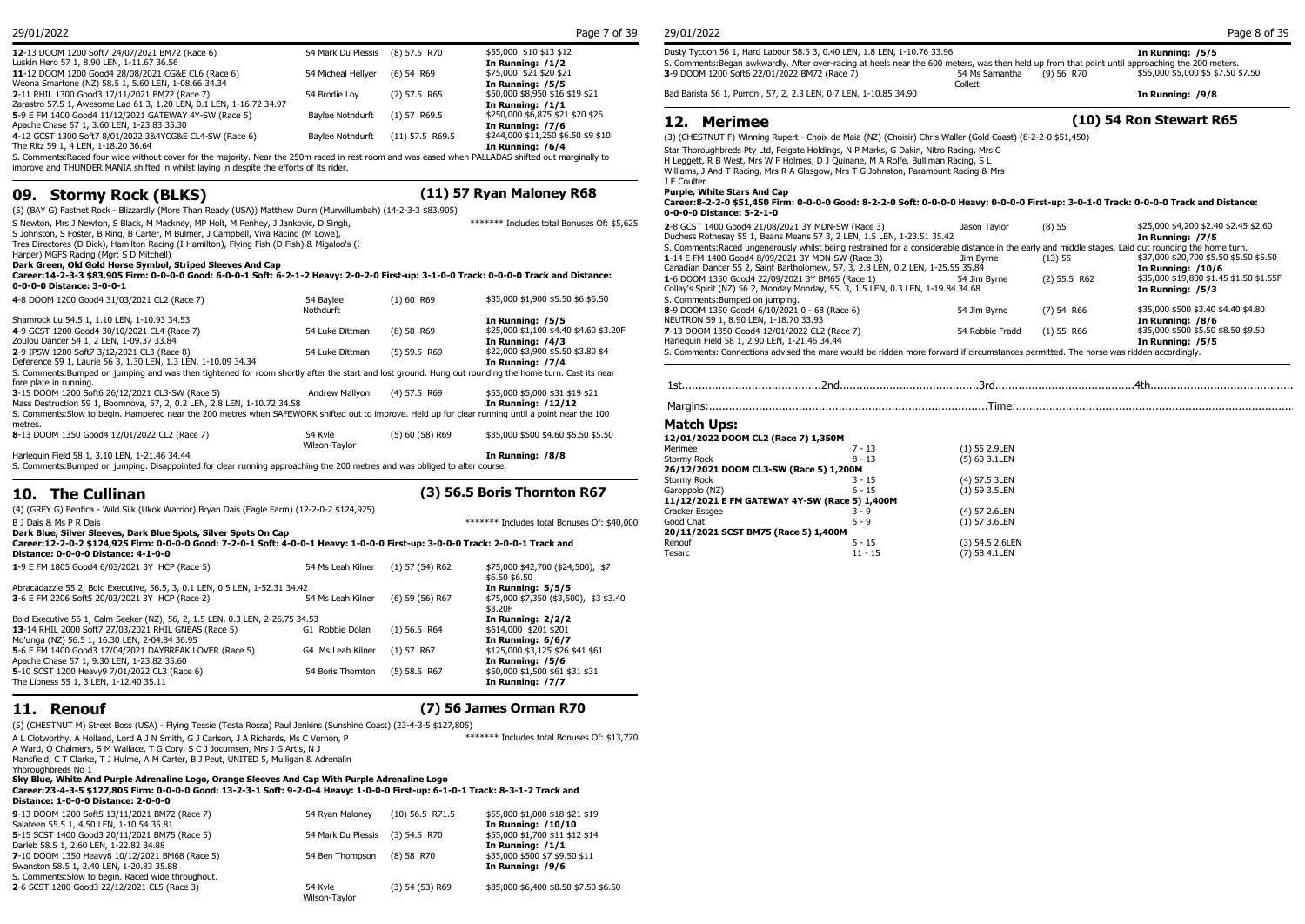| 12-13 DOOM 1200 Soft7 24/07/2021 BM72 (Race 6)<br>Luskin Hero 57 1, 8.90 LEN, 1-11.67 36.56                                                         | 54 Mark Du Plessis (8) 57.5 R70  |                | \$55,000 \$10 \$13 \$12<br>In Running: /1/2 | Dusty Tycoon 56 1, Hard Labour 58.5 3, 0.40 LEN, 1.8 LEN, 1-10.76 33.96<br>S. Comments: Began awkwardly. After over-racing at heels near the 600 meters, was then held up from that point until approaching t |                                         | <b>In Runnin</b> |
|-----------------------------------------------------------------------------------------------------------------------------------------------------|----------------------------------|----------------|---------------------------------------------|---------------------------------------------------------------------------------------------------------------------------------------------------------------------------------------------------------------|-----------------------------------------|------------------|
| 11-12 DOOM 1200 Good4 28/08/2021 CG&E CL6 (Race 6)<br>Weona Smartone (NZ) 58.5 1, 5.60 LEN, 1-08.66 34.34                                           | 54 Micheal Hellyer (6) 54 R69    |                | \$75,000 \$21 \$20 \$21<br>In Running: /5/5 | 3-9 DOOM 1200 Soft6 22/01/2022 BM72 (Race 7)                                                                                                                                                                  | 54 Ms Samantha<br>(9) 56 R70<br>Collett | \$55,000 \$5     |
| 2-11 RHIL 1300 Good3 17/11/2021 BM72 (Race 7)                                                                                                       | 54 Brodie Lov                    | $(7)$ 57.5 R65 | \$50,000 \$8,950 \$16 \$19 \$21             | Bad Barista 56 1, Purroni, 57, 2, 2.3 LEN, 0.7 LEN, 1-10.85 34.90                                                                                                                                             |                                         | <b>In Runnin</b> |
| Zarastro 57.5 1, Awesome Lad 61 3, 1.20 LEN, 0.1 LEN, 1-16.72 34.97                                                                                 |                                  |                | In Running: /1/1                            |                                                                                                                                                                                                               |                                         |                  |
| 5-9 E FM 1400 Good4 11/12/2021 GATEWAY 4Y-SW (Race 5)                                                                                               | Baylee Nothdurft (1) 57 R69.5    |                | \$250,000 \$6,875 \$21 \$20 \$26            |                                                                                                                                                                                                               | (10) 54 Ron Stey                        |                  |
| Apache Chase 57 1, 3.60 LEN, 1-23.83 35.30                                                                                                          |                                  |                | In Running: /7/6                            | 12. Merimee                                                                                                                                                                                                   |                                         |                  |
| 4-12 GCST 1300 Soft7 8/01/2022 3&4YCG&E CL4-SW (Race 6)                                                                                             | Baylee Nothdurft (11) 57.5 R69.5 |                | \$244,000 \$11,250 \$6.50 \$9 \$10          | (3) (CHESTNUT F) Winning Rupert - Choix de Maia (NZ) (Choisir) Chris Waller (Gold Coast) (8-2-2-0 \$51,450)                                                                                                   |                                         |                  |
| The Ritz 59 1, 4 LEN, 1-18.20 36.64                                                                                                                 |                                  |                | In Running: /6/4                            | Star Thoroughbreds Pty Ltd, Felgate Holdings, N P Marks, G Dakin, Nitro Racing, Mrs C                                                                                                                         |                                         |                  |
| S. Comments: Raced four wide without cover for the majority. Near the 250m raced in rest room and was eased when PALLADAS shifted out marginally to |                                  |                |                                             | H Loggett, B.B. West, Mrs. W. E. Holmes, D.J. Quinzne, M.A. Bolfo, Bulliman Bacing, S.J.                                                                                                                      |                                         |                  |

improve and THUNDER MANIA shifted in whilst laying in despite the efforts of its rider.

## **09. Stormy Rock (BLKS) (11) 57 Ryan Maloney R68**

\*\*\*\*\*\*\* Includes total Bonuses Of: \$5,625

(5) (BAY G) Fastnet Rock - Blizzardly (More Than Ready (USA)) Matthew Dunn (Murwillumbah) (14-2-3-3 \$83,905)

S Newton, Mrs J Newton, S Black, M Mackney, MP Holt, M Penhey, J Jankovic, D Singh,

S Johnston, S Foster, B Ring, B Carter, M Bulmer, J Campbell, Viva Racing (M Lowe), Tres Directores (D Dick), Hamilton Racing (I Hamilton), Flying Fish (D Fish) & Migaloo's (B

Harper) MGFS Racing (Mgr: S D Mitchell)

#### **Dark Green, Old Gold Horse Symbol, Striped Sleeves And Cap**

**Career:14-2-3-3 \$83,905 Firm: 0-0-0-0 Good: 6-0-0-1 Soft: 6-2-1-2 Heavy: 2-0-2-0 First-up: 3-1-0-0 Track: 0-0-0-0 Track and Distance: 0-0-0-0 Distance: 3-0-0-1**

| 4-8 DOOM 1200 Good4 31/03/2021 CL2 (Race 7)                                                                                                            | 54 Baylee       | $(1)$ 60 R69        | \$35,000 \$1,900 \$5.50 \$6 \$6.50     | S. Comments: Bumped     |
|--------------------------------------------------------------------------------------------------------------------------------------------------------|-----------------|---------------------|----------------------------------------|-------------------------|
|                                                                                                                                                        | Nothdurft       |                     |                                        | 8-9 DOOM 1350 Good      |
| Shamrock Lu 54.5 1, 1.10 LEN, 1-10.93 34.53                                                                                                            |                 |                     | In Running: /5/5                       | NEUTRON 59 1, 8.90      |
| 4-9 GCST 1200 Good4 30/10/2021 CL4 (Race 7)                                                                                                            | 54 Luke Dittman | $(8)$ 58 R69        | \$25,000 \$1,100 \$4.40 \$4.60 \$3.20F | 7-13 DOOM 1350 God      |
| Zoulou Dancer 54 1, 2 LEN, 1-09.37 33.84                                                                                                               |                 |                     | In Running: /4/3                       | Harlequin Field 58 1, 2 |
| 2-9 IPSW 1200 Soft7 3/12/2021 CL3 (Race 8)                                                                                                             | 54 Luke Dittman | $(5)$ 59.5 R69      | \$22,000 \$3,900 \$5.50 \$3.80 \$4     | S. Comments: Connec     |
| Deference 59 1, Laurie 56 3, 1.30 LEN, 1.3 LEN, 1-10.09 34.34                                                                                          |                 |                     | In Running: /7/4                       |                         |
| S. Comments: Bumped on jumping and was then tightened for room shortly after the start and lost ground. Hung out rounding the home turn. Cast its near |                 |                     |                                        |                         |
| fore plate in running.                                                                                                                                 |                 |                     |                                        |                         |
| 3-15 DOOM 1200 Soft6 26/12/2021 CL3-SW (Race 5)                                                                                                        | Andrew Mallvon  | $(4)$ 57.5 R69      | \$55,000 \$5,000 \$31 \$19 \$21        |                         |
| Mass Destruction 59 1, Boomnova, 57, 2, 0.2 LEN, 2.8 LEN, 1-10.72 34.58                                                                                |                 |                     | <b>In Running: /12/12</b>              | Margins:                |
| S. Comments: Slow to begin. Hampered near the 200 metres when SAFEWORK shifted out to improve. Held up for clear running until a point near the 100    |                 |                     |                                        |                         |
| metres.                                                                                                                                                |                 |                     |                                        | <b>Match Ups:</b>       |
| 8-13 DOOM 1350 Good4 12/01/2022 CL2 (Race 7)                                                                                                           | 54 Kvle         | $(5)$ 60 $(58)$ R69 | \$35,000 \$500 \$4.60 \$5.50 \$5.50    | 12/01/2022 DOOM         |
|                                                                                                                                                        | Wilson-Taylor   |                     |                                        | Merimee                 |
| Harlequin Field 58 1, 3.10 LEN, 1-21.46 34.44                                                                                                          |                 |                     | In Running: /8/8                       | Stormy Rock             |

S. Comments:Bumped on jumping. Disappointed for clear running approaching the 200 metres and was obliged to alter course.

**10. The Cullinan (3) 56.5 Boris Thornton R67**

(4) (GREY G) Benfica - Wild Silk (Ukok Warrior) Bryan Dais (Eagle Farm) (12-2-0-2 \$124,925)

B J Dais & Ms P R Dais **All Audience** of: \$40,000 to the material state of the state of the state and the state of the state of the state of the state of the state of the state of the state of the state of the state of the

#### **Dark Blue, Silver Sleeves, Dark Blue Spots, Silver Spots On Cap Career:12-2-0-2 \$124,925 Firm: 0-0-0-0 Good: 7-2-0-1 Soft: 4-0-0-1 Heavy: 1-0-0-0 First-up: 3-0-0-0 Track: 2-0-0-1 Track and Distance: 0-0-0-0 Distance: 4-1-0-0 1**-9 E FM 1805 Good4 6/03/2021 3Y HCP (Race 5) 54 Ms Leah Kilner (1) 57 (54) R62 \$75,000 \$42,700 (\$24,500), \$7 \$6.50 \$6.50<br>In Running: 5/5/5 Abracadazzle 55 2, Bold Executive, 56.5, 3, 0.1 LEN, 0.5 LEN, 1-52.31 34.42 **3**-6 E FM 2206 Soft5 20/03/2021 3Y HCP (Race 2) 54 Ms Leah Kilner (6) 59 (56) R67 \$75,000 \$7,350 (\$3,500), \$3 \$3.40

|                                                                               |                                |                | \$3.20F                          |
|-------------------------------------------------------------------------------|--------------------------------|----------------|----------------------------------|
| Bold Executive 56 1, Calm Seeker (NZ), 56, 2, 1.5 LEN, 0.3 LEN, 2-26.75 34.53 |                                |                | In Running: 2/2/2                |
| 13-14 RHIL 2000 Soft7 27/03/2021 RHIL GNEAS (Race 5)                          | G1 Robbie Dolan                | $(1)$ 56.5 R64 | \$614,000 \$201 \$201            |
| Mo'unga (NZ) 56.5 1, 16.30 LEN, 2-04.84 36.95                                 |                                |                | In Running: 6/6/7                |
| 5-6 E FM 1400 Good3 17/04/2021 DAYBREAK LOVER (Race 5)                        | G4 Ms Leah Kilner (1) 57 R67   |                | \$125,000 \$3,125 \$26 \$41 \$61 |
| Apache Chase 57 1, 9.30 LEN, 1-23.82 35.60                                    |                                |                | In Running: /5/6                 |
| 5-10 SCST 1200 Heavy9 7/01/2022 CL3 (Race 6)                                  | 54 Boris Thornton (5) 58.5 R67 |                | \$50,000 \$1,500 \$61 \$31 \$31  |
| The Lioness 55 1, 3 LEN, 1-12.40 35.11                                        |                                |                | In Running: /7/7                 |

### **11. Renouf (7) 56 James Orman R70**

(5) (CHESTNUT M) Street Boss (USA) - Flying Tessie (Testa Rossa) Paul Jenkins (Sunshine Coast) (23-4-3-5 \$127,805) A L Clotworthy, A Holland, Lord A J N Smith, G J Carlson, J A Richards, Ms C Vernon, P A Ward, Q Chalmers, S M Wallace, T G Cory, S C J Jocumsen, Mrs J G Artis, N J Mansfield, C T Clarke, T J Hulme, A M Carter, B J Peut, UNITED 5, Mulligan & Adrenalin Yhoroughbreds No 1 \*\*\*\*\*\*\* Includes total Bonuses Of: \$13,770 **Sky Blue, White And Purple Adrenaline Logo, Orange Sleeves And Cap With Purple Adrenaline Logo Career:23-4-3-5 \$127,805 Firm: 0-0-0-0 Good: 13-2-3-1 Soft: 9-2-0-4 Heavy: 1-0-0-0 First-up: 6-1-0-1 Track: 8-3-1-2 Track and Distance: 1-0-0-0 Distance: 2-0-0-0 9**-13 DOOM 1200 Soft5 13/11/2021 BM72 (Race 7) 54 Ryan Maloney (10) 56.5 R71.5 \$55,000 \$1,000 \$18 \$21 \$19 Salateen 55.5 1, 4.50 LEN, 1-10.54 35.81 Salateen 55.5 1, 4.50 LEN, 1-10.54 35.81 **In Running: /10/10 5**-15 SCST 1400 Good3 20/11/2021 BM75 (Race 5) 54 Mark Du Plessis (3) 54.5 R70 \$55,000 \$1,700 \$11 **512 \$12 \$12 \$12 \$12 \$14 \$12 \$12 \$12 \$12 \$12 \$12 \$12 \$12 \$12 \$14 \$12 \$14 \$12 \$14 \$12 \$12 \$12 \$14 \$12 \$12 \$12 \$12 \$12 \$12 \$1** Darleb 58.5 1, 2.60 LEN, 1-22.82 34.88 **In Running: /1/1 7**-10 DOOM 1350 Heavy8 10/12/2021 BM68 (Race 5) 54 Ben Thompson (8) 58 R70 \$35,000 \$500 \$7 \$9.<br>54 **1n Running: /9/6** Swanston 58.5 1, 2.40 LEN, 1-20.83 35.88 Swanston 58.5 1, 2.40 LEN, 1-20.83 35.88 S. Comments:Slow to begin. Raced wide throughout. **2**-6 SCST 1200 Good3 22/12/2021 CL5 (Race 3) 54 Kyle (3) 54 CJ3 R69 (3) 54 (53) R69 \$35,000 \$6,400 \$8.50 \$7.50 \$6.50

Wilson-Taylor

| 29/01/2022 | Page 7 of 39 | 29/01/2022           |  |
|------------|--------------|----------------------|--|
|            |              | $\sim$ $\sim$ $\sim$ |  |
|            |              |                      |  |

| 29/01/2022                                                                                                                                      |                |            | Page 8 of 39                       |
|-------------------------------------------------------------------------------------------------------------------------------------------------|----------------|------------|------------------------------------|
| Dusty Tycoon 56 1, Hard Labour 58.5 3, 0.40 LEN, 1.8 LEN, 1-10.76 33.96                                                                         |                |            | In Running: /5/5                   |
| S. Comments:Began awkwardly. After over-racing at heels near the 600 meters, was then held up from that point until approaching the 200 meters. |                |            |                                    |
| 3-9 DOOM 1200 Soft6 22/01/2022 BM72 (Race 7)                                                                                                    | 54 Ms Samantha | (9) 56 R70 | \$55,000 \$5,000 \$5 \$7.50 \$7.50 |
|                                                                                                                                                 | Collett        |            |                                    |

Bad Barista 56 1, Purroni, 57, 2, 2.3 LEN, 0.7 LEN, 1-10.85 34.90 **In Running: /9/8**

### **12. Merimee (10) 54 Ron Stewart R65**

Star Thoroughbreds Pty Ltd, Felgate Holdings, N P Marks, G Dakin, Nitro Racing, Mrs C H Leggett, R B West, Mrs W F Holmes, D J Quinane, M A Rolfe, Bulliman Racing, S L

Williams, J And T Racing, Mrs R A Glasgow, Mrs T G Johnston, Paramount Racing & Mrs

J E Coulter

### **Purple, White Stars And Cap**

#### **Career:8-2-2-0 \$51,450 Firm: 0-0-0-0 Good: 8-2-2-0 Soft: 0-0-0-0 Heavy: 0-0-0-0 First-up: 3-0-1-0 Track: 0-0-0-0 Track and Distance: 0-0-0-0 Distance: 5-2-1-0**

| 2-8 GCST 1400 Good4 21/08/2021 3Y MDN-SW (Race 3)                                                                                                    | Jason Tavlor    | $(8)$ 55       | \$25,000 \$4,200 \$2.40 \$2.45 \$2.60   |
|------------------------------------------------------------------------------------------------------------------------------------------------------|-----------------|----------------|-----------------------------------------|
| Duchess Rothesay 55 1, Beans Means 57 3, 2 LEN, 1.5 LEN, 1-23.51 35.42                                                                               |                 |                | In Running: /7/5                        |
| S. Comments: Raced ungenerously whilst being restrained for a considerable distance in the early and middle stages. Laid out rounding the home turn. |                 |                |                                         |
| 1-14 E FM 1400 Good4 8/09/2021 3Y MDN-SW (Race 3)                                                                                                    | Jim Byrne       | (13) 55        | \$37,000 \$20,700 \$5.50 \$5.50 \$5.50  |
| Canadian Dancer 55 2, Saint Bartholomew, 57, 3, 2.8 LEN, 0.2 LEN, 1-25.55 35.84                                                                      |                 |                | <b>In Running: /10/6</b>                |
| 1-6 DOOM 1350 Good4 22/09/2021 3Y BM65 (Race 1)                                                                                                      | 54 Jim Byrne    | $(2)$ 55.5 R62 | \$35,000 \$19,800 \$1.45 \$1.50 \$1.55F |
| Collay's Spirit (NZ) 56 2, Monday Monday, 55, 3, 1.5 LEN, 0.3 LEN, 1-19.84 34.68                                                                     |                 |                | In Running: /5/3                        |
| S. Comments: Bumped on jumping.                                                                                                                      |                 |                |                                         |
| 8-9 DOOM 1350 Good4 6/10/2021 0 - 68 (Race 6)                                                                                                        | 54 Jim Byrne    | $(7)$ 54 R66   | \$35,000 \$500 \$3.40 \$4.40 \$4.80     |
| NEUTRON 59 1, 8.90 LEN, 1-18.70 33.93                                                                                                                |                 |                | In Running: /8/6                        |
| 7-13 DOOM 1350 Good4 12/01/2022 CL2 (Race 7)                                                                                                         | 54 Robbie Fradd | $(1)$ 55 R66   | \$35,000 \$500 \$5.50 \$8.50 \$9.50     |
| Harlequin Field 58 1, 2.90 LEN, 1-21.46 34.44                                                                                                        |                 |                | In Running: /5/5                        |
| S. Comments: Connections advised the mare would be ridden more forward if circumstances permitted. The horse was ridden accordingly.                 |                 |                |                                         |
|                                                                                                                                                      |                 |                |                                         |

1st..........................................2nd..........................................3rd..........................................4th............................................

Margins:....................................................................................Time:....................................................................................

### **Match Ups:**

| 12/01/2022 DOOM CL2 (Race 7) 1,350M           |           |                 |  |
|-----------------------------------------------|-----------|-----------------|--|
| Merimee                                       | $7 - 13$  | (1) 55 2.9LEN   |  |
| Stormy Rock                                   | $8 - 13$  | (5) 60 3.1LEN   |  |
| 26/12/2021 DOOM CL3-SW (Race 5) 1,200M        |           |                 |  |
| Stormy Rock                                   | $3 - 15$  | (4) 57.5 3LEN   |  |
| Garoppolo (NZ)                                | $6 - 15$  | $(1)$ 59 3.5LEN |  |
| 11/12/2021 E FM GATEWAY 4Y-SW (Race 5) 1,400M |           |                 |  |
| Cracker Essgee                                | $3 - 9$   | (4) 57 2.6LEN   |  |
| Good Chat                                     | $5 - 9$   | $(1)$ 57 3.6LEN |  |
| 20/11/2021 SCST BM75 (Race 5) 1,400M          |           |                 |  |
| Renouf                                        | $5 - 15$  | (3) 54.5 2.6LEN |  |
| Tesarc                                        | $11 - 15$ | (7) 58 4.1LEN   |  |
|                                               |           |                 |  |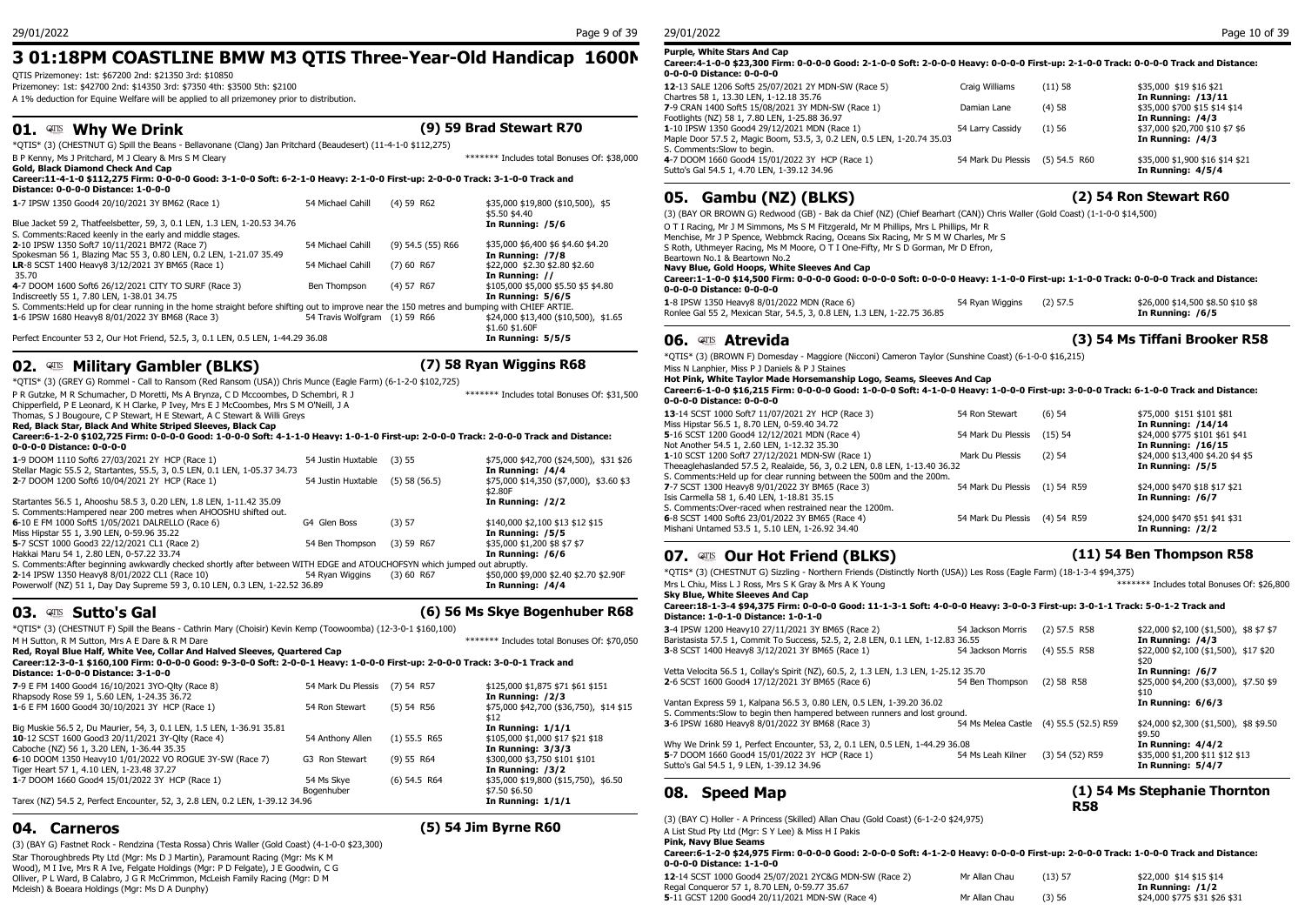## **3 01:18PM COASTLINE BMW M3 QTIS Three-Year-Old Handicap 1600M**

QTIS Prizemoney: 1st: \$67200 2nd: \$21350 3rd: \$10850

Prizemoney: 1st: \$42700 2nd: \$14350 3rd: \$7350 4th: \$3500 5th: \$2100 A 1% deduction for Equine Welfare will be applied to all prizemoney prior to distribution.

## **01. Allet Why We Drink**

| (9) 59 Brad Stewart R70 |
|-------------------------|
|-------------------------|

\*QTIS\* (3) (CHESTNUT G) Spill the Beans - Bellavonane (Clang) Jan Pritchard (Beaudesert) (11-4-1-0 \$112,275) B P Kenny, Ms J Pritchard, M J Cleary & Mrs S M Cleary **Washington Cleary According to the Cleary According to the Cleary According to the Cleary According to the Cleary According to the Cleary According to the Cleary Acco** 

#### **Gold, Black Diamond Check And Cap Career:11-4-1-0 \$112,275 Firm: 0-0-0-0 Good: 3-1-0-0 Soft: 6-2-1-0 Heavy: 2-1-0-0 First-up: 2-0-0-0 Track: 3-1-0-0 Track and Distance: 0-0-0-0 Distance: 1-0-0-0**

| <u>Distance, 0-0-0-0 Distance, 1-0-0-0</u>                                                                                                   |                               |                     |                                      | Gamb<br>05.          |
|----------------------------------------------------------------------------------------------------------------------------------------------|-------------------------------|---------------------|--------------------------------------|----------------------|
| 1-7 IPSW 1350 Good4 20/10/2021 3Y BM62 (Race 1)                                                                                              | 54 Michael Cahill             | $(4)$ 59 R62        | \$35,000 \$19,800 (\$10,500), \$5    |                      |
|                                                                                                                                              |                               |                     | \$5.50 \$4.40                        | (3) (BAY OR BROWN    |
| Blue Jacket 59 2, Thatfeelsbetter, 59, 3, 0.1 LEN, 1.3 LEN, 1-20.53 34.76                                                                    |                               |                     | In Running: /5/6                     | O T I Racing, Mr J M |
| S. Comments: Raced keenly in the early and middle stages.                                                                                    |                               |                     |                                      | Menchise, Mr J P Spe |
| 2-10 IPSW 1350 Soft7 10/11/2021 BM72 (Race 7)                                                                                                | 54 Michael Cahill             | $(9)$ 54.5 (55) R66 | \$35,000 \$6,400 \$6 \$4.60 \$4.20   | S Roth, Uthmever Ra  |
| Spokesman 56 1, Blazing Mac 55 3, 0.80 LEN, 0.2 LEN, 1-21.07 35.49                                                                           |                               |                     | In Running: /7/8                     | Beartown No.1 & Be   |
| LR-8 SCST 1400 Heavy8 3/12/2021 3Y BM65 (Race 1)                                                                                             | 54 Michael Cahill             | $(7)$ 60 R67        | \$22,000 \$2.30 \$2.80 \$2.60        | Navy Blue, Gold H    |
| 35.70                                                                                                                                        |                               |                     | In Running: //                       | Career: 1-1-0-0 \$1  |
| 4-7 DOOM 1600 Soft6 26/12/2021 CITY TO SURF (Race 3)                                                                                         | Ben Thompson                  | (4) 57 R67          | \$105,000 \$5,000 \$5.50 \$5 \$4.80  | 0-0-0-0 Distance:    |
| Indiscreetly 55 1, 7.80 LEN, 1-38.01 34.75                                                                                                   |                               |                     | In Running: 5/6/5                    |                      |
| S. Comments: Held up for clear running in the home straight before shifting out to improve near the 150 metres and bumping with CHIEF ARTIE. |                               |                     |                                      | 1-8 IPSW 1350 Heav   |
| 1-6 IPSW 1680 Heavy8 8/01/2022 3Y BM68 (Race 3)                                                                                              | 54 Travis Wolfgram (1) 59 R66 |                     | \$24,000 \$13,400 (\$10,500), \$1.65 | Ronlee Gal 55 2, Me: |
|                                                                                                                                              |                               |                     | \$1.60 \$1.60F                       |                      |
| Perfect Encounter 53 2, Our Hot Friend, 52.5, 3, 0.1 LEN, 0.5 LEN, 1-44.29 36.08                                                             |                               |                     | In Running: 5/5/5                    | Atl<br>06.<br>QTIS   |

## **02. Allah Military Gambler (BLKS) (7) 58 Ryan Wiggins R68**

\*QTIS\* (3) (GREY G) Rommel - Call to Ransom (Red Ransom (USA)) Chris Munce (Eagle Farm) (6-1-2-0 \$102,725) P R Gutzke, M R Schumacher, D Moretti, Ms A Brynza, C D Mccoombes, D Schembri, R J

Chipperfield, P E Leonard, K H Clarke, P Ivey, Mrs E J McCoombes, Mrs S M O'Neill, J A

Thomas, S J Bougoure, C P Stewart, H E Stewart, A C Stewart & Willi Greys

**Red, Black Star, Black And White Striped Sleeves, Black Cap**

#### **Career:6-1-2-0 \$102,725 Firm: 0-0-0-0 Good: 1-0-0-0 Soft: 4-1-1-0 Heavy: 1-0-1-0 First-up: 2-0-0-0 Track: 2-0-0-0 Track and Distance: 0-0-0-0 Distance: 0-0-0-0**

| 1-9 DOOM 1110 Soft6 27/03/2021 2Y HCP (Race 1)                                                                            | 54 Justin Huxtable | (3) 55            | \$75,000 \$42,700 (\$24,500), \$31 \$26            | 1-10 SCST T200 SUIT 27<br>Theeaglehaslanded 57.5      |
|---------------------------------------------------------------------------------------------------------------------------|--------------------|-------------------|----------------------------------------------------|-------------------------------------------------------|
| Stellar Magic 55.5 2, Startantes, 55.5, 3, 0.5 LEN, 0.1 LEN, 1-05.37 34.73                                                |                    |                   | In Running: /4/4                                   | S. Comments: Held up for                              |
| 2-7 DOOM 1200 Soft6 10/04/2021 2Y HCP (Race 1)                                                                            | 54 Justin Huxtable | $(5)$ 58 $(56.5)$ | \$75,000 \$14,350 (\$7,000), \$3.60 \$3<br>\$2.80F | 7-7 SCST 1300 Heavy8 9                                |
| Startantes 56.5 1, Ahooshu 58.5 3, 0.20 LEN, 1.8 LEN, 1-11.42 35.09                                                       |                    |                   | In Running: /2/2                                   | Isis Carmella 58 1, 6.40 L<br>S. Comments: Over-raced |
| S. Comments: Hampered near 200 metres when AHOOSHU shifted out.                                                           |                    |                   |                                                    |                                                       |
| 6-10 E FM 1000 Soft5 1/05/2021 DALRELLO (Race 6)                                                                          | G4 Glen Boss       | (3) 57            | \$140,000 \$2,100 \$13 \$12 \$15                   | 6-8 SCST 1400 Soft6 23/                               |
| Miss Hipstar 55 1, 3.90 LEN, 0-59.96 35.22                                                                                |                    |                   | In Running: /5/5                                   | Mishani Untamed 53.5 1,                               |
| 5-7 SCST 1000 Good3 22/12/2021 CL1 (Race 2)                                                                               | 54 Ben Thompson    | $(3)$ 59 R67      | \$35,000 \$1,200 \$8 \$7 \$7                       |                                                       |
| Hakkai Maru 54 1, 2.80 LEN, 0-57.22 33.74                                                                                 |                    |                   | In Running: /6/6                                   | <b>QTIS Ourl</b><br>07.                               |
| S. Comments: After beginning awkwardly checked shortly after between WITH EDGE and ATOUCHOFSYN which jumped out abruptly. |                    |                   |                                                    |                                                       |
| 2-14 IPSW 1350 Heavy8 8/01/2022 CL1 (Race 10)                                                                             | 54 Rvan Wiggins    | $(3)$ 60 R67      | \$50,000 \$9,000 \$2.40 \$2.70 \$2.90F             | *QTIS* (3) (CHESTNUT G                                |
| Powerwolf (NZ) 51 1, Day Day Supreme 59 3, 0.10 LEN, 0.3 LEN, 1-22.52 36.89                                               |                    |                   | In Running: /4/4                                   | Mrs L Chiu, Miss L J Ross<br>Clar Dhia, White Classic |

### **03. Sutto's Gal (6) 56 Ms Skye Bogenhuber R68**

\*QTIS\* (3) (CHESTNUT F) Spill the Beans - Cathrin Mary (Choisir) Kevin Kemp (Toowoomba) (12-3-0-1 \$160,100) M H Sutton, R M Sutton, Mrs A E Dare & R M Dare \*\*\*\*\*\*\* Includes total Bonuses Of: \$70,050

**Red, Royal Blue Half, White Vee, Collar And Halved Sleeves, Quartered Cap**

| Career:12-3-0-1 \$160,100 Firm: 0-0-0-0 Good: 9-3-0-0 Soft: 2-0-0-1 Heavy: 1-0-0-0 First-up: 2-0-0-0 Track: 3-0-0-1 Track and<br>Distance: 1-0-0-0 Distance: 3-1-0-0            |                          |                |                                                                              | Vetta Velocita 56.5                                        |
|---------------------------------------------------------------------------------------------------------------------------------------------------------------------------------|--------------------------|----------------|------------------------------------------------------------------------------|------------------------------------------------------------|
| 7-9 E FM 1400 Good4 16/10/2021 3YO-Olty (Race 8)<br>Rhapsody Rose 59 1, 5.60 LEN, 1-24.35 36.72                                                                                 | 54 Mark Du Plessis       | $(7)$ 54 R57   | \$125,000 \$1,875 \$71 \$61 \$151<br>In Running: /2/3                        | 2-6 SCST 1600 Goo                                          |
| 1-6 E FM 1600 Good4 30/10/2021 3Y HCP (Race 1)                                                                                                                                  | 54 Ron Stewart           | $(5)$ 54 R56   | \$75,000 \$42,700 (\$36,750), \$14 \$15<br>\$12                              | Vantan Express 59<br>S. Comments:Slow<br>3-6 IPSW 1680 Hea |
| Big Muskie 56.5 2, Du Maurier, 54, 3, 0.1 LEN, 1.5 LEN, 1-36.91 35.81<br><b>10-12 SCST 1600 Good3 20/11/2021 3Y-Olty (Race 4)</b><br>Caboche (NZ) 56 1, 3.20 LEN, 1-36.44 35.35 | 54 Anthony Allen         | $(1)$ 55.5 R65 | In Running: $1/1/1$<br>\$105,000 \$1,000 \$17 \$21 \$18<br>In Running: 3/3/3 | Why We Drink 59 1                                          |
| 6-10 DOOM 1350 Heavy10 1/01/2022 VO ROGUE 3Y-SW (Race 7)<br>Tiger Heart 57 1, 4.10 LEN, 1-23.48 37.27                                                                           | G3 Ron Stewart           | $(9)$ 55 R64   | \$300,000 \$3,750 \$101 \$101<br>In Running: /3/2                            | 5-7 DOOM 1660 Go<br>Sutto's Gal 54.5 1,                    |
| 1-7 DOOM 1660 Good4 15/01/2022 3Y HCP (Race 1)<br>Tarex (NZ) 54.5 2, Perfect Encounter, 52, 3, 2.8 LEN, 0.2 LEN, 1-39.12 34.96                                                  | 54 Ms Skve<br>Bogenhuber | $(6)$ 54.5 R64 | \$35,000 \$19,800 (\$15,750), \$6.50<br>\$7.50 \$6.50<br>In Running: $1/1/1$ | <b>Spee</b>                                                |
|                                                                                                                                                                                 |                          |                |                                                                              |                                                            |

(3) (BAY G) Fastnet Rock - Rendzina (Testa Rossa) Chris Waller (Gold Coast) (4-1-0-0 \$23,300) Star Thoroughbreds Pty Ltd (Mgr: Ms D J Martin), Paramount Racing (Mgr: Ms K M Wood), M I Ive, Mrs R A Ive, Felgate Holdings (Mgr: P D Felgate), J E Goodwin, C G Olliver, P L Ward, B Calabro, J G R McCrimmon, McLeish Family Racing (Mgr: D M Mcleish) & Boeara Holdings (Mgr: Ms D A Dunphy)

## **04. Carneros (5) 54 Jim Byrne R60**

#### **Purple, White Stars And Cap Career:4-1-0-0 \$23,300 Firm: 0-0-0-0 Good: 2-1-0-0 Soft: 2-0-0-0 Heavy: 0-0-0-0 First-up: 2-1-0-0 Track: 0-0-0-0 Track and Distance: 0-0-0-0 Distance: 0-0-0-0**

| 12-13 SALE 1206 Soft5 25/07/2021 2Y MDN-SW (Race 5)<br>Chartres 58 1, 13.30 LEN, 1-12.18 35.76 | Craig Williams                  | (11)58 | \$35,000 \$19 \$16 \$21<br>In Running: /13/11 |
|------------------------------------------------------------------------------------------------|---------------------------------|--------|-----------------------------------------------|
| 7-9 CRAN 1400 Soft5 15/08/2021 3Y MDN-SW (Race 1)                                              | Damian Lane                     | (4)58  | \$35,000 \$700 \$15 \$14 \$14                 |
| Footlights (NZ) 58 1, 7.80 LEN, 1-25.88 36.97                                                  |                                 |        | In Running: /4/3                              |
| 1-10 IPSW 1350 Good4 29/12/2021 MDN (Race 1)                                                   | 54 Larry Cassidy                | (1)56  | \$37,000 \$20,700 \$10 \$7 \$6                |
| Maple Door 57.5 2, Magic Boom, 53.5, 3, 0.2 LEN, 0.5 LEN, 1-20.74 35.03                        |                                 |        | In Running: /4/3                              |
| S. Comments: Slow to begin.                                                                    |                                 |        |                                               |
| 4-7 DOOM 1660 Good4 15/01/2022 3Y HCP (Race 1)                                                 | 54 Mark Du Plessis (5) 54.5 R60 |        | \$35,000 \$1,900 \$16 \$14 \$21               |
| Sutto's Gal 54.5 1, 4.70 LEN, 1-39.12 34.96                                                    |                                 |        | In Running: 4/5/4                             |
|                                                                                                |                                 |        |                                               |

## **05. Gambu (NZ) (BLKS) (2) 54 Ron Stewart R60**

(3) (BAY OR BROWN G) Redwood (GB) - Bak da Chief (NZ) (Chief Bearhart (CAN)) Chris Waller (Gold Coast) (1-1-0-0 \$14,500)

O T I Racing, Mr J M Simmons, Ms S M Fitzgerald, Mr M Phillips, Mrs L Phillips, Mr R

Menchise, Mr J P Spence, Webbmck Racing, Oceans Six Racing, Mr S M W Charles, Mr S

S Roth, Uthmeyer Racing, Ms M Moore, O T I One-Fifty, Mr S D Gorman, Mr D Efron,

Beartown No.1 & Beartown No.2

### **Navy Blue, Gold Hoops, White Sleeves And Cap**

**Career:1-1-0-0 \$14,500 Firm: 0-0-0-0 Good: 0-0-0-0 Soft: 0-0-0-0 Heavy: 1-1-0-0 First-up: 1-1-0-0 Track: 0-0-0-0 Track and Distance: 0-0-0-0 Distance: 0-0-0-0**

1-8 IPSW 1350 Heavy8 8/01/2022 MDN (Race 6) 54 Ryan Wiggins (2) 57.5 \$\$26,000 \$14,500 \$8.50 \$10 \$8<br>Ronlee Gal 55 2, Mexican Star, 54.5, 3, 0.8 LEN, 1.3 LEN, 1-22.75 36.85 Ronlee Gal 55 2, Mexican Star, 54.5, 3, 0.8 LEN, 1.3 LEN, 1-22.75 36.85

## **06. Atrevida (3) 54 Ms Tiffani Brooker R58**

\*QTIS\* (3) (BROWN F) Domesday - Maggiore (Nicconi) Cameron Taylor (Sunshine Coast) (6-1-0-0 \$16,215)

Miss N Lanphier, Miss P J Daniels & P J Staines

#### **Hot Pink, White Taylor Made Horsemanship Logo, Seams, Sleeves And Cap Career:6-1-0-0 \$16,215 Firm: 0-0-0-0 Good: 1-0-0-0 Soft: 4-1-0-0 Heavy: 1-0-0-0 First-up: 3-0-0-0 Track: 6-1-0-0 Track and Distance: 0-0-0-0 Distance: 0-0-0-0**

| .                                                                          |                               |           |                                  |
|----------------------------------------------------------------------------|-------------------------------|-----------|----------------------------------|
| 13-14 SCST 1000 Soft7 11/07/2021 2Y HCP (Race 3)                           | 54 Ron Stewart                | (6) 54    | \$75,000 \$151 \$101 \$81        |
| Miss Hipstar 56.5 1, 8.70 LEN, 0-59.40 34.72                               |                               |           | In Running: /14/14               |
| 5-16 SCST 1200 Good4 12/12/2021 MDN (Race 4)                               | 54 Mark Du Plessis            | $(15)$ 54 | \$24,000 \$775 \$101 \$61 \$41   |
| Not Another 54.5 1, 2.60 LEN, 1-12.32 35.30                                |                               |           | In Running: /16/15               |
| 1-10 SCST 1200 Soft7 27/12/2021 MDN-SW (Race 1)                            | Mark Du Plessis               | $(2)$ 54  | \$24,000 \$13,400 \$4.20 \$4 \$5 |
| Theeaglehaslanded 57.5 2, Realaide, 56, 3, 0.2 LEN, 0.8 LEN, 1-13.40 36.32 |                               |           | In Running: /5/5                 |
| S. Comments: Held up for clear running between the 500m and the 200m.      |                               |           |                                  |
| 7-7 SCST 1300 Heavy8 9/01/2022 3Y BM65 (Race 3)                            | 54 Mark Du Plessis (1) 54 R59 |           | \$24,000 \$470 \$18 \$17 \$21    |
| Isis Carmella 58 1, 6.40 LEN, 1-18.81 35.15                                |                               |           | In Running: /6/7                 |
| S. Comments: Over-raced when restrained near the 1200m.                    |                               |           |                                  |
| 6-8 SCST 1400 Soft6 23/01/2022 3Y BM65 (Race 4)                            | 54 Mark Du Plessis (4) 54 R59 |           | \$24,000 \$470 \$51 \$41 \$31    |
| Mishani Untamed 53.5 1, 5.10 LEN, 1-26.92 34.40                            |                               |           | In Running: /2/2                 |
|                                                                            |                               |           |                                  |

## **07. Also Cur Hot Friend (BLKS) 10. In the U.S. Sen Thompson R58**

\*QTIS\* (3) (CHESTNUT G) Sizzling - Northern Friends (Distinctly North (USA)) Les Ross (Eagle Farm) (18-1-3-4 \$94,375) Mrs L Chiu, Miss L J Ross, Mrs S K Gray & Mrs A K Young \*\*\*\*\*\*\* Includes total Bonuses Of: \$26,800

#### **Sky Blue, White Sleeves And Cap Career:18-1-3-4 \$94,375 Firm: 0-0-0-0 Good: 11-1-3-1 Soft: 4-0-0-0 Heavy: 3-0-0-3 First-up: 3-0-1-1 Track: 5-0-1-2 Track and Distance: 1-0-1-0 Distance: 1-0-1-0**

| 3-4 IPSW 1200 Heavy10 27/11/2021 3Y BM65 (Race 2)<br>Baristasista 57.5 1, Commit To Success, 52.5, 2, 2.8 LEN, 0.1 LEN, 1-12.83 36.55 | 54 Jackson Morris  | $(2)$ 57.5 R58      | \$22,000 \$2,100 (\$1,500), \$8 \$7 \$7<br>In Running: /4/3 |
|---------------------------------------------------------------------------------------------------------------------------------------|--------------------|---------------------|-------------------------------------------------------------|
| 3-8 SCST 1400 Heavy8 3/12/2021 3Y BM65 (Race 1)                                                                                       | 54 Jackson Morris  | $(4)$ 55.5 R58      | \$22,000 \$2,100 (\$1,500), \$17 \$20<br>\$20               |
| Vetta Velocita 56.5 1, Collay's Spirit (NZ), 60.5, 2, 1.3 LEN, 1.3 LEN, 1-25.12 35.70                                                 |                    |                     | In Running: /6/7                                            |
| 2-6 SCST 1600 Good4 17/12/2021 3Y BM65 (Race 6)                                                                                       | 54 Ben Thompson    | $(2)$ 58 R58        | \$25,000 \$4,200 (\$3,000), \$7.50 \$9<br>\$10              |
| Vantan Express 59 1, Kalpana 56.5 3, 0.80 LEN, 0.5 LEN, 1-39.20 36.02                                                                 |                    |                     | In Running: $6/6/3$                                         |
| S. Comments: Slow to begin then hampered between runners and lost ground.                                                             |                    |                     |                                                             |
| 3-6 IPSW 1680 Heavy8 8/01/2022 3Y BM68 (Race 3)                                                                                       | 54 Ms Melea Castle | (4) 55.5 (52.5) R59 | \$24,000 \$2,300 (\$1,500), \$8 \$9.50<br>\$9.50            |
| Why We Drink 59 1, Perfect Encounter, 53, 2, 0.1 LEN, 0.5 LEN, 1-44.29 36.08                                                          |                    |                     | In Running: 4/4/2                                           |
| 5-7 DOOM 1660 Good4 15/01/2022 3Y HCP (Race 1)                                                                                        | 54 Ms Leah Kilner  | (3) 54 (52) R59     | \$35,000 \$1,200 \$11 \$12 \$13                             |
| Sutto's Gal 54.5 1, 9 LEN, 1-39.12 34.96                                                                                              |                    |                     | In Running: 5/4/7                                           |

## **08. Speed Map**

### **(1) 54 Ms Stephanie Thornton R58**

(3) (BAY C) Holler - A Princess (Skilled) Allan Chau (Gold Coast) (6-1-2-0 \$24,975)

#### A List Stud Pty Ltd (Mgr: S Y Lee) & Miss H I Pakis **Pink, Navy Blue Seams**

#### **Career:6-1-2-0 \$24,975 Firm: 0-0-0-0 Good: 2-0-0-0 Soft: 4-1-2-0 Heavy: 0-0-0-0 First-up: 2-0-0-0 Track: 1-0-0-0 Track and Distance: 0-0-0-0 Distance: 1-1-0-0**

| 12-14 SCST 1000 Good4 25/07/2021 2YC&G MDN-SW (Race 2) | Mr Allan Chau | (13) 57 | \$22,000 \$14 \$15 \$14       |
|--------------------------------------------------------|---------------|---------|-------------------------------|
| Regal Conqueror 57 1, 8.70 LEN, 0-59.77 35.67          |               |         | In Running: $/1/2$            |
| 5-11 GCST 1200 Good4 20/11/2021 MDN-SW (Race 4)        | Mr Allan Chau | (3) 56  | \$24,000 \$775 \$31 \$26 \$31 |

# \*\*\*\*\*\*\* Includes total Bonuses Of: \$31,500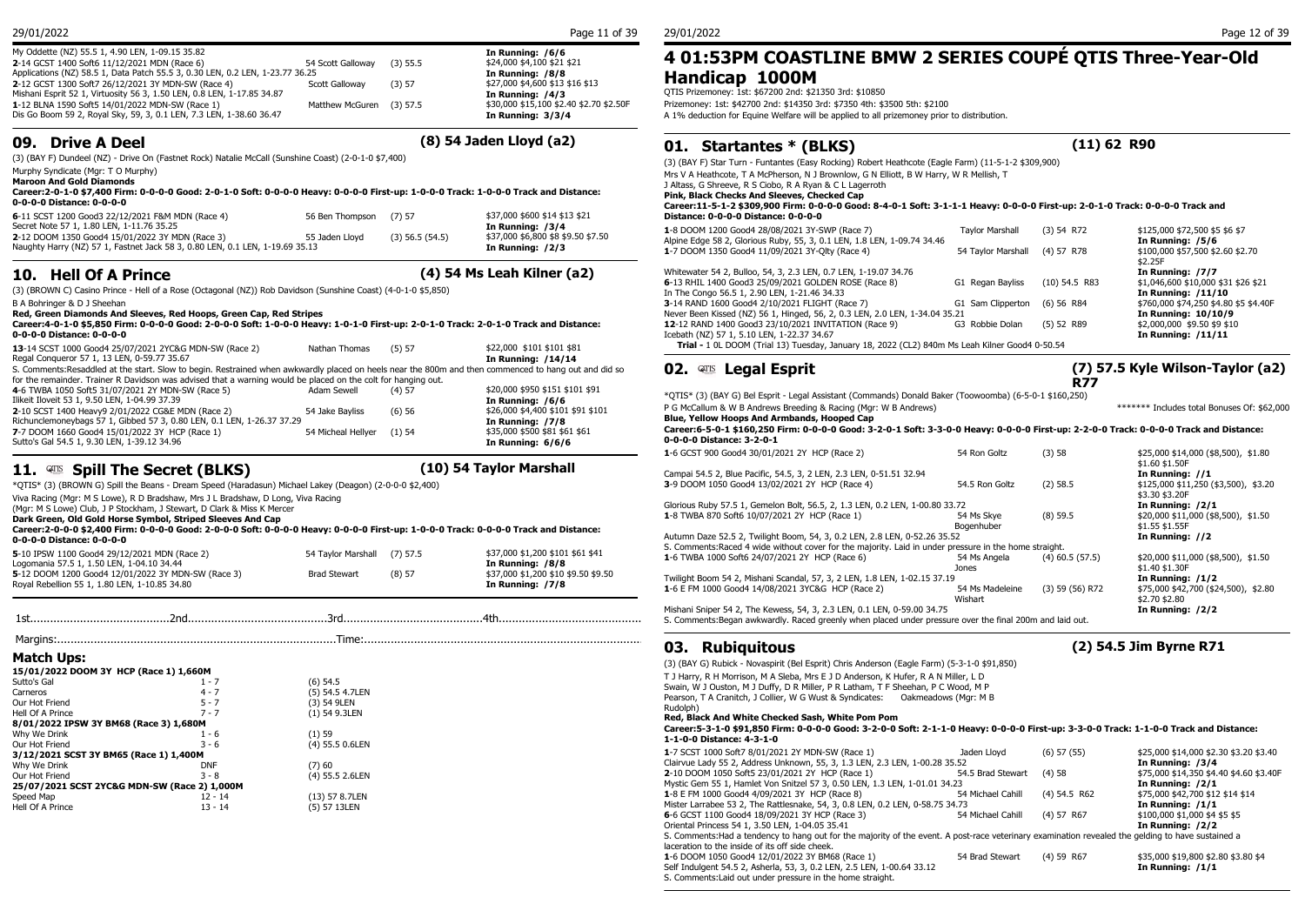| My Oddette (NZ) 55.5 1, 4.90 LEN, 1-09.15 35.82                               |                          |            | In Running: /6/6                        | 4 01:5              |
|-------------------------------------------------------------------------------|--------------------------|------------|-----------------------------------------|---------------------|
| 2-14 GCST 1400 Soft6 11/12/2021 MDN (Race 6)                                  | 54 Scott Gallowav        | $(3)$ 55.5 | \$24,000 \$4,100 \$21 \$21              |                     |
| Applications (NZ) 58.5 1, Data Patch 55.5 3, 0.30 LEN, 0.2 LEN, 1-23.77 36.25 |                          |            | In Running: /8/8                        | Handi               |
| 2-12 GCST 1300 Soft7 26/12/2021 3Y MDN-SW (Race 4)                            | Scott Galloway           | (3) 57     | \$27,000 \$4,600 \$13 \$16 \$13         |                     |
| Mishani Esprit 52 1, Virtuosity 56 3, 1.50 LEN, 0.8 LEN, 1-17.85 34.87        |                          |            | In Running: /4/3                        | <b>QTIS Prizemo</b> |
| 1-12 BLNA 1590 Soft5 14/01/2022 MDN-SW (Race 1)                               | Matthew McGuren (3) 57.5 |            | \$30,000 \$15,100 \$2.40 \$2.70 \$2.50F | Prizemoney: 1       |
| Dis Go Boom 59 2, Royal Sky, 59, 3, 0.1 LEN, 7.3 LEN, 1-38.60 36.47           |                          |            | In Running: 3/3/4                       | A 1% deducti        |
|                                                                               |                          |            |                                         |                     |

### **09. Drive A Deel (8) 54 Jaden Lloyd (a2)**

(3) (BAY F) Dundeel (NZ) - Drive On (Fastnet Rock) Natalie McCall (Sunshine Coast) (2-0-1-0 \$7,400)

Murphy Syndicate (Mgr: T O Murphy)

**Maroon And Gold Diamonds**

**Career:2-0-1-0 \$7,400 Firm: 0-0-0-0 Good: 2-0-1-0 Soft: 0-0-0-0 Heavy: 0-0-0-0 First-up: 1-0-0-0 Track: 1-0-0-0 Track and Distance: 0-0-0-0 Distance: 0-0-0-0**

| 6-11 SCST 1200 Good3 22/12/2021 F&M MDN (Race 4)                             | 56 Ben Thompson (7) 57 |                   | \$37,000 \$600 \$14 \$13 \$21      | Distance: 0-0-0-    |
|------------------------------------------------------------------------------|------------------------|-------------------|------------------------------------|---------------------|
| Secret Note 57 1, 1.80 LEN, 1-11.76 35.25                                    |                        |                   | In Running: 7374                   | 1-8 DOOM 1200 Go    |
| 2-12 DOOM 1350 Good4 15/01/2022 3Y MDN (Race 3)                              | 55 Jaden Llovd         | $(3)$ 56.5 (54.5) | \$37,000 \$6,800 \$8 \$9.50 \$7.50 | Alpine Edge 58 2, 0 |
| Naughty Harry (NZ) 57 1, Fastnet Jack 58 3, 0.80 LEN, 0.1 LEN, 1-19.69 35.13 |                        |                   | In Running: /2/3                   | 1-7 DOOM 1350 Go    |

## **10. Hell Of A Prince (4) 54 Ms Leah Kilner (a2)**

(3) (BROWN C) Casino Prince - Hell of a Rose (Octagonal (NZ)) Rob Davidson (Sunshine Coast) (4-0-1-0 \$5,850)

B A Bohringer & D J Sheehan **Red, Green Diamonds And Sleeves, Red Hoops, Green Cap, Red Stripes**

**Career:4-0-1-0 \$5,850 Firm: 0-0-0-0 Good: 2-0-0-0 Soft: 1-0-0-0 Heavy: 1-0-1-0 First-up: 2-0-1-0 Track: 2-0-1-0 Track and Distance: 0-0-0-0 Distance: 0-0-0-0**

| v-v-v-v Distance: v-v-v-v                                                                                                                            |                    |          |                                   | ICCDOLITIES JULIE       |
|------------------------------------------------------------------------------------------------------------------------------------------------------|--------------------|----------|-----------------------------------|-------------------------|
| 13-14 SCST 1000 Good4 25/07/2021 2YC&G MDN-SW (Race 2)                                                                                               | Nathan Thomas      | (5) 57   | \$22,000 \$101 \$101 \$81         | <b>Trial - 10LDO</b>    |
| Regal Conqueror 57 1, 13 LEN, 0-59.77 35.67                                                                                                          |                    |          | In Running: /14/14                |                         |
| S. Comments:Resaddled at the start. Slow to begin. Restrained when awkwardly placed on heels near the 800m and then commenced to hang out and did so |                    |          |                                   | $02.$ QTIS Le           |
| for the remainder. Trainer R Davidson was advised that a warning would be placed on the colt for hanging out.                                        |                    |          |                                   |                         |
| 4-6 TWBA 1050 Soft5 31/07/2021 2Y MDN-SW (Race 5)                                                                                                    | Adam Sewell        | $(4)$ 57 | \$20,000 \$950 \$151 \$101 \$91   |                         |
| Ilikeit Iloveit 53 1, 9.50 LEN, 1-04.99 37.39                                                                                                        |                    |          | In Running: /6/6                  | *OTIS* (3) (BAY G       |
| 2-10 SCST 1400 Heavy9 2/01/2022 CG&E MDN (Race 2)                                                                                                    | 54 Jake Bavliss    | (6)56    | \$26,000 \$4,400 \$101 \$91 \$101 | P G McCallum & W        |
| Richunclemoneybags 57 1, Gibbed 57 3, 0.80 LEN, 0.1 LEN, 1-26.37 37.29                                                                               |                    |          | In Running: /7/8                  | <b>Blue, Yellow Hoo</b> |
| 7-7 DOOM 1660 Good4 15/01/2022 3Y HCP (Race 1)                                                                                                       | 54 Micheal Hellver | (1)54    | \$35,000 \$500 \$81 \$61 \$61     | Career: 6-5-0-1 \$      |
| Sutto's Gal 54.5 1, 9.30 LEN, 1-39.12 34.96                                                                                                          |                    |          | In Running: 6/6/6                 | 0-0-0-0 Distance        |

## **11. WE Spill The Secret (BLKS) 11. WE Spill The Secret (BLKS) (10)** 54 Taylor Marshall

\*QTIS\* (3) (BROWN G) Spill the Beans - Dream Speed (Haradasun) Michael Lakey (Deagon) (2-0-0-0 \$2,400)

Viva Racing (Mgr: M S Lowe), R D Bradshaw, Mrs J L Bradshaw, D Long, Viva Racing

(Mgr: M S Lowe) Club, J P Stockham, J Stewart, D Clark & Miss K Mercer

**Dark Green, Old Gold Horse Symbol, Striped Sleeves And Cap Career:2-0-0-0 \$2,400 Firm: 0-0-0-0 Good: 2-0-0-0 Soft: 0-0-0-0 Heavy: 0-0-0-0 First-up: 1-0-0-0 Track: 0-0-0-0 Track and Distance:** 

#### **0-0-0-0 Distance: 0-0-0-0**

| $0 - 0 - 0$ bistance, $0 - 0 - 0$                  |                             |          |                                     | S. Comments: Raced  |
|----------------------------------------------------|-----------------------------|----------|-------------------------------------|---------------------|
| 5-10 IPSW 1100 Good4 29/12/2021 MDN (Race 2)       | 54 Taylor Marshall (7) 57.5 |          | \$37,000 \$1,200 \$101 \$61 \$41    | 1-6 TWBA 1000 Soft  |
| Logomania 57.5 1, 1.50 LEN, 1-04.10 34.44          |                             |          | In Running: /8/8                    |                     |
| 5-12 DOOM 1200 Good4 12/01/2022 3Y MDN-SW (Race 3) | <b>Brad Stewart</b>         | $(8)$ 57 | \$37,000 \$1,200 \$10 \$9.50 \$9.50 | Twilight Boom 54 2. |
| Royal Rebellion 55 1, 1.80 LEN, 1-10.85 34.80      |                             |          | In Running: /7/8                    | 1-6 E FM 1000 Good  |

## 1st..........................................2nd..........................................3rd..........................................4th............................................

**Match Ups:**

| 15/01/2022 DOOM 3Y HCP (Race 1) 1,660M |                                                                                                                                  |
|----------------------------------------|----------------------------------------------------------------------------------------------------------------------------------|
| $1 - 7$                                | $(6)$ 54.5                                                                                                                       |
| $4 - 7$                                | (5) 54.5 4.7LEN                                                                                                                  |
| $5 - 7$                                | (3) 54 9LEN                                                                                                                      |
| $7 - 7$                                | (1) 54 9.3LEN                                                                                                                    |
|                                        |                                                                                                                                  |
| $1 - 6$                                | (1)59                                                                                                                            |
| $3 - 6$                                | (4) 55.5 0.6LEN                                                                                                                  |
|                                        |                                                                                                                                  |
| <b>DNF</b>                             | (7)60                                                                                                                            |
| $3 - 8$                                | (4) 55.5 2.6LEN                                                                                                                  |
|                                        |                                                                                                                                  |
| $12 - 14$                              | (13) 57 8.7LEN                                                                                                                   |
| $13 - 14$                              | (5) 57 13LEN                                                                                                                     |
|                                        | 8/01/2022 IPSW 3Y BM68 (Race 3) 1,680M<br>3/12/2021 SCST 3Y BM65 (Race 1) 1,400M<br>25/07/2021 SCST 2YC&G MDN-SW (Race 2) 1,000M |

## **4 01:53PM COASTLINE BMW 2 SERIES COUPÉ QTIS Three-Year-Old Handicap 1000M**

QTIS Prizemoney: 1st: \$67200 2nd: \$21350 3rd: \$10850 Prizemoney: 1st: \$42700 2nd: \$14350 3rd: \$7350 4th: \$3500 5th: \$2100 A 1% deduction for Equine Welfare will be applied to all prizemoney prior to distribution.

## **01. Startantes \* (BLKS) (11) 62 R90**

(3) (BAY F) Star Turn - Funtantes (Easy Rocking) Robert Heathcote (Eagle Farm) (11-5-1-2 \$309,900) Mrs V A Heathcote, T A McPherson, N J Brownlow, G N Elliott, B W Harry, W R Mellish, T J Altass, G Shreeve, R S Ciobo, R A Ryan & C L Lagerroth **Pink, Black Checks And Sleeves, Checked Cap Career:11-5-1-2 \$309,900 Firm: 0-0-0-0 Good: 8-4-0-1 Soft: 3-1-1-1 Heavy: 0-0-0-0 First-up: 2-0-1-0 Track: 0-0-0-0 Track and Distance: 0-0-0-0 Distance: 0-0-0-0**

| 1-8 DOOM 1200 Good4 28/08/2021 3Y-SWP (Race 7)                                                 | <b>Tavlor Marshall</b>        | $(3)$ 54 R72    | \$125,000 \$72,500 \$5 \$6 \$7        |
|------------------------------------------------------------------------------------------------|-------------------------------|-----------------|---------------------------------------|
| Alpine Edge 58 2, Glorious Ruby, 55, 3, 0.1 LEN, 1.8 LEN, 1-09.74 34.46                        |                               |                 | In Running: /5/6                      |
| 1-7 DOOM 1350 Good4 11/09/2021 3Y-Olty (Race 4)                                                | 54 Taylor Marshall (4) 57 R78 |                 | \$100,000 \$57,500 \$2.60 \$2.70      |
|                                                                                                |                               |                 | \$2.25F                               |
| Whitewater 54 2, Bulloo, 54, 3, 2.3 LEN, 0.7 LEN, 1-19.07 34.76                                |                               |                 | In Running: /7/7                      |
| 6-13 RHIL 1400 Good3 25/09/2021 GOLDEN ROSE (Race 8)                                           | G1 Regan Bayliss              | $(10)$ 54.5 R83 | \$1,046,600 \$10,000 \$31 \$26 \$21   |
| In The Congo 56.5 1, 2.90 LEN, 1-21.46 34.33                                                   |                               |                 | In Running: /11/10                    |
| 3-14 RAND 1600 Good4 2/10/2021 FLIGHT (Race 7)                                                 | G1 Sam Clipperton             | $(6)$ 56 R84    | \$760,000 \$74,250 \$4.80 \$5 \$4.40F |
| Never Been Kissed (NZ) 56 1, Hinged, 56, 2, 0.3 LEN, 2.0 LEN, 1-34.04 35.21                    |                               |                 | In Running: 10/10/9                   |
| 12-12 RAND 1400 Good3 23/10/2021 INVITATION (Race 9)                                           | G3 Robbie Dolan               | $(5)$ 52 R89    | \$2,000,000 \$9.50 \$9 \$10           |
| Icebath (NZ) 57 1, 5.10 LEN, 1-22.37 34.67                                                     |                               |                 | In Running: /11/11                    |
| Trial - 1 0L DOOM (Trial 13) Tuesday, January 18, 2022 (CL2) 840m Ms Leah Kilner Good4 0-50.54 |                               |                 |                                       |
|                                                                                                |                               |                 |                                       |

## **02. ATIS Legal Esprit**

**(7) 57.5 Kyle Wilson-Taylor (a2) R77**

\*QTIS\* (3) (BAY G) Bel Esprit - Legal Assistant (Commands) Donald Baker (Toowoomba) (6-5-0-1 \$160,250) P G McCallum & W B Andrews Breeding & Racing (Mgr: W B Andrews) \*\*\*\*\*\* Includes total Bonuses Of: \$62,000 **Blue, Yellow Hoops And Armbands, Hooped Cap**

**Career:6-5-0-1 \$160,250 Firm: 0-0-0-0 Good: 3-2-0-1 Soft: 3-3-0-0 Heavy: 0-0-0-0 First-up: 2-2-0-0 Track: 0-0-0-0 Track and Distance: 0-0-0-0 Distance: 3-2-0-1**

| 1-6 GCST 900 Good4 30/01/2021 2Y HCP (Race 2)                                                            | 54 Ron Goltz               | (3)58             | \$25,000 \$14,000 (\$8,500), \$1.80<br>\$1.60 \$1.50F  |
|----------------------------------------------------------------------------------------------------------|----------------------------|-------------------|--------------------------------------------------------|
| Campai 54.5 2, Blue Pacific, 54.5, 3, 2 LEN, 2.3 LEN, 0-51.51 32.94                                      |                            |                   | In Running: //1                                        |
| 3-9 DOOM 1050 Good4 13/02/2021 2Y HCP (Race 4)                                                           | 54.5 Ron Goltz             | $(2)$ 58.5        | \$125,000 \$11,250 (\$3,500), \$3.20<br>\$3.30 \$3.20F |
| Glorious Ruby 57.5 1, Gemelon Bolt, 56.5, 2, 1.3 LEN, 0.2 LEN, 1-00.80 33.72                             |                            |                   | In Running: /2/1                                       |
| 1-8 TWBA 870 Soft6 10/07/2021 2Y HCP (Race 1)                                                            | 54 Ms Skye<br>Bogenhuber   | $(8)$ 59.5        | \$20,000 \$11,000 (\$8,500), \$1.50<br>\$1.55 \$1.55F  |
| Autumn Daze 52.5 2, Twilight Boom, 54, 3, 0.2 LEN, 2.8 LEN, 0-52.26 35.52                                |                            |                   | In Running: //2                                        |
| S. Comments: Raced 4 wide without cover for the majority. Laid in under pressure in the home straight.   |                            |                   |                                                        |
| 1-6 TWBA 1000 Soft6 24/07/2021 2Y HCP (Race 6)                                                           | 54 Ms Angela<br>Jones      | $(4)$ 60.5 (57.5) | \$20,000 \$11,000 (\$8,500), \$1.50<br>\$1.40 \$1.30F  |
| Twilight Boom 54 2, Mishani Scandal, 57, 3, 2 LEN, 1.8 LEN, 1-02.15 37.19                                |                            |                   | In Running: $/1/2$                                     |
| 1-6 E FM 1000 Good4 14/08/2021 3YC&G HCP (Race 2)                                                        | 54 Ms Madeleine<br>Wishart | $(3)$ 59 (56) R72 | \$75,000 \$42,700 (\$24,500), \$2.80<br>\$2.70 \$2.80  |
| Mishani Sniper 54 2, The Kewess, 54, 3, 2.3 LEN, 0.1 LEN, 0-59.00 34.75                                  |                            |                   | In Running: /2/2                                       |
| S. Comments: Began awkwardly. Raced greenly when placed under pressure over the final 200m and laid out. |                            |                   |                                                        |

## Margins:....................................................................................Time:....................................................................................

S. Comments:Laid out under pressure in the home straight.

**03. Rubiquitous (2) 54.5 Jim Byrne R71**

(3) (BAY G) Rubick - Novaspirit (Bel Esprit) Chris Anderson (Eagle Farm) (5-3-1-0 \$91,850) T J Harry, R H Morrison, M A Sleba, Mrs E J D Anderson, K Hufer, R A N Miller, L D Swain, W J Ouston, M J Duffy, D R Miller, P R Latham, T F Sheehan, P C Wood, M P Pearson, T A Cranitch, J Collier, W G Wust & Syndicates: Oakmeadows (Mgr: M B Rudolph) **Red, Black And White Checked Sash, White Pom Pom Career:5-3-1-0 \$91,850 Firm: 0-0-0-0 Good: 3-2-0-0 Soft: 2-1-1-0 Heavy: 0-0-0-0 First-up: 3-3-0-0 Track: 1-1-0-0 Track and Distance: 1-1-0-0 Distance: 4-3-1-0 1**-7 SCST 1000 Soft7 8/01/2021 2Y MDN-SW (Race 1) Jaden Lloyd (6) 57 (55) \$25,000 \$14,000 \$2.30 \$3.20 \$3.40 Clairvue Lady 55 2, Address Unknown, 55, 3, 1.3 LEN, 2.3 LEN, 1-00.28 35.52 **In Running: /3/4 In Running: /3/4**<br>2-10 DOOM 1050 Soft5 23/01/2021 2Y HCP (Race 1) 5556781 54.5 Brad Stewart (4) 58 \$75,000 \$14,350 \$4.40 \$4.60 **2**-10 DOOM 1050 Soft5 23/01/2021 2Y HCP (Race 1) 54.5 Brad Stewart (4) 58 \$75,000 \$14,350 \$4.60 \$14,350 \$4.60 \$14<br>Mystic Gem 55 1, Hamlet Von Snitzel 57 3, 0.50 LEN, 1.3 LEN, 1-01.01 34.23 Mystic Gem 55 1, Hamlet Von Snitzel 57 3, 0.50 LEN, 1.3 LEN, 1-01.01 34.23<br>1-8 E FM 1000 Good4 4/09/2021 3Y HCP (Race 8) 54 Michael Cahill (4) 54.5 R62 \$75,000 \$42,700 \$12 \$14 \$14 **1**-8 E FM 1000 Good4 4/09/2021 3Y HCP (Race 8) 54 Michael Cahil (4) 54.5 R62 \$75,000 \$42,700 \$12<br>Mister Larrabee 53 2, The Rattlesnake, 54, 3, 0.8 LEN, 0.2 LEN, 0-58.75 34.73 Mister Larrabee 53 2, The Rattlesnake, 54, 3, 0.8 LEN, 0.2 LEN, 0-58.75 34.73 **In Running: /1/1**<br> **6**-6 GCST 1100 Good4 18/09/2021 3Y HCP (Race 3) 54 Michael Cahil (4) 57 R67 \$100,000 \$1,000 \$4 \$5 \$5 **6**-6 GCST 1100 Good4 18/09/2021 3Y HCP (Race 3) 54 Michael Cahill (4) 57 R67 Oriental Princess 54 1, 3.50 LEN, 1-04.05 35.41 **In Running: /2/2** S. Comments: Had a tendency to hang out for the majority of the event. A post-race veterinary examination revealed the gelding to have sustained a laceration to the inside of its off side cheek. **1**-6 DOOM 1050 Good4 12/01/2022 3Y BM68 (Race 1) 54 Brad Stewart (4) 59 R67 \$35,000 \$19,800 \$2.80 \$3.80 \$4

Self Indulgent 54.5 2, Asherla, 53, 3, 0.2 LEN, 2.5 LEN, 1-00.64 33.12 **In Running: /1/1**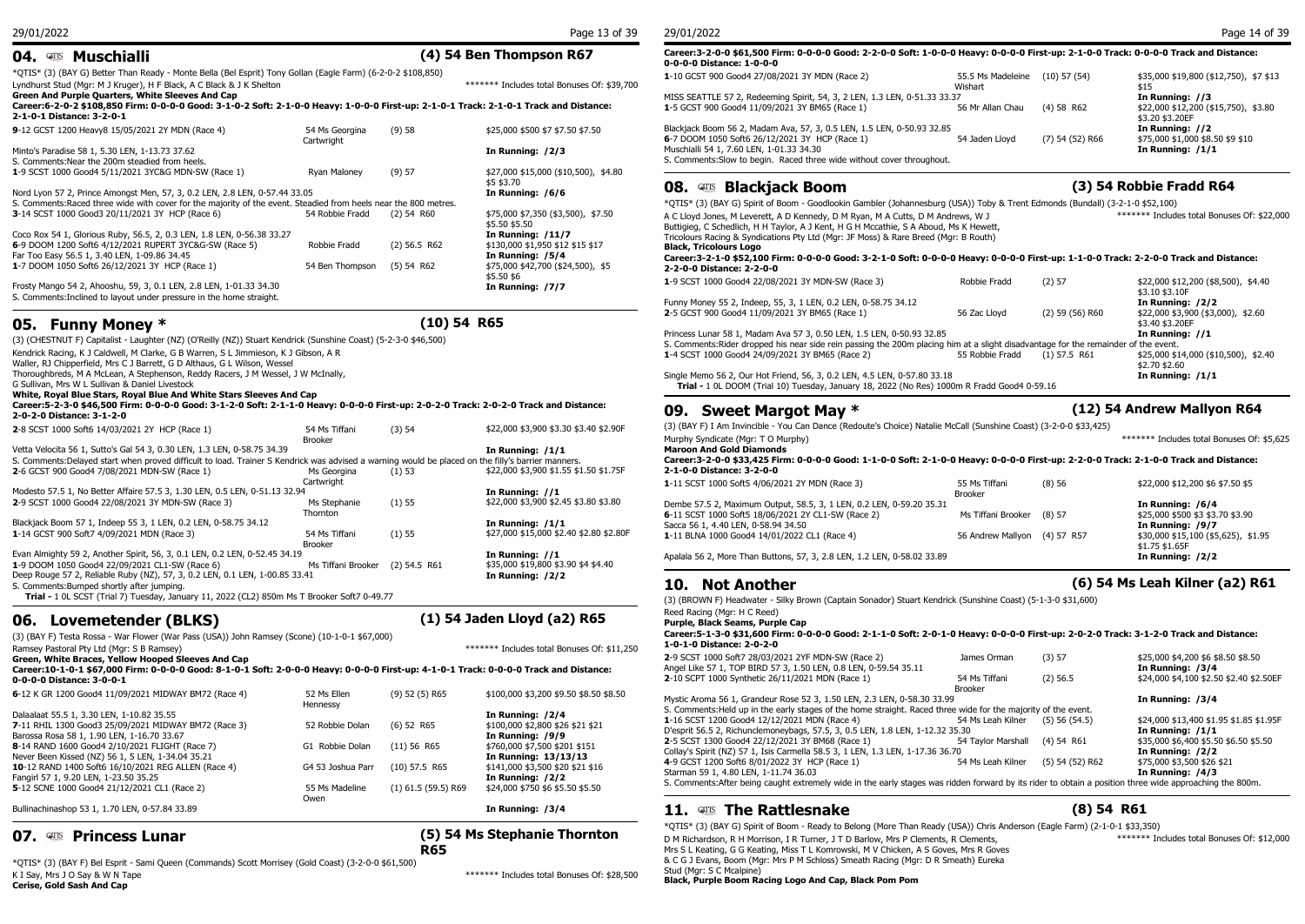## **04. Muschialli (4) 54 Ben Thompson R67**

| vt. – riujuniam                                                                                                                        |                              |                               |                                                     | 0-0-0-0 Distance: 1-0-0                                   |
|----------------------------------------------------------------------------------------------------------------------------------------|------------------------------|-------------------------------|-----------------------------------------------------|-----------------------------------------------------------|
| *QTIS* (3) (BAY G) Better Than Ready - Monte Bella (Bel Esprit) Tony Gollan (Eagle Farm) (6-2-0-2 \$108,850)                           |                              |                               |                                                     | 1-10 GCST 900 Good4 27/                                   |
| Lyndhurst Stud (Mgr: M J Kruger), H F Black, A C Black & J K Shelton                                                                   |                              |                               | ******* Includes total Bonuses Of: \$39,700         |                                                           |
| Green And Purple Quarters, White Sleeves And Cap                                                                                       |                              |                               |                                                     | MISS SEATTLE 57 2, Redee                                  |
| Career:6-2-0-2 \$108,850 Firm: 0-0-0-0 Good: 3-1-0-2 Soft: 2-1-0-0 Heavy: 1-0-0-0 First-up: 2-1-0-1 Track: 2-1-0-1 Track and Distance: |                              |                               |                                                     | 1-5 GCST 900 Good4 11/0                                   |
| 2-1-0-1 Distance: 3-2-0-1                                                                                                              |                              |                               |                                                     |                                                           |
| 9-12 GCST 1200 Heavy8 15/05/2021 2Y MDN (Race 4)                                                                                       | 54 Ms Georgina<br>Cartwright | (9)58                         | \$25,000 \$500 \$7 \$7.50 \$7.50                    | Blackjack Boom 56 2, Mada<br>6-7 DOOM 1050 Soft6 26/      |
| Minto's Paradise 58 1, 5.30 LEN, 1-13.73 37.62<br>S. Comments: Near the 200m steadied from heels.                                      |                              |                               | In Running: /2/3                                    | Muschialli 54 1, 7.60 LEN,<br>S. Comments: Slow to begi   |
| 1-9 SCST 1000 Good4 5/11/2021 3YC&G MDN-SW (Race 1)                                                                                    | Ryan Maloney                 | (9) 57                        | \$27,000 \$15,000 (\$10,500), \$4.80                |                                                           |
|                                                                                                                                        |                              |                               | \$5 \$3.70                                          | Blacki<br><b>08.</b> QTIS                                 |
| Nord Lyon 57 2, Prince Amongst Men, 57, 3, 0.2 LEN, 2.8 LEN, 0-57.44 33.05                                                             |                              |                               | In Running: /6/6                                    |                                                           |
| S. Comments: Raced three wide with cover for the majority of the event. Steadied from heels near the 800 metres.                       |                              |                               |                                                     | *OTIS* (3) (BAY G) Spirit                                 |
| 3-14 SCST 1000 Good3 20/11/2021 3Y HCP (Race 6)                                                                                        | 54 Robbie Fradd              | $(2)$ 54 R60                  | \$75,000 \$7,350 (\$3,500), \$7.50<br>\$5.50 \$5.50 | A C Lloyd Jones, M Leveret<br>Buttigieg, C Schedlich, H H |
| Coco Rox 54 1, Glorious Ruby, 56.5, 2, 0.3 LEN, 1.8 LEN, 0-56.38 33.27                                                                 |                              |                               | In Running: $/11/7$                                 | Tricolours Racing & Syndic                                |
| 6-9 DOOM 1200 Soft6 4/12/2021 RUPERT 3YC&G-SW (Race 5)                                                                                 | Robbie Fradd                 | $(2)$ 56.5 R62                | \$130,000 \$1,950 \$12 \$15 \$17                    | Black, Tricolours Logo                                    |
| Far Too Easy 56.5 1, 3.40 LEN, 1-09.86 34.45                                                                                           |                              |                               | In Running: /5/4                                    | Career: 3-2-1-0 \$52,100                                  |
| 1-7 DOOM 1050 Soft6 26/12/2021 3Y HCP (Race 1)                                                                                         | 54 Ben Thompson              | (5) 54 R62                    | \$75,000 \$42,700 (\$24,500), \$5                   | 2-2-0-0 Distance: 2-2-0                                   |
| Frosty Mango 54 2, Ahooshu, 59, 3, 0.1 LEN, 2.8 LEN, 1-01.33 34.30                                                                     |                              |                               | \$5.50 \$6<br>In Running: /7/7                      | 1-9 SCST 1000 Good4 22/                                   |
| S. Comments: Inclined to layout under pressure in the home straight.                                                                   |                              |                               |                                                     | Funny Money 55 2, Indeep                                  |
|                                                                                                                                        |                              |                               |                                                     | 2-5 GCST 900 Good4 11/0                                   |
|                                                                                                                                        |                              | $\mathbf{A} \cdot \mathbf{A}$ |                                                     |                                                           |

### **05. Funny Money \* (10) 54 R65**

(3) (CHESTNUT F) Capitalist - Laughter (NZ) (O'Reilly (NZ)) Stuart Kendrick (Sunshine Coast) (5-2-3-0 \$46,500) Kendrick Racing, K J Caldwell, M Clarke, G B Warren, S L Jimmieson, K J Gibson, A R Waller, RJ Chipperfield, Mrs C J Barrett, G D Althaus, G L Wilson, Wessel Thoroughbreds, M A McLean, A Stephenson, Reddy Racers, J M Wessel, J W McInally, G Sullivan, Mrs W L Sullivan & Daniel Livestock **White, Royal Blue Stars, Royal Blue And White Stars Sleeves And Cap Career:5-2-3-0 \$46,500 Firm: 0-0-0-0 Good: 3-1-2-0 Soft: 2-1-1-0 Heavy: 0-0-0-0 First-up: 2-0-2-0 Track: 2-0-2-0 Track and Distance: 2-0-2-0 Distance: 3-1-2-0 2**-8 SCST 1000 Soft6 14/03/2021 2Y HCP (Race 1) 54 Ms Tiffani (3) 54 Brooker (3) 54 \$22,000 \$3,900 \$3.30 \$3.40 \$2.90F Vetta Velocita 56 1, Sutto's Gal 54 3, 0.30 LEN, 1.3 LEN, 0-58.75 34.39 **In Running: /1/1** S. Comments:Delayed start when proved difficult to load. Trainer S Kendrick was advised a warning would be placed on the filly's barrier manners. **2**-6 GCST 900 Good4 7/08/2021 MDN-SW (Race 1) **Cartwright** (1) 53 \$22,000 \$3,900 \$1.55 \$1.50 \$1.75F Modesto 57.5 1, No Better Affaire 57.5 3, 1.30 LEN, 0.5 LEN, 0-51.13 32.94 **In Running: //1<br>2-9 SCST 1000 Good4 22/08/2021 3Y MDN-SW (Race 3) Ms Stephanie (1) 55 \$22,000 \$3,900 \$2. 2**-9 SCST 1000 Good4 22/08/2021 3Y MDN-SW (Race 3) Thornton (1) 55 \$22,000 \$3,900 \$2.45 \$3.80 \$3.80 Blackjack Boom 57 1, Indeep 55 3, 1 LEN, 0.2 LEN, 0-58.75 34.12<br>1-14 GCST 900 Soft7 4/09/2021 MDN (Race 3) **In Running: /1/11** 54 Ms Tiffani (1) 55 \$27,000 \$15,000 \$2. **1**-14 GCST 900 Soft7 4/09/2021 MDN (Race 3) Brooker (1) 55 \$27,000 \$15,000 \$2.40 \$2.80 \$2.80F Evan Almighty 59 2, Another Spirit, 56, 3, 0.1 LEN, 0.2 LEN, 0-52.45 34.19 **In Running: //1 1**-9 DOOM 1050 Good4 22/09/2021 CL1-SW (Race 6) Ms Tiffani Brooker (2) 54.5 R61 Deep Rouge 57 2, Reliable Ruby (NZ), 57, 3, 0.2 LEN, 0.1 LEN, 1-00.85 33.41 **In Running: /2/2 In Running: /2/2**<br>S. Comments: Bumped shortly after jumping S. Comments:Bumped shortly after jumping. **Trial -** 1 0L SCST (Trial 7) Tuesday, January 11, 2022 (CL2) 850m Ms T Brooker Soft7 0-49.77

**06. Lovemetender (BLKS) (1) 54 Jaden Lloyd (a2) R65** (3) (BAY F) Testa Rossa - War Flower (War Pass (USA)) John Ramsey (Scone) (10-1-0-1 \$67,000) Ramsey Pastoral Pty Ltd (Mgr: S B Ramsey) \*\*\*\*\*\*\* Includes total Bonuses Of: \$11,250 **Green, White Braces, Yellow Hooped Sleeves And Cap Career:10-1-0-1 \$67,000 Firm: 0-0-0-0 Good: 8-1-0-1 Soft: 2-0-0-0 Heavy: 0-0-0-0 First-up: 4-1-0-1 Track: 0-0-0-0 Track and Distance: 0-0-0-0 Distance: 3-0-0-1 6**-12 K GR 1200 Good4 11/09/2021 MIDWAY BM72 (Race 4) 52 Ms Ellen Hennessy  $$100.000$  \$3,200 \$9.50 \$8.50 \$8.50 Dalaalaat 55.5 1, 3.30 LEN, 1-10.82 35.55 **In Running: /2/4 7**-11 RHIL 1300 Good3 25/09/2021 MIDWAY BM72 (Race 3) 52 Robbie Dolan (6) 52 R65 \$100,000 \$2,800 \$26 \$21 \$2<br>Barossa Rosa 58 1, 1.90 LEN, 1-16.70 33.67<br>**8**-14 RAND 1600 Good4 2/10/2021 FLIGHT (Race 7) G1 Robbie Dolan (11) Barossa Rosa 58 1, 1.90 LEN, 1-16.70 33.67<br>**8**-14 RAND 1600 Good4 2/10/2021 FLIGHT (Race 7) **In Running: In Running: 61 Robbie Dolan** (11) 56 R65 **8**-14 RAND 1600 Good4 2/10/2021 FLIGHT (Race 7) Never Been Kissed (NZ) 56 1, 5 LEN, 1-34.04 35.21<br>**10**-12 RAND 1400 Soft6 16/10/2021 REG ALLEN (Race 4) **In Running: 13/13/13** 10-12 RAND 1400 \$3.500 \$20 \$21 \$16 **10**-12 RAND 1400 Soft6 16/10/2021 REG ALLEN (Race 4) G4 53 Joshua Parr (10) 57.5 R65 \$141,000 \$3,500 \$20 \$21 \$16 Fangirl 57 1, 9.20 LEN, 1-23.50 35.25<br>**5-**12 SCNE 1000 Good4 21/12/2021 CL1 (Race 2) 55 Ms Madeline (1) 61.5 (59.5) R69 **5**-12 SCNE 1000 Good4 21/12/2021 CL1 (Race 2) Owen **Owen Contract Contract Contract Contract Contract Contract Contract Contract Contract Contract Contract Contract Contract Contract Contract Contract Contract Contract Contract Contract Contract Contract Contract Co**  $$24.000$  \$750 \$6 \$5.50 \$5.50 Bullinachinashop 53 1, 1.70 LEN, 0-57.84 33.89 **In Running: /3/4 (5) 54 Ms Stephanie Thornton** 

## **07. Alle Princess Lunar**

**R65** Mrs

\*QTIS\* (3) (BAY F) Bel Esprit - Sami Queen (Commands) Scott Morrisey (Gold Coast) (3-2-0-0 \$61,500) K I Say, Mrs J O Say & W N Tape  $*****$  Includes total Bonuses Of: \$28,500 **Cerise, Gold Sash And Cap**

#### **Career:3-2-0-0 \$61,500 Firm: 0-0-0-0 Good: 2-2-0-0 Soft: 1-0-0-0 Heavy: 0-0-0-0 First-up: 2-1-0-0 Track: 0-0-0-0 Track and Distance: 0-0-0-0 Distance: 1-0-0-0 1**-10 GCST 900 Good4 27/08/2021 3Y MDN (Race 2) 55.5 Ms Madeleine  $(100, 610, 000, (112,750), 87,812)$

| $\sim$ 10 000 1 000 0000 1 27,00,2021 01 1101 (1000 27                    | Wishart          | , 170, 21, 27,      | 1,000,11,000,111,000,111,101         |
|---------------------------------------------------------------------------|------------------|---------------------|--------------------------------------|
|                                                                           |                  |                     | \$15                                 |
| MISS SEATTLE 57 2, Redeeming Spirit, 54, 3, 2 LEN, 1.3 LEN, 0-51.33 33.37 |                  |                     | In Running: //3                      |
| 1-5 GCST 900 Good4 11/09/2021 3Y BM65 (Race 1)                            | 56 Mr Allan Chau | $(4)$ 58 R62        | \$22,000 \$12,200 (\$15,750), \$3.80 |
|                                                                           |                  |                     | \$3.20 \$3.20EF                      |
| Blackjack Boom 56 2, Madam Ava, 57, 3, 0.5 LEN, 1.5 LEN, 0-50.93 32.85    |                  |                     | In Running: //2                      |
| 6-7 DOOM 1050 Soft6 26/12/2021 3Y HCP (Race 1)                            | 54 Jaden Llovd   | $(7)$ 54 $(52)$ R66 | \$75,000 \$1,000 \$8.50 \$9 \$10     |
| Muschialli 54 1, 7.60 LEN, 1-01.33 34.30                                  |                  |                     | In Running: /1/1                     |
| S. Comments: Slow to begin. Raced three wide without cover throughout.    |                  |                     |                                      |
|                                                                           |                  |                     |                                      |

## **08. Blackjack Boom (3) 54 Robbie Fradd R64**

**10. Not Another (6) 54 Ms Leah Kilner (a2) R61**

\*QTIS\* (3) (BAY G) Spirit of Boom - Goodlookin Gambler (Johannesburg (USA)) Toby & Trent Edmonds (Bundall) (3-2-1-0 \$52,100) A C Lloyd Jones, M Leverett, A D Kennedy, D M Ryan, M A Cutts, D M Andrews, W J Buttigieg, C Schedlich, H H Taylor, A J Kent, H G H Mccathie, S A Aboud, Ms K Hewett, Tricolours Racing & Syndications Pty Ltd (Mgr: JF Moss) & Rare Breed (Mgr: B Routh) \*\*\*\*\*\*\* Includes total Bonuses Of: \$22,000 **Black, Tricolours Logo Career:3-2-1-0 \$52,100 Firm: 0-0-0-0 Good: 3-2-1-0 Soft: 0-0-0-0 Heavy: 0-0-0-0 First-up: 1-1-0-0 Track: 2-2-0-0 Track and Distance: 2-2-0-0 Distance: 2-2-0-0 1**-9 SCST 1000 Good4 22/08/2021 3Y MDN-SW (Race 3) Robbie Fradd (2) 57 \$22,000 \$12,200 (\$8,500), \$4.40 \$3.10 \$3.10F<br>In Running: /2/2 Funny Money 55 2, Indeep, 55, 3, 1 LEN, 0.2 LEN, 0-58.75 34.12<br> **2-**5 GCST 900 Good4 11/09/2021 3Y BM65 (Race 1) **In Running: /2/2** 59 (56) R60 \$22,000 \$3,900 (\$3,000), \$2.60 **2**-5 GCST 900 Good4 11/09/2021 3Y BM65 (Race 1) \$3.40 \$3.20EF Princess Lunar 58 1, Madam Ava 57 3, 0.50 LEN, 1.5 LEN, 0-50.93 32.85 **In Running: //1** S. Comments:Rider dropped his near side rein passing the 200m placing him at a slight disadvantage for the remainder of the event.<br>1-4 SCST 1000 Good4 24/09/2021 3Y BM65 (Race 2) 55 Robbie Fradd (1) 57.5 R61 \$25,000 \$14,00 **1-4 SCST 1000 Good4 24/09/2021 3Y BM65 (Race 2)** 

 $$2.70 $2.60$ <br>In Running: /1/1 Single Memo 56 2, Our Hot Friend, 56, 3, 0.2 LEN, 4.5 LEN, 0-57.80 33.18 **Trial -** 1 0L DOOM (Trial 10) Tuesday, January 18, 2022 (No Res) 1000m R Fradd Good4 0-59.16

## **09. Sweet Margot May \* (12) 54 Andrew Mallyon R64**

(3) (BAY F) I Am Invincible - You Can Dance (Redoute's Choice) Natalie McCall (Sunshine Coast) (3-2-0-0 \$33,425)

| (27,000) (DATT) I AM INVITUDIC - TOU CAN DANCE (REUGULE'S CHOICE) NAME PICCAN (JUNSHINE COAST) (3-2-0-0                               |                                 |          |                                                      |  |
|---------------------------------------------------------------------------------------------------------------------------------------|---------------------------------|----------|------------------------------------------------------|--|
| Murphy Syndicate (Mgr: T O Murphy)                                                                                                    |                                 |          | ******* Includes total Bonuses Of: \$5.625           |  |
| <b>Maroon And Gold Diamonds</b>                                                                                                       |                                 |          |                                                      |  |
| Career:3-2-0-0 \$33,425 Firm: 0-0-0-0 Good: 1-1-0-0 Soft: 2-1-0-0 Heavy: 0-0-0-0 First-up: 2-2-0-0 Track: 2-1-0-0 Track and Distance: |                                 |          |                                                      |  |
| 2-1-0-0 Distance: 3-2-0-0                                                                                                             |                                 |          |                                                      |  |
| 1-11 SCST 1000 Soft5 4/06/2021 2Y MDN (Race 3)                                                                                        | 55 Ms Tiffani<br><b>Brooker</b> | (8)56    | \$22,000 \$12,200 \$6 \$7.50 \$5                     |  |
| Dembe 57.5 2, Maximum Output, 58.5, 3, 1 LEN, 0.2 LEN, 0-59.20 35.31<br>6-11 SCST 1000 Soft5 18/06/2021 2Y CL1-SW (Race 2)            | Ms Tiffani Brooker              | $(8)$ 57 | In Running: /6/4<br>\$25,000 \$500 \$3 \$3.70 \$3.90 |  |
|                                                                                                                                       |                                 |          |                                                      |  |

Sacca 56 1, 4.40 LEN, 0-58.94 34.50 **In Running: /9/7 1**-11 BLNA 1000 Good4 14/01/2022 CL1 (Race 4) \$1.75 \$1.65F<br>**In Running: /2/2** Apalala 56 2, More Than Buttons, 57, 3, 2.8 LEN, 1.2 LEN, 0-58.02 33.89

(3) (BROWN F) Headwater - Silky Brown (Captain Sonador) Stuart Kendrick (Sunshine Coast) (5-1-3-0 \$31,600)

Reed Racing (Mgr: H C Reed)

**Purple, Black Seams, Purple Cap Career:5-1-3-0 \$31,600 Firm: 0-0-0-0 Good: 2-1-1-0 Soft: 2-0-1-0 Heavy: 0-0-0-0 First-up: 2-0-2-0 Track: 3-1-2-0 Track and Distance: 1-0-1-0 Distance: 2-0-2-0**

| 2-9 SCST 1000 Soft7 28/03/2021 2YF MDN-SW (Race 2)<br>Angel Like 57 1, TOP BIRD 57 3, 1.50 LEN, 0.8 LEN, 0-59.54 35.11                                   | James Orman        | (3) 57            | \$25,000 \$4,200 \$6 \$8.50 \$8.50<br>In Running: /3/4 |
|----------------------------------------------------------------------------------------------------------------------------------------------------------|--------------------|-------------------|--------------------------------------------------------|
| 2-10 SCPT 1000 Synthetic 26/11/2021 MDN (Race 1)                                                                                                         | 54 Ms Tiffani      | $(2)$ 56.5        | \$24,000 \$4,100 \$2.50 \$2.40 \$2.50EF                |
|                                                                                                                                                          | Brooker            |                   |                                                        |
| Mystic Aroma 56 1, Grandeur Rose 52 3, 1.50 LEN, 2.3 LEN, 0-58.30 33.99                                                                                  |                    |                   | In Running: /3/4                                       |
| S. Comments: Held up in the early stages of the home straight. Raced three wide for the majority of the event.                                           |                    |                   |                                                        |
| 1-16 SCST 1200 Good4 12/12/2021 MDN (Race 4)                                                                                                             | 54 Ms Leah Kilner  | $(5)$ 56 $(54.5)$ | \$24,000 \$13,400 \$1.95 \$1.85 \$1.95F                |
| D'esprit 56.5 2, Richunclemoneybags, 57.5, 3, 0.5 LEN, 1.8 LEN, 1-12.32 35.30                                                                            |                    |                   | In Running: /1/1                                       |
| 2-5 SCST 1300 Good4 22/12/2021 3Y BM68 (Race 1)                                                                                                          | 54 Tavlor Marshall | $(4)$ 54 R61      | \$35,000 \$6,400 \$5.50 \$6.50 \$5.50                  |
| Collay's Spirit (NZ) 57 1, Isis Carmella 58.5 3, 1 LEN, 1.3 LEN, 1-17.36 36.70                                                                           |                    |                   | In Running: /2/2                                       |
| 4-9 GCST 1200 Soft6 8/01/2022 3Y HCP (Race 1)                                                                                                            | 54 Ms Leah Kilner  | (5) 54 (52) R62   | \$75,000 \$3,500 \$26 \$21                             |
| Starman 59 1, 4.80 LEN, 1-11.74 36.03                                                                                                                    |                    |                   | In Running: /4/3                                       |
| S. Comments: After being caught extremely wide in the early stages was ridden forward by its rider to obtain a position three wide approaching the 800m. |                    |                   |                                                        |

## **11. The Rattlesnake (8) 54 R61**

\*QTIS\* (3) (BAY G) Spirit of Boom - Ready to Belong (More Than Ready (USA)) Chris Anderson (Eagle Farm) (2-1-0-1 \$33,350) D M Richardson, R H Morrison, I R Turner, J T D Barlow, Mrs P Clements, R Clements, Mrs S L Keating, G G Keating, Miss T L Komrowski, M V Chicken, A S Goves, Mrs R Goves & C G J Evans, Boom (Mgr: Mrs P M Schloss) Smeath Racing (Mgr: D R Smeath) Eureka \*\*\*\*\*\*\* Includes total Bonuses Of: \$12,000

Stud (Mgr: S C Mcalpine) **Black, Purple Boom Racing Logo And Cap, Black Pom Pom**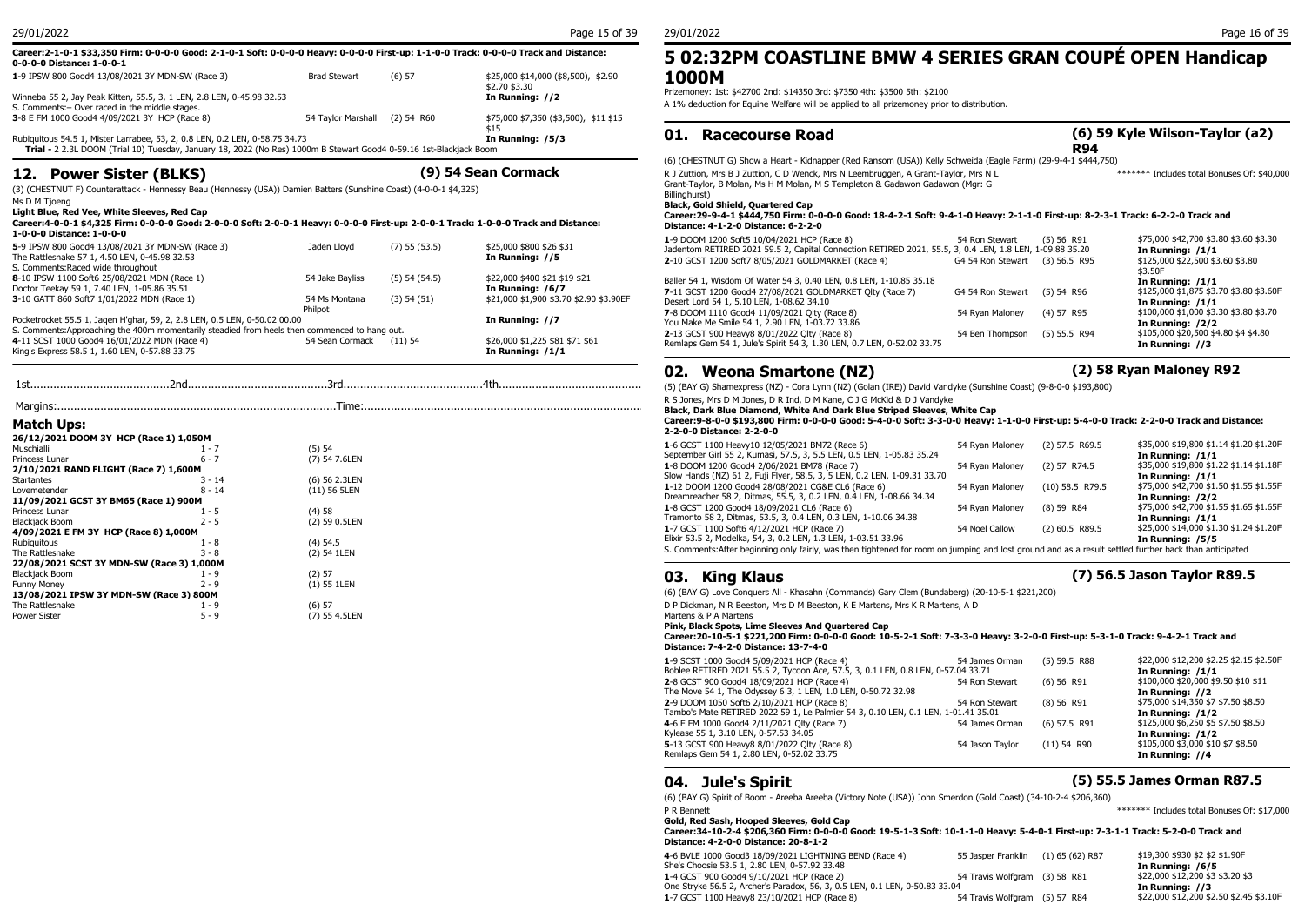### **Career:2-1-0-1 \$33,350 Firm: 0-0-0-0 Good: 2-1-0-1 Soft: 0-0-0-0 Heavy: 0-0-0-0 First-up: 1-1-0-0 Track: 0-0-0-0 Track and Distance: 0-0-0-0 Distance: 1-0-0-1 1**-9 IPSW 800 Good4 13/08/2021 3Y MDN-SW (Race 3) Brad Stewart (6) 57 \$25,000 \$14,000 (\$8,500), \$2.90 **1000 M**

| Winneba 55 2, Jay Peak Kitten, 55.5, 3, 1 LEN, 2.8 LEN, 0-45.98 32.53<br>S. Comments: - Over raced in the middle stages. |                    |              | \$2.70 \$3.30<br>In Running: //2      | Prizemoney: 1<br>A 1% deducti            |      |
|--------------------------------------------------------------------------------------------------------------------------|--------------------|--------------|---------------------------------------|------------------------------------------|------|
| 3-8 E FM 1000 Good4 4/09/2021 3Y HCP (Race 8)                                                                            | 54 Tavlor Marshall | $(2)$ 54 R60 | \$75,000 \$7,350 (\$3,500), \$11 \$15 | the control of the control of the<br>01. |      |
| Rubiquitous 54.5 1, Mister Larrabee, 53, 2, 0.8 LEN, 0.2 LEN, 0-58.75 34.73<br>In Running: /5/3                          |                    |              |                                       |                                          | - Ra |
| Trial - 2 2.3L DOOM (Trial 10) Tuesday, January 18, 2022 (No Res) 1000m B Stewart Good4 0-59.16 1st-Blackjack Boom       |                    |              |                                       |                                          |      |

## **12. Power Sister (BLKS) (9) 54 Sean Cormack**

(3) (CHESTNUT F) Counterattack - Hennessy Beau (Hennessy (USA)) Damien Batters (Sunshine Coast) (4-0-0-1 \$4,325)

Ms D M Tjoeng

**Light Blue, Red Vee, White Sleeves, Red Cap**

#### **Career:4-0-0-1 \$4,325 Firm: 0-0-0-0 Good: 2-0-0-0 Soft: 2-0-0-1 Heavy: 0-0-0-0 First-up: 2-0-0-1 Track: 1-0-0-0 Track and Distance: 1-0-0-0 Distance: 1-0-0-0**

| 5-9 IPSW 800 Good4 13/08/2021 3Y MDN-SW (Race 3)                                              | Jaden Llovd     | $(7)$ 55 $(53.5)$ | \$25,000 \$800 \$26 \$31                | Jadentom RETIRED 202       |
|-----------------------------------------------------------------------------------------------|-----------------|-------------------|-----------------------------------------|----------------------------|
| The Rattlesnake 57 1, 4.50 LEN, 0-45.98 32.53                                                 |                 |                   | In Running: //5                         | 2-10 GCST 1200 Soft7       |
| S. Comments: Raced wide throughout                                                            |                 |                   |                                         |                            |
| 8-10 IPSW 1100 Soft6 25/08/2021 MDN (Race 1)                                                  | 54 Jake Bavliss | $(5)$ 54 $(54.5)$ | \$22,000 \$400 \$21 \$19 \$21           | Baller 54 1, Wisdom Of     |
| Doctor Teekay 59 1, 7.40 LEN, 1-05.86 35.51                                                   |                 |                   | In Running: /6/7                        | 7-11 GCST 1200 Good4       |
| 3-10 GATT 860 Soft7 1/01/2022 MDN (Race 1)                                                    | 54 Ms Montana   | (3) 54 (51)       | \$21,000 \$1,900 \$3.70 \$2.90 \$3.90EF | Desert Lord 54 1, 5.10     |
|                                                                                               | Philpot         |                   |                                         | <b>7-8 DOOM 1110 Good4</b> |
| Pocketrocket 55.5 1, Jagen H'ghar, 59, 2, 2.8 LEN, 0.5 LEN, 0-50.02 00.00                     |                 |                   | In Running: //7                         | You Make Me Smile 54       |
| S. Comments: Approaching the 400m momentarily steadied from heels then commenced to hang out. |                 |                   |                                         | 2-13 GCST 900 Heavy8       |
| 4-11 SCST 1000 Good4 16/01/2022 MDN (Race 4)                                                  | 54 Sean Cormack | $(11)$ 54         | \$26,000 \$1,225 \$81 \$71 \$61         | Remlaps Gem 54 1, Jul      |
| King's Express 58.5 1, 1.60 LEN, 0-57.88 33.75                                                |                 |                   | In Running: /1/1                        |                            |

|                                           |          |                | $11.3$ JUILS, $111.3$ D<br><b>Black, Dark Blue</b> |
|-------------------------------------------|----------|----------------|----------------------------------------------------|
| <b>Match Ups:</b>                         |          |                | Career: 9-8-0-0<br>2-2-0-0 Distanc                 |
| 26/12/2021 DOOM 3Y HCP (Race 1) 1,050M    |          |                |                                                    |
| Muschialli                                | $1 - 7$  | (5) 54         | 1-6 GCST 1100 H                                    |
| Princess Lunar                            | $6 - 7$  | (7) 54 7.6LEN  | September Girl 55                                  |
| 2/10/2021 RAND FLIGHT (Race 7) 1,600M     |          |                | 1-8 DOOM 1200 0                                    |
| Startantes                                | $3 - 14$ | (6) 56 2.3LEN  | Slow Hands (NZ)                                    |
| Lovemetender                              | $8 - 14$ | $(11)$ 56 5LEN | 1-12 DOOM 1200                                     |
| 11/09/2021 GCST 3Y BM65 (Race 1) 900M     |          |                | Dreamreacher 58                                    |
| Princess Lunar                            | $1 - 5$  | (4)58          | 1-8 GCST 1200 G                                    |
| Blackjack Boom                            | $2 - 5$  | (2) 59 0.5LEN  | Tramonto 58 2, D                                   |
| 4/09/2021 E FM 3Y HCP (Race 8) 1,000M     |          |                | 1-7 GCST 1100 So                                   |
| Rubiauitous                               | 1 - 8    | $(4)$ 54.5     | Elixir 53.5 2, Mod                                 |
| The Rattlesnake                           | $3 - 8$  | (2) 54 1LEN    | S. Comments: Afte                                  |
| 22/08/2021 SCST 3Y MDN-SW (Race 3) 1,000M |          |                |                                                    |
| <b>Blackjack Boom</b>                     | 1 - 9    | (2) 57         | King<br>03.                                        |
| <b>Funny Money</b>                        | $2 - 9$  | $(1)$ 55 1LEN  |                                                    |
| 13/08/2021 IPSW 3Y MDN-SW (Race 3) 800M   |          |                | $(6)$ (BAY G) Love                                 |

#### The Rattlesnake 1 - 9 (6) 57<br>
Power Sister 5 - 9 (7) 55  $(7)$  55 4.5LEN

## **5 02:32PM COASTLINE BMW 4 SERIES GRAN COUPÉ OPEN Handicap 1000M**

Prizemoney: 1st: \$42700 2nd: \$14350 3rd: \$7350 4th: \$3500 5th: \$2100 A 1% deduction for Equine Welfare will be applied to all prizemoney prior to distribution.

### **01. Racecourse Road**

\*\*\*\*\*\*\* Includes total Bonuses Of: \$40,000

(6) (CHESTNUT G) Show a Heart - Kidnapper (Red Ransom (USA)) Kelly Schweida (Eagle Farm) (29-9-4-1 \$444,750) R J Zuttion, Mrs B J Zuttion, C D Wenck, Mrs N Leembruggen, A Grant-Taylor, Mrs N L Grant-Taylor, B Molan, Ms H M Molan, M S Templeton & Gadawon Gadawon (Mgr: G Billinghurst)

**Black, Gold Shield, Quartered Cap**

#### **Career:29-9-4-1 \$444,750 Firm: 0-0-0-0 Good: 18-4-2-1 Soft: 9-4-1-0 Heavy: 2-1-1-0 First-up: 8-2-3-1 Track: 6-2-2-0 Track and Distance: 4-1-2-0 Distance: 6-2-2-0**

| 1-9 DOOM 1200 Soft5 10/04/2021 HCP (Race 8)                                                             | 54 Ron Stewart                 | $(5)$ 56 R91   | \$75,000 \$42,700 \$3.80 \$3.60 \$3.30  |
|---------------------------------------------------------------------------------------------------------|--------------------------------|----------------|-----------------------------------------|
| Jadentom RETIRED 2021 59.5 2, Capital Connection RETIRED 2021, 55.5, 3, 0.4 LEN, 1.8 LEN, 1-09.88 35.20 |                                |                | In Running: /1/1                        |
| 2-10 GCST 1200 Soft7 8/05/2021 GOLDMARKET (Race 4)                                                      | G4 54 Ron Stewart (3) 56.5 R95 |                | \$125,000 \$22,500 \$3.60 \$3.80        |
|                                                                                                         |                                |                | \$3.50F                                 |
| Baller 54 1, Wisdom Of Water 54 3, 0.40 LEN, 0.8 LEN, 1-10.85 35.18                                     |                                |                | In Running: /1/1                        |
| 7-11 GCST 1200 Good4 27/08/2021 GOLDMARKET Olty (Race 7)                                                | G4 54 Ron Stewart (5) 54 R96   |                | \$125,000 \$1,875 \$3.70 \$3.80 \$3.60F |
| Desert Lord 54 1, 5.10 LEN, 1-08.62 34.10                                                               |                                |                | In Running: /1/1                        |
| 7-8 DOOM 1110 Good4 11/09/2021 Olty (Race 8)                                                            | 54 Rvan Malonev                | $(4)$ 57 R95   | \$100,000 \$1,000 \$3.30 \$3.80 \$3.70  |
| You Make Me Smile 54 1, 2.90 LEN, 1-03.72 33.86                                                         |                                |                | In Running: $/2/2$                      |
| 2-13 GCST 900 Heavy8 8/01/2022 Olty (Race 8)                                                            | 54 Ben Thompson                | $(5)$ 55.5 R94 | \$105,000 \$20,500 \$4.80 \$4 \$4.80    |
| Remlaps Gem 54 1, Jule's Spirit 54 3, 1.30 LEN, 0.7 LEN, 0-52.02 33.75                                  |                                |                | In Running: //3                         |

### **02. Weona Smartone (NZ) (2) 58 Ryan Maloney R92**

1st..........................................2nd..........................................3rd..........................................4th............................................ (5) (BAY G) Shamexpress (NZ) - Cora Lynn (NZ) (Golan (IRE)) David Vandyke (Sunshine Coast) (9-8-0-0 \$193,800)

#### R S Jones, Mrs D M Jones, D R Ind, D M Kane, C J G McKid & D J Vandyke

**Black, Dark Blue Diamond, White And Dark Blue Striped Sleeves, White Cap Career:9-8-0-0 \$193,800 Firm: 0-0-0-0 Good: 5-4-0-0 Soft: 3-3-0-0 Heavy: 1-1-0-0 First-up: 5-4-0-0 Track: 2-2-0-0 Track and Distance: 2-2-0-0 Distance: 2-2-0-0**

| 1-6 GCST 1100 Heavy10 12/05/2021 BM72 (Race 6)<br>September Girl 55 2, Kumasi, 57.5, 3, 5.5 LEN, 0.5 LEN, 1-05.83 35.24                                | 54 Ryan Maloney | $(2)$ 57.5 R69.5  | \$35,000 \$19,800 \$1.14 \$1.20 \$1.20F<br>In Running: $/1/1$ |
|--------------------------------------------------------------------------------------------------------------------------------------------------------|-----------------|-------------------|---------------------------------------------------------------|
| 1-8 DOOM 1200 Good4 2/06/2021 BM78 (Race 7)                                                                                                            | 54 Rvan Malonev | $(2)$ 57 R74.5    | \$35,000 \$19,800 \$1.22 \$1.14 \$1.18F                       |
| Slow Hands (NZ) 61 2, Fuji Flyer, 58.5, 3, 5 LEN, 0.2 LEN, 1-09.31 33.70                                                                               |                 |                   | In Running: $/1/1$                                            |
| 1-12 DOOM 1200 Good4 28/08/2021 CG&E CL6 (Race 6)                                                                                                      | 54 Rvan Malonev | $(10)$ 58.5 R79.5 | \$75,000 \$42,700 \$1.50 \$1.55 \$1.55F                       |
| Dreamreacher 58 2, Ditmas, 55.5, 3, 0.2 LEN, 0.4 LEN, 1-08.66 34.34                                                                                    |                 |                   | In Running: /2/2                                              |
| 1-8 GCST 1200 Good4 18/09/2021 CL6 (Race 6)                                                                                                            | 54 Rvan Malonev | $(8)$ 59 R84      | \$75,000 \$42,700 \$1.55 \$1.65 \$1.65F                       |
| Tramonto 58 2, Ditmas, 53.5, 3, 0.4 LEN, 0.3 LEN, 1-10.06 34.38                                                                                        |                 |                   | In Running: /1/1                                              |
| 1-7 GCST 1100 Soft6 4/12/2021 HCP (Race 7)                                                                                                             | 54 Noel Callow  | $(2)$ 60.5 R89.5  | \$25,000 \$14,000 \$1.30 \$1.24 \$1.20F                       |
| Elixir 53.5 2, Modelka, 54, 3, 0.2 LEN, 1.3 LEN, 1-03.51 33.96                                                                                         |                 |                   | In Running: /5/5                                              |
| S. Comments: After beginning only fairly, was then tightened for room on jumping and lost ground and as a result settled further back than anticipated |                 |                   |                                                               |
|                                                                                                                                                        |                 |                   |                                                               |

**03. King Klaus (7) 56.5 Jason Taylor R89.5**

(6) (BAY G) Love Conquers All - Khasahn (Commands) Gary Clem (Bundaberg) (20-10-5-1 \$221,200)

D P Dickman, N R Beeston, Mrs D M Beeston, K E Martens, Mrs K R Martens, A D

Martens & P A Martens

**Pink, Black Spots, Lime Sleeves And Quartered Cap**

**Career:20-10-5-1 \$221,200 Firm: 0-0-0-0 Good: 10-5-2-1 Soft: 7-3-3-0 Heavy: 3-2-0-0 First-up: 5-3-1-0 Track: 9-4-2-1 Track and Distance: 7-4-2-0 Distance: 13-7-4-0**

| 1-9 SCST 1000 Good4 5/09/2021 HCP (Race 4)                                        | 54 James Orman  | $(5)$ 59.5 R88 | \$22,000 \$12,200 \$2.25 \$2.15 \$2.50F |
|-----------------------------------------------------------------------------------|-----------------|----------------|-----------------------------------------|
| Boblee RETIRED 2021 55.5 2, Tycoon Ace, 57.5, 3, 0.1 LEN, 0.8 LEN, 0-57.04 33.71  |                 |                | In Running: /1/1                        |
| 2-8 GCST 900 Good4 18/09/2021 HCP (Race 4)                                        | 54 Ron Stewart  | $(6)$ 56 R91   | \$100,000 \$20,000 \$9.50 \$10 \$11     |
| The Move 54 1, The Odyssey 6 3, 1 LEN, 1.0 LEN, 0-50.72 32.98                     |                 |                | In Running: //2                         |
| 2-9 DOOM 1050 Soft6 2/10/2021 HCP (Race 8)                                        | 54 Ron Stewart  | $(8)$ 56 R91   | \$75,000 \$14,350 \$7 \$7.50 \$8.50     |
| Tambo's Mate RETIRED 2022 59 1, Le Palmier 54 3, 0.10 LEN, 0.1 LEN, 1-01.41 35.01 |                 |                | In Running: /1/2                        |
| 4-6 E FM 1000 Good4 2/11/2021 Olty (Race 7)                                       | 54 James Orman  | $(6)$ 57.5 R91 | \$125,000 \$6,250 \$5 \$7.50 \$8.50     |
| Kylease 55 1, 3.10 LEN, 0-57.53 34.05                                             |                 |                | In Running: $/1/2$                      |
| 5-13 GCST 900 Heavy8 8/01/2022 Olty (Race 8)                                      | 54 Jason Taylor | $(11)$ 54 R90  | \$105,000 \$3,000 \$10 \$7 \$8.50       |
| Remlaps Gem 54 1, 2.80 LEN, 0-52.02 33.75                                         |                 |                | In Running: //4                         |

## **04. Jule's Spirit (5) 55.5 James Orman R87.5**

(6) (BAY G) Spirit of Boom - Areeba Areeba (Victory Note (USA)) John Smerdon (Gold Coast) (34-10-2-4 \$206,360) P R Bennett **All and Struck and Struck and Struck and Struck and Struck and Struck and Struck and Struck and Struck and Struck and Struck and Struck and Struck and Struck and Struck and Struck and Struck and Struck and Str** 

**Gold, Red Sash, Hooped Sleeves, Gold Cap Career:34-10-2-4 \$206,360 Firm: 0-0-0-0 Good: 19-5-1-3 Soft: 10-1-1-0 Heavy: 5-4-0-1 First-up: 7-3-1-1 Track: 5-2-0-0 Track and Distance: 4-2-0-0 Distance: 20-8-1-2**

**4**-6 BVLE 1000 Good3 18/09/2021 LIGHTNING BEND (Race 4) 55 Jasper Franklin (1) 65 (62) R87 \$19,300 \$930 \$2 \$2 \$1.90F<br>She's Choosie 53.5 1, 2.80 LEN. 0-57.92 33.48 She's Choosie 53.5 1, 2.80 LEN, 0-57.92 33.48<br>**1.4 GCST 900 Good4 9/10/2021 HCP (Race 2)** 53 Service 54 Travis Wolfgram (3) 58 R81 \$22,000 \$12,200 \$3 \$3.20 \$3 1-4 GCST 900 Good4 9/10/2021 HCP (Race 2) 54 Travis Wolfgram (3) 58 R81 \$22,000 \$12,200 \$32<br>One Stryke 56.5 2, Archer's Paradox, 56, 3, 0.5 LEN, 0.1 LEN, 0-50.83 33.04 **10 Stryke 56.5 2, Archer's Paradox**, 56, 3, 0.5 LEN, One Stryke 56.5 2, Archer's Paradox, 56, 3, 0.5 LEN, 0.1 LEN, 0-50.83 33.04 **In Running: //3**<br>1-7 GCST 1100 Heavy8 23/10/2021 HCP (Race 8) 554 Travis Wolfgram (5) 57 R84 \$22,000 \$12,200 \$2.50 \$2.45 \$3.10F **1**-7 GCST 1100 Heavy8 23/10/2021 HCP (Race 8)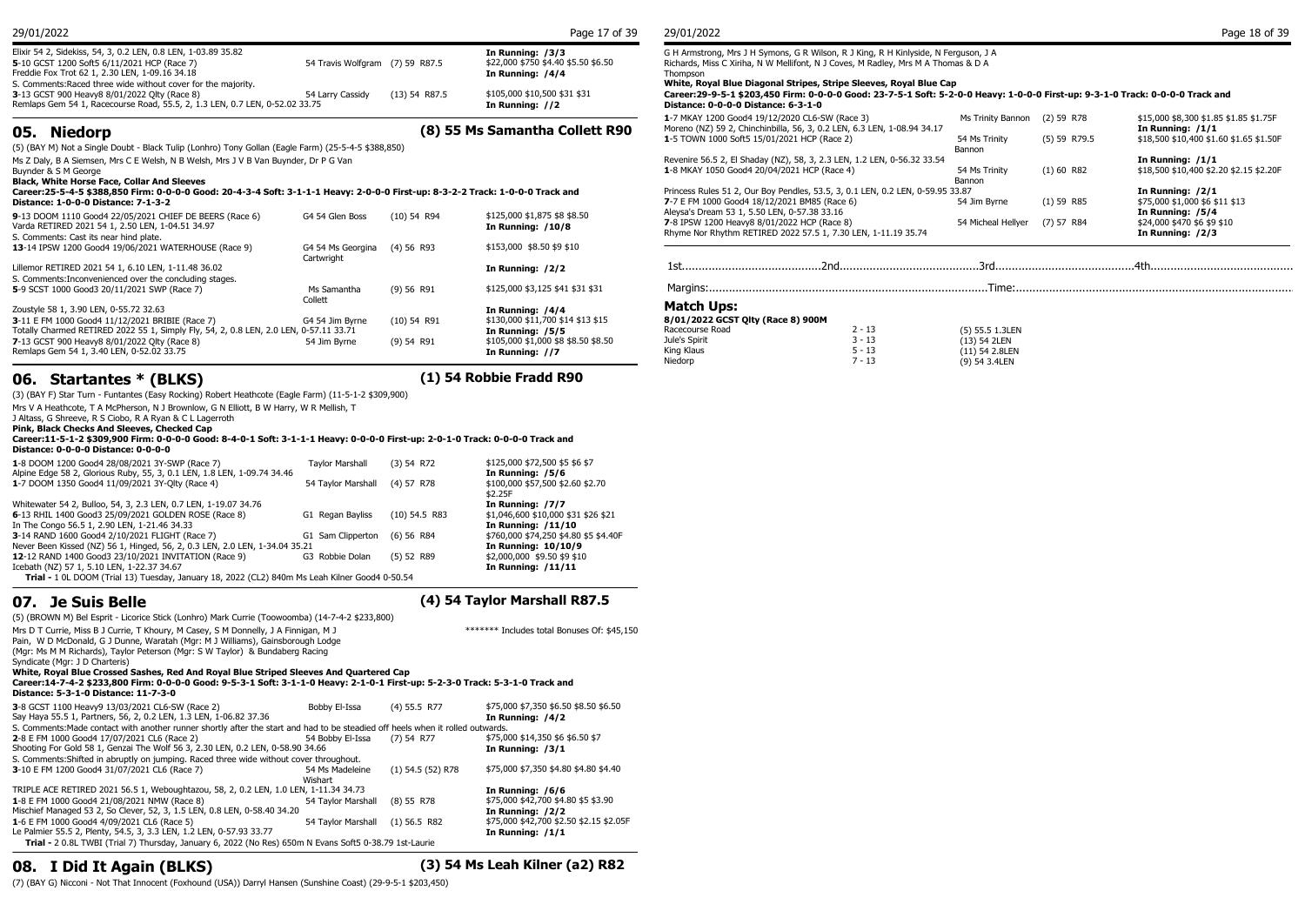| 05. Niedorp<br>$\overline{C}$ (DAVAM M.L. CL. L. D. L. D. L. T. P. A. L. V. T. L. O. H. $\overline{C}$ . L. F. L. VOE E.A. E. 4000 OE0)                        |                                 |                 | (8) 55 Ms Samantha Collett R90                          | 1-7 MKAY 1200 Good4 19/12/2020 CL6-SW (Race 3)<br>Moreno (NZ) 59 2, Chinchinbilla, 56, 3, 0.2 LEN, 6.3 LEN, 1-08.94 34.17<br>1-5 TOWN 1000 Soft5 15/01/2021 HCP (Race 2) | Ms Trinity Bannon (2) 59<br>54 Ms Trinity | (5)59 |
|----------------------------------------------------------------------------------------------------------------------------------------------------------------|---------------------------------|-----------------|---------------------------------------------------------|--------------------------------------------------------------------------------------------------------------------------------------------------------------------------|-------------------------------------------|-------|
| 3-13 GCST 900 Heavy8 8/01/2022 Olty (Race 8)<br>Remlaps Gem 54 1, Racecourse Road, 55.5, 2, 1.3 LEN, 0.7 LEN, 0-52.02 33.75                                    | 54 Larry Cassidy                | $(13)$ 54 R87.5 | \$105,000 \$10,500 \$31 \$31<br>In Running: //2         | Career:29-9-5-1 \$203,450 Firm: 0-0-0-0 Good: 23-7-5-1 Soft: 5-2-0-0 Heavy: 1-0-0-0 First<br>Distance: 0-0-0-0 Distance: 6-3-1-0                                         |                                           |       |
| 5-10 GCST 1200 Soft5 6/11/2021 HCP (Race 7)<br>Freddie Fox Trot 62 1, 2.30 LEN, 1-09.16 34.18<br>S. Comments: Raced three wide without cover for the majority. | 54 Travis Wolfgram (7) 59 R87.5 |                 | \$22,000 \$750 \$4.40 \$5.50 \$6.50<br>In Running: /4/4 | Richards, Miss C Xiriha, N W Mellifont, N J Coves, M Radley, Mrs M A Thomas & D A<br>Thompson<br>White, Royal Blue Diagonal Stripes, Stripe Sleeves, Royal Blue Cap      |                                           |       |
| Elixir 54 2, Sidekiss, 54, 3, 0.2 LEN, 0.8 LEN, 1-03.89 35.82                                                                                                  |                                 |                 | In Running: /3/3                                        | G H Armstrong, Mrs J H Symons, G R Wilson, R J King, R H Kinlyside, N Ferguson, J A                                                                                      |                                           |       |
| 29/01/2022                                                                                                                                                     |                                 |                 | Page 17 of 39                                           | 29/01/2022                                                                                                                                                               |                                           |       |

(5) (BAY M) Not a Single Doubt - Black Tulip (Lonhro) Tony Gollan (Eagle Farm) (25-5-4-5 \$388,850) Ms Z Daly, B A Siemsen, Mrs C E Welsh, N B Welsh, Mrs J V B Van Buynder, Dr P G Van

Buynder & S M George **Black, White Horse Face, Collar And Sleeves**

**Career:25-5-4-5 \$388,850 Firm: 0-0-0-0 Good: 20-4-3-4 Soft: 3-1-1-1 Heavy: 2-0-0-0 First-up: 8-3-2-2 Track: 1-0-0-0 Track and** 

| Distance: 1-0-0-0 Distance: 7-1-3-2                                                                                                                   |                                            |               |                                                   | 7-7 E FM 1000 Good4 18/12/2021 BM85 (Race 6)                                                                                                                 |          | 54 Jim Byrne                  | $(1)$ 59 R85 | \$75,000 \$1,000 \$6 \$11 \$13                                      |
|-------------------------------------------------------------------------------------------------------------------------------------------------------|--------------------------------------------|---------------|---------------------------------------------------|--------------------------------------------------------------------------------------------------------------------------------------------------------------|----------|-------------------------------|--------------|---------------------------------------------------------------------|
| 9-13 DOOM 1110 Good4 22/05/2021 CHIEF DE BEERS (Race 6)<br>Varda RETIRED 2021 54 1, 2.50 LEN, 1-04.51 34.97<br>S. Comments: Cast its near hind plate. | G4 54 Glen Boss                            | $(10)$ 54 R94 | \$125,000 \$1,875 \$8 \$8.50<br>In Running: /10/8 | Alevsa's Dream 53 1, 5.50 LEN, 0-57.38 33.16<br>7-8 IPSW 1200 Heavy8 8/01/2022 HCP (Race 8)<br>Rhyme Nor Rhythm RETIRED 2022 57.5 1, 7.30 LEN, 1-11.19 35.74 |          | 54 Micheal Hellyer (7) 57 R84 |              | In Running: /5/4<br>\$24,000 \$470 \$6 \$9 \$10<br>In Running: /2/3 |
| 13-14 IPSW 1200 Good4 19/06/2021 WATERHOUSE (Race 9)                                                                                                  | G4 54 Ms Georgina (4) 56 R93<br>Cartwright |               | \$153,000 \$8.50 \$9 \$10                         |                                                                                                                                                              |          |                               |              |                                                                     |
| Lillemor RETIRED 2021 54 1, 6.10 LEN, 1-11.48 36.02                                                                                                   |                                            |               | In Running: /2/2                                  |                                                                                                                                                              |          |                               |              |                                                                     |
| S. Comments: Inconvenienced over the concluding stages.                                                                                               |                                            |               |                                                   |                                                                                                                                                              |          |                               |              |                                                                     |
| 5-9 SCST 1000 Good3 20/11/2021 SWP (Race 7)                                                                                                           | Ms Samantha                                | (9) 56 R91    | \$125,000 \$3,125 \$41 \$31 \$31                  |                                                                                                                                                              |          |                               |              |                                                                     |
| Zoustyle 58 1, 3.90 LEN, 0-55.72 32.63                                                                                                                | Collett                                    |               | In Running: /4/4                                  | Match Ups:                                                                                                                                                   |          |                               |              |                                                                     |
| 3-11 E FM 1000 Good4 11/12/2021 BRIBIE (Race 7)                                                                                                       | G4 54 Jim Byrne                            | $(10)$ 54 R91 | \$130,000 \$11,700 \$14 \$13 \$15                 | 8/01/2022 GCST Olty (Race 8) 900M                                                                                                                            |          |                               |              |                                                                     |
| Totally Charmed RETIRED 2022 55 1, Simply Fly, 54, 2, 0.8 LEN, 2.0 LEN, 0-57.11 33.71                                                                 |                                            |               | In Running: /5/5                                  | Racecourse Road                                                                                                                                              | $2 - 13$ | (5) 55.5 1.3LEN               |              |                                                                     |
| 7-13 GCST 900 Heavy8 8/01/2022 Olty (Race 8)                                                                                                          | 54 Jim Byrne                               | $(9)$ 54 R91  | \$105,000 \$1,000 \$8 \$8.50 \$8.50               | Jule's Spirit                                                                                                                                                | $3 - 13$ | (13) 54 2LEN                  |              |                                                                     |
| Remlaps Gem 54 1, 3.40 LEN, 0-52.02 33.75                                                                                                             |                                            |               | In Running: //7                                   | King Klaus                                                                                                                                                   | $5 - 13$ | (11) 54 2.8LEN                |              |                                                                     |
|                                                                                                                                                       |                                            |               |                                                   | Niedorp                                                                                                                                                      | $7 - 13$ | (9) 54 3.4LEN                 |              |                                                                     |

## **06. Startantes \* (BLKS) (1) 54 Robbie Fradd R90**

(3) (BAY F) Star Turn - Funtantes (Easy Rocking) Robert Heathcote (Eagle Farm) (11-5-1-2 \$309,900) Mrs V A Heathcote, T A McPherson, N J Brownlow, G N Elliott, B W Harry, W R Mellish, T J Altass, G Shreeve, R S Ciobo, R A Ryan & C L Lagerroth **Pink, Black Checks And Sleeves, Checked Cap Career:11-5-1-2 \$309,900 Firm: 0-0-0-0 Good: 8-4-0-1 Soft: 3-1-1-1 Heavy: 0-0-0-0 First-up: 2-0-1-0 Track: 0-0-0-0 Track and Distance: 0-0-0-0 Distance: 0-0-0-0 1**-8 DOOM 1200 Good4 28/08/2021 3Y-SWP (Race 7) Taylor Marshall (3) 54 R72 \$125,000 \$72,500 \$5 \$6 \$7<br>Alpine Edge 58 2, Glorious Ruby, 55, 3, 0.1 LEN, 1.8 LEN, 1-09.74 34.46 **Taylor Marshall** (3) 54 R72 **In Running: /5/6** Alpine Edge 58 2, Glorious Ruby, 55, 3, 0.1 LEN, 1.8 LEN, 1-09.74 34.46 **In Running: /5/6 In Running: /5/6 In Running: /5/6 In Running: /5/6 In Running: /5/6 In Running: /5/6 In Running: /5/6 In Running: /5/6 1**-7 DOOM 1350 Good4 11/09/2021 3Y-Qlty (Race 4) \$2.25F<br>**In Running: /7/7** Whitewater 54 2, Bulloo, 54, 3, 2.3 LEN, 0.7 LEN, 1-19.07 34.76 **In Running: /7/7 Letter 31 20:46 1211**<br> **In Running: /7/7** Capan Bayliss (10) 54.5 R83 \$1,046,600 \$10,000 \$31 \$26 \$21 **6**-13 RHIL 1400 Good3 25/09/2021 GOLDEN ROSE (Race 8) G1 Regan Bayliss (10) 54.5 R83 \$1,046,600 \$10,000 \$31 **Exercise 31.046**  $\frac{11}{10}$ In The Congo 56.5 1, 2.90 LEN, 1-21.46 34.33 **In Running: /11/10 3**-14 RAND 1600 Good4 2/10/2021 FLIGHT (Race 7) Never Been Kissed (NZ) 56 1, Hinged, 56, 2, 0.3 LEN, 2.0 LEN, 1-34.04 35.21 **In Running: 10/10/9**<br>**12-**12 RAND 1400 Good3 23/10/2021 INVITATION (Race 9) G3 Robbie Dolan (5) 52 R89 \$2,000,000 \$9.50 \$9 \$10 **12**-12 RAND 1400 Good3 23/10/2021 INVITATION (Race 9) G3 Robbie Dolan (5) 52 R89 \$2,000,000 \$9.50 \$9 \$100 Icebath (NZ) 57 1, 5.10 LEN, 1-22.37 34.67 Icebath (NZ) 57 1, 5.10 LEN, 1-22.37 34.67

**Trial -** 1 0L DOOM (Trial 13) Tuesday, January 18, 2022 (CL2) 840m Ms Leah Kilner Good4 0-50.54

Syndicate (Mgr: J D Charteris)

**07. Je Suis Belle (4) 54 Taylor Marshall R87.5**

(5) (BROWN M) Bel Esprit - Licorice Stick (Lonhro) Mark Currie (Toowoomba) (14-7-4-2 \$233,800)

Mrs D T Currie, Miss B J Currie, T Khoury, M Casey, S M Donnelly, J A Finnigan, M J Pain, W D McDonald, G J Dunne, Waratah (Mgr: M J Williams), Gainsborough Lodge (Mgr: Ms M M Richards), Taylor Peterson (Mgr: S W Taylor) & Bundaberg Racing \*\*\*\*\*\*\* Includes total Bonuses Of: \$45,150 **White, Royal Blue Crossed Sashes, Red And Royal Blue Striped Sleeves And Quartered Cap**

#### **Career:14-7-4-2 \$233,800 Firm: 0-0-0-0 Good: 9-5-3-1 Soft: 3-1-1-0 Heavy: 2-1-0-1 First-up: 5-2-3-0 Track: 5-3-1-0 Track and Distance: 5-3-1-0 Distance: 11-7-3-0**

| 3-8 GCST 1100 Heavy9 13/03/2021 CL6-SW (Race 2)                                                                                 | Bobby El-Issa      | $(4)$ 55.5 R77      | \$75,000 \$7,350 \$6.50 \$8.50 \$6.50   |
|---------------------------------------------------------------------------------------------------------------------------------|--------------------|---------------------|-----------------------------------------|
| Say Haya 55.5 1, Partners, 56, 2, 0.2 LEN, 1.3 LEN, 1-06.82 37.36                                                               |                    |                     | In Running: /4/2                        |
| S. Comments: Made contact with another runner shortly after the start and had to be steadied off heels when it rolled outwards. |                    |                     |                                         |
| 2-8 E FM 1000 Good4 17/07/2021 CL6 (Race 2)                                                                                     | 54 Bobby El-Issa   | $(7)$ 54 R77        | \$75,000 \$14,350 \$6 \$6.50 \$7        |
| Shooting For Gold 58 1, Genzai The Wolf 56 3, 2.30 LEN, 0.2 LEN, 0-58.90 34.66                                                  |                    |                     | In Running: $/3/1$                      |
| S. Comments: Shifted in abruptly on jumping. Raced three wide without cover throughout.                                         |                    |                     |                                         |
| 3-10 E FM 1200 Good4 31/07/2021 CL6 (Race 7)                                                                                    | 54 Ms Madeleine    | $(1)$ 54.5 (52) R78 | \$75,000 \$7,350 \$4.80 \$4.80 \$4.40   |
|                                                                                                                                 | Wishart            |                     |                                         |
| TRIPLE ACE RETIRED 2021 56.5 1, Weboughtazou, 58, 2, 0.2 LEN, 1.0 LEN, 1-11.34 34.73                                            |                    |                     | In Running: /6/6                        |
| 1-8 E FM 1000 Good4 21/08/2021 NMW (Race 8)                                                                                     | 54 Tavlor Marshall | $(8)$ 55 R78        | \$75,000 \$42,700 \$4.80 \$5 \$3.90     |
| Mischief Managed 53 2, So Clever, 52, 3, 1.5 LEN, 0.8 LEN, 0-58.40 34.20                                                        |                    |                     | In Running: /2/2                        |
| 1-6 E FM 1000 Good4 4/09/2021 CL6 (Race 5)                                                                                      | 54 Tavlor Marshall | $(1)$ 56.5 R82      | \$75,000 \$42,700 \$2.50 \$2.15 \$2.05F |
| Le Palmier 55.5 2, Plenty, 54.5, 3, 3.3 LEN, 1.2 LEN, 0-57.93 33.77                                                             |                    |                     | In Running: $/1/1$                      |
| Trial - 2 0.8L TWBI (Trial 7) Thursday, January 6, 2022 (No Res) 650m N Evans Soft5 0-38.79 1st-Laurie                          |                    |                     |                                         |

## **08. I Did It Again (BLKS) (3) 54 Ms Leah Kilner (a2) R82**

(7) (BAY G) Nicconi - Not That Innocent (Foxhound (USA)) Darryl Hansen (Sunshine Coast) (29-9-5-1 \$203,450)

### **White, Royal Blue Diagonal Stripes, Stripe Sleeves, Royal Blue Cap**

#### **Career:29-9-5-1 \$203,450 Firm: 0-0-0-0 Good: 23-7-5-1 Soft: 5-2-0-0 Heavy: 1-0-0-0 First-up: 9-3-1-0 Track: 0-0-0-0 Track and Distance: 0-0-0-0 Distance: 6-3-1-0**

| 1-7 MKAY 1200 Good4 19/12/2020 CL6-SW (Race 3)<br>Moreno (NZ) 59 2, Chinchinbilla, 56, 3, 0.2 LEN, 6.3 LEN, 1-08.94 34.17 | Ms Trinity Bannon       | $(2)$ 59 R78   | \$15,000 \$8,300 \$1.85 \$1.85 \$1.75F<br>In Running: $/1/1$ |
|---------------------------------------------------------------------------------------------------------------------------|-------------------------|----------------|--------------------------------------------------------------|
| 1-5 TOWN 1000 Soft5 15/01/2021 HCP (Race 2)                                                                               | 54 Ms Trinity<br>Bannon | $(5)$ 59 R79.5 | \$18,500 \$10,400 \$1.60 \$1.65 \$1.50F                      |
| Revenire 56.5 2, El Shaday (NZ), 58, 3, 2.3 LEN, 1.2 LEN, 0-56.32 33.54                                                   |                         |                | In Running: /1/1                                             |
| 1-8 MKAY 1050 Good4 20/04/2021 HCP (Race 4)                                                                               | 54 Ms Trinity<br>Bannon | $(1)$ 60 R82   | \$18,500 \$10,400 \$2.20 \$2.15 \$2.20F                      |
| Princess Rules 51 2, Our Boy Pendles, 53.5, 3, 0.1 LEN, 0.2 LEN, 0-59.95 33.87                                            |                         |                | In Running: /2/1                                             |
| 7-7 E FM 1000 Good4 18/12/2021 BM85 (Race 6)                                                                              | 54 Jim Byrne            | $(1)$ 59 R85   | \$75,000 \$1,000 \$6 \$11 \$13                               |
| Aleysa's Dream 53 1, 5.50 LEN, 0-57.38 33.16                                                                              |                         |                | In Running: /5/4                                             |
| 7-8 IPSW 1200 Heavy8 8/01/2022 HCP (Race 8)                                                                               | 54 Micheal Hellver      | $(7)$ 57 R84   | \$24,000 \$470 \$6 \$9 \$10                                  |
| Rhyme Nor Rhythm RETIRED 2022 57.5 1, 7.30 LEN, 1-11.19 35.74                                                             |                         |                | In Running: /2/3                                             |
|                                                                                                                           |                         |                |                                                              |

### **Match Ups:**

| 8/01/2022 GCST Olty (Race 8) 900M |          |                 |  |
|-----------------------------------|----------|-----------------|--|
| Racecourse Road                   | $2 - 13$ | (5) 55.5 1.3LEN |  |
| Jule's Spirit                     | $3 - 13$ | (13) 54 2LEN    |  |
| Kina Klaus                        | $5 - 13$ | (11) 54 2.8LEN  |  |
| Niedorp                           | $7 - 13$ | (9) 54 3.4LEN   |  |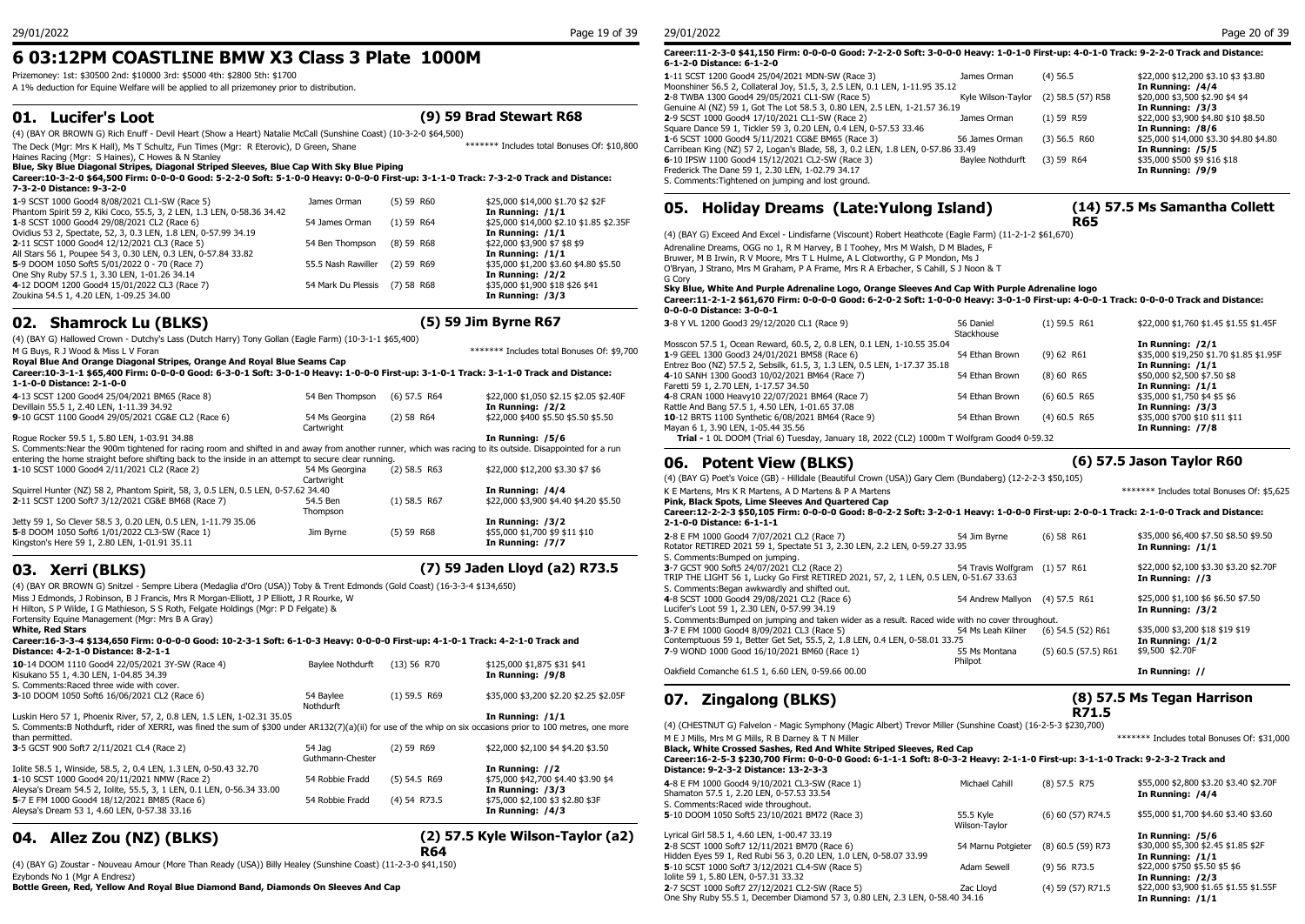## **6 03:12PM COASTLINE BMW X3 Class 3 Plate 1000M**

Prizemoney: 1st: \$30500 2nd: \$10000 3rd: \$5000 4th: \$2800 5th: \$1700

A 1% deduction for Equine Welfare will be applied to all prizemoney prior to distribution.

## **01. Lucifer's Loot (9) 59 Brad Stewart R68**

(4) (BAY OR BROWN G) Rich Enuff - Devil Heart (Show a Heart) Natalie McCall (Sunshine Coast) (10-3-2-0 \$64,500)

The Deck (Mgr: Mrs K Hall), Ms T Schultz, Fun Times (Mgr: R Eterovic), D Green, Shane Haines Racing (Mgr: S Haines), C Howes & N Stanley \*\*\*\*\*\*\* Includes total Bonuses Of: \$10,800

#### **Blue, Sky Blue Diagonal Stripes, Diagonal Striped Sleeves, Blue Cap With Sky Blue Piping**

**Career:10-3-2-0 \$64,500 Firm: 0-0-0-0 Good: 5-2-2-0 Soft: 5-1-0-0 Heavy: 0-0-0-0 First-up: 3-1-1-0 Track: 7-3-2-0 Track and Distance: 7-3-2-0 Distance: 9-3-2-0**

| 1-9 SCST 1000 Good4 8/08/2021 CL1-SW (Race 5)<br>Phantom Spirit 59 2, Kiki Coco, 55.5, 3, 2 LEN, 1.3 LEN, 0-58.36 34.42 | James Orman                   | (5) 59 R60   | \$25,000 \$14,000 \$1.70 \$2 \$2F<br>In Running: /1/1 | <b>Holida</b><br>05.   |
|-------------------------------------------------------------------------------------------------------------------------|-------------------------------|--------------|-------------------------------------------------------|------------------------|
| 1-8 SCST 1000 Good4 29/08/2021 CL2 (Race 6)                                                                             | 54 James Orman                | $(1)$ 59 R64 | \$25,000 \$14,000 \$2.10 \$1.85 \$2.35F               |                        |
| Ovidius 53 2, Spectate, 52, 3, 0.3 LEN, 1.8 LEN, 0-57.99 34.19                                                          |                               |              | In Running: $/1/1$                                    | (4) (BAY G) Exceed And |
| 2-11 SCST 1000 Good4 12/12/2021 CL3 (Race 5)                                                                            | 54 Ben Thompson               | $(8)$ 59 R68 | \$22,000 \$3,900 \$7 \$8 \$9                          | Adrenaline Dreams, OG  |
| All Stars 56 1, Poupee 54 3, 0.30 LEN, 0.3 LEN, 0-57.84 33.82                                                           |                               |              | In Running: /1/1                                      | Bruwer, M B Irwin, R V |
| 5-9 DOOM 1050 Soft5 5/01/2022 0 - 70 (Race 7)                                                                           | 55.5 Nash Rawiller (2) 59 R69 |              | \$35,000 \$1,200 \$3.60 \$4.80 \$5.50                 | O'Bryan, J Strano, Mrs |
| One Shy Ruby 57.5 1, 3.30 LEN, 1-01.26 34.14                                                                            |                               |              | In Running: /2/2                                      | G Corv                 |
| 4-12 DOOM 1200 Good4 15/01/2022 CL3 (Race 7)                                                                            | 54 Mark Du Plessis (7) 58 R68 |              | \$35,000 \$1,900 \$18 \$26 \$41                       | Sky Blue, White And    |
| Zoukina 54.5 1, 4.20 LEN, 1-09.25 34.00                                                                                 |                               |              | In Running: /3/3                                      | Career: 11-2-1-2 \$61  |
|                                                                                                                         |                               |              |                                                       |                        |

## **02. Shamrock Lu (BLKS) (5) 59 Jim Byrne R67**

| (4) (BAY G) Hallowed Crown - Dutchy's Lass (Dutch Harry) Tony Gollan (Eagle Farm) (10-3-1-1 \$65,400) |  |
|-------------------------------------------------------------------------------------------------------|--|
|                                                                                                       |  |

|                                                                                                                                                           |                 |                |                                            | Mosscon 57.5 1, Ocean Reward, 60.5, 2, 0.8 LEN, 0.1 LEN, 1-10.55 35.04                         |                |
|-----------------------------------------------------------------------------------------------------------------------------------------------------------|-----------------|----------------|--------------------------------------------|------------------------------------------------------------------------------------------------|----------------|
| M G Buys, R J Wood & Miss L V Foran                                                                                                                       |                 |                | ******* Includes total Bonuses Of: \$9,700 | 1-9 GEEL 1300 Good3 24/01/2021 BM58 (Race 6)                                                   | 54 Ethan Brown |
| Royal Blue And Orange Diagonal Stripes, Orange And Royal Blue Seams Cap                                                                                   |                 |                |                                            | Entrez Boo (NZ) 57.5 2, Sebsilk, 61.5, 3, 1.3 LEN, 0.5 LEN, 1-17.37 35.18                      |                |
| Career:10-3-1-1 \$65,400 Firm: 0-0-0-0 Good: 6-3-0-1 Soft: 3-0-1-0 Heavy: 1-0-0-0 First-up: 3-1-0-1 Track: 3-1-1-0 Track and Distance:                    |                 |                |                                            | 4-10 SANH 1300 Good3 10/02/2021 BM64 (Race 7)                                                  | 54 Ethan Brown |
| 1-1-0-0 Distance: 2-1-0-0                                                                                                                                 |                 |                |                                            | Faretti 59 1, 2.70 LEN, 1-17.57 34.50                                                          |                |
| 4-13 SCST 1200 Good4 25/04/2021 BM65 (Race 8)                                                                                                             | 54 Ben Thompson | $(6)$ 57.5 R64 | \$22,000 \$1,050 \$2.15 \$2.05 \$2.40F     | 4-8 CRAN 1000 Heavv10 22/07/2021 BM64 (Race 7)                                                 | 54 Ethan Brown |
| Devillain 55.5 1, 2.40 LEN, 1-11.39 34.92                                                                                                                 |                 |                | In Running: /2/2                           | Rattle And Bang 57.5 1, 4.50 LEN, 1-01.65 37.08                                                |                |
| 9-10 GCST 1100 Good4 29/05/2021 CG&E CL2 (Race 6)                                                                                                         | 54 Ms Georgina  | $(2)$ 58 R64   | \$22,000 \$400 \$5.50 \$5.50 \$5.50        | 10-12 BRTS 1100 Synthetic 6/08/2021 BM64 (Race 9)                                              | 54 Ethan Brown |
|                                                                                                                                                           | Cartwright      |                |                                            | Mayan 6 1, 3.90 LEN, 1-05.44 35.56                                                             |                |
| Roque Rocker 59.5 1, 5.80 LEN, 1-03.91 34.88                                                                                                              |                 |                | In Running: /5/6                           | Trial - 1 0L DOOM (Trial 6) Tuesday, January 18, 2022 (CL2) 1000m T Wolfgram Good4 0-59        |                |
| S. Comments: Near the 900m tightened for racing room and shifted in and away from another runner, which was racing to its outside. Disappointed for a run |                 |                |                                            |                                                                                                |                |
| entering the home straight before shifting back to the inside in an attempt to secure clear running.                                                      |                 |                |                                            | 06. Potent View (BLKS)                                                                         |                |
| 1-10 SCST 1000 Good4 2/11/2021 CL2 (Race 2)                                                                                                               | 54 Ms Georgina  | $(2)$ 58.5 R63 | \$22,000 \$12,200 \$3.30 \$7 \$6           |                                                                                                |                |
|                                                                                                                                                           | Cartwright      |                |                                            | (4) (BAY G) Poet's Voice (GB) - Hilldale (Beautiful Crown (USA)) Gary Clem (Bundaberg) (12-2-2 |                |
| Squirrel Hunter (NZ) 58 2, Phantom Spirit, 58, 3, 0.5 LEN, 0.5 LEN, 0-57.62 34.40                                                                         |                 |                | In Running: /4/4                           | K E Martens, Mrs K R Martens, A D Martens & P A Martens                                        |                |
| 2-11 SCST 1200 Soft7 3/12/2021 CG&E BM68 (Race 7)                                                                                                         | 54.5 Ben        | $(1)$ 58.5 R67 | \$22,000 \$3,900 \$4.40 \$4.20 \$5.50      | Pink, Black Spots, Lime Sleeves And Ouartered Cap                                              |                |
|                                                                                                                                                           | Thompson        |                |                                            | Career:12-2-2-3 \$50,105 Firm: 0-0-0-0 Good: 8-0-2-2 Soft: 3-2-0-1 Heavy: 1-0-0-0 F            |                |
| Jetty 59 1, So Clever 58.5 3, 0.20 LEN, 0.5 LEN, 1-11.79 35.06                                                                                            |                 |                | In Running: /3/2                           | 2-1-0-0 Distance: 6-1-1-1                                                                      |                |
| 5-8 DOOM 1050 Soft6 1/01/2022 CL3-SW (Race 1)                                                                                                             | Jim Byrne       | (5) 59 R68     | \$55,000 \$1,700 \$9 \$11 \$10             | 2-8 E FM 1000 Good4 7/07/2021 CL2 (Race 7)                                                     | 54 Jim Byrne   |
| Kingston's Here 59 1, 2.80 LEN, 1-01.91 35.11                                                                                                             |                 |                | In Running: /7/7                           | Botator BETIBED 2021 50.1 Cooctato 51.2. 2.20 LEN 2.2.1 EN 0-50.27.22.05                       |                |

## **03. Xerri (BLKS) (7) 59 Jaden Lloyd (a2) R73.5**

(4) (BAY OR BROWN G) Snitzel - Sempre Libera (Medaglia d'Oro (USA)) Toby & Trent Edmonds (Gold Coast) (16-3-3-4 \$134,650) Miss J Edmonds, J Robinson, B J Francis, Mrs R Morgan-Elliott, J P Elliott, J R Rourke, W H Hilton, S P Wilde, I G Mathieson, S S Roth, Felgate Holdings (Mgr: P D Felgate) & Fortensity Equine Management (Mgr: Mrs B A Gray) **White, Red Stars Career:16-3-3-4 \$134,650 Firm: 0-0-0-0 Good: 10-2-3-1 Soft: 6-1-0-3 Heavy: 0-0-0-0 First-up: 4-1-0-1 Track: 4-2-1-0 Track and Distance: 4-2-1-0 Distance: 8-2-1-1 10**-14 DOOM 1110 Good4 22/05/2021 3Y-SW (Race 4) Baylee Nothdurft (13) 56 R70 \$125,000 \$1,875 \$31 \$41 <br>Kisukano 55 1, 4.30 LEN, 1-04.85 34.39 **August 2018** Kisukano 55 1, 4.30 LEN, 1-04.85 34.39 S. Comments:Raced three wide with cover. **3**-10 DOOM 1050 Soft6 16/06/2021 CL2 (Race 6) 54 Baylee (1) 59.5 R69 Nothdurft (1) 59.5 R69 \$35,000 \$3,200 \$2.20 \$2.25 \$2.05F Luskin Hero 57 1, Phoenix River, 57, 2, 0.8 LEN, 1.5 LEN, 1-02.31 35.05 **In Running: /1/1** S. Comments:B Nothdurft, rider of XERRI, was fined the sum of \$300 under AR132(7)(a)(ii) for use of the whip on six occasions prior to 100 metres, one more than permitted. **3**-5 GCST 900 Soft7 2/11/2021 CL4 (Race 2) 54 Jag (2) 59 R69 Guthmann-Chester (2) 59 R69 \$22,000 \$2,100 \$4 \$4.20 \$3.50 Iolite 58.5 1, Winside, 58.5, 2, 0.4 LEN, 1.3 LEN, 0-50.43 32.70 **In Running: //2 1**-10 SCST 1000 Good4 20/11/2021 NMW (Race 2) Aleysa's Dream 54.5 2, Iolite, 55.5, 3, 1 LEN, 0.1 LEN, 0-56.34 33.00<br>
54 Robbie Fradd (4) 54 R73.5 \$75,000 \$2,100 \$3 \$2.80 \$3F و 54 Robbie Fradd (4) 54 R73.5 \$75,000 \$2,100 \$3 \$2.80 **5**-7 E FM 1000 Good4 18/12/2021 BM85 (Race 6) Aleysa's Dream 53 1, 4.60 LEN, 0-57.38 33.16 **In Running: /4/3 (2) 57.5 Kyle Wilson-Taylor (a2)** 

## **04. Allez Zou (NZ) (BLKS)**

(4) (BAY G) Zoustar - Nouveau Amour (More Than Ready (USA)) Billy Healey (Sunshine Coast) (11-2-3-0 \$41,150) Ezybonds No 1 (Mgr A Endresz)

**Bottle Green, Red, Yellow And Royal Blue Diamond Band, Diamonds On Sleeves And Cap**

#### **Career:11-2-3-0 \$41,150 Firm: 0-0-0-0 Good: 7-2-2-0 Soft: 3-0-0-0 Heavy: 1-0-1-0 First-up: 4-0-1-0 Track: 9-2-2-0 Track and Distance: 6-1-2-0 Distance: 6-1-2-0**

| 1-11 SCST 1200 Good4 25/04/2021 MDN-SW (Race 3)                                 | James Orman        | $(4)$ 56.5        | \$22,000 \$12,200 \$3.10 \$3 \$3.80    |
|---------------------------------------------------------------------------------|--------------------|-------------------|----------------------------------------|
| Moonshiner 56.5 2, Collateral Joy, 51.5, 3, 2.5 LEN, 0.1 LEN, 1-11.95 35.12     |                    |                   | In Running: /4/4                       |
| 2-8 TWBA 1300 Good4 29/05/2021 CL1-SW (Race 5)                                  | Kyle Wilson-Taylor | (2) 58.5 (57) R58 | \$20,000 \$3,500 \$2.90 \$4 \$4        |
| Genuine AI (NZ) 59 1, Got The Lot 58.5 3, 0.80 LEN, 2.5 LEN, 1-21.57 36.19      |                    |                   | In Running: /3/3                       |
| 2-9 SCST 1000 Good4 17/10/2021 CL1-SW (Race 2)                                  | James Orman        | $(1)$ 59 R59      | \$22,000 \$3,900 \$4.80 \$10 \$8.50    |
| Square Dance 59 1, Tickler 59 3, 0.20 LEN, 0.4 LEN, 0-57.53 33.46               |                    |                   | In Running: /8/6                       |
| 1-6 SCST 1000 Good4 5/11/2021 CG&E BM65 (Race 3)                                | 56 James Orman     | $(3)$ 56.5 R60    | \$25,000 \$14,000 \$3.30 \$4.80 \$4.80 |
| Carribean King (NZ) 57 2, Logan's Blade, 58, 3, 0.2 LEN, 1.8 LEN, 0-57.86 33.49 |                    |                   | In Running: /5/5                       |
| 6-10 IPSW 1100 Good4 15/12/2021 CL2-SW (Race 3)                                 | Baylee Nothdurft   | $(3)$ 59 R64      | \$35,000 \$500 \$9 \$16 \$18           |
| Frederick The Dane 59 1, 2.30 LEN, 1-02.79 34.17                                |                    |                   | In Running: /9/9                       |
| S. Comments: Tightened on jumping and lost ground.                              |                    |                   |                                        |

## **05. Holiday Dreams (Late:Yulong Island)**

**(14) 57.5 Ms Samantha Collett R65**

**(8) 57.5 Ms Tegan Harrison** 

**R71.5**

(4) (BAY G) Exceed And Excel - Lindisfarne (Viscount) Robert Heathcote (Eagle Farm) (11-2-1-2 \$61,670) Adrenaline Dreams, OGG no 1, R M Harvey, B I Toohey, Mrs M Walsh, D M Blades, F Bruwer, M B Irwin, R V Moore, Mrs T L Hulme, A L Clotworthy, G P Mondon, Ms J

O'Bryan, J Strano, Mrs M Graham, P A Frame, Mrs R A Erbacher, S Cahill, S J Noon & T

**Sky Blue, White And Purple Adrenaline Logo, Orange Sleeves And Cap With Purple Adrenaline logo Career:11-2-1-2 \$61,670 Firm: 0-0-0-0 Good: 6-2-0-2 Soft: 1-0-0-0 Heavy: 3-0-1-0 First-up: 4-0-0-1 Track: 0-0-0-0 Track and Distance:** 

#### **0-0-0-0 Distance: 3-0-0-1**

| $9 - 9 - 9 - 9 - 11$                                                                       |                |                |                                         |
|--------------------------------------------------------------------------------------------|----------------|----------------|-----------------------------------------|
| 3-8 Y VL 1200 Good3 29/12/2020 CL1 (Race 9)                                                | 56 Daniel      | $(1)$ 59.5 R61 | \$22,000 \$1,760 \$1.45 \$1.55 \$1.45F  |
|                                                                                            | Stackhouse     |                |                                         |
| Mosscon 57.5 1, Ocean Reward, 60.5, 2, 0.8 LEN, 0.1 LEN, 1-10.55 35.04                     |                |                | In Running: /2/1                        |
| 1-9 GEEL 1300 Good3 24/01/2021 BM58 (Race 6)                                               | 54 Ethan Brown | (9) 62 R61     | \$35,000 \$19,250 \$1.70 \$1.85 \$1.95F |
| Entrez Boo (NZ) 57.5 2, Sebsilk, 61.5, 3, 1.3 LEN, 0.5 LEN, 1-17.37 35.18                  |                |                | In Running: /1/1                        |
| 4-10 SANH 1300 Good3 10/02/2021 BM64 (Race 7)                                              | 54 Ethan Brown | $(8)$ 60 R65   | \$50,000 \$2,500 \$7.50 \$8             |
| Faretti 59 1, 2.70 LEN, 1-17.57 34.50                                                      |                |                | In Running: /1/1                        |
| 4-8 CRAN 1000 Heavy10 22/07/2021 BM64 (Race 7)                                             | 54 Ethan Brown | $(6)$ 60.5 R65 | \$35,000 \$1,750 \$4 \$5 \$6            |
| Rattle And Bang 57.5 1, 4.50 LEN, 1-01.65 37.08                                            |                |                | In Running: /3/3                        |
| 10-12 BRTS 1100 Synthetic 6/08/2021 BM64 (Race 9)                                          | 54 Ethan Brown | $(4)$ 60.5 R65 | \$35,000 \$700 \$10 \$11 \$11           |
| Mayan 6 1, 3.90 LEN, 1-05.44 35.56                                                         |                |                | In Running: /7/8                        |
| Trial - 1 0L DOOM (Trial 6) Tuesday, January 18, 2022 (CL2) 1000m T Wolfgram Good4 0-59.32 |                |                |                                         |

## **06. Potent View (BLKS) (6) 57.5 Jason Taylor R60**

(4) (BAY G) Poet's Voice (GB) - Hilldale (Beautiful Crown (USA)) Gary Clem (Bundaberg) (12-2-2-3 \$50,105) K E Martens, Mrs K R Martens, A D Martens & P A Martens \*\*\*\*\*\*\* Includes total Bonuses Of: \$5,625

#### **Career:12-2-2-3 \$50,105 Firm: 0-0-0-0 Good: 8-0-2-2 Soft: 3-2-0-1 Heavy: 1-0-0-0 First-up: 2-0-0-1 Track: 2-1-0-0 Track and Distance: 2-1-0-0 Distance: 6-1-1-1**

| 2-8 E FM 1000 Good4 7/07/2021 CL2 (Race 7)                                                       | 54 Jim Byrne                   | $(6)$ 58 R61          | \$35,000 \$6,400 \$7.50 \$8.50 \$9.50  |
|--------------------------------------------------------------------------------------------------|--------------------------------|-----------------------|----------------------------------------|
| Rotator RETIRED 2021 59 1, Spectate 51 3, 2.30 LEN, 2.2 LEN, 0-59.27 33.95                       |                                |                       | In Running: /1/1                       |
| S. Comments: Bumped on jumping.                                                                  |                                |                       |                                        |
| 3-7 GCST 900 Soft5 24/07/2021 CL2 (Race 2)                                                       | 54 Travis Wolfgram (1) 57 R61  |                       | \$22,000 \$2,100 \$3.30 \$3.20 \$2.70F |
| TRIP THE LIGHT 56 1, Lucky Go First RETIRED 2021, 57, 2, 1 LEN, 0.5 LEN, 0-51.67 33.63           |                                |                       | In Running: //3                        |
| S. Comments: Began awkwardly and shifted out.                                                    |                                |                       |                                        |
| 4-8 SCST 1000 Good4 29/08/2021 CL2 (Race 6)                                                      | 54 Andrew Mallvon (4) 57.5 R61 |                       | \$25,000 \$1,100 \$6 \$6.50 \$7.50     |
| Lucifer's Loot 59 1, 2.30 LEN, 0-57.99 34.19                                                     |                                |                       | In Running: /3/2                       |
| S. Comments: Bumped on jumping and taken wider as a result. Raced wide with no cover throughout. |                                |                       |                                        |
| 3-7 E FM 1000 Good4 8/09/2021 CL3 (Race 5)                                                       | 54 Ms Leah Kilner              | $(6)$ 54.5 $(52)$ R61 | \$35,000 \$3,200 \$18 \$19 \$19        |
| Contemptuous 59 1, Better Get Set, 55.5, 2, 1.8 LEN, 0.4 LEN, 0-58.01 33.75                      |                                |                       | In Running: $/1/2$                     |
| 7-9 WOND 1000 Good 16/10/2021 BM60 (Race 1)                                                      | 55 Ms Montana                  | $(5)$ 60.5 (57.5) R61 | \$9,500 \$2,70F                        |
|                                                                                                  | Philpot                        |                       |                                        |
| Oakfield Comanche 61.5 1, 6.60 LEN, 0-59.66 00.00                                                |                                |                       | In Running: //                         |

## **07. Zingalong (BLKS)**

#### (4) (CHESTNUT G) Falvelon - Magic Symphony (Magic Albert) Trevor Miller (Sunshine Coast) (16-2-5-3 \$230,700) M E J Mills, Mrs M G Mills, R B Darney & T N Miller \*\*\*\*\*\*\* Includes total Bonuses Of: \$31,000

**Black, White Crossed Sashes, Red And White Striped Sleeves, Red Cap**

**Career:16-2-5-3 \$230,700 Firm: 0-0-0-0 Good: 6-1-1-1 Soft: 8-0-3-2 Heavy: 2-1-1-0 First-up: 3-1-1-0 Track: 9-2-3-2 Track and Distance: 9-2-3-2 Distance: 13-2-3-3**

| R69<br>\$75,000 \$42,700 \$4.40 \$3.90 \$4<br>In Running: /3/3<br>R73.5<br>\$75,000 \$2,100 \$3 \$2.80 \$3F<br>In Running: /4/3 |                                  | 4-8 E FM 1000 Good4 9/10/2021 CL3-SW (Race 1)<br>Shamaton 57.5 1, 2.20 LEN, 0-57.53 33.54<br>S. Comments: Raced wide throughout. | Michael Cahill     | $(8)$ 57.5 R75    | \$55,000 \$2,800 \$3.20 \$3.40 \$2.70F<br>In Running: /4/4 |
|---------------------------------------------------------------------------------------------------------------------------------|----------------------------------|----------------------------------------------------------------------------------------------------------------------------------|--------------------|-------------------|------------------------------------------------------------|
|                                                                                                                                 |                                  | 5-10 DOOM 1050 Soft5 23/10/2021 BM72 (Race 3)                                                                                    | 55.5 Kvle          | (6) 60 (57) R74.5 | \$55,000 \$1,700 \$4.60 \$3.40 \$3.60                      |
|                                                                                                                                 |                                  | Lyrical Girl 58.5 1, 4.60 LEN, 1-00.47 33.19                                                                                     | Wilson-Taylor      |                   |                                                            |
|                                                                                                                                 | (2) 57.5 Kyle Wilson-Taylor (a2) |                                                                                                                                  |                    |                   | In Running: /5/6                                           |
| R64                                                                                                                             |                                  | 2-8 SCST 1000 Soft7 12/11/2021 BM70 (Race 6)<br>Hidden Eyes 59 1, Red Rubi 56 3, 0.20 LEN, 1.0 LEN, 0-58.07 33.99                | 54 Marnu Potgieter | (8) 60.5 (59) R73 | \$30,000 \$5,300 \$2.45 \$1.85 \$2F<br>In Running: /1/1    |
| \$41,150)                                                                                                                       |                                  | 5-10 SCST 1000 Soft7 3/12/2021 CL4-SW (Race 5)                                                                                   | Adam Sewell        | $(9)$ 56 R73.5    | \$22,000 \$750 \$5.50 \$5 \$6                              |
|                                                                                                                                 |                                  | Iolite 59 1, 5.80 LEN, 0-57.31 33.32                                                                                             |                    |                   | In Running: /2/3                                           |
|                                                                                                                                 |                                  | 2-7 SCST 1000 Soft7 27/12/2021 CL2-SW (Race 5)                                                                                   | Zac Llovd          | (4) 59 (57) R71.5 | \$22,000 \$3,900 \$1.65 \$1.55 \$1.55F                     |
|                                                                                                                                 |                                  | One Shy Ruby 55.5 1, December Diamond 57 3, 0.80 LEN, 2.3 LEN, 0-58.40 34.16                                                     |                    |                   | In Running: /1/1                                           |

#### 29/01/2022 Page 20 of 39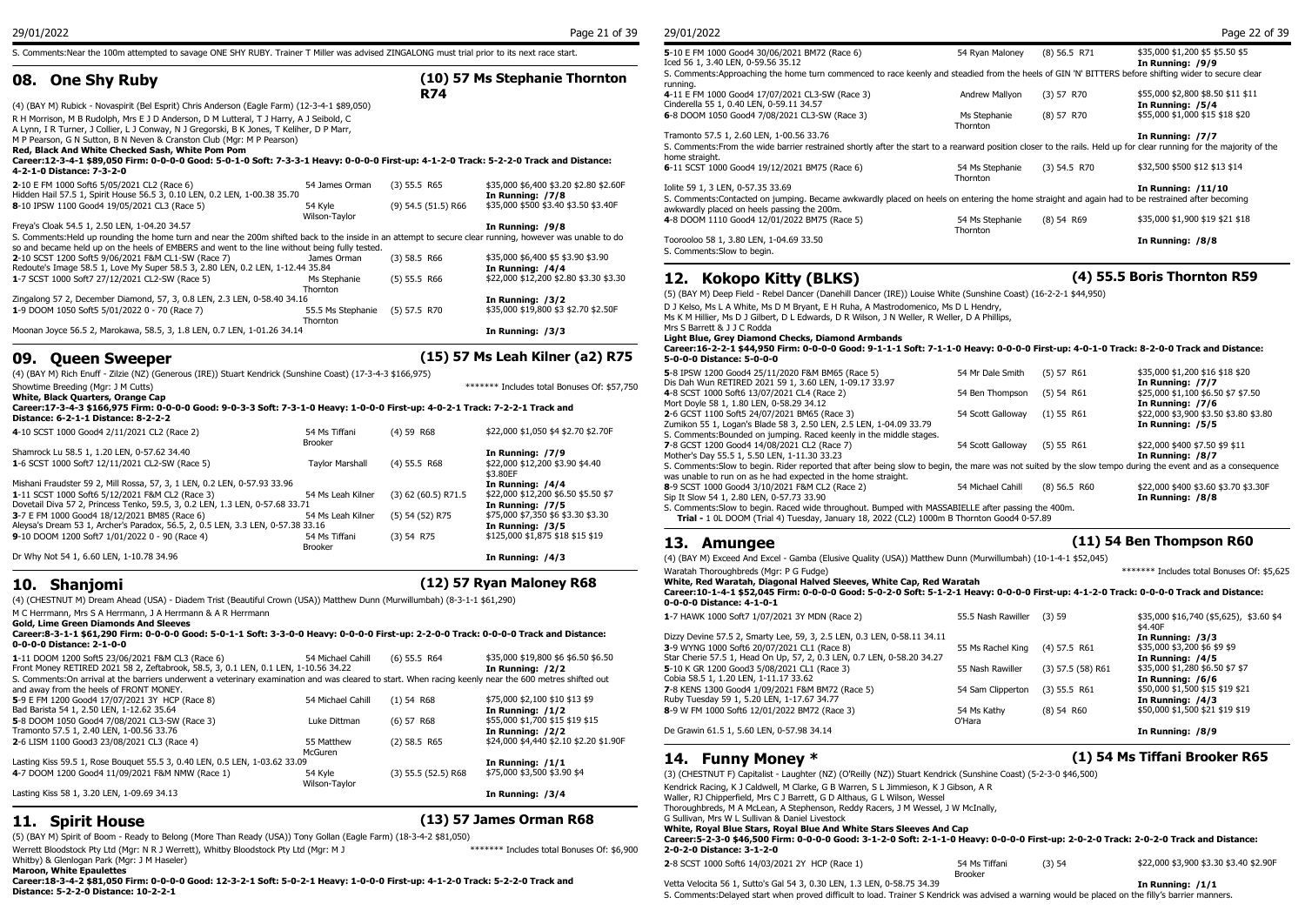S. Comments:Near the 100m attempted to savage ONE SHY RUBY. Trainer T Miller was advised ZINGALONG must trial prior to its next race start.

## **08. One Shy Ruby**

**R74** 4-1 (4) (BAY M) Rubick - Novaspirit (Bel Esprit) Chris Anderson (Eagle Farm) (12-3-4-1 \$89,050) R H Morrison, M B Rudolph, Mrs E J D Anderson, D M Lutteral, T J Harry, A J Seibold, C A Lynn, I R Turner, J Collier, L J Conway, N J Gregorski, B K Jones, T Keliher, D P Marr, M P Pearson, G N Sutton, B N Neven & Cranston Club (Mgr: M P Pearson) **Red, Black And White Checked Sash, White Pom Pom Career:12-3-4-1 \$89,050 Firm: 0-0-0-0 Good: 5-0-1-0 Soft: 7-3-3-1 Heavy: 0-0-0-0 First-up: 4-1-2-0 Track: 5-2-2-0 Track and Distance: 4-2-1-0 Distance: 7-3-2-0 2**-10 E FM 1000 Soft6 5/05/2021 CL2 (Race 6) 54 James Orman (3) 55.5 R65 \$35,000 \$6,400 \$3.20 \$2.80 \$2.60F Tolite 59 1 Hidden Hail 57.5 1, Spirit House 56.5 3, 0.10 LEN, 0.2 LEN, 1-00.38 35.70 **In Running: /7/8 In Running: /7/8 In Running: /7/8 1100 Good4 19/05/2021 CL3 (Race 5) 54.6 55.70 12.10 12.10 12.10 12.10 12.10 12.10 12.10 8**-10 IPSW 1100 Good4 19/05/2021 CL3 (Race 5) 54 Kyle Wilson-Taylor \$35,000 \$500 \$3.40 \$3.50 \$3.40F Freya's Cloak 54.5 1, 2.50 LEN, 1-04.20 34.57 **In Running: /9/8** S. Comments:Held up rounding the home turn and near the 200m shifted back to the inside in an attempt to secure clear running, however was unable to do so and became held up on the heels of EMBERS and went to the line without being fully tested. **2**-10 SCST 1200 Soft5 9/06/2021 F&M CL1-SW (Race 7) James Orman (3) 58.5 R66 \$35,000 \$6,400 \$5 \$3.90 \$3.90 Redoute's Image 58.5 1, Love My Super 58.5 3, 2.80 LEN, 0.2 LEN, 1-12.44 35.84 **1**-7 SCST 1000 Soft7 27/12/2021 CL2-SW (Race 5) Ms Stephanie (5) 55.5 R66 **Thornton** In Running: /4/4<br>\$22,000 \$12,200 \$2.80 \$3.30 \$3.30 Zingalong 57 2, December Diamond, 57, 3, 0.8 LEN, 2.3 LEN, 0-58.40 34.16 **In Running: /3/2 1**-9 DOOM 1050 Soft5 5/01/2022 0 - 70 (Race 7) 55.5 Ms Stephanie Thornton (5) 57.5 R70 \$35,000 \$19,800 \$3 \$2.70 \$2.50F Moonan Joyce 56.5 2, Marokawa, 58.5, 3, 1.8 LEN, 0.7 LEN, 1-01.26 34.14 **In Running: /3/3**

### **09. Queen Sweeper (15) 57 Ms Leah Kilner (a2) R75**

| (4) (BAY M) Rich Enuff - Zilzie (NZ) (Generous (IRE)) Stuart Kendrick (Sunshine Coast) (17-3-4-3 \$166,975)                   |                                 |                       |                                             | 5-8 IPSW 1200 Good4 25/                                 |
|-------------------------------------------------------------------------------------------------------------------------------|---------------------------------|-----------------------|---------------------------------------------|---------------------------------------------------------|
| Showtime Breeding (Mar: J M Cutts)                                                                                            |                                 |                       | ******* Includes total Bonuses Of: \$57,750 | Dis Dah Wun RETIRED 202                                 |
| White, Black Quarters, Orange Cap                                                                                             |                                 |                       |                                             | 4-8 SCST 1000 Soft6 13/07                               |
| Career:17-3-4-3 \$166,975 Firm: 0-0-0-0 Good: 9-0-3-3 Soft: 7-3-1-0 Heavy: 1-0-0-0 First-up: 4-0-2-1 Track: 7-2-2-1 Track and |                                 |                       |                                             | Mort Doyle 58 1, 1.80 LEN                               |
| Distance: 6-2-1-1 Distance: 8-2-2-2                                                                                           |                                 |                       |                                             | 2-6 GCST 1100 Soft5 24/0<br>Zumikon 55 1, Logan's Bla   |
| 4-10 SCST 1000 Good4 2/11/2021 CL2 (Race 2)                                                                                   | 54 Ms Tiffani<br><b>Brooker</b> | $(4)$ 59 R68          | \$22,000 \$1,050 \$4 \$2.70 \$2.70F         | S. Comments: Bounded on<br>7-8 GCST 1200 Good4 14/      |
| Shamrock Lu 58.5 1, 1.20 LEN, 0-57.62 34.40                                                                                   |                                 |                       | In Running: /7/9                            | Mother's Day 55.5 1, 5.50                               |
| 1-6 SCST 1000 Soft7 12/11/2021 CL2-SW (Race 5)                                                                                | <b>Tavlor Marshall</b>          | $(4)$ 55.5 R68        | \$22,000 \$12,200 \$3.90 \$4.40<br>\$3.80EF | S. Comments: Slow to begi<br>was unable to run on as he |
| Mishani Fraudster 59 2, Mill Rossa, 57, 3, 1 LEN, 0.2 LEN, 0-57.93 33.96                                                      |                                 |                       | In Running: /4/4                            | 8-9 SCST 1000 Good4 3/1                                 |
| 1-11 SCST 1000 Soft6 5/12/2021 F&M CL2 (Race 3)                                                                               | 54 Ms Leah Kilner               | $(3)$ 62 (60.5) R71.5 | \$22,000 \$12,200 \$6.50 \$5.50 \$7         | Sip It Slow 54 1, 2.80 LEN,                             |
| Dovetail Diva 57 2, Princess Tenko, 59.5, 3, 0.2 LEN, 1.3 LEN, 0-57.68 33.71                                                  |                                 |                       | In Running: /7/5                            | S. Comments: Slow to begi                               |
| 3-7 E FM 1000 Good4 18/12/2021 BM85 (Race 6)                                                                                  | 54 Ms Leah Kilner               | $(5)$ 54 $(52)$ R75   | \$75,000 \$7,350 \$6 \$3.30 \$3.30          | Trial - 1 0L DOOM (Tri                                  |
| Aleysa's Dream 53 1, Archer's Paradox, 56.5, 2, 0.5 LEN, 3.3 LEN, 0-57.38 33.16                                               |                                 |                       | In Running: /3/5                            |                                                         |
| 9-10 DOOM 1200 Soft7 1/01/2022 0 - 90 (Race 4)                                                                                | 54 Ms Tiffani<br>Brooker        | (3) 54 R75            | \$125,000 \$1,875 \$18 \$15 \$19            | <b>Amunge</b><br>13.                                    |
| Dr Why Not 54 1, 6.60 LEN, 1-10.78 34.96                                                                                      |                                 |                       | In Running: /4/3                            | (4) (BAY M) Exceed And Ex                               |

## **10. Shanjomi (12) 57 Ryan Maloney R68**

(4) (CHESTNUT M) Dream Ahead (USA) - Diadem Trist (Beautiful Crown (USA)) Matthew Dunn (Murwillumbah) (8-3-1-1 \$61,290)

M C Herrmann, Mrs S A Herrmann, J A Herrmann & A R Herrmann **Gold, Lime Green Diamonds And Sleeves**

**Career:8-3-1-1 \$61,290 Firm: 0-0-0-0 Good: 5-0-1-1 Soft: 3-3-0-0 Heavy: 0-0-0-0 First-up: 2-2-0-0 Track: 0-0-0-0 Track and Distance: 0-0-0-0 Distance: 2-1-0-0 1**-11 DOOM 1200 Soft5 23/06/2021 F&M CL3 (Race 6) 54 Michael Cahill (6) 55.5 R64 \$35,000 \$19,800 \$6 \$6.50 \$6.50

| 1-11 DOOM 1200 Softs 23/06/2021 F&M CL3 (Race 6)                                                                                                        | 54 Michael Cahill | (6) 55.5 R64            | \$35,000 \$19,800 \$6 \$6.50 \$6.50    | Star Cherie 57.5 1, He  |
|---------------------------------------------------------------------------------------------------------------------------------------------------------|-------------------|-------------------------|----------------------------------------|-------------------------|
| Front Money RETIRED 2021 58 2, Zeftabrook, 58.5, 3, 0.1 LEN, 0.1 LEN, 1-10.56 34.22                                                                     |                   |                         | In Running: /2/2                       | 5-10 K GR 1200 Good     |
| S. Comments: On arrival at the barriers underwent a veterinary examination and was cleared to start. When racing keenly near the 600 metres shifted out |                   |                         |                                        | Cobia 58.5 1, 1.20 LEI  |
| and away from the heels of FRONT MONEY.                                                                                                                 |                   |                         |                                        | 7-8 KENS 1300 Good4     |
| 5-9 E FM 1200 Good4 17/07/2021 3Y HCP (Race 8)                                                                                                          | 54 Michael Cahill | $(1)$ 54 R68            | \$75,000 \$2,100 \$10 \$13 \$9         | Ruby Tuesday 59 1, 5    |
| Bad Barista 54 1, 2.50 LEN, 1-12.62 35.64                                                                                                               |                   |                         | In Running: /1/2                       | 8-9 W FM 1000 Soft6     |
| 5-8 DOOM 1050 Good4 7/08/2021 CL3-SW (Race 3)                                                                                                           | Luke Dittman      | $(6)$ 57 R68            | \$55,000 \$1,700 \$15 \$19 \$15        |                         |
| Tramonto 57.5 1, 2.40 LEN, 1-00.56 33.76                                                                                                                |                   |                         | In Running: /2/2                       | De Grawin 61.5 1, 5.6   |
| 2-6 LISM 1100 Good3 23/08/2021 CL3 (Race 4)                                                                                                             | 55 Matthew        | $(2)$ 58.5 R65          | \$24,000 \$4,440 \$2.10 \$2.20 \$1.90F |                         |
|                                                                                                                                                         | McGuren           |                         |                                        |                         |
| Lasting Kiss 59.5 1, Rose Bouguet 55.5 3, 0.40 LEN, 0.5 LEN, 1-03.62 33.09                                                                              |                   |                         | In Running: $/1/1$                     | 14. Funny               |
| 4-7 DOOM 1200 Good4 11/09/2021 F&M NMW (Race 1)                                                                                                         | 54 Kvle           | $(3)$ 55.5 $(52.5)$ R68 | \$75,000 \$3,500 \$3.90 \$4            | (3) (CHESTNUT F) Car    |
|                                                                                                                                                         | Wilson-Taylor     |                         |                                        | Kendrick Racing, K J C  |
| Lasting Kiss 58 1, 3.20 LEN, 1-09.69 34.13                                                                                                              |                   |                         | In Running: /3/4                       | Waller, R1 Chinnerfield |
|                                                                                                                                                         |                   |                         |                                        |                         |

## **11. Spirit House (13) 57 James Orman R68**

(5) (BAY M) Spirit of Boom - Ready to Belong (More Than Ready (USA)) Tony Gollan (Eagle Farm) (18-3-4-2 \$81,050)

Werrett Bloodstock Pty Ltd (Mgr: N R J Werrett), Whitby Bloodstock Pty Ltd (Mgr: M J Whitby) & Glenlogan Park (Mgr: J M Haseler) \*\*\*\*\*\*\* Includes total Bonuses Of: \$6,900

**Maroon, White Epaulettes**

**Career:18-3-4-2 \$81,050 Firm: 0-0-0-0 Good: 12-3-2-1 Soft: 5-0-2-1 Heavy: 1-0-0-0 First-up: 4-1-2-0 Track: 5-2-2-0 Track and Distance: 5-2-2-0 Distance: 10-2-2-1**

running.

home strai

awkwardly

**(10) 57 Ms Stephanie Thornton** 

| 29/01/2022                                                                                                                                                                                    |                             |                | Page 22 of 39                                         |
|-----------------------------------------------------------------------------------------------------------------------------------------------------------------------------------------------|-----------------------------|----------------|-------------------------------------------------------|
| 5-10 E FM 1000 Good4 30/06/2021 BM72 (Race 6)<br>Iced 56 1, 3.40 LEN, 0-59.56 35.12                                                                                                           | 54 Rvan Malonev             | $(8)$ 56.5 R71 | \$35,000 \$1,200 \$5 \$5.50 \$5<br>In Running: /9/9   |
| S. Comments:Approaching the home turn commenced to race keenly and steadied from the heels of GIN 'N' BITTERS before shifting wider to secure clear<br>runnina.                               |                             |                |                                                       |
| 4-11 E FM 1000 Good4 17/07/2021 CL3-SW (Race 3)<br>Cinderella 55 1, 0.40 LEN, 0-59.11 34.57                                                                                                   | Andrew Mallyon              | (3) 57 R70     | \$55,000 \$2,800 \$8.50 \$11 \$11<br>In Running: /5/4 |
| 6-8 DOOM 1050 Good4 7/08/2021 CL3-SW (Race 3)                                                                                                                                                 | Ms Stephanie<br>Thornton    | (8) 57 R70     | \$55,000 \$1,000 \$15 \$18 \$20                       |
| Tramonto 57.5 1, 2.60 LEN, 1-00.56 33.76                                                                                                                                                      |                             |                | In Running: /7/7                                      |
| S. Comments: From the wide barrier restrained shortly after the start to a rearward position closer to the rails. Held up for clear running for the majority of the<br>home straight.         |                             |                |                                                       |
| 6-11 SCST 1000 Good4 19/12/2021 BM75 (Race 6)                                                                                                                                                 | 54 Ms Stephanie<br>Thornton | $(3)$ 54.5 R70 | \$32,500 \$500 \$12 \$13 \$14                         |
| Iolite 59 1, 3 LEN, 0-57.35 33.69                                                                                                                                                             |                             |                | In Running: /11/10                                    |
| S. Comments:Contacted on jumping. Became awkwardly placed on heels on entering the home straight and again had to be restrained after becoming<br>awkwardly placed on heels passing the 200m. |                             |                |                                                       |
| 4-8 DOOM 1110 Good4 12/01/2022 BM75 (Race 5)                                                                                                                                                  | 54 Ms Stephanie<br>Thornton | $(8)$ 54 R69   | \$35,000 \$1,900 \$19 \$21 \$18                       |

## Toorooloo 58 1, 3.80 LEN, 1-04.69 33.50 **In Running: /8/8** S. Comments: Slow to begin

## **12. Kokopo Kitty (BLKS) (4) 55.5 Boris Thornton R59**

(5) (BAY M) Deep Field - Rebel Dancer (Danehill Dancer (IRE)) Louise White (Sunshine Coast) (16-2-2-1 \$44,950)

D J Kelso, Ms L A White, Ms D M Bryant, E H Ruha, A Mastrodomenico, Ms D L Hendry,

Ms K M Hillier, Ms D J Gilbert, D L Edwards, D R Wilson, J N Weller, R Weller, D A Phillips,

Mrs S Barrett & J J C Rodda

**Light Blue, Grey Diamond Checks, Diamond Armbands**

**Career:16-2-2-1 \$44,950 Firm: 0-0-0-0 Good: 9-1-1-1 Soft: 7-1-1-0 Heavy: 0-0-0-0 First-up: 4-0-1-0 Track: 8-2-0-0 Track and Distance: 5-0-0-0 Distance: 5-0-0-0**

| 5-8 IPSW 1200 Good4 25/11/2020 F&M BM65 (Race 5)                                                                                                           | 54 Mr Dale Smith  | $(5)$ 57 R61   | \$35,000 \$1,200 \$16 \$18 \$20       |
|------------------------------------------------------------------------------------------------------------------------------------------------------------|-------------------|----------------|---------------------------------------|
| Dis Dah Wun RETIRED 2021 59 1, 3.60 LEN, 1-09.17 33.97                                                                                                     |                   |                | In Running: /7/7                      |
| 4-8 SCST 1000 Soft6 13/07/2021 CL4 (Race 2)                                                                                                                | 54 Ben Thompson   | $(5)$ 54 R61   | \$25,000 \$1,100 \$6.50 \$7 \$7.50    |
| Mort Doyle 58 1, 1.80 LEN, 0-58.29 34.12                                                                                                                   |                   |                | In Running: /7/6                      |
| 2-6 GCST 1100 Soft5 24/07/2021 BM65 (Race 3)                                                                                                               | 54 Scott Galloway | (1) 55 R61     | \$22,000 \$3,900 \$3.50 \$3.80 \$3.80 |
| Zumikon 55 1, Logan's Blade 58 3, 2.50 LEN, 2.5 LEN, 1-04.09 33.79                                                                                         |                   |                | In Running: /5/5                      |
| S. Comments: Bounded on jumping. Raced keenly in the middle stages.                                                                                        |                   |                |                                       |
| 7-8 GCST 1200 Good4 14/08/2021 CL2 (Race 7)                                                                                                                | 54 Scott Galloway | $(5)$ 55 R61   | \$22,000 \$400 \$7.50 \$9 \$11        |
| Mother's Day 55.5 1, 5.50 LEN, 1-11.30 33.23                                                                                                               |                   |                | In Running: /8/7                      |
| S. Comments: Slow to begin. Rider reported that after being slow to begin, the mare was not suited by the slow tempo during the event and as a conseguence |                   |                |                                       |
| was unable to run on as he had expected in the home straight.                                                                                              |                   |                |                                       |
| 8-9 SCST 1000 Good4 3/10/2021 F&M CL2 (Race 2)                                                                                                             | 54 Michael Cahill | $(8)$ 56.5 R60 | \$22,000 \$400 \$3.60 \$3.70 \$3.30F  |
| Sip It Slow 54 1, 2.80 LEN, 0-57.73 33.90                                                                                                                  |                   |                | In Running: /8/8                      |
| S. Comments: Slow to begin. Raced wide throughout. Bumped with MASSABIELLE after passing the 400m.                                                         |                   |                |                                       |
| Trial - 1 0L DOOM (Trial 4) Tuesday, January 18, 2022 (CL2) 1000m B Thornton Good4 0-57.89                                                                 |                   |                |                                       |

## 13. Amungee

(4) (BAY M) Exceed And Excel - Gamba (Elusive Quality (USA)) Matthew Dunn (Murwillumbah) (10-1-4-1 \$52,045)

Waratah Thoroughbreds (Mgr: P G Fudge) \*\*\*\*\*\*\* Includes total Bonuses Of: \$5,625 **White, Red Waratah, Diagonal Halved Sleeves, White Cap, Red Waratah**

**Career:10-1-4-1 \$52,045 Firm: 0-0-0-0 Good: 5-0-2-0 Soft: 5-1-2-1 Heavy: 0-0-0-0 First-up: 4-1-2-0 Track: 0-0-0-0 Track and Distance: 0-0-0-0 Distance: 4-1-0-1**

| 1-7 HAWK 1000 Soft7 1/07/2021 3Y MDN (Race 2)                                                                                                                                                    | 55.5 Nash Rawiller    | (3)59                 | \$35,000 \$16,740 (\$5,625), \$3.60 \$4<br>\$4.40F                   |
|--------------------------------------------------------------------------------------------------------------------------------------------------------------------------------------------------|-----------------------|-----------------------|----------------------------------------------------------------------|
| Dizzy Devine 57.5 2, Smarty Lee, 59, 3, 2.5 LEN, 0.3 LEN, 0-58.11 34.11<br>3-9 WYNG 1000 Soft6 20/07/2021 CL1 (Race 8)<br>Star Cherie 57.5 1, Head On Up, 57, 2, 0.3 LEN, 0.7 LEN, 0-58.20 34.27 | 55 Ms Rachel King     | $(4)$ 57.5 R61        | In Running: /3/3<br>\$35,000 \$3,200 \$6 \$9 \$9<br>In Running: /4/5 |
| 5-10 K GR 1200 Good3 5/08/2021 CL1 (Race 3)                                                                                                                                                      | 55 Nash Rawiller      | $(3)$ 57.5 $(58)$ R61 | \$35,000 \$1,280 \$6.50 \$7 \$7                                      |
| Cobia 58.5 1, 1.20 LEN, 1-11.17 33.62<br>7-8 KENS 1300 Good4 1/09/2021 F&M BM72 (Race 5)                                                                                                         | 54 Sam Clipperton     | $(3)$ 55.5 R61        | In Running: /6/6<br>\$50,000 \$1,500 \$15 \$19 \$21                  |
| Ruby Tuesday 59 1, 5.20 LEN, 1-17.67 34.77                                                                                                                                                       |                       |                       | In Running: /4/3                                                     |
| 8-9 W FM 1000 Soft6 12/01/2022 BM72 (Race 3)                                                                                                                                                     | 54 Ms Kathy<br>O'Hara | $(8)$ 54 R60          | \$50,000 \$1,500 \$21 \$19 \$19                                      |
| De Grawin 61.5 1, 5.60 LEN, 0-57.98 34.14                                                                                                                                                        |                       |                       | In Running: /8/9                                                     |

## **14. Funny Money \* (1) 54 Ms Tiffani Brooker R65**

(3) 55.5 (52.5) R68 \$75,000 \$3,500 \$3.90 \$4 (3) (CHESTNUT F) Capitalist - Laughter (NZ) (O'Reilly (NZ)) Stuart Kendrick (Sunshine Coast) (5-2-3-0 \$46,500)

Kendrick Racing, K J Caldwell, M Clarke, G B Warren, S L Jimmieson, K J Gibson, A R

Waller, RJ Chipperfield, Mrs C J Barrett, G D Althaus, G L Wilson, Wessel

Thoroughbreds, M A McLean, A Stephenson, Reddy Racers, J M Wessel, J W McInally,

G Sullivan, Mrs W L Sullivan & Daniel Livestock

**White, Royal Blue Stars, Royal Blue And White Stars Sleeves And Cap**

#### **Career:5-2-3-0 \$46,500 Firm: 0-0-0-0 Good: 3-1-2-0 Soft: 2-1-1-0 Heavy: 0-0-0-0 First-up: 2-0-2-0 Track: 2-0-2-0 Track and Distance: 2-0-2-0 Distance: 3-1-2-0**

| 2-8 SCST 1000 Soft6 14/03/2021 2Y HCP (Race 1) | 54 Ms Tiffani | (3)54 | \$22,000 \$3,900 \$3.30 \$3.40 \$2.90F |
|------------------------------------------------|---------------|-------|----------------------------------------|
|                                                | Brooker       |       |                                        |

Vetta Velocita 56 1, Sutto's Gal 54 3, 0.30 LEN, 1.3 LEN, 0-58.75 34.39 **In Running: /1/1** S. Comments:Delayed start when proved difficult to load. Trainer S Kendrick was advised a warning would be placed on the filly's barrier manners.

**13. Amungee (11) 54 Ben Thompson R60**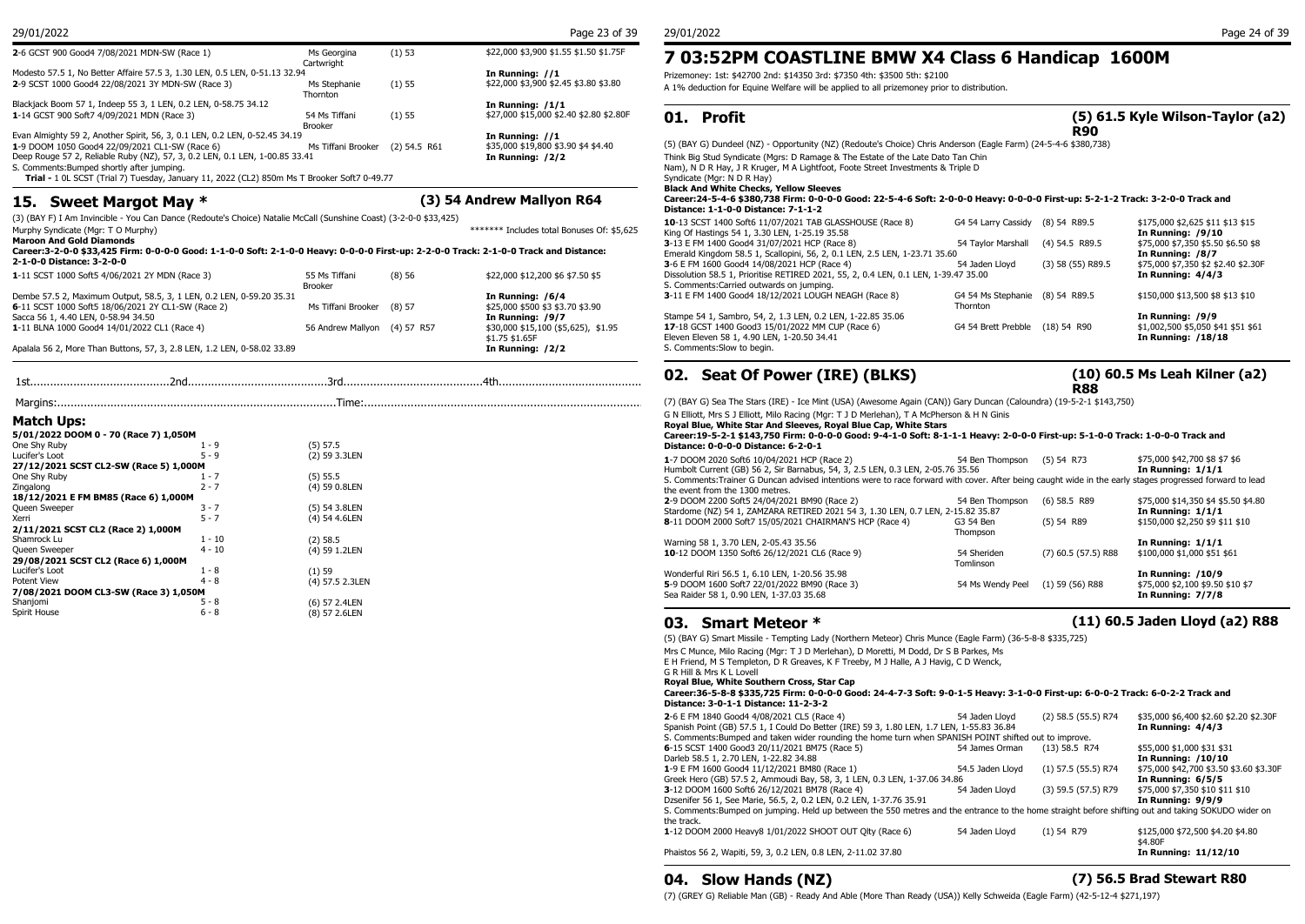| 2-6 GCST 900 Good4 7/08/2021 MDN-SW (Race 1)                                                | Ms Georgina<br>Cartwright       | (1) 53         | \$22,000 \$3,900 \$1.55 \$1.50 \$1.75F  | 7 03:52PM COASTLINE                                   |
|---------------------------------------------------------------------------------------------|---------------------------------|----------------|-----------------------------------------|-------------------------------------------------------|
| Modesto 57.5 1, No Better Affaire 57.5 3, 1.30 LEN, 0.5 LEN, 0-51.13 32.94                  |                                 |                | In Running: //1                         | Prizemoney: 1st: \$42700 2nd: \$14350 3rd: \$7350 4th |
| 2-9 SCST 1000 Good4 22/08/2021 3Y MDN-SW (Race 3)                                           | Ms Stephanie<br><b>Thornton</b> | (1) 55         | \$22,000 \$3,900 \$2.45 \$3.80 \$3.80   | A 1% deduction for Equine Welfare will be applied to  |
| Blackjack Boom 57 1, Indeep 55 3, 1 LEN, 0.2 LEN, 0-58.75 34.12                             |                                 |                | In Running: $/1/1$                      |                                                       |
| 1-14 GCST 900 Soft7 4/09/2021 MDN (Race 3)                                                  | 54 Ms Tiffani<br>Brooker        | (1) 55         | \$27,000 \$15,000 \$2.40 \$2.80 \$2.80F | 01. Profit                                            |
| Evan Almighty 59 2, Another Spirit, 56, 3, 0.1 LEN, 0.2 LEN, 0-52.45 34.19                  |                                 |                | In Running: $//1$                       |                                                       |
| 1-9 DOOM 1050 Good4 22/09/2021 CL1-SW (Race 6)                                              | Ms Tiffani Brooker              | $(2)$ 54.5 R61 | \$35,000 \$19,800 \$3.90 \$4 \$4.40     | (5) (BAY G) Dundeel (NZ) - Opportunity (NZ) (Redout   |
| Deep Rouge 57 2, Reliable Ruby (NZ), 57, 3, 0.2 LEN, 0.1 LEN, 1-00.85 33.41                 |                                 |                | In Running: /2/2                        | Think Big Stud Syndicate (Mgrs: D Ramage & The Est    |
| S. Comments: Bumped shortly after jumping.                                                  |                                 |                |                                         | Nam), N D R Hay, J R Kruger, M A Lightfoot, Foote St  |
| Trial - 1 0L SCST (Trial 7) Tuesday, January 11, 2022 (CL2) 850m Ms T Brooker Soft7 0-49.77 |                                 |                |                                         | Syndicate (Mgr: N D R Hay)                            |

## **15. Sweet Margot May \* (3) 54 Andrew Mallyon R64**

(3) (BAY F) I Am Invincible - You Can Dance (Redoute's Choice) Natalie McCall (Sunshine Coast) (3-2-0-0 \$33,425)

| (3) (DAT F) I AM INVINUME - TOU CAN DANCE (REQUULE S'CHOICE) NALANE MICCAN (SUNSHINE COASL) (3-2-0-0 \$33,425)                                                           |                           |              |                                            | 10-13 SCST 1400 Soft6 11                             |
|--------------------------------------------------------------------------------------------------------------------------------------------------------------------------|---------------------------|--------------|--------------------------------------------|------------------------------------------------------|
| Murphy Syndicate (Mgr: T O Murphy)                                                                                                                                       |                           |              | ******* Includes total Bonuses Of: \$5.625 | King Of Hastings 54 1, 3.3                           |
| <b>Maroon And Gold Diamonds</b><br>Career:3-2-0-0 \$33,425 Firm: 0-0-0-0 Good: 1-1-0-0 Soft: 2-1-0-0 Heavy: 0-0-0-0 First-up: 2-2-0-0 Track: 2-1-0-0 Track and Distance: |                           |              |                                            | 3-13 E FM 1400 Good4 31<br>Emerald Kingdom 58.5 1, S |
| 2-1-0-0 Distance: 3-2-0-0                                                                                                                                                |                           |              |                                            | 3-6 E FM 1600 Good4 14/0                             |
| 1-11 SCST 1000 Soft5 4/06/2021 2Y MDN (Race 3)                                                                                                                           | 55 Ms Tiffani             | (8)56        | \$22,000 \$12,200 \$6 \$7.50 \$5           | Dissolution 58.5 1, Prioritis                        |
|                                                                                                                                                                          | <b>Brooker</b>            |              |                                            | S. Comments: Carried outw                            |
| Dembe 57.5 2, Maximum Output, 58.5, 3, 1 LEN, 0.2 LEN, 0-59.20 35.31                                                                                                     |                           |              | In Running: /6/4                           | 3-11 E FM 1400 Good4 18                              |
| 6-11 SCST 1000 Soft5 18/06/2021 2Y CL1-SW (Race 2)                                                                                                                       | Ms Tiffani Brooker (8) 57 |              | \$25,000 \$500 \$3 \$3.70 \$3.90           |                                                      |
| Sacca 56 1, 4.40 LEN, 0-58.94 34.50                                                                                                                                      |                           |              | In Running: /9/7                           | Stampe 54 1, Sambro, 54,                             |
| 1-11 BLNA 1000 Good4 14/01/2022 CL1 (Race 4)                                                                                                                             | 56 Andrew Mallvon         | $(4)$ 57 R57 | \$30,000 \$15,100 (\$5,625), \$1.95        | 17-18 GCST 1400 Good3 1                              |
|                                                                                                                                                                          |                           |              | \$1.75 \$1.65F                             | Eleven Eleven 58 1, 4.90 L                           |
| Apalala 56 2, More Than Buttons, 57, 3, 2.8 LEN, 1.2 LEN, 0-58.02 33.89                                                                                                  |                           |              | In Running: /2/2                           | S. Comments: Slow to begi                            |
|                                                                                                                                                                          |                           |              |                                            |                                                      |

|                                        |          |                 | vz. scat             |
|----------------------------------------|----------|-----------------|----------------------|
|                                        |          |                 | (7) (BAY G) Sea T    |
| Match Ups:                             |          |                 | G N Elliott, Mrs S . |
|                                        |          |                 | Royal Blue, Whit     |
| 5/01/2022 DOOM 0 - 70 (Race 7) 1,050M  |          |                 | Career: 19-5-2-1     |
| One Shy Ruby                           | $1 - 9$  | (5) 57.5        | Distance: 0-0-0-     |
| Lucifer's Loot                         | $5 - 9$  | (2) 59 3.3LEN   | 1-7 DOOM 2020 S      |
| 27/12/2021 SCST CL2-SW (Race 5) 1,000M |          |                 | Humbolt Current (    |
| One Shy Ruby                           | $1 - 7$  | $(5)$ 55.5      | S. Comments: Trai    |
| Zingalong                              | $2 - 7$  | (4) 59 0.8LEN   | the event from the   |
| 18/12/2021 E FM BM85 (Race 6) 1,000M   |          |                 | 2-9 DOOM 2200 S      |
| Queen Sweeper                          | $3 - 7$  | (5) 54 3.8LEN   |                      |
| Xerri                                  | $5 - 7$  | (4) 54 4.6LEN   | Stardome (NZ) 54     |
| 2/11/2021 SCST CL2 (Race 2) 1,000M     |          |                 | 8-11 DOOM 2000       |
| Shamrock Lu                            | $1 - 10$ | $(2)$ 58.5      |                      |
| Queen Sweeper                          | $4 - 10$ | (4) 59 1.2LEN   | Warning 58 1, 3.7    |
| 29/08/2021 SCST CL2 (Race 6) 1,000M    |          |                 | 10-12 DOOM 135       |
| Lucifer's Loot                         | $1 - 8$  | (1)59           |                      |
| Potent View                            | $4 - 8$  | (4) 57.5 2.3LEN | Wonderful Riri 56.   |
|                                        |          |                 | 5-9 DOOM 1600 S      |
| 7/08/2021 DOOM CL3-SW (Race 3) 1,050M  |          |                 | Sea Raider 58 1, 0   |
| Shanjomi                               | $5 - 8$  | (6) 57 2.4LEN   |                      |
| Spirit House                           | $6 - 8$  | (8) 57 2.6LEN   | .                    |

## (1) 53 \$22,000 \$3,900 \$1.55 \$1.50 \$1.75F **7 03:52PM COASTLINE BMW X4 Class 6 Handicap 1600M**

Prizemoney: 1st: \$42700 2nd: \$14350 3rd: \$7350 4th: \$3500 5th: \$2100

(1) 55 \$22,000 \$3,900 \$2.45 \$3.80 \$3.80 A 1% deduction for Equine Welfare will be applied to all prizemoney prior to distribution.

### **(5) 61.5 Kyle Wilson-Taylor (a2) R90**

(5) (BAY G) Dundeel (NZ) - Opportunity (NZ) (Redoute's Choice) Chris Anderson (Eagle Farm) (24-5-4-6 \$380,738) Think Big Stud Syndicate (Mgrs: D Ramage & The Estate of the Late Dato Tan Chin Nam), N D R Hay, J R Kruger, M A Lightfoot, Foote Street Investments & Triple D Syndicate (Mgr: N D R Hay) **Black And White Checks, Yellow Sleeves Career:24-5-4-6 \$380,738 Firm: 0-0-0-0 Good: 22-5-4-6 Soft: 2-0-0-0 Heavy: 0-0-0-0 First-up: 5-2-1-2 Track: 3-2-0-0 Track and** 

| Distance: 1-1-0-0 Distance: 7-1-1-2                                                                        |                                 |                     |                                     |
|------------------------------------------------------------------------------------------------------------|---------------------------------|---------------------|-------------------------------------|
| 10-13 SCST 1400 Soft6 11/07/2021 TAB GLASSHOUSE (Race 8)<br>King Of Hastings 54 1, 3.30 LEN, 1-25.19 35.58 | G4 54 Larry Cassidy             | (8) 54 R89.5        | \$175,000 \$2,625 \$11 \$13 \$15    |
|                                                                                                            |                                 |                     | In Running: $/9/10$                 |
| 3-13 E FM 1400 Good4 31/07/2021 HCP (Race 8)                                                               | 54 Tavlor Marshall              | $(4)$ 54.5 R89.5    | \$75,000 \$7,350 \$5.50 \$6.50 \$8  |
| Emerald Kingdom 58.5 1, Scallopini, 56, 2, 0.1 LEN, 2.5 LEN, 1-23.71 35.60                                 |                                 |                     | In Running: /8/7                    |
| 3-6 E FM 1600 Good4 14/08/2021 HCP (Race 4)                                                                | 54 Jaden Llovd                  | $(3)$ 58 (55) R89.5 | \$75,000 \$7,350 \$2 \$2.40 \$2.30F |
| Dissolution 58.5 1, Prioritise RETIRED 2021, 55, 2, 0.4 LEN, 0.1 LEN, 1-39.47 35.00                        |                                 |                     | In Running: $4/4/3$                 |
| S. Comments: Carried outwards on jumping.                                                                  |                                 |                     |                                     |
| 3-11 E FM 1400 Good4 18/12/2021 LOUGH NEAGH (Race 8)                                                       | G4 54 Ms Stephanie (8) 54 R89.5 |                     | \$150,000 \$13,500 \$8 \$13 \$10    |
|                                                                                                            | Thornton                        |                     |                                     |
| Stampe 54 1, Sambro, 54, 2, 1.3 LEN, 0.2 LEN, 1-22.85 35.06                                                |                                 |                     | In Running: /9/9                    |
| 17-18 GCST 1400 Good3 15/01/2022 MM CUP (Race 6)                                                           | G4 54 Brett Prebble             | $(18)$ 54 R90       | \$1,002,500 \$5,050 \$41 \$51 \$61  |
| Eleven Eleven 58 1, 4.90 LEN, 1-20.50 34.41                                                                |                                 |                     | In Running: /18/18                  |
| S. Comments:Slow to begin.                                                                                 |                                 |                     |                                     |

## **02. Seat Of Power (IRE) (BLKS)**

### **(10) 60.5 Ms Leah Kilner (a2)**

**R88** (7) (BAY G) Sea The Stars (IRE) - Ice Mint (USA) (Awesome Again (CAN)) Gary Duncan (Caloundra) (19-5-2-1 \$143,750)

G N Elliott, Mrs S J Elliott, Milo Racing (Mgr: T J D Merlehan), T A McPherson & H N Ginis **Royal Blue, White Star And Sleeves, Royal Blue Cap, White Stars**

#### **Career:19-5-2-1 \$143,750 Firm: 0-0-0-0 Good: 9-4-1-0 Soft: 8-1-1-1 Heavy: 2-0-0-0 First-up: 5-1-0-0 Track: 1-0-0-0 Track and Distance: 0-0-0-0 Distance: 6-2-0-1**

| 1-7 DOOM 2020 Soft6 10/04/2021 HCP (Race 2)<br>Humbolt Current (GB) 56 2, Sir Barnabus, 54, 3, 2.5 LEN, 0.3 LEN, 2-05.76 35.56<br>S. Comments: Trainer G Duncan advised intentions were to race forward with cover. After being caught wide in the early stages progressed forward to lead | 54 Ben Thompson  | $(5)$ 54 R73          | \$75,000 \$42,700 \$8 \$7 \$6<br>In Running: $1/1/1$ |
|--------------------------------------------------------------------------------------------------------------------------------------------------------------------------------------------------------------------------------------------------------------------------------------------|------------------|-----------------------|------------------------------------------------------|
| the event from the 1300 metres.<br>2-9 DOOM 2200 Soft5 24/04/2021 BM90 (Race 2)                                                                                                                                                                                                            | 54 Ben Thompson  | $(6)$ 58.5 R89        | \$75,000 \$14,350 \$4 \$5.50 \$4.80                  |
| Stardome (NZ) 54 1, ZAMZARA RETIRED 2021 54 3, 1.30 LEN, 0.7 LEN, 2-15.82 35.87                                                                                                                                                                                                            |                  |                       | In Running: $1/1/1$                                  |
| 8-11 DOOM 2000 Soft7 15/05/2021 CHAIRMAN'S HCP (Race 4)                                                                                                                                                                                                                                    | G3 54 Ben        | $(5)$ 54 R89          | \$150,000 \$2,250 \$9 \$11 \$10                      |
|                                                                                                                                                                                                                                                                                            | Thompson         |                       |                                                      |
| Warning 58 1, 3.70 LEN, 2-05.43 35.56                                                                                                                                                                                                                                                      |                  |                       | In Running: $1/1/1$                                  |
| 10-12 DOOM 1350 Soft6 26/12/2021 CL6 (Race 9)                                                                                                                                                                                                                                              | 54 Sheriden      | $(7)$ 60.5 (57.5) R88 | \$100,000 \$1,000 \$51 \$61                          |
|                                                                                                                                                                                                                                                                                            | Tomlinson        |                       |                                                      |
| Wonderful Riri 56.5 1, 6.10 LEN, 1-20.56 35.98                                                                                                                                                                                                                                             |                  |                       | In Running: $/10/9$                                  |
| 5-9 DOOM 1600 Soft7 22/01/2022 BM90 (Race 3)                                                                                                                                                                                                                                               | 54 Ms Wendy Peel | $(1)$ 59 (56) R88     | \$75,000 \$2,100 \$9.50 \$10 \$7                     |
| Sea Raider 58 1, 0.90 LEN, 1-37.03 35.68                                                                                                                                                                                                                                                   |                  |                       | In Running: 7/7/8                                    |

## **03. Smart Meteor \* (11) 60.5 Jaden Lloyd (a2) R88**

(5) (BAY G) Smart Missile - Tempting Lady (Northern Meteor) Chris Munce (Eagle Farm) (36-5-8-8 \$335,725)

Mrs C Munce, Milo Racing (Mgr: T J D Merlehan), D Moretti, M Dodd, Dr S B Parkes, Ms E H Friend, M S Templeton, D R Greaves, K F Treeby, M J Halle, A J Havig, C D Wenck,

G R Hill & Mrs K L Lovell

**Royal Blue, White Southern Cross, Star Cap**

#### **Career:36-5-8-8 \$335,725 Firm: 0-0-0-0 Good: 24-4-7-3 Soft: 9-0-1-5 Heavy: 3-1-0-0 First-up: 6-0-0-2 Track: 6-0-2-2 Track and Distance: 3-0-1-1 Distance: 11-2-3-2**

| 2-6 E FM 1840 Good4 4/08/2021 CL5 (Race 4)                                                                                                                        | 54 Jaden Llovd   | $(2)$ 58.5 (55.5) R74 | \$35,000 \$6,400 \$2.60 \$2.20 \$2.30F      |
|-------------------------------------------------------------------------------------------------------------------------------------------------------------------|------------------|-----------------------|---------------------------------------------|
| Spanish Point (GB) 57.5 1, I Could Do Better (IRE) 59 3, 1.80 LEN, 1.7 LEN, 1-55.83 36.84                                                                         |                  |                       | In Running: $4/4/3$                         |
| S. Comments: Bumped and taken wider rounding the home turn when SPANISH POINT shifted out to improve.                                                             |                  |                       |                                             |
| 6-15 SCST 1400 Good3 20/11/2021 BM75 (Race 5)                                                                                                                     | 54 James Orman   | $(13)$ 58.5 R74       | \$55,000 \$1,000 \$31 \$31                  |
| Darleb 58.5 1, 2.70 LEN, 1-22.82 34.88                                                                                                                            |                  |                       | In Running: /10/10                          |
| 1-9 E FM 1600 Good4 11/12/2021 BM80 (Race 1)                                                                                                                      | 54.5 Jaden Llovd | $(1)$ 57.5 (55.5) R74 | \$75,000 \$42,700 \$3.50 \$3.60 \$3.30F     |
| Greek Hero (GB) 57.5 2, Ammoudi Bay, 58, 3, 1 LEN, 0.3 LEN, 1-37.06 34.86                                                                                         |                  |                       | In Running: 6/5/5                           |
| 3-12 DOOM 1600 Soft6 26/12/2021 BM78 (Race 4)                                                                                                                     | 54 Jaden Lloyd   | (3) 59.5 (57.5) R79   | \$75,000 \$7,350 \$10 \$11 \$10             |
| Dzsenifer 56 1, See Marie, 56.5, 2, 0.2 LEN, 0.2 LEN, 1-37.76 35.91                                                                                               |                  |                       | In Running: 9/9/9                           |
| S. Comments: Bumped on jumping. Held up between the 550 metres and the entrance to the home straight before shifting out and taking SOKUDO wider on<br>the track. |                  |                       |                                             |
| 1-12 DOOM 2000 Heavy8 1/01/2022 SHOOT OUT Olty (Race 6)                                                                                                           | 54 Jaden Llovd   | $(1)$ 54 R79          | \$125,000 \$72,500 \$4.20 \$4.80<br>\$4.80F |
| Phaistos 56 2, Wapiti, 59, 3, 0.2 LEN, 0.8 LEN, 2-11.02 37.80                                                                                                     |                  |                       | In Running: 11/12/10                        |

## **04. Slow Hands (NZ) (7) 56.5 Brad Stewart R80**

(7) (GREY G) Reliable Man (GB) - Ready And Able (More Than Ready (USA)) Kelly Schweida (Eagle Farm) (42-5-12-4 \$271,197)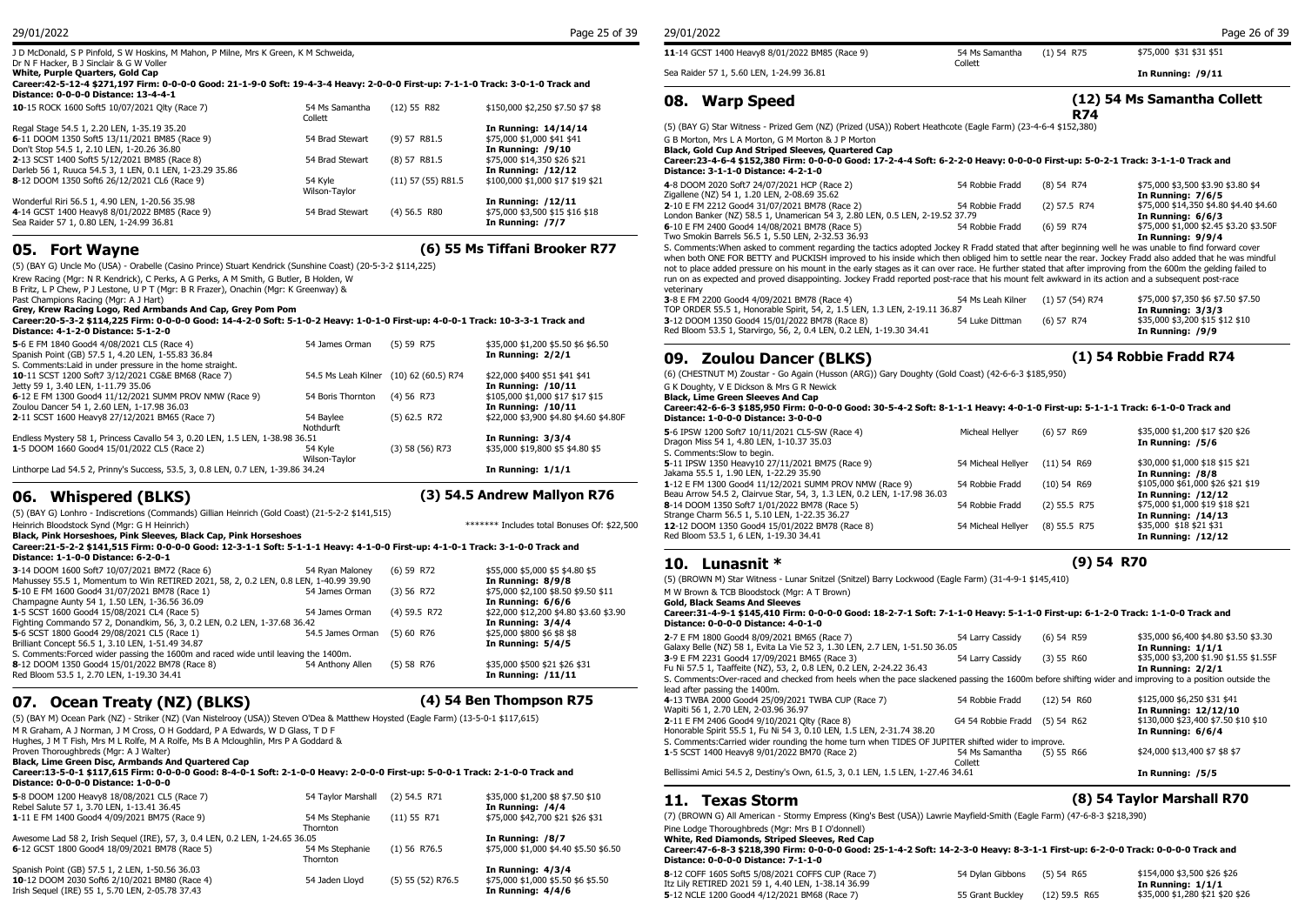#### Dr N F Hacker, B J Sinclair & G W Voller **White, Purple Quarters, Gold Cap**

#### **Career:42-5-12-4 \$271,197 Firm: 0-0-0-0 Good: 21-1-9-0 Soft: 19-4-3-4 Heavy: 2-0-0-0 First-up: 7-1-1-0 Track: 3-0-1-0 Track and Distance: 0-0-0-0 Distance: 13-4-4-1**

| 54 Ms Samantha  | $(12)$ 55 R82        | \$150,000 \$2,250 \$7.50 \$7 \$8 | Uð.<br>warr              |
|-----------------|----------------------|----------------------------------|--------------------------|
|                 |                      | In Running: 14/14/14             | (5) (BAY G) Star Wi      |
| 54 Brad Stewart | $(9)$ 57 R81.5       | \$75,000 \$1,000 \$41 \$41       | G B Morton, Mrs L /      |
|                 |                      | In Running: /9/10                | Black, Gold Cup A        |
| 54 Brad Stewart | $(8)$ 57 R81.5       | \$75,000 \$14,350 \$26 \$21      | Career: 23-4-6-4         |
|                 |                      | In Running: /12/12               | <b>Distance: 3-1-1-0</b> |
| 54 Kvle         | $(11)$ 57 (55) R81.5 | \$100,000 \$1,000 \$17 \$19 \$21 | 4-8 DOOM 2020 So         |
| Wilson-Taylor   |                      |                                  | Zigallene (NZ) 54 1      |
|                 |                      |                                  | 2-10 E FM 2212 Go        |
| 54 Brad Stewart | $(4)$ 56.5 R80       | \$75,000 \$3,500 \$15 \$16 \$18  | London Banker (NZ        |
|                 |                      | In Running: /7/7                 | 6-10 F FM 2400 Go        |
|                 | Collett              |                                  | In Running: /12/11       |

**05. Fort Wayne (6) 55 Ms Tiffani Brooker R77**

(5) (BAY G) Uncle Mo (USA) - Orabelle (Casino Prince) Stuart Kendrick (Sunshine Coast) (20-5-3-2 \$114,225) Krew Racing (Mgr: N R Kendrick), C Perks, A G Perks, A M Smith, G Butler, B Holden, W B Fritz, L P Chew, P J Lestone, U P T (Mgr: B R Frazer), Onachin (Mgr: K Greenway) & Past Champions Racing (Mgr: A J Hart) **Grey, Krew Racing Logo, Red Armbands And Cap, Grey Pom Pom Career:20-5-3-2 \$114,225 Firm: 0-0-0-0 Good: 14-4-2-0 Soft: 5-1-0-2 Heavy: 1-0-1-0 First-up: 4-0-0-1 Track: 10-3-3-1 Track and Distance: 4-1-2-0 Distance: 5-1-2-0 5**-6 E FM 1840 Good4 4/08/2021 CL5 (Race 4) 54 James Orman (5) 59 R75 \$35,000 \$1,200 \$5.50 \$6 \$6.50<br>
Spanish Point (GB) 57.5 1, 4.20 LEN, 1-55.83 36.84 **50 and 51 and 52.91 59 Spanish Point (GB) 57.5 1, 4.20 LEN, 1-55.83** Spanish Point (GB) 57.5 1, 4.20 LEN, 1-55.83 36.84 S. Comments:Laid in under pressure in the home straight.<br> **10**-11 SCST 1200 Soft7 3/12/2021 CG&E BM68 (Race 7) 54.5 Ms Leah Kilner (10) 62 (60.5) R74 **10**-11 SCST 1200 Soft7 3/12/2021 CG&E BM68 (Race 7) 54.5 Ms Leah Kilner (10) 62 (60.5) R74 \$22,000 \$400 \$51 \$41 \$41 Jetty 59 1, 3.40 LEN, 1-11.79 35.06 **In Running: /10/11 6**-12 E FM 1300 Good4 11/12/2021 SUMM PROV NMW (Race 9) 54 Boris Thornton (4) 56 R73 \$105,000 \$1,000 \$17 \$1<br>20ulou Dancer 54 1, 2.60 LEN, 1-17.98 36.03 Zoulou Dancer 54 1, 2.60 LEN, 1-17.98 36.03<br>**2**-11 SCST 1600 Heavy8 27/12/2021 BM65 (Race 7) 54 Baylee (5) 62.5 R72

#### **Nothdurft** Endless Mystery 58 1, Princess Cavallo 54 3, 0.20 LEN, 1-5 LEN, 1-38.98 36.51 **In Running: 3/3/4**<br>1-5 DOOM 1660 Good4 15/01/2022 CL5 (Race 2) 54 Kyle (3) 58 (56) R73 \$35,000 \$19,800 \$5 \$ **1**-5 DOOM 1660 Good4 15/01/2022 CL5 (Race 2) 54 Kyle Wilson-Taylor

Linthorpe Lad 54.5 2, Prinny's Success, 53.5, 3, 0.8 LEN, 0.7 LEN, 1-39.86 34.24 **In Running: 1/1/1**

## **06. Whispered (BLKS) (3) 54.5 Andrew Mallyon R76**

**2**-11 SCST 1600 Heavy8 27/12/2021 BM65 (Race 7)

(5) 62.5 R72 \$22,000 \$3,900 \$4.80 \$4.60 \$4.80F

\$35,000 \$19,800 \$5 \$4.80 \$5

(5) (BAY G) Lonhro - Indiscretions (Commands) Gillian Heinrich (Gold Coast) (21-5-2-2 \$141,515) Heinrich Bloodstock Synd (Mgr: G H Heinrich) \*\*\*\*\*\*\* Includes total Bonuses Of: \$22,500

### **Black, Pink Horseshoes, Pink Sleeves, Black Cap, Pink Horseshoes**

| Career:21-5-2-2 \$141.515 Firm: 0-0-0-0 Good: 12-3-1-1 Soft: 5-1-1-1 Heavv: 4-1-0-0 First-up: 4-1-0-1 Track: 3-1-0-0 Track and |  |
|--------------------------------------------------------------------------------------------------------------------------------|--|
| Distance: 1-1-0-0 Distance: 6-2-0-1                                                                                            |  |

| 3-14 DOOM 1600 Soft7 10/07/2021 BM72 (Race 6)                                         | 54 Rvan Malonev             | (6) 59 R72   | \$55,000 \$5,000 \$5 \$4.80 \$5        | ---<br>----------                                                                                                                                     | .                              |                                        |
|---------------------------------------------------------------------------------------|-----------------------------|--------------|----------------------------------------|-------------------------------------------------------------------------------------------------------------------------------------------------------|--------------------------------|----------------------------------------|
| Mahussey 55.5 1, Momentum to Win RETIRED 2021, 58, 2, 0.2 LEN, 0.8 LEN, 1-40.99 39.90 |                             |              | In Running: 8/9/8                      | (5) (BROWN M) Star Witness - Lunar Snitzel (Snitzel) Barry Lockwood (Eagle Farm) (31-4-9-1 \$145,410)                                                 |                                |                                        |
| 5-10 E FM 1600 Good4 31/07/2021 BM78 (Race 1)                                         | 54 James Orman              | (3) 56 R72   | \$75,000 \$2,100 \$8.50 \$9.50 \$11    | M W Brown & TCB Bloodstock (Mgr: A T Brown)                                                                                                           |                                |                                        |
| Champagne Aunty 54 1, 1.50 LEN, 1-36.56 36.09                                         |                             |              | In Running: 6/6/6                      | <b>Gold, Black Seams And Sleeves</b>                                                                                                                  |                                |                                        |
| 1-5 SCST 1600 Good4 15/08/2021 CL4 (Race 5)                                           | 54 James Orman              | (4) 59.5 R72 | \$22,000 \$12,200 \$4.80 \$3.60 \$3.90 | Career:31-4-9-1 \$145,410 Firm: 0-0-0-0 Good: 18-2-7-1 Soft: 7-1-1-0 Heavy: 5-1-1-0 First-up: 6-1-2-0 Track: 1-1-0-0 Track and                        |                                |                                        |
| Fighting Commando 57 2, Donandkim, 56, 3, 0.2 LEN, 0.2 LEN, 1-37.68 36.42             |                             |              | In Running: 3/4/4                      | Distance: 0-0-0-0 Distance: 4-0-1-0                                                                                                                   |                                |                                        |
| 5-6 SCST 1800 Good4 29/08/2021 CL5 (Race 1)                                           | 54.5 James Orman (5) 60 R76 |              | \$25,000 \$800 \$6 \$8 \$8             | 2-7 E FM 1800 Good4 8/09/2021 BM65 (Race 7)                                                                                                           | (6) 54 R59<br>54 Larry Cassidy | \$35,000 \$6,400 \$4.80 \$3.50 \$3.30  |
| Brilliant Concept 56.5 1, 3.10 LEN, 1-51.49 34.87                                     |                             |              | In Running: 5/4/5                      | Galaxy Belle (NZ) 58 1, Evita La Vie 52 3, 1.30 LEN, 2.7 LEN, 1-51.50 36.05                                                                           |                                | In Running: $1/1/1$                    |
| S. Comments: Forced wider passing the 1600m and raced wide until leaving the 1400m.   |                             |              |                                        | 3-9 E FM 2231 Good4 17/09/2021 BM65 (Race 3)                                                                                                          | (3) 55 R60<br>54 Larry Cassidy | \$35,000 \$3,200 \$1.90 \$1.55 \$1.55F |
| 8-12 DOOM 1350 Good4 15/01/2022 BM78 (Race 8)                                         | 54 Anthony Allen            | (5) 58 R76   | \$35,000 \$500 \$21 \$26 \$31          | Fu Ni 57.5 1, Taaffeite (NZ), 53, 2, 0.8 LEN, 0.2 LEN, 2-24.22 36.43                                                                                  |                                | In Running: 2/2/1                      |
| Red Bloom 53.5 1, 2.70 LEN, 1-19.30 34.41                                             |                             |              | In Running: $/11/11$                   | S. Comments:Over-raced and checked from heels when the pace slackened passing the 1600m before shifting wider and improving to a position outside the |                                |                                        |

## **07. Ocean Treaty (NZ) (BLKS) (4) 54 Ben Thompson R75**

(5) (BAY M) Ocean Park (NZ) - Striker (NZ) (Van Nistelrooy (USA)) Steven O'Dea & Matthew Hoysted (Eagle Farm) (13-5-0-1 \$117,615) M R Graham, A J Norman, J M Cross, O H Goddard, P A Edwards, W D Glass, T D F Hughes, J M T Fish, Mrs M L Rolfe, M A Rolfe, Ms B A Mcloughlin, Mrs P A Goddard & Proven Thoroughbreds (Mgr: A J Walter) **Black, Lime Green Disc, Armbands And Quartered Cap**

#### **Career:13-5-0-1 \$117,615 Firm: 0-0-0-0 Good: 8-4-0-1 Soft: 2-1-0-0 Heavy: 2-0-0-0 First-up: 5-0-0-1 Track: 2-1-0-0 Track and Distance: 0-0-0-0 Distance: 1-0-0-0**

|                                                                              |                   | \$35,000 \$1,200 \$8 \$7.50 \$10<br>In Running: /4/4 | Texa                   |
|------------------------------------------------------------------------------|-------------------|------------------------------------------------------|------------------------|
| 54 Ms Stephanie                                                              | $(11)$ 55 R71     | \$75,000 \$42,700 \$21 \$26 \$31                     | (7) (BROWN G) All      |
| Thornton                                                                     |                   |                                                      | Pine Lodge Thorou      |
| Awesome Lad 58 2, Irish Sequel (IRE), 57, 3, 0.4 LEN, 0.2 LEN, 1-24.65 36.05 |                   | In Running: /8/7                                     | <b>White, Red Diam</b> |
| 54 Ms Stephanie                                                              | $(1)$ 56 R76.5    | \$75,000 \$1,000 \$4.40 \$5.50 \$6.50                | Career: 47-6-8-3       |
| Thornton                                                                     |                   |                                                      | Distance: 0-0-0-       |
|                                                                              |                   | In Running: 4/3/4                                    | 8-12 COFF 1605 So      |
| 54 Jaden Llovd                                                               | (5) 55 (52) R76.5 | \$75,000 \$1,000 \$5.50 \$6 \$5.50                   | Itz Lily RETIRED 20    |
|                                                                              |                   | In Running: $4/4/6$                                  | 5-12 NOLE 1200 Go      |
|                                                                              |                   | 54 Taylor Marshall (2) 54.5 R71                      |                        |

| Sea Raider 57 1, 5.60 LEN, 1-24.99 36.81       | Collett        |              | In Running: /9/11       |
|------------------------------------------------|----------------|--------------|-------------------------|
| 11-14 GCST 1400 Heavy8 8/01/2022 BM85 (Race 9) | 54 Ms Samantha | $(1)$ 54 R75 | \$75,000 \$31 \$31 \$51 |

## **08. Warp Speed**

### **(12) 54 Ms Samantha Collett R74**

(5) (BAY G) Star Witness - Prized Gem (NZ) (Prized (USA)) Robert Heathcote (Eagle Farm) (23-4-6-4 \$152,380)

G B Morton, Mrs L A Morton, G M Morton & J P Morton

**Black, Gold Cup And Striped Sleeves, Quartered Cap**

#### **Career:23-4-6-4 \$152,380 Firm: 0-0-0-0 Good: 17-2-4-4 Soft: 6-2-2-0 Heavy: 0-0-0-0 First-up: 5-0-2-1 Track: 3-1-1-0 Track and Distance: 3-1-1-0 Distance: 4-2-1-0**

| 4-8 DOOM 2020 Soft7 24/07/2021 HCP (Race 2)                                                                                                                  | 54 Robbie Fradd   | $(8)$ 54 R74      | \$75,000 \$3,500 \$3.90 \$3.80 \$4     |
|--------------------------------------------------------------------------------------------------------------------------------------------------------------|-------------------|-------------------|----------------------------------------|
| Zigallene (NZ) 54 1, 1.20 LEN, 2-08.69 35.62                                                                                                                 |                   |                   | In Running: 7/6/5                      |
| 2-10 E FM 2212 Good4 31/07/2021 BM78 (Race 2)                                                                                                                | 54 Robbie Fradd   | $(2)$ 57.5 R74    | \$75,000 \$14,350 \$4.80 \$4.40 \$4.60 |
| London Banker (NZ) 58.5 1, Unamerican 54 3, 2.80 LEN, 0.5 LEN, 2-19.52 37.79                                                                                 |                   |                   | In Running: 6/6/3                      |
| 6-10 E FM 2400 Good4 14/08/2021 BM78 (Race 5)                                                                                                                | 54 Robbie Fradd   | $(6)$ 59 R74      | \$75,000 \$1,000 \$2.45 \$3.20 \$3.50F |
| Two Smokin Barrels 56.5 1, 5.50 LEN, 2-32.53 36.93                                                                                                           |                   |                   | In Running: 9/9/4                      |
| S. Comments: When asked to comment regarding the tactics adopted Jockey R Fradd stated that after beginning well he was unable to find forward cover         |                   |                   |                                        |
| when both ONE FOR BETTY and PUCKISH improved to his inside which then obliged him to settle near the rear. Jockey Fradd also added that he was mindful       |                   |                   |                                        |
| not to place added pressure on his mount in the early stages as it can over race. He further stated that after improving from the 600m the gelding failed to |                   |                   |                                        |
| run on as expected and proved disappointing. Jockey Fradd reported post-race that his mount felt awkward in its action and a subsequent post-race            |                   |                   |                                        |
| veterinary                                                                                                                                                   |                   |                   |                                        |
| 3-8 E FM 2200 Good4 4/09/2021 BM78 (Race 4)                                                                                                                  | 54 Ms Leah Kilner | $(1)$ 57 (54) R74 | \$75,000 \$7,350 \$6 \$7.50 \$7.50     |
|                                                                                                                                                              |                   |                   |                                        |

|                                                                            | ------------------- |              |                                 |
|----------------------------------------------------------------------------|---------------------|--------------|---------------------------------|
| TOP ORDER 55.5 1, Honorable Spirit, 54, 2, 1.5 LEN, 1.3 LEN, 2-19.11 36.87 |                     |              | In Running: 3/3/3               |
| 3-12 DOOM 1350 Good4 15/01/2022 BM78 (Race 8)                              | 54 Luke Dittman     | $(6)$ 57 R74 | \$35,000 \$3,200 \$15 \$12 \$10 |
| Red Bloom 53.5 1, Starvirgo, 56, 2, 0.4 LEN, 0.2 LEN, 1-19.30 34.41        |                     |              | In Running: /9/9                |
|                                                                            |                     |              |                                 |

## **09. Zoulou Dancer (BLKS) (1) 54 Robbie Fradd R74**

(6) (CHESTNUT M) Zoustar - Go Again (Husson (ARG)) Gary Doughty (Gold Coast) (42-6-6-3 \$185,950)

G K Doughty, V E Dickson & Mrs G R Newick

**Black, Lime Green Sleeves And Cap**

**Career:42-6-6-3 \$185,950 Firm: 0-0-0-0 Good: 30-5-4-2 Soft: 8-1-1-1 Heavy: 4-0-1-0 First-up: 5-1-1-1 Track: 6-1-0-0 Track and Distance: 1-0-0-0 Distance: 3-0-0-0**

| 5-6 IPSW 1200 Soft7 10/11/2021 CL5-SW (Race 4)<br>Dragon Miss 54 1, 4.80 LEN, 1-10.37 35.03<br>S. Comments: Slow to begin.         | Micheal Hellver    | $(6)$ 57 R69   | \$35,000 \$1,200 \$17 \$20 \$26<br>In Running: /5/6     |
|------------------------------------------------------------------------------------------------------------------------------------|--------------------|----------------|---------------------------------------------------------|
| 5-11 IPSW 1350 Heavy10 27/11/2021 BM75 (Race 9)<br>Jakama 55.5 1, 1.90 LEN, 1-22.29 35.90                                          | 54 Micheal Hellver | $(11)$ 54 R69  | \$30,000 \$1,000 \$18 \$15 \$21<br>In Running: /8/8     |
| 1-12 E FM 1300 Good4 11/12/2021 SUMM PROV NMW (Race 9)<br>Beau Arrow 54.5 2, Clairvue Star, 54, 3, 1.3 LEN, 0.2 LEN, 1-17.98 36.03 | 54 Robbie Fradd    | $(10)$ 54 R69  | \$105,000 \$61,000 \$26 \$21 \$19<br>In Running: /12/12 |
| 8-14 DOOM 1350 Soft7 1/01/2022 BM78 (Race 5)<br>Strange Charm 56.5 1, 5.10 LEN, 1-22.35 36.27                                      | 54 Robbie Fradd    | $(2)$ 55.5 R75 | \$75,000 \$1,000 \$19 \$18 \$21<br>In Running: /14/13   |
| 12-12 DOOM 1350 Good4 15/01/2022 BM78 (Race 8)<br>Red Bloom 53.5 1, 6 LEN, 1-19.30 34.41                                           | 54 Micheal Hellver | $(8)$ 55.5 R75 | \$35,000 \$18 \$21 \$31<br>In Running: /12/12           |

## **10. Lunasnit \* (9) 54 R70**

## **Distance: 0-0-0-0 Distance: 4-0-1-0**

| 2-7 E FM 1800 Good4 8/09/2021 BM65 (Race 7)                                                                                                           | 54 Larry Cassidy   | $(6)$ 54 R59  | \$35,000 \$6,400 \$4.80 \$3.50 \$3.30  |
|-------------------------------------------------------------------------------------------------------------------------------------------------------|--------------------|---------------|----------------------------------------|
| Galaxy Belle (NZ) 58 1, Evita La Vie 52 3, 1.30 LEN, 2.7 LEN, 1-51.50 36.05                                                                           |                    |               | In Running: $1/1/1$                    |
| 3-9 E FM 2231 Good4 17/09/2021 BM65 (Race 3)                                                                                                          | 54 Larry Cassidy   | (3) 55 R60    | \$35,000 \$3,200 \$1.90 \$1.55 \$1.55F |
| Fu Ni 57.5 1, Taaffeite (NZ), 53, 2, 0.8 LEN, 0.2 LEN, 2-24.22 36.43                                                                                  |                    |               | In Running: 2/2/1                      |
| S. Comments:Over-raced and checked from heels when the pace slackened passing the 1600m before shifting wider and improving to a position outside the |                    |               |                                        |
| lead after passing the 1400m.                                                                                                                         |                    |               |                                        |
| 4-13 TWBA 2000 Good4 25/09/2021 TWBA CUP (Race 7)                                                                                                     | 54 Robbie Fradd    | $(12)$ 54 R60 | \$125,000 \$6,250 \$31 \$41            |
| Wapiti 56 1, 2.70 LEN, 2-03.96 36.97                                                                                                                  |                    |               | In Running: 12/12/10                   |
| 2-11 E FM 2406 Good4 9/10/2021 Olty (Race 8)                                                                                                          | G4 54 Robbie Fradd | $(5)$ 54 R62  | \$130,000 \$23,400 \$7.50 \$10 \$10    |
| Honorable Spirit 55.5 1, Fu Ni 54 3, 0.10 LEN, 1.5 LEN, 2-31.74 38.20                                                                                 |                    |               | In Running: 6/6/4                      |
| S. Comments: Carried wider rounding the home turn when TIDES OF JUPITER shifted wider to improve.                                                     |                    |               |                                        |
| 1-5 SCST 1400 Heavy8 9/01/2022 BM70 (Race 2)                                                                                                          | 54 Ms Samantha     | $(5)$ 55 R66  | \$24,000 \$13,400 \$7 \$8 \$7          |
|                                                                                                                                                       | Collett            |               |                                        |
| Bellissimi Amici 54.5 2, Destiny's Own, 61.5, 3, 0.1 LEN, 1.5 LEN, 1-27.46 34.61                                                                      |                    |               | In Running: /5/5                       |
|                                                                                                                                                       |                    |               |                                        |

## **11. Texas Storm (8) 54 Taylor Marshall R70**

(11) 55 R71 \$75,000 \$42,700 \$21 \$26 \$31 (7) (BROWN G) All American - Stormy Empress (King's Best (USA)) Lawrie Mayfield-Smith (Eagle Farm) (47-6-8-3 \$218,390) Pine Lodge Thoroughbreds (Mgr: Mrs B I O'donnell)

#### **White, Red Diamonds, Striped Sleeves, Red Cap**

#### (1) 56 R76.5 \$75,000 \$1,000 \$4.40 \$5.50 \$6.50 **Career:47-6-8-3 \$218,390 Firm: 0-0-0-0 Good: 25-1-4-2 Soft: 14-2-3-0 Heavy: 8-3-1-1 First-up: 6-2-0-0 Track: 0-0-0-0 Track and Distance: 0-0-0-0 Distance: 7-1-1-0**

| 8-12 COFF 1605 Soft5 5/08/2021 COFFS CUP (Race 7)<br>Itz Lily RETIRED 2021 59 1, 4.40 LEN, 1-38.14 36.99 | 54 Dylan Gibbons (5) 54 R65 |               | \$154,000 \$3,500 \$26 \$26<br>In Running: 1/1/1 |
|----------------------------------------------------------------------------------------------------------|-----------------------------|---------------|--------------------------------------------------|
| 5-12 NCLE 1200 Good4 4/12/2021 BM68 (Race 7)                                                             | 55 Grant Buckley            | (12) 59.5 R65 | \$35,000 \$1,280 \$21 \$20 \$26                  |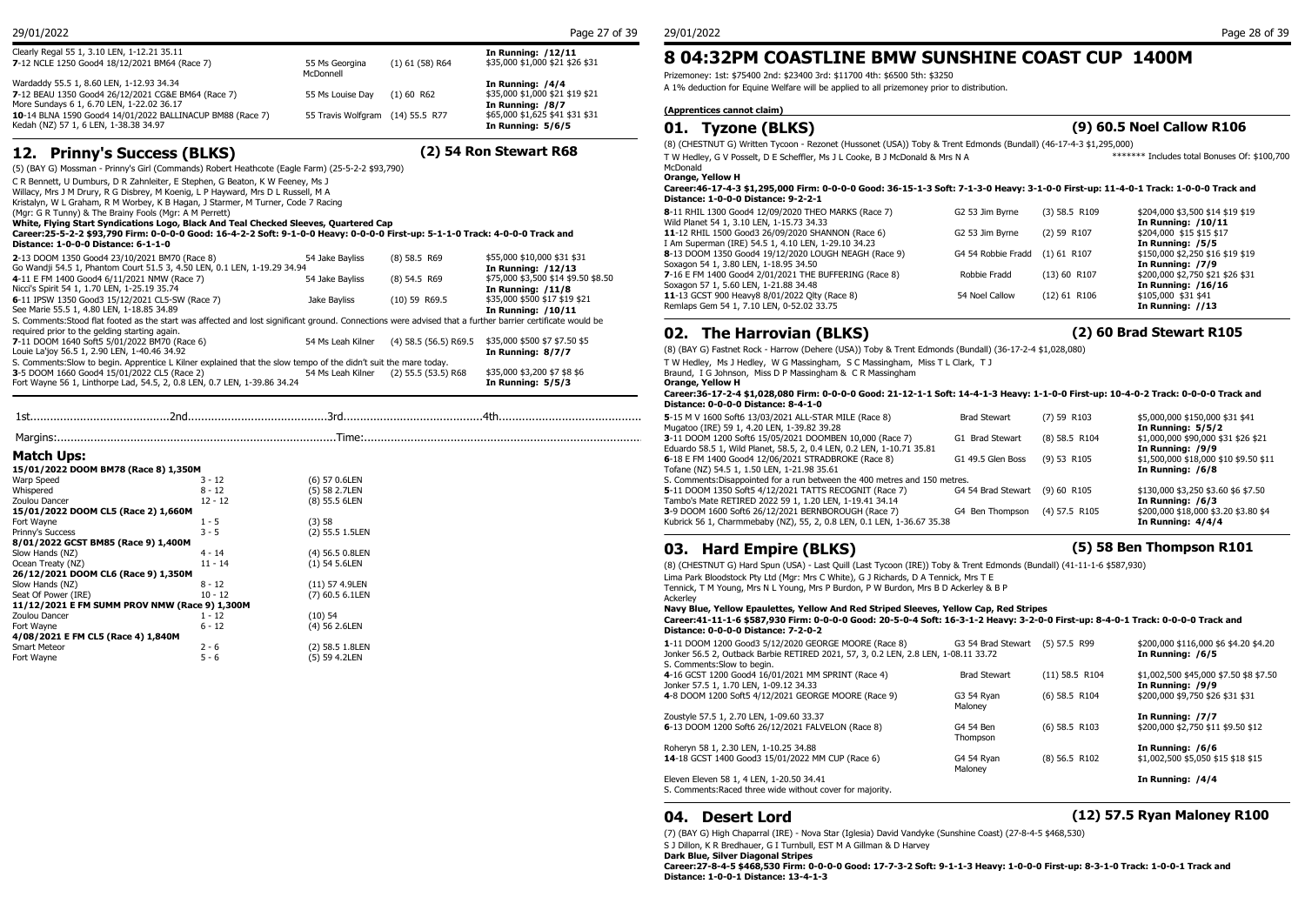| Clearly Regal 55 1, 3.10 LEN, 1-12.21 35.11<br>7-12 NCLE 1250 Good4 18/12/2021 BM64 (Race 7)                                                    | 55 Ms Georgina                   | $(1)$ 61 (58) R64 | <b>In Running: /12/11</b><br>\$35,000 \$1,000 \$21 \$26 \$31               | 8 04:32                            |
|-------------------------------------------------------------------------------------------------------------------------------------------------|----------------------------------|-------------------|----------------------------------------------------------------------------|------------------------------------|
| Wardaddy 55.5 1, 8.60 LEN, 1-12.93 34.34<br>7-12 BEAU 1350 Good4 26/12/2021 CG&E BM64 (Race 7)                                                  | McDonnell<br>55 Ms Louise Dav    | $(1)$ 60 R62      | In Running: /4/4<br>\$35,000 \$1,000 \$21 \$19 \$21                        | Prizemoney: 1st:<br>A 1% deduction |
| More Sundays 6 1, 6.70 LEN, 1-22.02 36.17<br>10-14 BLNA 1590 Good4 14/01/2022 BALLINACUP BM88 (Race 7)<br>Kedah (NZ) 57 1, 6 LEN, 1-38.38 34.97 | 55 Travis Wolfgram (14) 55.5 R77 |                   | In Running: /8/7<br>\$65,000 \$1,625 \$41 \$31 \$31<br>In Running: $5/6/5$ | (Apprentices c<br>Туэ              |

## **12. Prinny's Success (BLKS) (2) 54 Ron Stewart R68**

(5) (BAY G) Mossman - Prinny's Girl (Commands) Robert Heathcote (Eagle Farm) (25-5-2-2 \$93,790)

C R Bennett, U Dumburs, D R Zahnleiter, E Stephen, G Beaton, K W Feeney, Ms J Willacy, Mrs J M Drury, R G Disbrey, M Koenig, L P Hayward, Mrs D L Russell, M A

Kristalyn, W L Graham, R M Worbey, K B Hagan, J Starmer, M Turner, Code 7 Racing

(Mgr: G R Tunny) & The Brainy Fools (Mgr: A M Perrett)

**White, Flying Start Syndications Logo, Black And Teal Checked Sleeves, Quartered Cap**

#### **Career:25-5-2-2 \$93,790 Firm: 0-0-0-0 Good: 16-4-2-2 Soft: 9-1-0-0 Heavy: 0-0-0-0 First-up: 5-1-1-0 Track: 4-0-0-0 Track and Distance: 1-0-0-0 Distance: 6-1-1-0**

| 2-13 DOOM 1350 Good4 23/10/2021 BM70 (Race 8)                                                                                                              | 54 Jake Bayliss   | $(8)$ 58.5 R69          | \$55,000 \$10,000 \$31 \$31         | 8-13 DOOM 1350 Go       |
|------------------------------------------------------------------------------------------------------------------------------------------------------------|-------------------|-------------------------|-------------------------------------|-------------------------|
| Go Wandji 54.5 1, Phantom Court 51.5 3, 4.50 LEN, 0.1 LEN, 1-19.29 34.94                                                                                   |                   |                         | In Running: /12/13                  | Soxagon 54 1, 3.80      |
| 4-11 E FM 1400 Good4 6/11/2021 NMW (Race 7)                                                                                                                | 54 Jake Bavliss   | $(8)$ 54.5 R69          | \$75,000 \$3,500 \$14 \$9.50 \$8.50 | 7-16 E FM 1400 God      |
| Nicci's Spirit 54 1, 1.70 LEN, 1-25.19 35.74                                                                                                               |                   |                         | In Running: /11/8                   | Soxagon 57 1, 5.60      |
| 6-11 IPSW 1350 Good3 15/12/2021 CL5-SW (Race 7)                                                                                                            | Jake Bavliss      | $(10)$ 59 R69.5         | \$35,000 \$500 \$17 \$19 \$21       | 11-13 GCST 900 He       |
| See Marie 55.5 1, 4.80 LEN, 1-18.85 34.89                                                                                                                  |                   |                         | In Running: /10/11                  | Remlaps Gem 54 1,       |
| S. Comments: Stood flat footed as the start was affected and lost significant ground. Connections were advised that a further barrier certificate would be |                   |                         |                                     |                         |
| required prior to the gelding starting again.                                                                                                              |                   |                         |                                     | 02. The H               |
| 7-11 DOOM 1640 Soft5 5/01/2022 BM70 (Race 6)                                                                                                               | 54 Ms Leah Kilner | $(4)$ 58.5 (56.5) R69.5 | \$35,000 \$500 \$7 \$7.50 \$5       |                         |
| Louie La'joy 56.5 1, 2.90 LEN, 1-40.46 34.92                                                                                                               |                   |                         | In Running: 8/7/7                   | (8) (BAY G) Fastnet     |
| S. Comments: Slow to begin. Apprentice L Kilner explained that the slow tempo of the didn't suit the mare today.                                           |                   |                         |                                     | T W Hedlev. Ms J H      |
| 3-5 DOOM 1660 Good4 15/01/2022 CL5 (Race 2)                                                                                                                | 54 Ms Leah Kilner | $(2)$ 55.5 $(53.5)$ R68 | \$35,000 \$3,200 \$7 \$8 \$6        | Braund, I G Johnsor     |
| Fort Wayne 56 1, Linthorpe Lad, 54.5, 2, 0.8 LEN, 0.7 LEN, 1-39.86 34.24                                                                                   |                   |                         | In Running: $5/5/3$                 | <b>Orange, Yellow H</b> |
|                                                                                                                                                            |                   |                         |                                     |                         |

|     |     |    |           | ---<br>.                  |
|-----|-----|----|-----------|---------------------------|
| 1st | znc | ונ | ⁄1 +<br>- | 1600.<br>$\cdot$ MV<br>-- |
|     |     |    |           | $-1$<br>.                 |

|                                               |           |                 | 3-11 DOOM 1200          |
|-----------------------------------------------|-----------|-----------------|-------------------------|
|                                               |           |                 | Eduardo 58.5 1, V       |
| Match Ups:                                    |           |                 | 6-18 E FM 1400 G        |
| 15/01/2022 DOOM BM78 (Race 8) 1,350M          |           |                 | Tofane (NZ) 54.5        |
| <b>Warp Speed</b>                             | $3 - 12$  | (6) 57 0.6LEN   | S. Comments: Disa       |
| Whispered                                     | $8 - 12$  | (5) 58 2.7LEN   | 5-11 DOOM 1350          |
| Zoulou Dancer                                 | $12 - 12$ | (8) 55.5 6LEN   | Tambo's Mate RE         |
| 15/01/2022 DOOM CL5 (Race 2) 1,660M           |           |                 | 3-9 DOOM 1600 S         |
| Fort Wavne                                    | $1 - 5$   | (3)58           | Kubrick 56 1, Cha       |
| Prinny's Success                              | $3 - 5$   | (2) 55.5 1.5LEN |                         |
| 8/01/2022 GCST BM85 (Race 9) 1,400M           |           |                 |                         |
| Slow Hands (NZ)                               | $4 - 14$  | (4) 56.5 0.8LEN | Hard<br>03              |
| Ocean Treaty (NZ)                             | $11 - 14$ | $(1)$ 54 5.6LEN | (8) (CHESTNUT G         |
| 26/12/2021 DOOM CL6 (Race 9) 1,350M           |           |                 | Lima Park Bloodst       |
| Slow Hands (NZ)                               | 8 - 12    | (11) 57 4.9LEN  | Tennick, T M Your       |
| Seat Of Power (IRE)                           | $10 - 12$ | (7) 60.5 6.1LEN | Ackerlev                |
| 11/12/2021 E FM SUMM PROV NMW (Race 9) 1.300M |           |                 | <b>Navy Blue, Yello</b> |
| Zoulou Dancer                                 | $1 - 12$  | $(10)$ 54       | Career: 41-11-1         |
| Fort Wayne                                    | $6 - 12$  | (4) 56 2.6LEN   | Distance: 0-0-0         |
| 4/08/2021 E FM CL5 (Race 4) 1,840M            |           |                 |                         |
| <b>Smart Meteor</b>                           | $2 - 6$   | (2) 58.5 1.8LEN | 1-11 DOOM 1200          |
| Fort Wayne                                    | $5 - 6$   | (5) 59 4.2LEN   | Jonker 56.5 2, Ou       |

## (1) 61 (58) R64 \$35,000 \$1,000 \$21 \$26 \$31 **8 04:32PM COASTLINE BMW SUNSHINE COAST CUP 1400M**

Prizemoney: 1st: \$75400 2nd: \$23400 3rd: \$11700 4th: \$6500 5th: \$3250 A 1% deduction for Equine Welfare will be applied to all prizemoney prior to distribution.

#### **(Apprentices cannot claim)**

### **01. Tyzone (BLKS) (9) 60.5 Noel Callow R106**

(8) (CHESTNUT G) Written Tycoon - Rezonet (Hussonet (USA)) Toby & Trent Edmonds (Bundall) (46-17-4-3 \$1,295,000)

\*\*\*\*\*\*\* Includes total Bonuses Of: \$100,700

| T W Hedlev, G V Posselt, D E Scheffler, Ms J L Cooke, B J McDonald & Mrs N A<br>McDonald                                                                       |                    |                 | ******* Includes total Bonuses Of: \$100,700          |
|----------------------------------------------------------------------------------------------------------------------------------------------------------------|--------------------|-----------------|-------------------------------------------------------|
| <b>Orange, Yellow H</b><br>Career:46-17-4-3 \$1,295,000 Firm: 0-0-0-0 Good: 36-15-1-3 Soft: 7-1-3-0 Heavy: 3-1-0-0 First-up: 11-4-0-1 Track: 1-0-0-0 Track and |                    |                 |                                                       |
| Distance: 1-0-0-0 Distance: 9-2-2-1                                                                                                                            |                    |                 |                                                       |
| 8-11 RHIL 1300 Good4 12/09/2020 THEO MARKS (Race 7)                                                                                                            | G2 53 Jim Byrne    | $(3)$ 58.5 R109 | \$204,000 \$3,500 \$14 \$19 \$19                      |
| Wild Planet 54 1, 3.10 LEN, 1-15.73 34.33<br>11-12 RHIL 1500 Good3 26/09/2020 SHANNON (Race 6)                                                                 | G2 53 Jim Byrne    | $(2)$ 59 R107   | <b>In Running: /10/11</b><br>\$204,000 \$15 \$15 \$17 |
| I Am Superman (IRE) 54.5 1, 4.10 LEN, 1-29.10 34.23                                                                                                            |                    |                 | In Running: /5/5                                      |
| 8-13 DOOM 1350 Good4 19/12/2020 LOUGH NEAGH (Race 9)                                                                                                           | G4 54 Robbie Fradd | $(1)$ 61 R107   | \$150,000 \$2,250 \$16 \$19 \$19                      |
| Soxagon 54 1, 3.80 LEN, 1-18.95 34.50                                                                                                                          |                    |                 | In Running: /7/9                                      |
| 7-16 E FM 1400 Good4 2/01/2021 THE BUFFERING (Race 8)                                                                                                          | Robbie Fradd       | $(13)$ 60 R107  | \$200,000 \$2,750 \$21 \$26 \$31                      |
| Soxagon 57 1, 5.60 LEN, 1-21.88 34.48                                                                                                                          |                    |                 | In Running: /16/16                                    |
| 11-13 GCST 900 Heavy8 8/01/2022 Olty (Race 8)                                                                                                                  | 54 Noel Callow     | $(12)$ 61 R106  | \$105,000 \$31 \$41                                   |
| Remlaps Gem 54 1, 7.10 LEN, 0-52.02 33.75                                                                                                                      |                    |                 | In Running: //13                                      |
|                                                                                                                                                                |                    |                 |                                                       |

## **02. The Harrovian (BLKS) (2) 60 Brad Stewart R105**

(8) (BAY G) Fastnet Rock - Harrow (Dehere (USA)) Toby & Trent Edmonds (Bundall) (36-17-2-4 \$1,028,080)

T W Hedley, Ms J Hedley, W G Massingham, S C Massingham, Miss T L Clark, T J

Braund, I G Johnson, Miss D P Massingham & C R Massingham

**Orange, Yellow H Career:36-17-2-4 \$1,028,080 Firm: 0-0-0-0 Good: 21-12-1-1 Soft: 14-4-1-3 Heavy: 1-1-0-0 First-up: 10-4-0-2 Track: 0-0-0-0 Track and Distance: 0-0-0-0 Distance: 8-4-1-0**

| 5-15 M V 1600 Soft6 13/03/2021 ALL-STAR MILE (Race 8)<br>Mugatoo (IRE) 59 1, 4.20 LEN, 1-39.82 39.28                             | <b>Brad Stewart</b>            | $(7)$ 59 R103   | \$5,000,000 \$150,000 \$31 \$41<br>In Running: 5/5/2      |
|----------------------------------------------------------------------------------------------------------------------------------|--------------------------------|-----------------|-----------------------------------------------------------|
| 3-11 DOOM 1200 Soft6 15/05/2021 DOOMBEN 10,000 (Race 7)<br>Eduardo 58.5 1, Wild Planet, 58.5, 2, 0.4 LEN, 0.2 LEN, 1-10.71 35.81 | G1 Brad Stewart                | $(8)$ 58.5 R104 | \$1,000,000 \$90,000 \$31 \$26 \$21<br>In Running: /9/9   |
| 6-18 E FM 1400 Good4 12/06/2021 STRADBROKE (Race 8)<br>Tofane (NZ) 54.5 1, 1.50 LEN, 1-21.98 35.61                               | G1 49.5 Glen Boss              | (9) 53 R105     | \$1,500,000 \$18,000 \$10 \$9.50 \$11<br>In Running: /6/8 |
| S. Comments: Disappointed for a run between the 400 metres and 150 metres.                                                       |                                |                 |                                                           |
| 5-11 DOOM 1350 Soft5 4/12/2021 TATTS RECOGNIT (Race 7)<br>Tambo's Mate RETIRED 2022 59 1, 1.20 LEN, 1-19.41 34.14                | G4 54 Brad Stewart (9) 60 R105 |                 | \$130,000 \$3,250 \$3.60 \$6 \$7.50<br>In Running: /6/3   |
| 3-9 DOOM 1600 Soft6 26/12/2021 BERNBOROUGH (Race 7)<br>Kubrick 56 1, Charmmebaby (NZ), 55, 2, 0.8 LEN, 0.1 LEN, 1-36.67 35.38    | G4 Ben Thompson                | $(4)$ 57.5 R105 | \$200,000 \$18,000 \$3.20 \$3.80 \$4<br>In Running: 4/4/4 |

## **03. Hard Empire (BLKS) (5) 58 Ben Thompson R101**

(8) (CHESTNUT G) Hard Spun (USA) - Last Quill (Last Tycoon (IRE)) Toby & Trent Edmonds (Bundall) (41-11-1-6 \$587,930)

Lima Park Bloodstock Pty Ltd (Mgr: Mrs C White), G J Richards, D A Tennick, Mrs T E

Tennick, T M Young, Mrs N L Young, Mrs P Burdon, P W Burdon, Mrs B D Ackerley & B P

Ackerley

**Navy Blue, Yellow Epaulettes, Yellow And Red Striped Sleeves, Yellow Cap, Red Stripes Career:41-11-1-6 \$587,930 Firm: 0-0-0-0 Good: 20-5-0-4 Soft: 16-3-1-2 Heavy: 3-2-0-0 First-up: 8-4-0-1 Track: 0-0-0-0 Track and Distance: 0-0-0-0 Distance: 7-2-0-2**

| 1-11 DOOM 1200 Good3 5/12/2020 GEORGE MOORE (Race 8)                               | G3 54 Brad Stewart (5) 57.5 R99 |                  | \$200,000 \$116,000 \$6 \$4.20 \$4.20  |
|------------------------------------------------------------------------------------|---------------------------------|------------------|----------------------------------------|
| Jonker 56.5 2, Outback Barbie RETIRED 2021, 57, 3, 0.2 LEN, 2.8 LEN, 1-08.11 33.72 |                                 |                  | In Running: /6/5                       |
| S. Comments: Slow to begin.                                                        |                                 |                  |                                        |
| 4-16 GCST 1200 Good4 16/01/2021 MM SPRINT (Race 4)                                 | <b>Brad Stewart</b>             | $(11)$ 58.5 R104 | \$1,002,500 \$45,000 \$7.50 \$8 \$7.50 |
| Jonker 57.5 1, 1.70 LEN, 1-09.12 34.33                                             |                                 |                  | In Running: /9/9                       |
| 4-8 DOOM 1200 Soft5 4/12/2021 GEORGE MOORE (Race 9)                                | G3 54 Rvan                      | $(6)$ 58.5 R104  | \$200,000 \$9,750 \$26 \$31 \$31       |
|                                                                                    | Malonev                         |                  |                                        |
| Zoustyle 57.5 1, 2.70 LEN, 1-09.60 33.37                                           |                                 |                  | In Running: /7/7                       |
| 6-13 DOOM 1200 Soft6 26/12/2021 FALVELON (Race 8)                                  | G4 54 Ben                       | $(6)$ 58.5 R103  | \$200,000 \$2,750 \$11 \$9.50 \$12     |
|                                                                                    | Thompson                        |                  |                                        |
| Roheryn 58 1, 2.30 LEN, 1-10.25 34.88                                              |                                 |                  | In Running: /6/6                       |
| 14-18 GCST 1400 Good3 15/01/2022 MM CUP (Race 6)                                   | G4 54 Rvan                      | $(8)$ 56.5 R102  | \$1,002,500 \$5,050 \$15 \$18 \$15     |
|                                                                                    | Malonev                         |                  |                                        |
| Eleven Eleven 58 1, 4 LEN, 1-20.50 34.41                                           |                                 |                  | In Running: /4/4                       |
| S. Comments: Raced three wide without cover for majority.                          |                                 |                  |                                        |

### **04. Desert Lord (12) 57.5 Ryan Maloney R100**

(7) (BAY G) High Chaparral (IRE) - Nova Star (Iglesia) David Vandyke (Sunshine Coast) (27-8-4-5 \$468,530) S J Dillon, K R Bredhauer, G I Turnbull, EST M A Gillman & D Harvey **Dark Blue, Silver Diagonal Stripes**

**Career:27-8-4-5 \$468,530 Firm: 0-0-0-0 Good: 17-7-3-2 Soft: 9-1-1-3 Heavy: 1-0-0-0 First-up: 8-3-1-0 Track: 1-0-0-1 Track and Distance: 1-0-0-1 Distance: 13-4-1-3**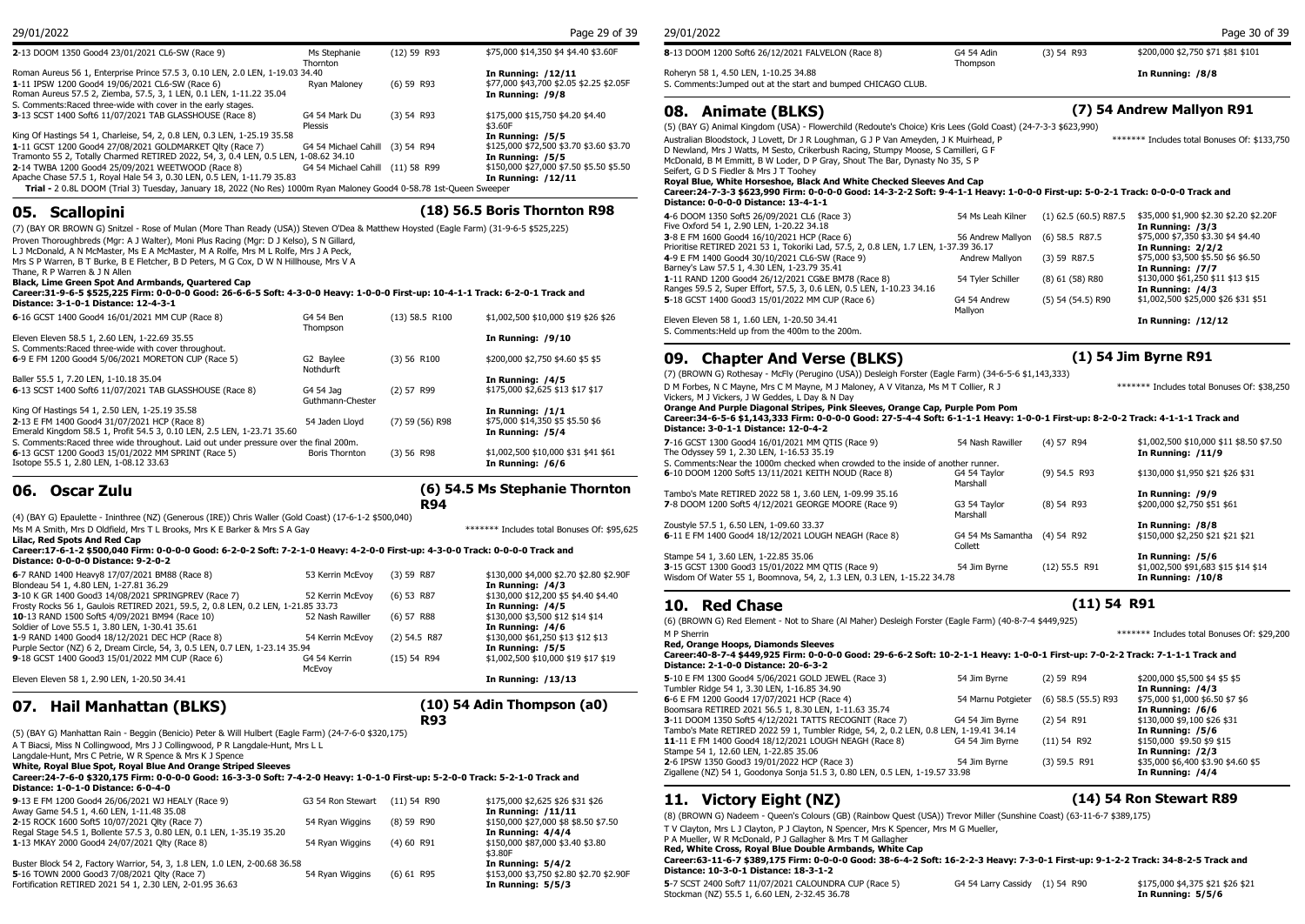| 2-13 DOOM 1350 Good4 23/01/2021 CL6-SW (Race 9)                                                                                                                                                                                                    | Ms Stephanie<br>Thornton         | $(12)$ 59 R93 | \$75,000 \$14,350 \$4 \$4.40 \$3.60F                                              | 8-13 DOOM 1200 Soft6 26/12/2021 FALVELON (Race 8)                                                                                                                                                                                                                                               | G4 54 Adin<br>Thompson | (3) 54 |
|----------------------------------------------------------------------------------------------------------------------------------------------------------------------------------------------------------------------------------------------------|----------------------------------|---------------|-----------------------------------------------------------------------------------|-------------------------------------------------------------------------------------------------------------------------------------------------------------------------------------------------------------------------------------------------------------------------------------------------|------------------------|--------|
| Roman Aureus 56 1, Enterprise Prince 57.5 3, 0.10 LEN, 2.0 LEN, 1-19.03 34.40<br>1-11 IPSW 1200 Good4 19/06/2021 CL6-SW (Race 6)<br>Roman Aureus 57.5 2, Ziemba, 57.5, 3, 1 LEN, 0.1 LEN, 1-11.22 35.04                                            | Ryan Maloney                     | $(6)$ 59 R93  | In Running: /12/11<br>\$77,000 \$43,700 \$2.05 \$2.25 \$2.05F<br>In Running: /9/8 | Roheryn 58 1, 4.50 LEN, 1-10.25 34.88<br>S. Comments: Jumped out at the start and bumped CHICAGO CLUB.                                                                                                                                                                                          |                        |        |
| S. Comments: Raced three-wide with cover in the early stages.<br><b>3-13 SCST 1400 Soft6 11/07/2021 TAB GLASSHOUSE (Race 8)</b>                                                                                                                    | G4 54 Mark Du<br>Plessis         | $(3)$ 54 R93  | \$175,000 \$15,750 \$4.20 \$4.40<br>\$3.60F                                       | <b>Animate (BLKS)</b><br>08.<br>(5) (BAY G) Animal Kingdom (USA) - Flowerchild (Redoute's Choice) Kris Lees (Gold Coast) (24-7-3-3 \$62                                                                                                                                                         |                        |        |
| King Of Hastings 54 1, Charleise, 54, 2, 0.8 LEN, 0.3 LEN, 1-25.19 35.58<br>1-11 GCST 1200 Good4 27/08/2021 GOLDMARKET Olty (Race 7)<br>Tramonto 55 2, Totally Charmed RETIRED 2022, 54, 3, 0.4 LEN, 0.5 LEN, 1-08.62 34.10                        | G4 54 Michael Cahill (3) 54 R94  |               | In Running: /5/5<br>\$125,000 \$72,500 \$3.70 \$3.60 \$3.70<br>In Running: /5/5   | Australian Bloodstock, J Lovett, Dr J R Loughman, G J P Van Ameyden, J K Muirhead, P<br>D Newland, Mrs J Watts, M Sesto, Crikerbush Racing, Stumpy Moose, S Camilleri, G F                                                                                                                      |                        |        |
| 2-14 TWBA 1200 Good4 25/09/2021 WEETWOOD (Race 8)<br>Apache Chase 57.5 1, Royal Hale 54 3, 0.30 LEN, 0.5 LEN, 1-11.79 35.83<br>Trial - 2 0.8L DOOM (Trial 3) Tuesday, January 18, 2022 (No Res) 1000m Ryan Maloney Good4 0-58.78 1st-Oueen Sweeper | G4 54 Michael Cahill (11) 58 R99 |               | \$150,000 \$27,000 \$7.50 \$5.50 \$5.50<br>In Running: /12/11                     | McDonald, B M Emmitt, B W Loder, D P Gray, Shout The Bar, Dynasty No 35, S P<br>Seifert, G D S Fiedler & Mrs J T Toohev<br>Royal Blue, White Horseshoe, Black And White Checked Sleeves And Cap<br>Career: 24-7-3-3 \$623.990 Firm: 0-0-0-0 Good: 14-3-2-2 Soft: 9-4-1-1 Heavy: 1-0-0-0 First-u |                        |        |

## **05. Scallopini (18) 56.5 Boris Thornton R98**

(7) (BAY OR BROWN G) Snitzel - Rose of Mulan (More Than Ready (USA)) Steven O'Dea & Matthew Hoysted (Eagle Farm) (31-9-6-5 \$525,225) Proven Thoroughbreds (Mgr: A J Walter), Moni Plus Racing (Mgr: D J Kelso), S N Gillard,

L J McDonald, A N McMaster, Ms E A McMaster, M A Rolfe, Mrs M L Rolfe, Mrs J A Peck,

Mrs S P Warren, B T Burke, B E Fletcher, B D Peters, M G Cox, D W N Hillhouse, Mrs V A

### Thane, R P Warren & J N Allen

**Black, Lime Green Spot And Armbands, Quartered Cap**

| Career:31-9-6-5 \$525,225 Firm: 0-0-0-0 Good: 26-6-6-5 Soft: 4-3-0-0 Heavy: 1-0-0-0 First-up: 10-4-1-1 Track: 6-2-0-1 Track and<br>Distance: 3-1-0-1 Distance: 12-4-3-1 |                        |                  |                                                      | Kanges JJ.J 2, Jupe<br>5-18 GCST 1400 God |
|-------------------------------------------------------------------------------------------------------------------------------------------------------------------------|------------------------|------------------|------------------------------------------------------|-------------------------------------------|
| 6-16 GCST 1400 Good4 16/01/2021 MM CUP (Race 8)                                                                                                                         | G4 54 Ben<br>Thompson  | $(13)$ 58.5 R100 | \$1,002,500 \$10,000 \$19 \$26 \$26                  | Eleven Eleven 58 1,                       |
| Eleven Eleven 58.5 1, 2.60 LEN, 1-22.69 35.55                                                                                                                           |                        |                  | In Running: /9/10                                    | S. Comments: Held ur                      |
| S. Comments: Raced three-wide with cover throughout.<br>6-9 E FM 1200 Good4 5/06/2021 MORETON CUP (Race 5)                                                              | G2 Baylee<br>Nothdurft | $(3)$ 56 R100    | \$200,000 \$2,750 \$4.60 \$5 \$5                     | <b>Chapt</b><br>09.                       |
| Baller 55.5 1, 7.20 LEN, 1-10.18 35.04<br>6-13 SCST 1400 Soft6 11/07/2021 TAB GLASSHOUSE (Race 8)                                                                       | G4 54 Jag              | $(2)$ 57 R99     | In Running: /4/5<br>\$175,000 \$2,625 \$13 \$17 \$17 | (7) (BROWN G) Roth<br>D M Forbes, N C May |

**6-13 SCST 1400 Soft6 11/07/2021 TAB GLASSHOUSE (Race 8) G4 54 Jag (2) 57 R99** Guthmann-Cheste King Of Hastings 54 1, 2.50 LEN, 1-25.19 35.58<br> **2-13 E** FM 1400 Good4 31/07/2021 HCP (Race 8) **In Running: /1/1** 54 Jaden Lloyd (7) 59 (56) R98 \$575,000 \$14,350 \$5 \$5.50 \$6 **2-13 E FM 1400 Good4 31/07/2021 HCP (Race 8)** 54 Jaden Lloyd (7) 59 (56) R98 \$75,000 \$14,350 \$5 Emerald Kingdom 58.5 1, Profit 54.5 3, 0.10 LEN, 2.5 LEN, 1-23.71 35.60 S. Comments:Raced three wide throughout. Laid out under pressure over the final 200m.<br>
6-13 GCST 1200 Good3 15/01/2022 MM SPRINT (Race 5) Boris Thornton (3) 56 R98 **6**-13 GCST 1200 Good3 15/01/2022 MM SPRINT (Race 5) Boris Thornton (3) 56 R98 \$1,002,500 \$10,000 \$31 \$41 \$61 Isotope 55.5 1, 2.80 LEN, 1-08.12 33.63 **In Running: /6/6**

## **06. Oscar Zulu**

**(6) 54.5 Ms Stephanie Thornton R94**

(4) (BAY G) Epaulette - Ininthree (NZ) (Generous (IRE)) Chris Waller (Gold Coast) (17-6-1-2 \$500,040)

Ms M A Smith, Mrs D Oldfield, Mrs T L Brooks, Mrs K E Barker & Mrs S A Gay \*\*\*\*\*\*\*\*\*\*\*\*\*\*\*\*\*\*\*\*\*\*\*\*\*\*\*\*\*\*\*\*\*\* Includes total Bonuses Of: \$95,625

**Lilac, Red Spots And Red Cap**

#### **Career:17-6-1-2 \$500,040 Firm: 0-0-0-0 Good: 6-2-0-2 Soft: 7-2-1-0 Heavy: 4-2-0-0 First-up: 4-3-0-0 Track: 0-0-0-0 Track and Distance: 0-0-0-0 Distance: 9-2-0-2**

| 6-7 RAND 1400 Heavy8 17/07/2021 BM88 (Race 8)<br>Blondeau 54 1, 4.80 LEN, 1-27.81 36.29                                                  | 53 Kerrin McEvov       | $(3)$ 59 R87   | \$130,000 \$4,000 \$2.70 \$2.80 \$2.90F<br>In Running: /4/3 | <b>3</b> 13 3331 1399 3999.<br>Wisdom Of Water 55 1  |
|------------------------------------------------------------------------------------------------------------------------------------------|------------------------|----------------|-------------------------------------------------------------|------------------------------------------------------|
| 3-10 K GR 1400 Good3 14/08/2021 SPRINGPREV (Race 7)<br>Frosty Rocks 56 1, Gaulois RETIRED 2021, 59.5, 2, 0.8 LEN, 0.2 LEN, 1-21.85 33.73 | 52 Kerrin McEvov       | $(6)$ 53 R87   | \$130,000 \$12,200 \$5 \$4.40 \$4.40<br>In Running: /4/5    | <b>10.</b> Red Ch                                    |
| 10-13 RAND 1500 Soft5 4/09/2021 BM94 (Race 10)<br>Soldier of Love 55.5 1, 3.80 LEN, 1-30.41 35.61                                        | 52 Nash Rawiller       | $(6)$ 57 R88   | \$130,000 \$3,500 \$12 \$14 \$14<br>In Running: /4/6        | (6) (BROWN G) Red Ele                                |
| 1-9 RAND 1400 Good4 18/12/2021 DEC HCP (Race 8)<br>Purple Sector (NZ) 6 2, Dream Circle, 54, 3, 0.5 LEN, 0.7 LEN, 1-23.14 35.94          | 54 Kerrin McEvov       | $(2)$ 54.5 R87 | \$130,000 \$61,250 \$13 \$12 \$13<br>In Running: /5/5       | M P Sherrin<br>Red, Orange Hoops,                    |
| 9-18 GCST 1400 Good3 15/01/2022 MM CUP (Race 6)                                                                                          | G4 54 Kerrin<br>McEvov | $(15)$ 54 R94  | \$1,002,500 \$10,000 \$19 \$17 \$19                         | Career: 40-8-7-4 \$44<br><b>Distance: 2-1-0-0 Di</b> |
| Eleven Eleven 58 1, 2.90 LEN, 1-20.50 34.41                                                                                              |                        |                | In Running: /13/13                                          | 5-10 E FM 1300 Good4                                 |

## **07. Hail Manhattan (BLKS)**

**(10) 54 Adin Thompson (a0) R93**

(5) (BAY G) Manhattan Rain - Beggin (Benicio) Peter & Will Hulbert (Eagle Farm) (24-7-6-0 \$320,175) A T Biacsi, Miss N Collingwood, Mrs J J Collingwood, P R Langdale-Hunt, Mrs L L Langdale-Hunt, Mrs C Petrie, W R Spence & Mrs K J Spence **White, Royal Blue Spot, Royal Blue And Orange Striped Sleeves**

**Career:24-7-6-0 \$320,175 Firm: 0-0-0-0 Good: 16-3-3-0 Soft: 7-4-2-0 Heavy: 1-0-1-0 First-up: 5-2-0-0 Track: 5-2-1-0 Track and Distance: 1-0-1-0 Distance: 6-0-4-0**

| 9-13 E FM 1200 Good4 26/06/2021 WJ HEALY (Race 9)<br>Away Game 54.5 1, 4.60 LEN, 1-11.48 35.08 | G3 54 Ron Stewart (11) 54 R90 |              | \$175,000 \$2,625 \$26 \$31 \$26<br>In Running: /11/11 | 11. Victory<br>(8) (BROWN G) Nadeer           |
|------------------------------------------------------------------------------------------------|-------------------------------|--------------|--------------------------------------------------------|-----------------------------------------------|
| 2-15 ROCK 1600 Soft5 10/07/2021 Olty (Race 7)                                                  | 54 Ryan Wiggins               | $(8)$ 59 R90 | \$150,000 \$27,000 \$8 \$8.50 \$7.50                   |                                               |
| Regal Stage 54.5 1, Bollente 57.5 3, 0.80 LEN, 0.1 LEN, 1-35.19 35.20                          |                               |              | In Running: 4/4/4                                      | T V Clayton, Mrs L J Cla                      |
| 1-13 MKAY 2000 Good4 24/07/2021 Olty (Race 8)                                                  | 54 Rvan Wiggins               | $(4)$ 60 R91 | \$150,000 \$87,000 \$3.40 \$3.80<br>\$3.80F            | P A Mueller, W R McDo<br>Red, White Cross, Ro |
| Buster Block 54 2, Factory Warrior, 54, 3, 1.8 LEN, 1.0 LEN, 2-00.68 36.58                     |                               |              | In Running: $5/4/2$                                    | Career:63-11-6-7 \$3                          |
| 5-16 TOWN 2000 Good3 7/08/2021 Olty (Race 7)                                                   | 54 Ryan Wiggins               | $(6)$ 61 R95 | \$153,000 \$3,750 \$2.80 \$2.70 \$2.90F                | Distance: 10-3-0-1 D                          |
| Fortification RETIRED 2021 54 1, 2.30 LEN, 2-01.95 36.63                                       |                               |              | In Running: 5/5/3                                      | 5-7 SCST 2400 Soft7 1                         |

| 29/01/2022 | Page 29 of 39 | 29/01/2022 |  |
|------------|---------------|------------|--|
|            |               |            |  |

| 29/01/2022                                                    | Page 30 of 39          |              |                                   |
|---------------------------------------------------------------|------------------------|--------------|-----------------------------------|
| 8-13 DOOM 1200 Soft6 26/12/2021 FALVELON (Race 8)             | G4 54 Adin<br>Thompson | $(3)$ 54 R93 | \$200,000 \$2,750 \$71 \$81 \$101 |
| Roheryn 58 1, 4.50 LEN, 1-10.25 34.88                         |                        |              | In Running: /8/8                  |
| S. Comments: Jumped out at the start and bumped CHICAGO CLUB. |                        |              |                                   |

## **08. Animate (BLKS) (7) 54 Andrew Mallyon R91**

(5) (BAY G) Animal Kingdom (USA) - Flowerchild (Redoute's Choice) Kris Lees (Gold Coast) (24-7-3-3 \$623,990) Australian Bloodstock, J Lovett, Dr J R Loughman, G J P Van Ameyden, J K Muirhead, P McDonald, B M Emmitt, B W Loder, D P Gray, Shout The Bar, Dynasty No 35, S P \*\*\*\*\*\*\* Includes total Bonuses Of: \$133,750

**Career:24-7-3-3 \$623,990 Firm: 0-0-0-0 Good: 14-3-2-2 Soft: 9-4-1-1 Heavy: 1-0-0-0 First-up: 5-0-2-1 Track: 0-0-0-0 Track and Distance: 0-0-0-0 Distance: 13-4-1-1**

| 4-6 DOOM 1350 Soft5 26/09/2021 CL6 (Race 3)                                          | 54 Ms Leah Kilner | $(1)$ 62.5 (60.5) R87.5 | \$35,000 \$1,900 \$2.30 \$2.20 \$2.20F |
|--------------------------------------------------------------------------------------|-------------------|-------------------------|----------------------------------------|
| Five Oxford 54 1, 2.90 LEN, 1-20.22 34.18                                            |                   |                         | In Running: /3/3                       |
| 3-8 E FM 1600 Good4 16/10/2021 HCP (Race 6)                                          | 56 Andrew Mallvon | $(6)$ 58.5 R87.5        | \$75,000 \$7,350 \$3.30 \$4 \$4.40     |
| Prioritise RETIRED 2021 53 1, Tokoriki Lad, 57.5, 2, 0.8 LEN, 1.7 LEN, 1-37.39 36.17 |                   |                         | In Running: 2/2/2                      |
| 4-9 E FM 1400 Good4 30/10/2021 CL6-SW (Race 9)                                       | Andrew Mallvon    | $(3)$ 59 R87.5          | \$75,000 \$3,500 \$5.50 \$6 \$6.50     |
| Barney's Law 57.5 1, 4.30 LEN, 1-23.79 35.41                                         |                   |                         | In Running: /7/7                       |
| 1-11 RAND 1200 Good4 26/12/2021 CG&E BM78 (Race 8)                                   | 54 Tyler Schiller | $(8)$ 61 $(58)$ R80     | \$130,000 \$61,250 \$11 \$13 \$15      |
| Ranges 59.5 2, Super Effort, 57.5, 3, 0.6 LEN, 0.5 LEN, 1-10.23 34.16                |                   |                         | In Running: /4/3                       |
| 5-18 GCST 1400 Good3 15/01/2022 MM CUP (Race 6)                                      | G4 54 Andrew      | $(5)$ 54 $(54.5)$ R90   | \$1,002,500 \$25,000 \$26 \$31 \$51    |
|                                                                                      | Mallvon           |                         |                                        |
| Eleven Eleven 58 1, 1.60 LEN, 1-20.50 34.41                                          |                   |                         | In Running: /12/12                     |
| S. Comments: Held up from the 400m to the 200m.                                      |                   |                         |                                        |

## (3) 56 R100 \$200,000 \$2,750 \$4.60 \$5 \$5 **09. Chapter And Verse (BLKS) (1) 54 Jim Byrne R91**

(7) (BROWN G) Rothesay - McFly (Perugino (USA)) Desleigh Forster (Eagle Farm) (34-6-5-6 \$1,143,333) D M Forbes, N C Mayne, Mrs C M Mayne, M J Maloney, A V Vitanza, Ms M T Collier, R J

\*\*\*\*\*\*\* Includes total Bonuses Of: \$38,250

Vickers, M J Vickers, J W Geddes, L Day & N Day **Orange And Purple Diagonal Stripes, Pink Sleeves, Orange Cap, Purple Pom Pom**

**Career:34-6-5-6 \$1,143,333 Firm: 0-0-0-0 Good: 27-5-4-4 Soft: 6-1-1-1 Heavy: 1-0-0-1 First-up: 8-2-0-2 Track: 4-1-1-1 Track and Distance: 3-0-1-1 Distance: 12-0-4-2**

| 7-16 GCST 1300 Good4 16/01/2021 MM QTIS (Race 9)<br>The Odyssey 59 1, 2.30 LEN, 1-16.53 35.19 | 54 Nash Rawiller             | $(4)$ 57 R94    | \$1,002,500 \$10,000 \$11 \$8.50 \$7.50<br><b>In Running: /11/9</b> |
|-----------------------------------------------------------------------------------------------|------------------------------|-----------------|---------------------------------------------------------------------|
| S. Comments: Near the 1000m checked when crowded to the inside of another runner.             |                              |                 |                                                                     |
| 6-10 DOOM 1200 Soft5 13/11/2021 KEITH NOUD (Race 8)                                           | G4 54 Tavlor<br>Marshall     | $(9)$ 54.5 R93  | \$130,000 \$1,950 \$21 \$26 \$31                                    |
| Tambo's Mate RETIRED 2022 58 1, 3.60 LEN, 1-09.99 35.16                                       |                              |                 | In Running: /9/9                                                    |
| 7-8 DOOM 1200 Soft5 4/12/2021 GEORGE MOORE (Race 9)                                           | G3 54 Taylor<br>Marshall     | $(8)$ 54 R93    | \$200,000 \$2,750 \$51 \$61                                         |
| Zoustyle 57.5 1, 6.50 LEN, 1-09.60 33.37                                                      |                              |                 | In Running: /8/8                                                    |
| 6-11 E FM 1400 Good4 18/12/2021 LOUGH NEAGH (Race 8)                                          | G4 54 Ms Samantha<br>Collett | (4) 54 R92      | \$150,000 \$2,250 \$21 \$21 \$21                                    |
| Stampe 54 1, 3.60 LEN, 1-22.85 35.06                                                          |                              |                 | In Running: /5/6                                                    |
| 3-15 GCST 1300 Good3 15/01/2022 MM QTIS (Race 9)                                              | 54 Jim Byrne                 | $(12)$ 55.5 R91 | \$1,002,500 \$91,683 \$15 \$14 \$14                                 |
| Wisdom Of Water 55 1, Boomnova, 54, 2, 1.3 LEN, 0.3 LEN, 1-15.22 34.78                        |                              |                 | In Running: /10/8                                                   |

## **10. Red Chase (11) 54 R91**

(6) (BROWN G) Red Element - Not to Share (Al Maher) Desleigh Forster (Eagle Farm) (40-8-7-4 \$449,925) M P Sherrin **All Accords** 2001 12 and the state of the state of the state of the state Bonuses Of: \$29,200

(15) 54 R94 \$1,002,500 \$10,000 \$19 \$17 \$19 **Career:40-8-7-4 \$449,925 Firm: 0-0-0-0 Good: 29-6-6-2 Soft: 10-2-1-1 Heavy: 1-0-0-1 First-up: 7-0-2-2 Track: 7-1-1-1 Track and Red, Orange Hoops, Diamonds Sleeves Distance: 2-1-0-0 Distance: 20-6-3-2**

| 5-10 E FM 1300 Good4 5/06/2021 GOLD JEWEL (Race 3)                                    | 54 Jim Byrne       | $(2)$ 59 R94        | \$200,000 \$5,500 \$4 \$5 \$5      |
|---------------------------------------------------------------------------------------|--------------------|---------------------|------------------------------------|
| Tumbler Ridge 54 1, 3.30 LEN, 1-16.85 34.90                                           |                    |                     | In Running: /4/3                   |
| 6-6 E FM 1200 Good4 17/07/2021 HCP (Race 4)                                           | 54 Marnu Potgieter | (6) 58.5 (55.5) R93 | \$75,000 \$1,000 \$6.50 \$7 \$6    |
| Boomsara RETIRED 2021 56.5 1, 8.30 LEN, 1-11.63 35.74                                 |                    |                     | In Running: /6/6                   |
| 3-11 DOOM 1350 Soft5 4/12/2021 TATTS RECOGNIT (Race 7)                                | G4 54 Jim Byrne    | $(2)$ 54 R91        | \$130,000 \$9,100 \$26 \$31        |
| Tambo's Mate RETIRED 2022 59 1, Tumbler Ridge, 54, 2, 0.2 LEN, 0.8 LEN, 1-19.41 34.14 |                    |                     | In Running: /5/6                   |
| 11-11 E FM 1400 Good4 18/12/2021 LOUGH NEAGH (Race 8)                                 | G4 54 Jim Byrne    | $(11)$ 54 R92       | \$150,000 \$9.50 \$9 \$15          |
| Stampe 54 1, 12.60 LEN, 1-22.85 35.06                                                 |                    |                     | In Running: /2/3                   |
| 2-6 IPSW 1350 Good3 19/01/2022 HCP (Race 3)                                           | 54 Jim Byrne       | $(3)$ 59.5 R91      | \$35,000 \$6,400 \$3.90 \$4.60 \$5 |
| Zigallene (NZ) 54 1, Goodonya Sonja 51.5 3, 0.80 LEN, 0.5 LEN, 1-19.57 33.98          |                    |                     | In Running: /4/4                   |

## **11. Victory Eight (NZ) (14) 54 Ron Stewart R89**

(8) (BROWN G) Nadeem - Queen's Colours (GB) (Rainbow Quest (USA)) Trevor Miller (Sunshine Coast) (63-11-6-7 \$389,175)

T V Clayton, Mrs L J Clayton, P J Clayton, N Spencer, Mrs K Spencer, Mrs M G Mueller,

P A Mueller, W R McDonald, P J Gallagher & Mrs T M Gallagher

**Red, White Cross, Royal Blue Double Armbands, White Cap**

**Career:63-11-6-7 \$389,175 Firm: 0-0-0-0 Good: 38-6-4-2 Soft: 16-2-2-3 Heavy: 7-3-0-1 First-up: 9-1-2-2 Track: 34-8-2-5 Track and Distance: 10-3-0-1 Distance: 18-3-1-2**

**5**-7 SCST 2400 Soft7 11/07/2021 CALOUNDRA CUP (Race 5) G4 54 Larry Cassidy (1) 54 R90 \$175,000 \$4,375 \$21 \$26 \$21 Stockman (NZ) 55.5 1, 6.60 LEN, 2-32.45 36.78 **In Running: 5/5/6**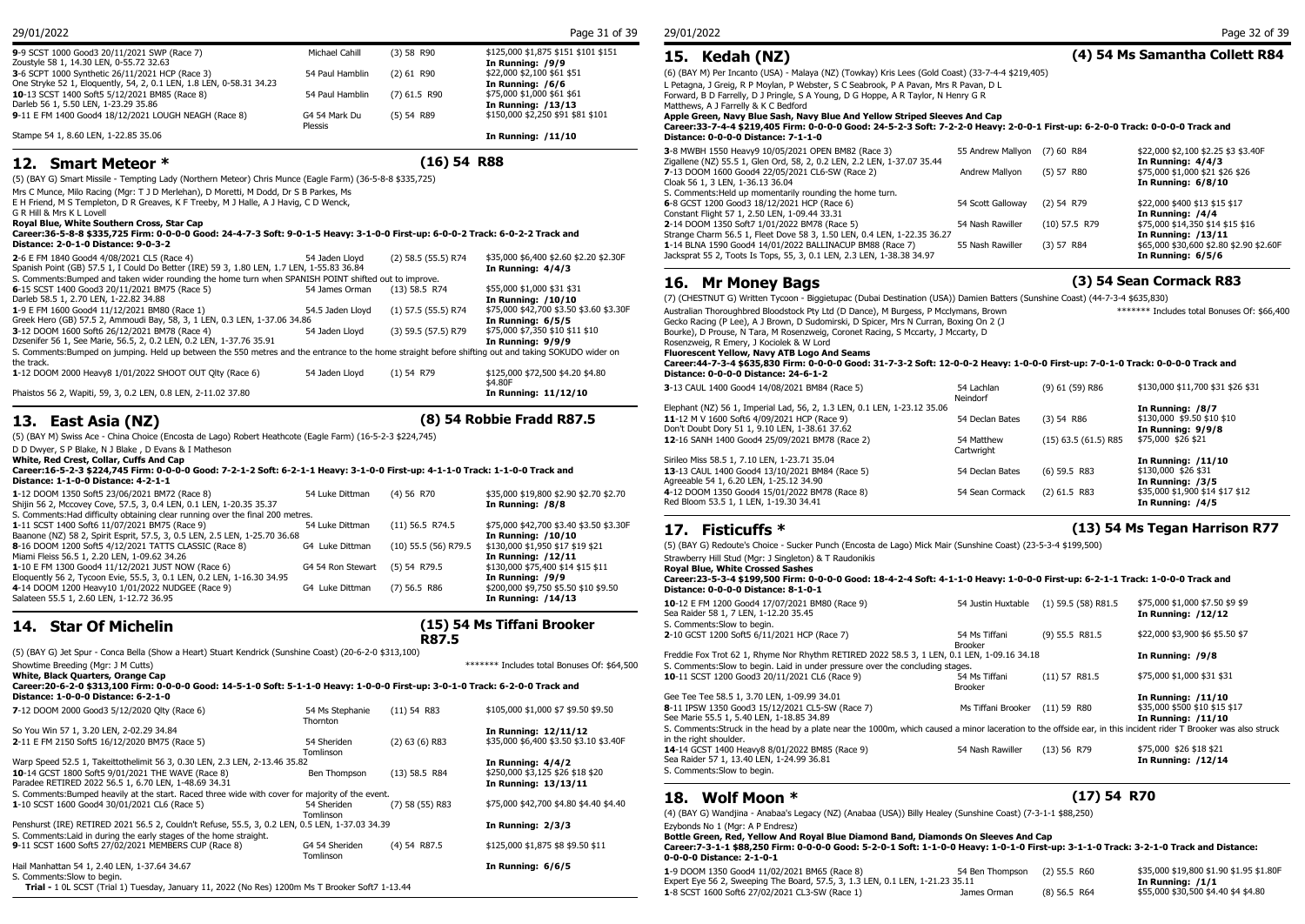**15. Kedah (NZ) (4) 54 Ms Samantha Collett R84**

**17. Fisticuffs \* (13) 54 Ms Tegan Harrison R77**

#### 29/01/2022 Page 31 of 39

(5) 54 R89 \$150,000 \$2,250 \$91 \$81 \$101

**9**-9 SCST 1000 Good3 20/11/2021 SWP (Race 7) Michael Cahill (3) 58 R90 \$125,000 \$1,875 \$151 \$101 \$151 **15. Kedah (NZ)**<br>Zoustyle 58 1, 14.30 LEN, 0-55.72 32.63 (6) (BAY M) Per Incanto (USA) - Malaya (NZ) (Towkay) Kris Lees (Gold Coast) (33-7-4-4 \$219,405) L Petagna, J Greig, R P Moylan, P Webster, S C Seabrook, P A Pavan, Mrs R Pavan, D L Forward, B D Farrelly, D J Pringle, S A Young, D G Hoppe, A R Taylor, N Henry G R

Matthews, A J Farrelly & K C Bedford **Apple Green, Navy Blue Sash, Navy Blue And Yellow Striped Sleeves And Cap**

**Career:33-7-4-4 \$219,405 Firm: 0-0-0-0 Good: 24-5-2-3 Soft: 7-2-2-0 Heavy: 2-0-0-1 First-up: 6-2-0-0 Track: 0-0-0-0 Track and Distance: 0-0-0-0 Distance: 7-1-1-0**

| 3-8 MWBH 1550 Heavy9 10/05/2021 OPEN BM82 (Race 3)                      | 55 Andrew Mallyon (7) 60 R84 |                 | \$22,000 \$2,100 \$2.25 \$3 \$3.40F     |
|-------------------------------------------------------------------------|------------------------------|-----------------|-----------------------------------------|
| Zigallene (NZ) 55.5 1, Glen Ord, 58, 2, 0.2 LEN, 2.2 LEN, 1-37.07 35.44 |                              |                 | In Running: 4/4/3                       |
| 7-13 DOOM 1600 Good4 22/05/2021 CL6-SW (Race 2)                         | Andrew Mallyon               | (5) 57 R80      | \$75,000 \$1,000 \$21 \$26 \$26         |
| Cloak 56 1, 3 LEN, 1-36.13 36.04                                        |                              |                 | In Running: 6/8/10                      |
| S. Comments: Held up momentarily rounding the home turn.                |                              |                 |                                         |
| 6-8 GCST 1200 Good3 18/12/2021 HCP (Race 6)                             | 54 Scott Galloway            | $(2)$ 54 R79    | \$22,000 \$400 \$13 \$15 \$17           |
| Constant Flight 57 1, 2.50 LEN, 1-09.44 33.31                           |                              |                 | In Running: /4/4                        |
| 2-14 DOOM 1350 Soft7 1/01/2022 BM78 (Race 5)                            | 54 Nash Rawiller             | $(10)$ 57.5 R79 | \$75,000 \$14,350 \$14 \$15 \$16        |
| Strange Charm 56.5 1, Fleet Dove 58 3, 1.50 LEN, 0.4 LEN, 1-22.35 36.27 |                              |                 | In Running: /13/11                      |
| 1-14 BLNA 1590 Good4 14/01/2022 BALLINACUP BM88 (Race 7)                | 55 Nash Rawiller             | (3) 57 R84      | \$65,000 \$30,600 \$2.80 \$2.90 \$2.60F |
| Jacksprat 55 2, Toots Is Tops, 55, 3, 0.1 LEN, 2.3 LEN, 1-38.38 34.97   |                              |                 | In Running: 6/5/6                       |

## **16. Mr Money Bags (3) 54 Sean Cormack R83**

(7) (CHESTNUT G) Written Tycoon - Biggietupac (Dubai Destination (USA)) Damien Batters (Sunshine Coast) (44-7-3-4 \$635,830) Gecko Racing (P Lee), A J Brown, D Sudomirski, D Spicer, Mrs N Curran, Boxing On 2 (J Bourke), D Prouse, N Tara, M Rosenzweig, Coronet Racing, S Mccarty, J Mccarty, D Rosenzweig, R Emery, J Kociolek & W Lord \*\*\*\*\*\*\* Includes total Bonuses Of: \$66,400 **Fluorescent Yellow, Navy ATB Logo And Seams Career:44-7-3-4 \$635,830 Firm: 0-0-0-0 Good: 31-7-3-2 Soft: 12-0-0-2 Heavy: 1-0-0-0 First-up: 7-0-1-0 Track: 0-0-0-0 Track and Distance: 0-0-0-0 Distance: 24-6-1-2 3**-13 CAUL 1400 Good4 14/08/2021 BM84 (Race 5) 54 Lachlan Neindorf \$130,000 \$11,700 \$31 \$26 \$31 Elephant (NZ) 56 1, Imperial Lad, 56, 2, 1.3 LEN, 0.1 LEN, 1-23.12 35.06 **In Running: /8/7 11**-12 M V 1600 Soft6 4/09/2021 HCP (Race 9) 54 Declan Bates (3) 54 R86 \$130,000 \$9.50 \$10 \$10 Don't Doubt Dory 51 1, 9.10 LEN, 1-38.61 37.62<br>**12**-16 SANH 1400 Good4 25/09/2021 BM78 (Race 2) **In Running: 9/9**<br>54 Matthew (15) 63.5 (61.5) R85 \$75,000 \$26 \$21 12-16 SANH 1400 Good4 25/09/2021 BM78 (Race 2) Cartwright  $(15)$  63.5  $(61.5)$  R85 Sirileo Miss 58.5 1, 7.10 LEN, 1-23.71 35.04 **In Running: /11/10 13**-13 CAUL 1400 Good4 13/10/2021 BM84 (Race 5) Agreeable 54 1, 6.20 LEN, 1-25.12 34.90<br>**4**-12 DOOM 1350 Good4 15/01/2022 BM78 (Race 8) **In Running: 13/5** Sean Cormack (2) 61.5 R83 \$35,000 \$1,900 \$14 \$17 \$12 **4**-12 DOOM 1350 Good4 15/01/2022 BM78 (Race 8) 54 Sean Cormack (2) 61.5 R83 \$35,000 \$1,900 \$14 \$17 \$12 Red Bloom 53.5 1, 1 LEN, 1-19.30 34.41

## $17.$  Fisticuffs  $*$

(5) (BAY G) Redoute's Choice - Sucker Punch (Encosta de Lago) Mick Mair (Sunshine Coast) (23-5-3-4 \$199,500)

#### **Career:23-5-3-4 \$199,500 Firm: 0-0-0-0 Good: 18-4-2-4 Soft: 4-1-1-0 Heavy: 1-0-0-0 First-up: 6-2-1-1 Track: 1-0-0-0 Track and Distance: 0-0-0-0 Distance: 8-1-0-1**

| 10-12 E FM 1200 Good4 17/07/2021 BM80 (Race 9)<br>Sea Raider 58 1, 7 LEN, 1-12.20 35.45<br>S. Comments: Slow to begin.                                                                    | 54 Justin Huxtable              | $(1)$ 59.5 (58) R81.5 | \$75,000 \$1,000 \$7.50 \$9 \$9<br>In Running: /12/12      |
|-------------------------------------------------------------------------------------------------------------------------------------------------------------------------------------------|---------------------------------|-----------------------|------------------------------------------------------------|
| 2-10 GCST 1200 Soft5 6/11/2021 HCP (Race 7)                                                                                                                                               | 54 Ms Tiffani<br><b>Brooker</b> | $(9)$ 55.5 R81.5      | \$22,000 \$3,900 \$6 \$5.50 \$7                            |
| Freddie Fox Trot 62 1, Rhyme Nor Rhythm RETIRED 2022 58.5 3, 1 LEN, 0.1 LEN, 1-09.16 34.18                                                                                                |                                 |                       | In Running: /9/8                                           |
| S. Comments: Slow to begin. Laid in under pressure over the concluding stages.                                                                                                            |                                 |                       |                                                            |
| 10-11 SCST 1200 Good3 20/11/2021 CL6 (Race 9)                                                                                                                                             | 54 Ms Tiffani<br>Brooker        | $(11)$ 57 R81.5       | \$75,000 \$1,000 \$31 \$31                                 |
| Gee Tee Tee 58.5 1, 3.70 LEN, 1-09.99 34.01                                                                                                                                               |                                 |                       | <b>In Running: /11/10</b>                                  |
| 8-11 IPSW 1350 Good3 15/12/2021 CL5-SW (Race 7)<br>See Marie 55.5 1, 5.40 LEN, 1-18.85 34.89                                                                                              | Ms Tiffani Brooker              | $(11)$ 59 R80         | \$35,000 \$500 \$10 \$15 \$17<br><b>In Running: /11/10</b> |
| S. Comments: Struck in the head by a plate near the 1000m, which caused a minor laceration to the offside ear, in this incident rider T Brooker was also struck<br>in the right shoulder. |                                 |                       |                                                            |
| 14-14 GCST 1400 Heavy8 8/01/2022 BM85 (Race 9)<br>Sea Raider 57 1, 13.40 LEN, 1-24.99 36.81<br>S. Comments: Slow to begin.                                                                | 54 Nash Rawiller                | (13) 56 R79           | \$75,000 \$26 \$18 \$21<br>In Running: /12/14              |
|                                                                                                                                                                                           |                                 |                       |                                                            |

### **18. Wolf Moon \* (17) 54 R70**

(4) (BAY G) Wandjina - Anabaa's Legacy (NZ) (Anabaa (USA)) Billy Healey (Sunshine Coast) (7-3-1-1 \$88,250)

Ezybonds No 1 (Mgr: A P Endresz) **Bottle Green, Red, Yellow And Royal Blue Diamond Band, Diamonds On Sleeves And Cap**

#### **Career:7-3-1-1 \$88,250 Firm: 0-0-0-0 Good: 5-2-0-1 Soft: 1-1-0-0 Heavy: 1-0-1-0 First-up: 3-1-1-0 Track: 3-2-1-0 Track and Distance: 0-0-0-0 Distance: 2-1-0-1**

| 54 Ben Thompson                                                                                |                                                                               | \$35,000 \$19,800 \$1.90 \$1.95 \$1.80F |
|------------------------------------------------------------------------------------------------|-------------------------------------------------------------------------------|-----------------------------------------|
|                                                                                                |                                                                               | In Running: /1/1                        |
| James Orman                                                                                    | $(8)$ 56.5 R64                                                                | \$55,000 \$30,500 \$4.40 \$4 \$4.80     |
| 1-9 DOOM 1350 Good4 11/02/2021 BM65 (Race 8)<br>1-8 SCST 1600 Soft6 27/02/2021 CL3-SW (Race 1) | Expert Eye 56 2, Sweeping The Board, 57.5, 3, 1.3 LEN, 0.1 LEN, 1-21.23 35.11 | $(2)$ 55.5 R60                          |

Stampe 54 1, 8.60 LEN, 1-22.85 35.06 **In Running: /11/10**

### **12. Smart Meteor \* (16) 54 R88**

(5) (BAY G) Smart Missile - Tempting Lady (Northern Meteor) Chris Munce (Eagle Farm) (36-5-8-8 \$335,725)

Darleb 56 1, 5.50 LEN, 1-23.29 35.86<br>**9-**11 E FM 1400 Good4 18/12/2021 LOUGH NEAGH (Race 8) G4 54 Mark Du (5) 54 R89

Mrs C Munce, Milo Racing (Mgr: T J D Merlehan), D Moretti, M Dodd, Dr S B Parkes, Ms

E H Friend, M S Templeton, D R Greaves, K F Treeby, M J Halle, A J Havig, C D Wenck,

One Stryke 52 1, Eloquently, 54, 2, 0.1 LEN, 1.8 LEN, 0-58.31 34.23

**9**-11 E FM 1400 Good4 18/12/2021 LOUGH NEAGH (Race 8)

G R Hill & Mrs K L Lovell **Royal Blue, White Southern Cross, Star Cap**

#### **Career:36-5-8-8 \$335,725 Firm: 0-0-0-0 Good: 24-4-7-3 Soft: 9-0-1-5 Heavy: 3-1-0-0 First-up: 6-0-0-2 Track: 6-0-2-2 Track and Distance: 2-0-1-0 Distance: 9-0-3-2**

Zoustyle 58 1, 14.30 LEN, 0-55.72 32.63 **In Running: /9/9 3**-6 SCPT 1000 Synthetic 26/11/2021 HCP (Race 3) 54 Paul Hamblin (2) 61 R90 \$22,000 \$2,100 \$61 \$61 One Stryke 52 1, Eloquently, 54, 2, 0.1 LEN, 1.8 LEN, 0-58.31 34.23

**10**-13 SCST 1400 Soft5 5/12/2021 BM85 (Race 8) 54 Paul Hamblin (7) 61.5 R90 \$75,000 \$1,000 \$61 \$61 \$61 \$61 \$61<br>Darleb 56 1. 5.50 LEN. 1-23.29 35.86

Plessis

| 2-6 E FM 1840 Good4 4/08/2021 CL5 (Race 4)                                                                                                          | 54 Jaden Llovd   | (2) 58.5 (55.5) R74   | \$35,000 \$6,400 \$2.60 \$2.20 \$2.30F  | Jacksprat 55 2, Toots Is Tops, 55, 3, 0.1 LEN, 2.3 LEN, 1-38.38 34.97                                  |                      |                 |
|-----------------------------------------------------------------------------------------------------------------------------------------------------|------------------|-----------------------|-----------------------------------------|--------------------------------------------------------------------------------------------------------|----------------------|-----------------|
| Spanish Point (GB) 57.5 1, I Could Do Better (IRE) 59 3, 1.80 LEN, 1.7 LEN, 1-55.83 36.84                                                           |                  |                       | In Running: 4/4/3                       |                                                                                                        |                      |                 |
| S. Comments: Bumped and taken wider rounding the home turn when SPANISH POINT shifted out to improve.                                               |                  |                       |                                         | 16. Mr Money Bags                                                                                      |                      |                 |
| 6-15 SCST 1400 Good3 20/11/2021 BM75 (Race 5)                                                                                                       | 54 James Orman   | $(13)$ 58.5 R74       | \$55,000 \$1,000 \$31 \$31              |                                                                                                        |                      |                 |
| Darleb 58.5 1, 2.70 LEN, 1-22.82 34.88                                                                                                              |                  |                       | In Running: /10/10                      | (7) (CHESTNUT G) Written Tycoon - Biggietupac (Dubai Destination (USA)) Damien Batters (Sunshine Coast |                      |                 |
| 1-9 E FM 1600 Good4 11/12/2021 BM80 (Race 1)                                                                                                        | 54.5 Jaden Llovd | $(1)$ 57.5 (55.5) R74 | \$75,000 \$42,700 \$3.50 \$3.60 \$3.30F | Australian Thoroughbred Bloodstock Pty Ltd (D Dance), M Burgess, P Mcclymans, Brown                    |                      |                 |
| Greek Hero (GB) 57.5 2, Ammoudi Bay, 58, 3, 1 LEN, 0.3 LEN, 1-37.06 34.86                                                                           |                  |                       | In Running: 6/5/5                       | Gecko Racing (P Lee), A J Brown, D Sudomirski, D Spicer, Mrs N Curran, Boxing On 2 (J                  |                      |                 |
| 3-12 DOOM 1600 Soft6 26/12/2021 BM78 (Race 4)                                                                                                       | 54 Jaden Llovd   | (3) 59.5 (57.5) R79   | \$75,000 \$7,350 \$10 \$11 \$10         | Bourke), D Prouse, N Tara, M Rosenzweig, Coronet Racing, S Mccarty, J Mccarty, D                       |                      |                 |
| Dzsenifer 56 1, See Marie, 56.5, 2, 0.2 LEN, 0.2 LEN, 1-37.76 35.91                                                                                 |                  |                       | In Running: 9/9/9                       | Rosenzweig, R Emery, J Kociolek & W Lord                                                               |                      |                 |
| S. Comments: Bumped on jumping. Held up between the 550 metres and the entrance to the home straight before shifting out and taking SOKUDO wider on |                  |                       |                                         | Fluorescent Yellow, Navy ATB Logo And Seams                                                            |                      |                 |
| the track.                                                                                                                                          |                  |                       |                                         | Career:44-7-3-4 \$635,830 Firm: 0-0-0-0 Good: 31-7-3-2 Soft: 12-0-0-2 Heavy: 1-0-0-0 First-up          |                      |                 |
| 1-12 DOOM 2000 Heavy8 1/01/2022 SHOOT OUT Olty (Race 6)                                                                                             | 54 Jaden Llovd   | $(1)$ 54 R79          | \$125,000 \$72,500 \$4.20 \$4.80        | Distance: 0-0-0-0 Distance: 24-6-1-2                                                                   |                      |                 |
|                                                                                                                                                     |                  |                       | \$4.80F                                 |                                                                                                        | 54 Lachlan           |                 |
| Phaistos 56 2, Wapiti, 59, 3, 0.2 LEN, 0.8 LEN, 2-11.02 37.80                                                                                       |                  |                       | In Running: 11/12/10                    | 3-13 CAUL 1400 Good4 14/08/2021 BM84 (Race 5)                                                          | Alla for all and the | $(9)$ 61 $(59)$ |

## **13. East Asia (NZ) (8) 54 Robbie Fradd R87.5**

(5) (BAY M) Swiss Ace - China Choice (Encosta de Lago) Robert Heathcote (Eagle Farm) (16-5-2-3 \$224,745)

D D Dwyer, S P Blake, N J Blake , D Evans & I Matheson

**White, Red Crest, Collar, Cuffs And Cap**

**Career:16-5-2-3 \$224,745 Firm: 0-0-0-0 Good: 7-2-1-2 Soft: 6-2-1-1 Heavy: 3-1-0-0 First-up: 4-1-1-0 Track: 1-1-0-0 Track and Distance: 1-1-0-0 Distance: 4-2-1-1**

| 1-12 DOOM 1350 Soft5 23/06/2021 BM72 (Race 8)                                  | 54 Luke Dittman                | $(4)$ 56 R70           | \$35,000 \$19,800 \$2.90 \$2.70 \$2.70  | 4-12 DOOM 1350 Good4 15/01/2022 BM78 (Race 8)                      |
|--------------------------------------------------------------------------------|--------------------------------|------------------------|-----------------------------------------|--------------------------------------------------------------------|
| Shijin 56 2, Mccovey Cove, 57.5, 3, 0.4 LEN, 0.1 LEN, 1-20.35 35.37            |                                |                        | In Running: /8/8                        | Red Bloom 53.5 1, 1 LEN, 1-19.30 34.41                             |
| S. Comments: Had difficulty obtaining clear running over the final 200 metres. |                                |                        |                                         |                                                                    |
| 1-11 SCST 1400 Soft6 11/07/2021 BM75 (Race 9)                                  | 54 Luke Dittman                | $(11)$ 56.5 R74.5      | \$75,000 \$42,700 \$3.40 \$3.50 \$3.30F | 17. Fisticuffs $*$                                                 |
| Baanone (NZ) 58 2, Spirit Esprit, 57.5, 3, 0.5 LEN, 2.5 LEN, 1-25.70 36.68     |                                |                        | In Running: /10/10                      |                                                                    |
| 8-16 DOOM 1200 Soft5 4/12/2021 TATTS CLASSIC (Race 8)                          | G4 Luke Dittman                | $(10)$ 55.5 (56) R79.5 | \$130,000 \$1,950 \$17 \$19 \$21        | (5) (BAY G) Redoute's Choice - Sucker Punch (Encosta de Lago) Mick |
| Miami Fleiss 56.5 1, 2.20 LEN, 1-09.62 34.26                                   |                                |                        | In Running: /12/11                      | Strawberry Hill Stud (Mgr: J Singleton) & T Raudonikis             |
| 1-10 E FM 1300 Good4 11/12/2021 JUST NOW (Race 6)                              | G4 54 Ron Stewart (5) 54 R79.5 |                        | \$130,000 \$75,400 \$14 \$15 \$11       | <b>Royal Blue, White Crossed Sashes</b>                            |
| Eloquently 56 2, Tycoon Evie, 55.5, 3, 0.1 LEN, 0.2 LEN, 1-16.30 34.95         |                                |                        | In Running: /9/9                        | Career: 23-5-3-4 \$199,500 Firm: 0-0-0-0 Good: 18-4-2-4 Soft:      |
| 4-14 DOOM 1200 Heavy10 1/01/2022 NUDGEE (Race 9)                               | G4 Luke Dittman                | $(7)$ 56.5 R86         | \$200,000 \$9,750 \$5.50 \$10 \$9.50    | Distance: 0-0-0-0 Distance: 8-1-0-1                                |
| Salateen 55.5 1, 2.60 LEN, 1-12.72 36.95                                       |                                |                        | In Running: /14/13                      | 10-12 E FM 1200 Good4 17/07/2021 BM80 (Race 9)                     |

## **14. Star Of Michelin**

(5) (BAY G) Jet Spur - Conca Bella (Show a Heart) Stuart Kendrick (Sunshine Coast) (20-6-2-0 \$313,100)

**White, Black Quarters, Orange Cap**

| Career:20-6-2-0 \$313,100 Firm: 0-0-0-0 Good: 14-5-1-0 Soft: 5-1-1-0 Heavy: 1-0-0-0 First-up: 3-0-1-0 Track: 6-2-0-0 Track and |                             |                    |                                        |                                            |
|--------------------------------------------------------------------------------------------------------------------------------|-----------------------------|--------------------|----------------------------------------|--------------------------------------------|
| Distance: 1-0-0-0 Distance: 6-2-1-0                                                                                            |                             |                    |                                        | Gee Tee Tee 58.5 1,                        |
| 7-12 DOOM 2000 Good3 5/12/2020 Olty (Race 6)                                                                                   | 54 Ms Stephanie<br>Thornton | $(11)$ 54 R83      | \$105,000 \$1,000 \$7 \$9.50 \$9.50    | 8-11 IPSW 1350 Go<br>See Marie 55.5 1, 5.  |
| So You Win 57 1, 3.20 LEN, 2-02.29 34.84                                                                                       |                             |                    | In Running: 12/11/12                   | S. Comments: Struck                        |
| 2-11 E FM 2150 Soft5 16/12/2020 BM75 (Race 5)                                                                                  | 54 Sheriden<br>Tomlinson    | $(2)$ 63 $(6)$ R83 | \$35,000 \$6,400 \$3.50 \$3.10 \$3.40F | in the right shoulder<br>14-14 GCST 1400 H |

Warp Speed 52.5 1, Takeittothelimit 56 3, 0.30 LEN, 2.3 LEN, 2-13.46 35.82<br>**10**-14 GCST 1800 Soft5 9/01/2021 THE WAVE (Race 8) Ben Thompson (13) 58.5 R84 \$250,000 \$3,125 \$26 \$18 \$20 **10**-14 GCST 1800 Soft5 9/01/2021 THE WAVE (Race 8) Ben Thompson (13) 58.5 R84 \$250,000 \$3,125 \$26 \$18 \$26 \$18 \$20<br>Paradee RETIRED 2022 56.5 1, 6.70 LEN, 1-48.69 34.31 Paradee RETIRED 2022 56.5 1, 6.70 LEN, 1-48.69 34.31 S. Comments:Bumped heavily at the start. Raced three wide with cover for majority of the event.<br>1-10 SCST 1600 Good4 30/01/2021 CL6 (Race 5) 54 Sheriden (7) 58 (55) R83 **1**-10 SCST 1600 Good4 30/01/2021 CL6 (Race 5) Tomlinson (7) 58 (55) R83 \$75,000 \$42,700 \$4.80 \$4.40 \$4.40 Penshurst (IRE) RETIRED 2021 56.5 2, Couldn't Refuse, 55.5, 3, 0.2 LEN, 0.5 LEN, 1-37.03 34.39 **In Running: 2/3/3** S. Comments: Laid in during the early stages of the home straight.<br>
9-11 SCST 1600 Soft5 27/02/2021 MEMBERS CUP (Race 8) G4 54 Sheriden **9**-11 SCST 1600 Soft5 27/02/2021 MEMBERS CUP (Race 8) G4 54 Sheriden (4) 54 R87.5 Tomlinson (4) 54 R87.5 \$125,000 \$1,875 \$8 \$9.50 \$11 Hail Manhattan 54 1, 2.40 LEN, 1-37.64 34.67 **In Running: 6/6/5**

S. Comments:Slow to begin.

**Trial -** 1 0L SCST (Trial 1) Tuesday, January 11, 2022 (No Res) 1200m Ms T Brooker Soft7 1-13.44

## **(15) 54 Ms Tiffani Brooker**

Showtime Breeding (Mgr: J M Cutts) \*\*\*\*\*\*\* Includes total Bonuses Of: \$64,500

**R87.5**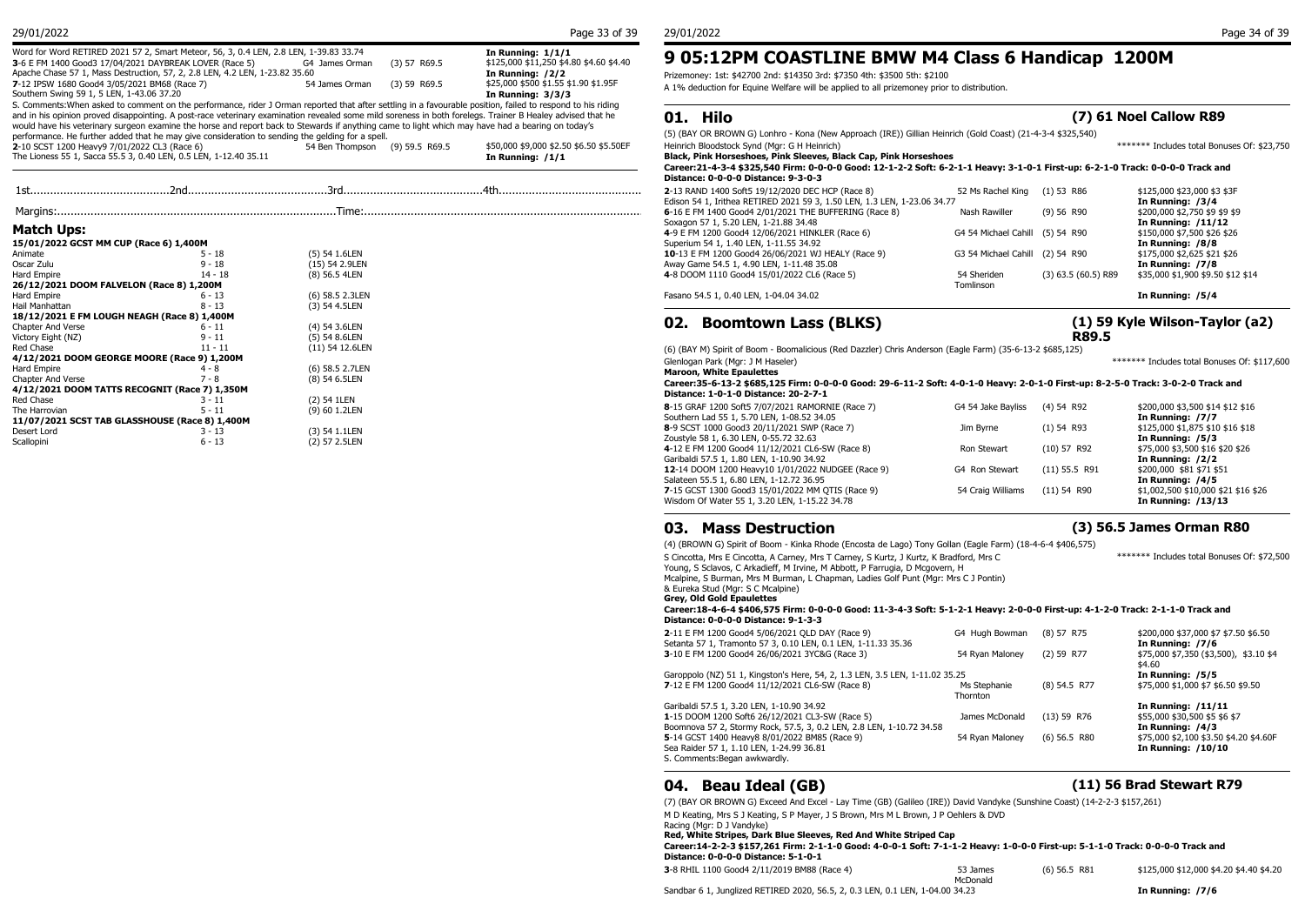|  | 29/01/2022 |
|--|------------|
|  |            |

| Word for Word RETIRED 2021 57 2, Smart Meteor, 56, 3, 0.4 LEN, 2.8 LEN, 1-39.83 33.74                                                                       |                                  | In Running: $1/1/1$                     | 9 05:12PM COASTLINE BMW M4 Class 6 Handicap 1200M                                                          |                                             |
|-------------------------------------------------------------------------------------------------------------------------------------------------------------|----------------------------------|-----------------------------------------|------------------------------------------------------------------------------------------------------------|---------------------------------------------|
| 3-6 E FM 1400 Good3 17/04/2021 DAYBREAK LOVER (Race 5)                                                                                                      | $(3)$ 57 R69.5<br>G4 James Orman | \$125,000 \$11,250 \$4.80 \$4.60 \$4.40 |                                                                                                            |                                             |
| Apache Chase 57 1, Mass Destruction, 57, 2, 2.8 LEN, 4.2 LEN, 1-23.82 35.60                                                                                 |                                  | In Running: /2/2                        | Prizemoney: 1st: \$42700 2nd: \$14350 3rd: \$7350 4th: \$3500 5th: \$2100                                  |                                             |
| 7-12 IPSW 1680 Good4 3/05/2021 BM68 (Race 7)                                                                                                                | 54 James Orman (3) 59 R69.5      | \$25,000 \$500 \$1.55 \$1.90 \$1.95F    | A 1% deduction for Equine Welfare will be applied to all prizemoney prior to distribution.                 |                                             |
| Southern Swing 59 1, 5 LEN, 1-43.06 37.20                                                                                                                   |                                  | In Running: 3/3/3                       |                                                                                                            |                                             |
| S. Comments: When asked to comment on the performance, rider J Orman reported that after settling in a favourable position, failed to respond to his riding |                                  |                                         |                                                                                                            |                                             |
| and in his opinion proved disappointing. A post-race veterinary examination revealed some mild soreness in both forelegs. Trainer B Healey advised that he  |                                  |                                         | 01. Hilo                                                                                                   | (7) 61 Noel Callow R89                      |
| would have his veterinary surgeon examine the horse and report back to Stewards if anything came to light which may have had a bearing on today's           |                                  |                                         |                                                                                                            |                                             |
| performance. He further added that he may give consideration to sending the gelding for a spell.                                                            |                                  |                                         | (5) (BAY OR BROWN G) Lonhro - Kona (New Approach (IRE)) Gillian Heinrich (Gold Coast) (21-4-3-4 \$325,540) |                                             |
| 2-10 SCST 1200 Heavy9 7/01/2022 CL3 (Race 6)                                                                                                                | 54 Ben Thompson (9) 59.5 R69.5   | \$50,000 \$9,000 \$2.50 \$6.50 \$5.50EF | Heinrich Bloodstock Synd (Mgr: G H Heinrich)                                                               | ******* Includes total Bonuses Of: \$23.750 |
| The Lioness 55 1, Sacca 55.5 3, 0.40 LEN, 0.5 LEN, 1-12.40 35.11                                                                                            |                                  | In Running: $/1/1$                      | Black, Pink Horseshoes, Pink Sleeves, Black Cap, Pink Horseshoes                                           |                                             |
|                                                                                                                                                             |                                  |                                         |                                                                                                            |                                             |

|                                          |                                                |                 | PBGIKE, V-V-V       |
|------------------------------------------|------------------------------------------------|-----------------|---------------------|
|                                          |                                                |                 | 2-13 RAND 1400 9    |
|                                          |                                                |                 | Edison 54 1, Irithe |
|                                          |                                                |                 | 6-16 E FM 1400 G    |
| <b>Match Ups:</b>                        |                                                |                 | Soxagon 57 1, 5.2   |
|                                          |                                                |                 | 4-9 E FM 1200 Go    |
| 15/01/2022 GCST MM CUP (Race 6) 1,400M   |                                                |                 | Superium 54 1, 1.   |
| Animate                                  | $5 - 18$                                       | (5) 54 1.6LEN   | 10-13 E FM 1200     |
| Oscar Zulu                               | $9 - 18$                                       | (15) 54 2.9LEN  | Away Game 54.5      |
| Hard Empire                              | $14 - 18$                                      | (8) 56.5 4LEN   | 4-8 DOOM 1110 G     |
| 26/12/2021 DOOM FALVELON (Race 8) 1,200M |                                                |                 |                     |
| Hard Empire                              | $6 - 13$                                       | (6) 58.5 2.3LEN | Fasano 54.5 1, 0.4  |
| Hail Manhattan                           | $8 - 13$                                       | (3) 54 4.5LEN   |                     |
|                                          | 18/12/2021 E FM LOUGH NEAGH (Race 8) 1,400M    |                 |                     |
| Chapter And Verse                        | $6 - 11$                                       | (4) 54 3.6LEN   | 02.<br>Boor         |
| Victory Eight (NZ)                       | $9 - 11$                                       | $(5)$ 54 8.6LEN |                     |
| Red Chase                                | $11 - 11$                                      | (11) 54 12.6LEN | (6) (BAY M) Spirit  |
|                                          | 4/12/2021 DOOM GEORGE MOORE (Race 9) 1,200M    |                 | Glenlogan Park (M   |
| Hard Empire                              | $4 - 8$                                        | (6) 58.5 2.7LEN | Maroon, White I     |
| <b>Chapter And Verse</b>                 | $7 - 8$                                        | (8) 54 6.5LEN   | Career: 35-6-13-    |
|                                          | 4/12/2021 DOOM TATTS RECOGNIT (Race 7) 1,350M  |                 | Distance: 1-0-1-    |
| Red Chase                                | $3 - 11$                                       | (2) 54 1LEN     |                     |
| The Harrovian                            | $5 - 11$                                       | (9) 60 1.2LEN   | 8-15 GRAF 1200 S    |
|                                          | 11/07/2021 SCST TAB GLASSHOUSE (Race 8) 1,400M |                 | Southern Lad 55 1   |
| Desert Lord                              | $3 - 13$                                       | $(3)$ 54 1.1LEN | 8-9 SCST 1000 Go    |
| Scallopini                               | $6 - 13$                                       | (2) 57 2.5LEN   | Zoustyle 58 1, 6.3  |
|                                          |                                                |                 | 4-12 F FM 1200 G    |

### **01. Hilo (7) 61 Noel Callow R89**

#### **Career:21-4-3-4 \$325,540 Firm: 0-0-0-0 Good: 12-1-2-2 Soft: 6-2-1-1 Heavy: 3-1-0-1 First-up: 6-2-1-0 Track: 0-0-0-0 Track and Distance: 0-0-0-0 Distance: 9-3-0-3 2-**13 RAND 1400 Soft5 19/12/2020 DEC HCP (Race 8) 52 Ms Rachel King (1) 53 R86 \$125,000 \$23,000 \$3 \$3F

| Edison 54 1, Irithea RETIRED 2021 59 3, 1.50 LEN, 1.3 LEN, 1-23.06 34.77 |                                 |                         | In Running: /3/4                  |
|--------------------------------------------------------------------------|---------------------------------|-------------------------|-----------------------------------|
| 6-16 E FM 1400 Good4 2/01/2021 THE BUFFERING (Race 8)                    | Nash Rawiller                   | $(9)$ 56 R90            | \$200,000 \$2,750 \$9 \$9 \$9     |
| Soxagon 57 1, 5.20 LEN, 1-21.88 34.48                                    |                                 |                         | In Running: /11/12                |
| 4-9 E FM 1200 Good4 12/06/2021 HINKLER (Race 6)                          | G4 54 Michael Cahill (5) 54 R90 |                         | \$150,000 \$7,500 \$26 \$26       |
| Superium 54 1, 1.40 LEN, 1-11.55 34.92                                   |                                 |                         | In Running: /8/8                  |
| 10-13 E FM 1200 Good4 26/06/2021 WJ HEALY (Race 9)                       | G3 54 Michael Cahill (2) 54 R90 |                         | \$175,000 \$2,625 \$21 \$26       |
| Away Game 54.5 1, 4.90 LEN, 1-11.48 35.08                                |                                 |                         | In Running: /7/8                  |
| 4-8 DOOM 1110 Good4 15/01/2022 CL6 (Race 5)                              | 54 Sheriden                     | $(3)$ 63.5 $(60.5)$ R89 | \$35,000 \$1,900 \$9.50 \$12 \$14 |
|                                                                          | Tomlinson                       |                         |                                   |
| Fasano 54.5 1, 0.40 LEN, 1-04.04 34.02                                   |                                 |                         | In Running: /5/4                  |

## **02. Boomtown Lass (BLKS)**

```
(1) 59 Kyle Wilson-Taylor (a2) 
R89.5
```
(6) (BAY M) Spirit of Boom - Boomalicious (Red Dazzler) Chris Anderson (Eagle Farm) (35-6-13-2 \$685,125)

Glenlogan Park (Mgr: J M Haseler) \*\*\*\*\*\*\* Includes total Bonuses Of: \$117,600

#### **Maroon, White Epaulettes Career:35-6-13-2 \$685,125 Firm: 0-0-0-0 Good: 29-6-11-2 Soft: 4-0-1-0 Heavy: 2-0-1-0 First-up: 8-2-5-0 Track: 3-0-2-0 Track and**

| Distance: 1-0-1-0 Distance: 20-2-7-1              |                    |                 |                                     |
|---------------------------------------------------|--------------------|-----------------|-------------------------------------|
| 8-15 GRAF 1200 Soft5 7/07/2021 RAMORNIE (Race 7)  | G4 54 Jake Bayliss | $(4)$ 54 R92    | \$200,000 \$3,500 \$14 \$12 \$16    |
| Southern Lad 55 1, 5.70 LEN, 1-08.52 34.05        |                    |                 | In Running: /7/7                    |
| 8-9 SCST 1000 Good3 20/11/2021 SWP (Race 7)       | Jim Byrne          | $(1)$ 54 R93    | \$125,000 \$1,875 \$10 \$16 \$18    |
| Zoustyle 58 1, 6.30 LEN, 0-55.72 32.63            |                    |                 | In Running: /5/3                    |
| 4-12 E FM 1200 Good4 11/12/2021 CL6-SW (Race 8)   | Ron Stewart        | $(10)$ 57 R92   | \$75,000 \$3,500 \$16 \$20 \$26     |
| Garibaldi 57.5 1, 1.80 LEN, 1-10.90 34.92         |                    |                 | In Running: /2/2                    |
| 12-14 DOOM 1200 Heavy10 1/01/2022 NUDGEE (Race 9) | G4 Ron Stewart     | $(11)$ 55.5 R91 | \$200,000 \$81 \$71 \$51            |
| Salateen 55.5 1, 6.80 LEN, 1-12.72 36.95          |                    |                 | In Running: /4/5                    |
| 7-15 GCST 1300 Good3 15/01/2022 MM QTIS (Race 9)  | 54 Craig Williams  | $(11)$ 54 R90   | \$1,002,500 \$10,000 \$21 \$16 \$26 |
| Wisdom Of Water 55 1, 3.20 LEN, 1-15.22 34.78     |                    |                 | In Running: /13/13                  |
|                                                   |                    |                 |                                     |

### **03. Mass Destruction (3) 56.5 James Orman R80**

(4) (BROWN G) Spirit of Boom - Kinka Rhode (Encosta de Lago) Tony Gollan (Eagle Farm) (18-4-6-4 \$406,575)

S Cincotta, Mrs E Cincotta, A Carney, Mrs T Carney, S Kurtz, J Kurtz, K Bradford, Mrs C Young, S Sclavos, C Arkadieff, M Irvine, M Abbott, P Farrugia, D Mcgovern, H Mcalpine, S Burman, Mrs M Burman, L Chapman, Ladies Golf Punt (Mgr: Mrs C J Pontin) & Eureka Stud (Mgr: S C Mcalpine) \*\*\*\*\*\*\* Includes total Bonuses Of: \$72,500 **Grey, Old Gold Epaulettes Career:18-4-6-4 \$406,575 Firm: 0-0-0-0 Good: 11-3-4-3 Soft: 5-1-2-1 Heavy: 2-0-0-0 First-up: 4-1-2-0 Track: 2-1-1-0 Track and Distance: 0-0-0-0 Distance: 9-1-3-3 2**-11 E FM 1200 Good4 5/06/2021 QLD DAY (Race 9) G4 Hugh Bowman (8) 57 R75 \$200,000 \$37,000 \$7 \$7.50 \$6.50<br>Setanta 57 1, Tramonto 57 3, 0.10 LEN, 0.1 LEN, 1-11.33 35.36 **Games 1.1.31 35.36 In Running: /7/6** Setanta 57 1, Tramonto 57 3, 0.10 LEN, 0.1 LEN, 1-11.33 35.36 **In Running: /7/6 In Running: /7/6**<br>**3-**10 E FM 1200 Good4 26/06/2021 3YC&G (Race 3) 54 Ryan Maloney (2) 59 R77 \$7,000 \$7,350 (\$3,500), \$3.10 \$4 **3**-10 E FM 1200 Good4 26/06/2021 3YC&G (Race 3) 54 Ryan Maloney (2) 59 R77  $$4.60$ <br>In Running: /5/5 Garoppolo (NZ) 51 1, Kingston's Here, 54, 2, 1.3 LEN, 3.5 LEN, 1-11.02 35.25 **7**-12 E FM 1200 Good4 11/12/2021 CL6-SW (Race 8) Ms Stephanie (8) 54.5 R77 Thornton (8) 54.5 R77 \$75,000 \$1,000 \$7 \$6.50 \$9.50

Garibaldi 57.5 1, 3.20 LEN, 1-10.90 34.92<br> **1-15 DOOM 1200 Soft6 26/12/2021 CL3-SW** (Race 5) **In Running: /11/11**<br>
James McDonald (13) 59 R76 \$55,000 \$30,500 \$5 \$6 \$7 1-15 DOOM 1200 Soft6 26/12/2021 CL3-SW (Race 5) James McDonald (13) 59 R76 \$55,000 \$30,500 \$30,500 \$5 \$55,000 \$5<br>Boomnova 57 2. Stormy Rock, 57.5. 3. 0.2 LEN, 2.8 LEN, 1-10.72 34.58 Boomnova 57 2, Stormy Rock, 57.5, 3, 0.2 LEN, 2.8 LEN, 1-10.72 34.58 **In Running: /4/3 In Running: /4/3 5-**14 GCST 1400 Heavy8 8/01/2022 BM85 (Race 9) **In Running: /4/3 5-14 GCST 1400 Heavy8 8/01/2022 BM85** (Race 9) **5**-14 GCST 1400 Heavy8 8/01/2022 BM85 (Race 9) 554 Ryan Maloney (6) 56.5 R80 \$75,000 \$2,100 \$3.50 \$4.60 \$3.50 \$4.60<br>Sea Raider 57 1, 1.10 LEN, 1-24.99 36.81 Sea Raider 57 1, 1.10 LEN, 1-24.99 36.81 S. Comments:Began awkwardly.

## **04. Beau Ideal (GB) (11) 56 Brad Stewart R79**

(7) (BAY OR BROWN G) Exceed And Excel - Lay Time (GB) (Galileo (IRE)) David Vandyke (Sunshine Coast) (14-2-2-3 \$157,261) M D Keating, Mrs S J Keating, S P Mayer, J S Brown, Mrs M L Brown, J P Oehlers & DVD

Racing (Mgr: D J Vandyke)

**Red, White Stripes, Dark Blue Sleeves, Red And White Striped Cap**

**Career:14-2-2-3 \$157,261 Firm: 2-1-1-0 Good: 4-0-0-1 Soft: 7-1-1-2 Heavy: 1-0-0-0 First-up: 5-1-1-0 Track: 0-0-0-0 Track and Distance: 0-0-0-0 Distance: 5-1-0-1**

| 3-8 RHIL 1100 Good4 2/11/2019 BM88 (Race 4) | 53 James | $(6)$ 56.5 R81 | \$125,000 \$12,000 \$4.20 \$4.40 \$4.20 |
|---------------------------------------------|----------|----------------|-----------------------------------------|
|                                             | McDonald |                |                                         |

Sandbar 6 1, Junglized RETIRED 2020, 56.5, 2, 0.3 LEN, 0.1 LEN, 1-04.00 34.23 **In Running: /7/6**

29/01/2022 Page 34 of 39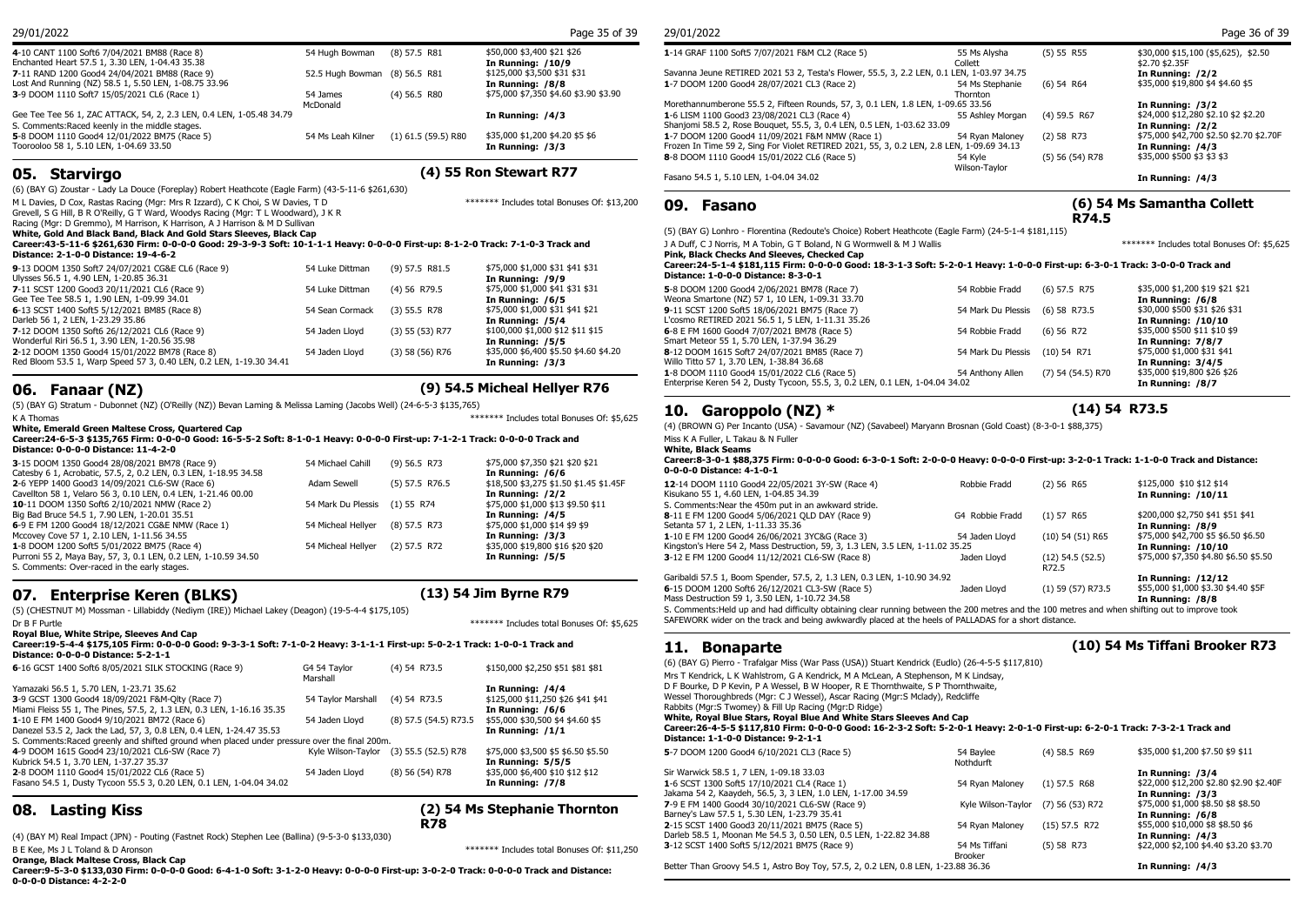| 4-10 CANT 1100 Soft6 7/04/2021 BM88 (Race 8)                         | 54 Hugh Bowman                | (8) 57.5 R81          | \$50,000 \$3,400 \$21 \$26            | 1-14 GRAF 1100 Soft5   |
|----------------------------------------------------------------------|-------------------------------|-----------------------|---------------------------------------|------------------------|
| Enchanted Heart 57.5 1, 3.30 LEN, 1-04.43 35.38                      |                               |                       | In Running: /10/9                     |                        |
| 7-11 RAND 1200 Good4 24/04/2021 BM88 (Race 9)                        | 52.5 Hugh Bowman (8) 56.5 R81 |                       | \$125,000 \$3,500 \$31 \$31           | Savanna Jeune RETIRI   |
| Lost And Running (NZ) 58.5 1, 5.50 LEN, 1-08.75 33.96                |                               |                       | In Running: /8/8                      | 1-7 DOOM 1200 Good     |
| 3-9 DOOM 1110 Soft7 15/05/2021 CL6 (Race 1)                          | 54 James                      | $(4)$ 56.5 R80        | \$75,000 \$7,350 \$4.60 \$3.90 \$3.90 |                        |
|                                                                      | McDonald                      |                       |                                       | Morethannumberone 5    |
| Gee Tee Tee 56 1, ZAC ATTACK, 54, 2, 2.3 LEN, 0.4 LEN, 1-05.48 34.79 |                               |                       | In Running: /4/3                      | 1-6 LISM 1100 Good3    |
| S. Comments: Raced keenly in the middle stages.                      |                               |                       |                                       | Shanjomi 58.5 2, Rose  |
| 5-8 DOOM 1110 Good4 12/01/2022 BM75 (Race 5)                         | 54 Ms Leah Kilner             | $(1)$ 61.5 (59.5) R80 | \$35,000 \$1,200 \$4.20 \$5 \$6       | 1-7 DOOM 1200 Good     |
| Toorooloo 58 1, 5.10 LEN, 1-04.69 33.50                              |                               |                       | In Running: /3/3                      | Frozen In Time 59 2, 9 |

### **05. Starvirgo (4) 55 Ron Stewart R77**

\*\*\*\*\*\*\* Includes total Bonuses Of: \$13,200

(6) (BAY G) Zoustar - Lady La Douce (Foreplay) Robert Heathcote (Eagle Farm) (43-5-11-6 \$261,630)

M L Davies, D Cox, Rastas Racing (Mgr: Mrs R Izzard), C K Choi, S W Davies, T D

Grevell, S G Hill, B R O'Reilly, G T Ward, Woodys Racing (Mgr: T L Woodward), J K R

Racing (Mgr: D Gremmo), M Harrison, K Harrison, A J Harrison & M D Sullivan

**White, Gold And Black Band, Black And Gold Stars Sleeves, Black Cap**

#### **Career:43-5-11-6 \$261,630 Firm: 0-0-0-0 Good: 29-3-9-3 Soft: 10-1-1-1 Heavy: 0-0-0-0 First-up: 8-1-2-0 Track: 7-1-0-3 Track and Distance: 2-1-0-0 Distance: 19-4-6-2**

| 9-13 DOOM 1350 Soft7 24/07/2021 CG&E CL6 (Race 9)<br>Ulysses 56.5 1, 4.90 LEN, 1-20.85 36.31 | 54 Luke Dittman | $(9)$ 57.5 R81.5  | \$75,000 \$1,000 \$31 \$41 \$31<br>In Running: /9/9 | Career: 24-5-1-4 \$1<br><b>Distance: 1-0-0-0 D</b> |
|----------------------------------------------------------------------------------------------|-----------------|-------------------|-----------------------------------------------------|----------------------------------------------------|
| 7-11 SCST 1200 Good3 20/11/2021 CL6 (Race 9)                                                 | 54 Luke Dittman | $(4)$ 56 R79.5    | \$75,000 \$1,000 \$41 \$31 \$31                     | 5-8 DOOM 1200 Good                                 |
| Gee Tee Tee 58.5 1, 1.90 LEN, 1-09.99 34.01                                                  |                 |                   | In Running: /6/5                                    | Weona Smartone (NZ)                                |
| 6-13 SCST 1400 Soft5 5/12/2021 BM85 (Race 8)                                                 | 54 Sean Cormack | $(3)$ 55.5 R78    | \$75,000 \$1,000 \$31 \$41 \$21                     | 9-11 SCST 1200 Soft5                               |
| Darleb 56 1, 2 LEN, 1-23.29 35.86                                                            |                 |                   | In Running: /5/4                                    | L'cosmo RETIRED 202                                |
| 7-12 DOOM 1350 Soft6 26/12/2021 CL6 (Race 9)                                                 | 54 Jaden Llovd  | $(3)$ 55 (53) R77 | \$100,000 \$1,000 \$12 \$11 \$15                    | 6-8 E FM 1600 Good4                                |
| Wonderful Riri 56.5 1, 3.90 LEN, 1-20.56 35.98                                               |                 |                   | In Running: /5/5                                    | Smart Meteor 55 1, 5.                              |
| 2-12 DOOM 1350 Good4 15/01/2022 BM78 (Race 8)                                                | 54 Jaden Llovd  | $(3)$ 58 (56) R76 | \$35,000 \$6,400 \$5.50 \$4.60 \$4.20               | 8-12 DOOM 1615 Soft                                |
| Red Bloom 53.5 1, Warp Speed 57 3, 0.40 LEN, 0.2 LEN, 1-19.30 34.41                          |                 |                   | In Running: /3/3                                    | Willo Titto 57 1, 3.70 L                           |
|                                                                                              |                 |                   |                                                     | $\overline{1000001111002}$                         |

## **06. Fanaar (NZ) (9) 54.5 Micheal Hellyer R76**

(5) (BAY G) Stratum - Dubonnet (NZ) (O'Reilly (NZ)) Bevan Laming & Melissa Laming (Jacobs Well) (24-6-5-3 \$135,765) K A Thomas \*\*\*\*\*\*\* Includes total Bonuses Of: \$5,625

**White, Emerald Green Maltese Cross, Quartered Cap**

#### **Career:24-6-5-3 \$135,765 Firm: 0-0-0-0 Good: 16-5-5-2 Soft: 8-1-0-1 Heavy: 0-0-0-0 First-up: 7-1-2-1 Track: 0-0-0-0 Track and Distance: 0-0-0-0 Distance: 11-4-2-0**

| 3-15 DOOM 1350 Good4 28/08/2021 BM78 (Race 9)<br>Catesby 6 1, Acrobatic, 57.5, 2, 0.2 LEN, 0.3 LEN, 1-18.95 34.58 | 54 Michael Cahill             | $(9)$ 56.5 R73 | \$75,000 \$7,350 \$21 \$20 \$21<br>In Running: /6/6 | Career: 8-3-0-1 \$88<br>0-0-0-0 Distance: 4 |
|-------------------------------------------------------------------------------------------------------------------|-------------------------------|----------------|-----------------------------------------------------|---------------------------------------------|
| 2-6 YEPP 1400 Good3 14/09/2021 CL6-SW (Race 6)                                                                    | Adam Sewell                   | (5) 57.5 R76.5 | \$18,500 \$3,275 \$1.50 \$1.45 \$1.45F              | 12-14 DOOM 1110 Go                          |
| Cavellton 58 1, Velaro 56 3, 0.10 LEN, 0.4 LEN, 1-21.46 00.00                                                     |                               |                | In Running: /2/2                                    | Kisukano 55 1, 4.60 L                       |
| <b>10</b> -11 DOOM 1350 Soft6 2/10/2021 NMW (Race 2)                                                              | 54 Mark Du Plessis (1) 55 R74 |                | \$75,000 \$1,000 \$13 \$9.50 \$11                   | S. Comments: Near the                       |
| Big Bad Bruce 54.5 1, 7.90 LEN, 1-20.01 35.51                                                                     |                               |                | In Running: /4/5                                    | 8-11 E FM 1200 Good                         |
| 6-9 E FM 1200 Good4 18/12/2021 CG&E NMW (Race 1)                                                                  | 54 Micheal Hellver            | (8) 57.5 R73   | \$75,000 \$1,000 \$14 \$9 \$9                       | Setanta 57 1, 2 LEN,                        |
| Mccovey Cove 57 1, 2.10 LEN, 1-11.56 34.55                                                                        |                               |                | In Running: /3/3                                    | 1-10 E FM 1200 Good                         |
| 1-8 DOOM 1200 Soft5 5/01/2022 BM75 (Race 4)                                                                       | 54 Micheal Hellver            | $(2)$ 57.5 R72 | \$35,000 \$19,800 \$16 \$20 \$20                    | Kingston's Here 54 2,                       |
| Purroni 55 2, Maya Bay, 57, 3, 0.1 LEN, 0.2 LEN, 1-10.59 34.50                                                    |                               |                | In Running: /5/5                                    | 3-12 E FM 1200 Good                         |
| S. Comments: Over-raced in the early stages.                                                                      |                               |                |                                                     |                                             |

## **07. Enterprise Keren (BLKS) (13) 54 Jim Byrne R79**

(5) (CHESTNUT M) Mossman - Lillabiddy (Nediym (IRE)) Michael Lakey (Deagon) (19-5-4-4 \$175,105)

| Dr B F Purtle                                                                                                                                                                                                            |                          |                       | ******* Includes total Bonuses Of: \$5.625                                | SAFEWORK wider o                                              |
|--------------------------------------------------------------------------------------------------------------------------------------------------------------------------------------------------------------------------|--------------------------|-----------------------|---------------------------------------------------------------------------|---------------------------------------------------------------|
| <b>Roval Blue, White Stripe, Sleeves And Cap</b><br>Career:19-5-4-4 \$175,105 Firm: 0-0-0-0 Good: 9-3-3-1 Soft: 7-1-0-2 Heavy: 3-1-1-1 First-up: 5-0-2-1 Track: 1-0-0-1 Track and<br>Distance: 0-0-0-0 Distance: 5-2-1-1 |                          |                       |                                                                           | <b>Bona</b>                                                   |
| 6-16 GCST 1400 Soft6 8/05/2021 SILK STOCKING (Race 9)                                                                                                                                                                    | G4 54 Taylor<br>Marshall | $(4)$ 54 R73.5        | \$150,000 \$2,250 \$51 \$81 \$81                                          | $(6)$ (BAY G) Pierro<br>Mrs T Kendrick, L K                   |
| Yamazaki 56.5 1, 5.70 LEN, 1-23.71 35.62<br>3-9 GCST 1300 Good4 18/09/2021 F&M-Olty (Race 7)<br>Miami Fleiss 55 1, The Pines, 57.5, 2, 1.3 LEN, 0.3 LEN, 1-16.16 35.35                                                   | 54 Taylor Marshall       | $(4)$ 54 R73.5        | In Running: /4/4<br>\$125,000 \$11,250 \$26 \$41 \$41<br>In Running: /6/6 | D F Bourke, D P Ke<br>Wessel Thoroughbr<br>Rabbits (Mgr:S Two |
| 1-10 E FM 1400 Good4 9/10/2021 BM72 (Race 6)<br>Danezel 53.5 2, Jack the Lad, 57, 3, 0.8 LEN, 0.4 LEN, 1-24.47 35.53<br>S. Comments: Raced greenly and shifted ground when placed under pressure over the final 200m.    | 54 Jaden Llovd           | (8) 57.5 (54.5) R73.5 | \$55,000 \$30,500 \$4 \$4.60 \$5<br>In Running: /1/1                      | White, Royal Blu<br>Career: 26-4-5-5<br>Distance: 1-1-0-      |
| 4-9 DOOM 1615 Good4 23/10/2021 CL6-SW (Race 7)<br>Kubrick 54.5 1, 3.70 LEN, 1-37.27 35.37                                                                                                                                | Kyle Wilson-Taylor       | $(3)$ 55.5 (52.5) R78 | \$75,000 \$3,500 \$5 \$6.50 \$5.50<br>In Running: 5/5/5                   | 5-7 DOOM 1200 Go                                              |
| 2-8 DOOM 1110 Good4 15/01/2022 CL6 (Race 5)<br>Fasano 54.5 1, Dusty Tycoon 55.5 3, 0.20 LEN, 0.1 LEN, 1-04.04 34.02                                                                                                      | 54 Jaden Lloyd           | $(8)$ 56 $(54)$ R78   | \$35,000 \$6,400 \$10 \$12 \$12<br>In Running: /7/8                       | Sir Warwick 58.5 1<br>1-6 SCST 1300 Sof<br>Jakama 54 2, Kaay  |

## **(2) 54 Ms Stephanie Thornton R78**

(4) (BAY M) Real Impact (JPN) - Pouting (Fastnet Rock) Stephen Lee (Ballina) (9-5-3-0 \$133,030) er Aronson Contract Contract Contract Arouse Communication of the Contract Arouse of: \$11,250 Changes Of: \$11,250 Changes Of: \$11,250 Changes Of: \$11,250 Changes Of: \$11,250 Changes Of: \$11,250 Changes Of: \$11,250 Changes

**Orange, Black Maltese Cross, Black Cap**

**08. Lasting Kiss** 

**Career:9-5-3-0 \$133,030 Firm: 0-0-0-0 Good: 6-4-1-0 Soft: 3-1-2-0 Heavy: 0-0-0-0 First-up: 3-0-2-0 Track: 0-0-0-0 Track and Distance: 0-0-0-0 Distance: 4-2-2-0**

| 29/01/2022 | Page 35 of 39<br>. | 29/01/2022 |  |
|------------|--------------------|------------|--|
|            |                    |            |  |

| 1-14 GRAF 1100 Soft5 7/07/2021 F&M CL2 (Race 5)                                           | 55 Ms Alysha<br>Collett | (5) 55 R55        | \$30,000 \$15,100 (\$5,625), \$2.50<br>\$2.70 \$2.35F |
|-------------------------------------------------------------------------------------------|-------------------------|-------------------|-------------------------------------------------------|
| Savanna Jeune RETIRED 2021 53 2, Testa's Flower, 55.5, 3, 2.2 LEN, 0.1 LEN, 1-03.97 34.75 |                         |                   | In Running: /2/2                                      |
| 1-7 DOOM 1200 Good4 28/07/2021 CL3 (Race 2)                                               | 54 Ms Stephanie         | $(6)$ 54 R64      | \$35,000 \$19,800 \$4 \$4.60 \$5                      |
|                                                                                           | Thornton                |                   |                                                       |
| Morethannumberone 55.5 2, Fifteen Rounds, 57, 3, 0.1 LEN, 1.8 LEN, 1-09.65 33.56          |                         |                   | In Running: /3/2                                      |
| 1-6 LISM 1100 Good3 23/08/2021 CL3 (Race 4)                                               | 55 Ashley Morgan        | $(4)$ 59.5 R67    | \$24,000 \$12,280 \$2.10 \$2 \$2.20                   |
| Shanjomi 58.5 2, Rose Bouquet, 55.5, 3, 0.4 LEN, 0.5 LEN, 1-03.62 33.09                   |                         |                   | In Running: /2/2                                      |
| 1-7 DOOM 1200 Good4 11/09/2021 F&M NMW (Race 1)                                           | 54 Ryan Maloney         | $(2)$ 58 R73      | \$75,000 \$42,700 \$2.50 \$2.70 \$2.70F               |
| Frozen In Time 59 2, Sing For Violet RETIRED 2021, 55, 3, 0.2 LEN, 2.8 LEN, 1-09.69 34.13 |                         |                   | In Running: /4/3                                      |
| 8-8 DOOM 1110 Good4 15/01/2022 CL6 (Race 5)                                               | 54 Kvle                 | $(5)$ 56 (54) R78 | \$35,000 \$500 \$3 \$3 \$3                            |
|                                                                                           | Wilson-Tavlor           |                   |                                                       |
| Fasano 54.5 1, 5.10 LEN, 1-04.04 34.02                                                    |                         |                   | In Running: /4/3                                      |

### **09. Fasano**

**(6) 54 Ms Samantha Collett R74.5**

(5) (BAY G) Lonhro - Florentina (Redoute's Choice) Robert Heathcote (Eagle Farm) (24-5-1-4 \$181,115)

J A Duff, C J Norris, M A Tobin, G T Boland, N G Wormwell & M J Wallis \*\*\*\*\*\*\* Includes total Bonuses Of: \$5,625

**Pink, Black Checks And Sleeves, Checked Cap**

Enterprise Keren 54 2, Dusty Tycoon, 55.5, 3, 0.2 LEN, 0.1 LEN, 1-04.04 34.02

| Thin piach checks and siceres, checked cap                                                                                                                            |                    |                       |                                                        |
|-----------------------------------------------------------------------------------------------------------------------------------------------------------------------|--------------------|-----------------------|--------------------------------------------------------|
| Career:24-5-1-4 \$181,115 Firm: 0-0-0-0 Good: 18-3-1-3 Soft: 5-2-0-1 Heavy: 1-0-0-0 First-up: 6-3-0-1 Track: 3-0-0-0 Track and<br>Distance: 1-0-0-0 Distance: 8-3-0-1 |                    |                       |                                                        |
| 5-8 DOOM 1200 Good4 2/06/2021 BM78 (Race 7)<br>Weona Smartone (NZ) 57 1, 10 LEN, 1-09.31 33.70                                                                        | 54 Robbie Fradd    | $(6)$ 57.5 R75        | \$35,000 \$1,200 \$19 \$21 \$21<br>In Running: /6/8    |
| 9-11 SCST 1200 Soft5 18/06/2021 BM75 (Race 7)<br>L'cosmo RETIRED 2021 56.5 1, 5 LEN, 1-11.31 35.26                                                                    | 54 Mark Du Plessis | $(6)$ 58 R73.5        | \$30,000 \$500 \$31 \$26 \$31<br>In Running: /10/10    |
| 6-8 E FM 1600 Good4 7/07/2021 BM78 (Race 5)<br>Smart Meteor 55 1, 5.70 LEN, 1-37.94 36.29                                                                             | 54 Robbie Fradd    | $(6)$ 56 R72          | \$35,000 \$500 \$11 \$10 \$9<br>In Running: 7/8/7      |
| 8-12 DOOM 1615 Soft7 24/07/2021 BM85 (Race 7)<br>Willo Titto 57 1, 3.70 LEN, 1-38.84 36.68                                                                            | 54 Mark Du Plessis | $(10)$ 54 R71         | \$75,000 \$1,000 \$31 \$41<br><b>In Running: 3/4/5</b> |
| 1-8 DOOM 1110 Good4 15/01/2022 CL6 (Race 5)                                                                                                                           | 54 Anthony Allen   | $(7)$ 54 $(54.5)$ R70 | \$35,000 \$19,800 \$26 \$26                            |

1-8 DOOM 1110 Good4 15/01/2022 CL6 (Race 5) 54 Anthony Allen (7) 54 (54.5) R70 \$35,000 \$19,800 \$26<br>Enterprise Keren 54 2, Dusty Tycoon, 55.5, 3, 0.2 LEN, 0.1 LEN, 1-04.04 34.02

## **10. Garoppolo (NZ) \* (14) 54 R73.5**

(4) (BROWN G) Per Incanto (USA) - Savamour (NZ) (Savabeel) Maryann Brosnan (Gold Coast) (8-3-0-1 \$88,375)

Miss K A Fuller, L Takau & N Fuller **White, Black Seams**

#### **Career:8-3-0-1 \$88,375 Firm: 0-0-0-0 Good: 6-3-0-1 Soft: 2-0-0-0 Heavy: 0-0-0-0 First-up: 3-2-0-1 Track: 1-1-0-0 Track and Distance: 0-0-0-0 Distance: 4-1-0-1**

| 12-14 DOOM 1110 Good4 22/05/2021 3Y-SW (Race 4)<br>Kisukano 55 1, 4.60 LEN, 1-04.85 34.39                                                       | Robbie Fradd    | (2) 56 R65           | \$125,000 \$10 \$12 \$14<br>In Running: /10/11 |  |
|-------------------------------------------------------------------------------------------------------------------------------------------------|-----------------|----------------------|------------------------------------------------|--|
| S. Comments: Near the 450m put in an awkward stride.                                                                                            |                 |                      |                                                |  |
| 8-11 E FM 1200 Good4 5/06/2021 QLD DAY (Race 9)                                                                                                 | G4 Robbie Fradd | $(1)$ 57 R65         | \$200,000 \$2,750 \$41 \$51 \$41               |  |
| Setanta 57 1, 2 LEN, 1-11.33 35.36                                                                                                              |                 |                      | In Running: /8/9                               |  |
| 1-10 E FM 1200 Good4 26/06/2021 3YC&G (Race 3)                                                                                                  | 54 Jaden Lloyd  | $(10)$ 54 $(51)$ R65 | \$75,000 \$42,700 \$5 \$6.50 \$6.50            |  |
| Kingston's Here 54 2, Mass Destruction, 59, 3, 1.3 LEN, 3.5 LEN, 1-11.02 35.25                                                                  |                 |                      | In Running: /10/10                             |  |
| 3-12 E FM 1200 Good4 11/12/2021 CL6-SW (Race 8)                                                                                                 | Jaden Lloyd     | $(12)$ 54.5 $(52.5)$ | \$75,000 \$7,350 \$4.80 \$6.50 \$5.50          |  |
|                                                                                                                                                 |                 | R72.5                |                                                |  |
| Garibaldi 57.5 1, Boom Spender, 57.5, 2, 1.3 LEN, 0.3 LEN, 1-10.90 34.92                                                                        |                 |                      | In Running: /12/12                             |  |
| 6-15 DOOM 1200 Soft6 26/12/2021 CL3-SW (Race 5)                                                                                                 | Jaden Llovd     | $(1)$ 59 (57) R73.5  | \$55,000 \$1,000 \$3.30 \$4.40 \$5F            |  |
| Mass Destruction 59 1, 3.50 LEN, 1-10.72 34.58                                                                                                  |                 |                      | In Running: /8/8                               |  |
| S. Comments: Held up and had difficulty obtaining clear running between the 200 metres and the 100 metres and when shifting out to improve took |                 |                      |                                                |  |
| SAFEWORK wider on the track and being awkwardly placed at the heels of PALLADAS for a short distance.                                           |                 |                      |                                                |  |

## **11. Bonaparte (10) 54 Ms Tiffani Brooker R73**

 $$35.000$  \$1,200 \$7.50 \$9 \$11

(4) 54 R73.5 \$150,000 \$2,250 \$51 \$81 \$81 Mrs T Kendrick, L K Wahlstrom, G A Kendrick, M A McLean, A Stephenson, M K Lindsay, (6) (BAY G) Pierro - Trafalgar Miss (War Pass (USA)) Stuart Kendrick (Eudlo) (26-4-5-5 \$117,810) D F Bourke, D P Kevin, P A Wessel, B W Hooper, R E Thornthwaite, S P Thornthwaite, Wessel Thoroughbreds (Mgr: C J Wessel), Ascar Racing (Mgr:S Mclady), Redcliffe Rabbits (Mgr:S Twomey) & Fill Up Racing (Mgr:D Ridge) **White, Royal Blue Stars, Royal Blue And White Stars Sleeves And Cap Career:26-4-5-5 \$117,810 Firm: 0-0-0-0 Good: 16-2-3-2 Soft: 5-2-0-1 Heavy: 2-0-1-0 First-up: 6-2-0-1 Track: 7-3-2-1 Track and Distance: 1-1-0-0 Distance: 9-2-1-1 5**-7 DOOM 1200 Good4 6/10/2021 CL3 (Race 5) 54 Baylee 51 54 Baylee 51 Nothdurft Sir Warwick 58.5 1, 7 LEN, 1-09.18 33.03 **In Running: /3/4**

| Better Than Groovy 54.5 1, Astro Boy Toy, 57.5, 2, 0.2 LEN, 0.8 LEN, 1-23.88 36.36 |                                      |                 | In Running: /4/3                        |
|------------------------------------------------------------------------------------|--------------------------------------|-----------------|-----------------------------------------|
|                                                                                    | <b>Brooker</b>                       |                 |                                         |
| 3-12 SCST 1400 Soft5 5/12/2021 BM75 (Race 9)                                       | 54 Ms Tiffani                        | $(5)$ 58 R73    | \$22,000 \$2,100 \$4.40 \$3.20 \$3.70   |
| Darleb 58.5 1, Moonan Me 54.5 3, 0.50 LEN, 0.5 LEN, 1-22.82 34.88                  |                                      |                 | In Running: /4/3                        |
| 2-15 SCST 1400 Good3 20/11/2021 BM75 (Race 5)                                      | 54 Rvan Malonev                      | $(15)$ 57.5 R72 | \$55,000 \$10,000 \$8 \$8.50 \$6        |
| Barney's Law 57.5 1, 5.30 LEN, 1-23.79 35.41                                       |                                      |                 | In Running: /6/8                        |
| 7-9 E FM 1400 Good4 30/10/2021 CL6-SW (Race 9)                                     | Kyle Wilson-Taylor $(7)$ 56 (53) R72 |                 | \$75,000 \$1,000 \$8.50 \$8 \$8.50      |
| Jakama 54 2, Kaaydeh, 56.5, 3, 3 LEN, 1.0 LEN, 1-17.00 34.59                       |                                      |                 | In Running: /3/3                        |
| 1-6 SCST 1300 Soft5 17/10/2021 CL4 (Race 1)                                        | 54 Rvan Malonev                      | $(1)$ 57.5 R68  | \$22,000 \$12,200 \$2.80 \$2.90 \$2.40F |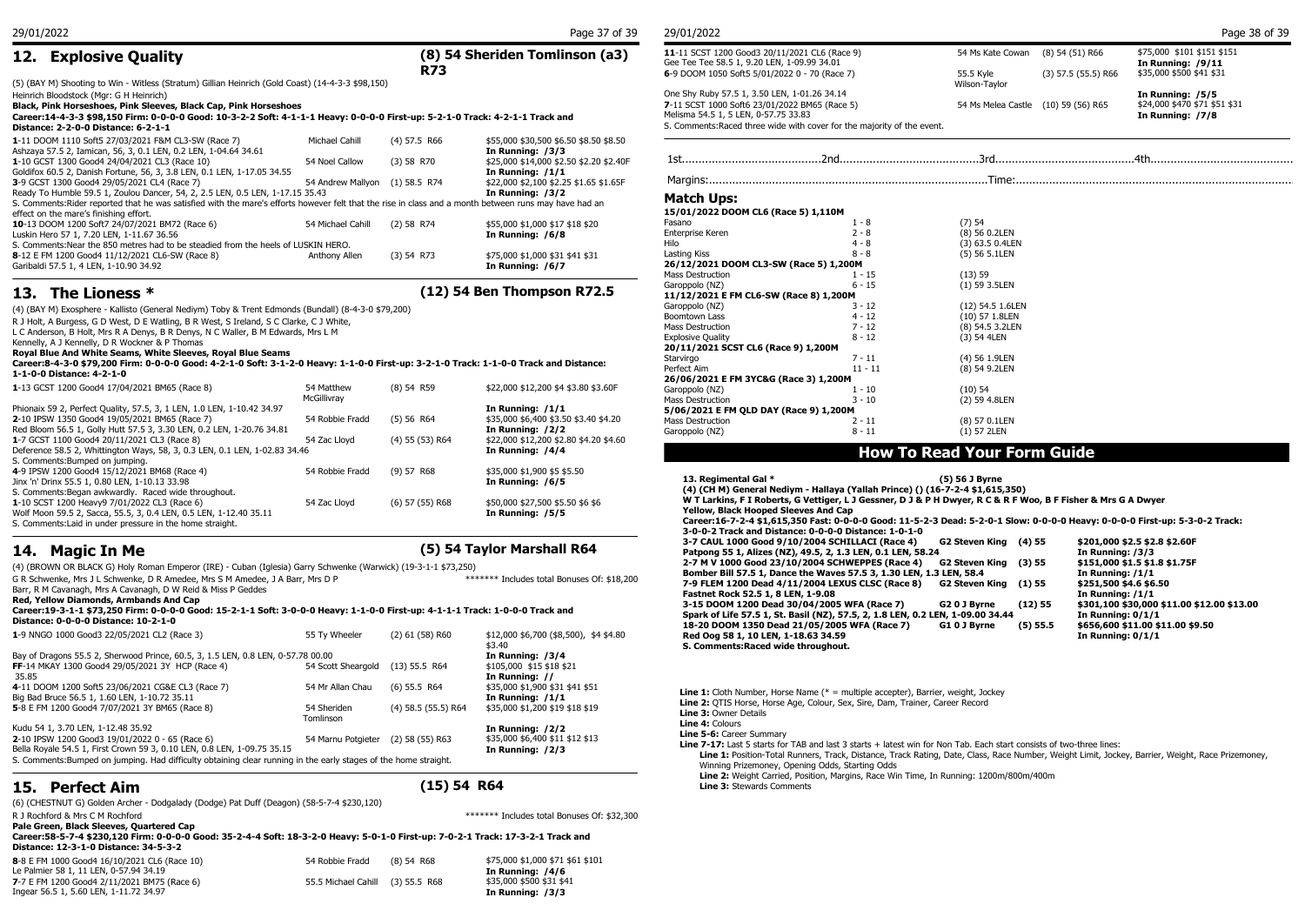## **12. Explosive Quality**

## **(8) 54 Sheriden Tomlinson (a3) R73**

(5) (BAY M) Shooting to Win - Witless (Stratum) Gillian Heinrich (Gold Coast) (14-4-3-3 \$98,150)

Heinrich Bloodstock (Mgr: G H Heinrich)

#### **Black, Pink Horseshoes, Pink Sleeves, Black Cap, Pink Horseshoes**

| Career:14-4-3-3 \$98,150 Firm: 0-0-0-0 Good: 10-3-2-2 Soft: 4-1-1-1 Heavy: 0-0-0-0 First-up: 5-2-1-0 Track: 4-2-1-1 Track and<br>Distance: 2-2-0-0 Distance: 6-2-1-1 |                                |                |                                         | Melisma 54.5 1, 5 LEN, 0-57.75 33.83   | S. Comments: Raced three wide with cover for the majority of the event. |                 | In Running: /7/8 |
|----------------------------------------------------------------------------------------------------------------------------------------------------------------------|--------------------------------|----------------|-----------------------------------------|----------------------------------------|-------------------------------------------------------------------------|-----------------|------------------|
| 1-11 DOOM 1110 Soft5 27/03/2021 F&M CL3-SW (Race 7)                                                                                                                  | Michael Cahill                 | $(4)$ 57.5 R66 | \$55,000 \$30,500 \$6.50 \$8.50 \$8.50  |                                        |                                                                         |                 |                  |
| Ashzaya 57.5 2, Iamican, 56, 3, 0.1 LEN, 0.2 LEN, 1-04.64 34.61                                                                                                      |                                |                | In Running: /3/3                        |                                        |                                                                         |                 |                  |
| 1-10 GCST 1300 Good4 24/04/2021 CL3 (Race 10)                                                                                                                        | 54 Noel Callow                 | $(3)$ 58 R70   | \$25,000 \$14,000 \$2.50 \$2.20 \$2.40F |                                        |                                                                         |                 |                  |
| Goldifox 60.5 2, Danish Fortune, 56, 3, 3.8 LEN, 0.1 LEN, 1-17.05 34.55                                                                                              |                                |                | In Running: /1/1                        |                                        |                                                                         |                 |                  |
| 3-9 GCST 1300 Good4 29/05/2021 CL4 (Race 7)                                                                                                                          | 54 Andrew Mallvon (1) 58.5 R74 |                | \$22,000 \$2,100 \$2,25 \$1,65 \$1,65F  |                                        |                                                                         |                 |                  |
| Ready To Humble 59.5 1, Zoulou Dancer, 54, 2, 2.5 LEN, 0.5 LEN, 1-17.15 35.43                                                                                        |                                |                | In Running: /3/2                        |                                        |                                                                         |                 |                  |
| S. Comments: Rider reported that he was satisfied with the mare's efforts however felt that the rise in class and a month between runs may have had an               |                                |                |                                         | <b>Match Ups:</b>                      |                                                                         |                 |                  |
| effect on the mare's finishing effort.                                                                                                                               |                                |                |                                         | 15/01/2022 DOOM CL6 (Race 5) 1.110M    |                                                                         |                 |                  |
| 10-13 DOOM 1200 Soft7 24/07/2021 BM72 (Race 6)                                                                                                                       | 54 Michael Cahill              | $(2)$ 58 R74   | \$55,000 \$1,000 \$17 \$18 \$20         | Fasano                                 |                                                                         | $(7)$ 54        |                  |
| Luskin Hero 57 1, 7.20 LEN, 1-11.67 36.56                                                                                                                            |                                |                | In Running: /6/8                        | Enterprise Keren                       | 2 - 8                                                                   | (8) 56 0.2LEN   |                  |
| S. Comments: Near the 850 metres had to be steadied from the heels of LUSKIN HERO.                                                                                   |                                |                |                                         |                                        | $4 - 8$                                                                 | (3) 63.5 0.4LEN |                  |
| 8-12 E FM 1200 Good4 11/12/2021 CL6-SW (Race 8)                                                                                                                      | Anthony Allen                  | $(3)$ 54 R73   | \$75,000 \$1,000 \$31 \$41 \$31         | Lasting Kiss                           | $8 - 8$                                                                 | (5) 56 5.1LEN   |                  |
| Garibaldi 57.5 1, 4 LEN, 1-10.90 34.92                                                                                                                               |                                |                | In Running: /6/7                        | 26/12/2021 DOOM CL3-SW (Race 5) 1.200M |                                                                         |                 |                  |
|                                                                                                                                                                      |                                |                |                                         | Mass Dasturettes                       | $\overline{1}$                                                          | $(12)$ $\Gamma$ |                  |

**13. The Lioness \* (12) 54 Ben Thompson R72.5**

(4) (BAY M) Exosphere - Kallisto (General Nediym) Toby & Trent Edmonds (Bundall) (8-4-3-0 \$79,200)

R J Holt, A Burgess, G D West, D E Watling, B R West, S Ireland, S C Clarke, C J White,

L C Anderson, B Holt, Mrs R A Denys, B R Denys, N C Waller, B M Edwards, Mrs L M Kennelly, A J Kennelly, D R Wockner & P Thomas

**Royal Blue And White Seams, White Sleeves, Royal Blue Seams**

**Career:8-4-3-0 \$79,200 Firm: 0-0-0-0 Good: 4-2-1-0 Soft: 3-1-2-0 Heavy: 1-1-0-0 First-up: 3-2-1-0 Track: 1-1-0-0 Track and Distance: 1-1-0-0 Distance: 4-2-1-0**

| 1-13 GCST 1200 Good4 17/04/2021 BM65 (Race 8)                                                                                                                                                    | 54 Matthew<br>McGillivray | $(8)$ 54 R59        | \$22,000 \$12,200 \$4 \$3.80 \$3.60F                                          | 26/06/2021 E FM 3Y<br>Garoppolo (NZ)<br><b>Mass Destruction</b>                      |
|--------------------------------------------------------------------------------------------------------------------------------------------------------------------------------------------------|---------------------------|---------------------|-------------------------------------------------------------------------------|--------------------------------------------------------------------------------------|
| Phionaix 59 2, Perfect Quality, 57.5, 3, 1 LEN, 1.0 LEN, 1-10.42 34.97<br>2-10 IPSW 1350 Good4 19/05/2021 BM65 (Race 7)<br>Red Bloom 56.5 1, Golly Hutt 57.5 3, 3.30 LEN, 0.2 LEN, 1-20.76 34.81 | 54 Robbie Fradd           | (5) 56 R64          | In Running: /1/1<br>\$35,000 \$6,400 \$3.50 \$3.40 \$4.20<br>In Running: /2/2 | 5/06/2021 E FM OLD<br>Mass Destruction<br>Garoppolo (NZ)                             |
| 1-7 GCST 1100 Good4 20/11/2021 CL3 (Race 8)<br>Deference 58.5 2, Whittington Ways, 58, 3, 0.3 LEN, 0.1 LEN, 1-02.83 34.46                                                                        | 54 Zac Llovd              | (4) 55 (53) R64     | \$22,000 \$12,200 \$2.80 \$4.20 \$4.60<br>In Running: /4/4                    |                                                                                      |
| S. Comments: Bumped on jumping.<br>4-9 IPSW 1200 Good4 15/12/2021 BM68 (Race 4)                                                                                                                  | 54 Robbie Fradd           | (9) 57 R68          | \$35,000 \$1,900 \$5 \$5.50                                                   |                                                                                      |
| Jinx 'n' Drinx 55.5 1, 0.80 LEN, 1-10.13 33.98<br>S. Comments: Began awkwardly. Raced wide throughout.                                                                                           |                           |                     | In Running: /6/5                                                              | 13. Regimental (<br>(4) (CH M) Gene                                                  |
| 1-10 SCST 1200 Heavy9 7/01/2022 CL3 (Race 6)<br>Wolf Moon 59.5 2, Sacca, 55.5, 3, 0.4 LEN, 0.5 LEN, 1-12.40 35.11<br>S. Comments: Laid in under pressure in the home straight.                   | 54 Zac Llovd              | $(6)$ 57 $(55)$ R68 | \$50,000 \$27,500 \$5.50 \$6 \$6<br>In Running: /5/5                          | W T Larkins, F I<br>Yellow, Black Ho<br>Career: 16-7-2-4<br>$2 - 0 - 0 - 2$ Track an |

## **14. Magic In Me (5) 54 Taylor Marshall R64**

(4) (BROWN OR BLACK G) Holy Roman Emperor (IRE) - Cuban (Iglesia) Garry Schwenke (Warwick) (19-3-1-1 \$73,250)

G R Schwenke, Mrs J L Schwenke, D R Amedee, Mrs S M Amedee, J A Barr, Mrs D P

Barr, R M Cavanagh, Mrs A Cavanagh, D W Reid & Miss P Geddes **Red, Yellow Diamonds, Armbands And Cap**

#### **Career:19-3-1-1 \$73,250 Firm: 0-0-0-0 Good: 15-2-1-1 Soft: 3-0-0-0 Heavy: 1-1-0-0 First-up: 4-1-1-1 Track: 1-0-0-0 Track and Distance: 0-0-0-0 Distance: 10-2-1-0**

| 1-9 NNGO 1000 Good3 22/05/2021 CL2 (Race 3)                                                                      | 55 Ty Wheeler      | $(2)$ 61 (58) R60     | \$12,000 \$6,700 (\$8,500), \$4 \$4.80<br>\$3.40 | 10-20 DU<br>Red Oog 5<br>S. Commer |
|------------------------------------------------------------------------------------------------------------------|--------------------|-----------------------|--------------------------------------------------|------------------------------------|
| Bay of Dragons 55.5 2, Sherwood Prince, 60.5, 3, 1.5 LEN, 0.8 LEN, 0-57.78 00.00                                 |                    |                       | In Running: /3/4                                 |                                    |
| FF-14 MKAY 1300 Good4 29/05/2021 3Y HCP (Race 4)                                                                 | 54 Scott Sheargold | $(13)$ 55.5 R64       | \$105,000 \$15 \$18 \$21                         |                                    |
| 35.85                                                                                                            |                    |                       | In Running: //                                   |                                    |
| 4-11 DOOM 1200 Soft5 23/06/2021 CG&E CL3 (Race 7)                                                                | 54 Mr Allan Chau   | $(6)$ 55.5 R64        | \$35,000 \$1,900 \$31 \$41 \$51                  | Line 1: Clot                       |
| Big Bad Bruce 56.5 1, 1.60 LEN, 1-10.72 35.11                                                                    |                    |                       | In Running: /1/1                                 | <b>Line 2: OTI:</b>                |
| 5-8 E FM 1200 Good4 7/07/2021 3Y BM65 (Race 8)                                                                   | 54 Sheriden        | $(4)$ 58.5 (55.5) R64 | \$35,000 \$1,200 \$19 \$18 \$19                  | <b>Line 3: Owr</b>                 |
|                                                                                                                  | Tomlinson          |                       |                                                  | Line 4: Colc                       |
| Kudu 54 1, 3.70 LEN, 1-12.48 35.92                                                                               |                    |                       | In Running: /2/2                                 | <b>Line 5-6: C</b>                 |
| 2-10 IPSW 1200 Good3 19/01/2022 0 - 65 (Race 6)                                                                  | 54 Marnu Potgieter | $(2)$ 58 (55) R63     | \$35,000 \$6,400 \$11 \$12 \$13                  | Line 7-17:                         |
| Bella Royale 54.5 1, First Crown 59 3, 0.10 LEN, 0.8 LEN, 1-09.75 35.15                                          |                    |                       | In Running: /2/3                                 | Line 1:                            |
| S. Comments: Bumped on jumping. Had difficulty obtaining clear running in the early stages of the home straight. |                    |                       |                                                  | $M = -1$                           |

## **15. Perfect Aim (15) 54 R64**

(6) (CHESTNUT G) Golden Archer - Dodgalady (Dodge) Pat Duff (Deagon) (58-5-7-4 \$230,120)

**Pale Green, Black Sleeves, Quartered Cap**

R J Rochford & Mrs C M Rochford \*\*\*\*\*\* Includes total Bonuses Of: \$32,300

\*\*\*\*\*\*\* Includes total Bonuses Of: \$18,200

## **Career:58-5-7-4 \$230,120 Firm: 0-0-0-0 Good: 35-2-4-4 Soft: 18-3-2-0 Heavy: 5-0-1-0 First-up: 7-0-2-1 Track: 17-3-2-1 Track and Distance: 12-3-1-0 Distance: 34-5-3-2**



| 29/01/2022<br>29/01/2022<br>37 of 39<br>Page 38 of 39<br>Dano<br>raye <i>J</i> , |
|----------------------------------------------------------------------------------|
|----------------------------------------------------------------------------------|

| \$35,000 \$500 \$41 \$31<br>6-9 DOOM 1050 Soft5 5/01/2022 0 - 70 (Race 7)<br>$(3)$ 57.5 (55.5) R66<br>55.5 Kvle<br>Wilson-Taylor<br>One Shy Ruby 57.5 1, 3.50 LEN, 1-01.26 34.14<br>In Running: /5/5<br>\$24,000 \$470 \$71 \$51 \$31<br>7-11 SCST 1000 Soft6 23/01/2022 BM65 (Race 5)<br>$(10)$ 59 $(56)$ R65<br>54 Ms Melea Castle<br>Melisma 54.5 1, 5 LEN, 0-57.75 33.83<br>In Running: /7/8<br>S. Comments: Raced three wide with cover for the majority of the event. | 11-11 SCST 1200 Good3 20/11/2021 CL6 (Race 9)<br>Gee Tee Tee 58.5 1, 9.20 LEN, 1-09.99 34.01 | 54 Ms Kate Cowan | (8) 54 (51) R66 | \$75,000 \$101 \$151 \$151<br>In Running: /9/11 |
|-----------------------------------------------------------------------------------------------------------------------------------------------------------------------------------------------------------------------------------------------------------------------------------------------------------------------------------------------------------------------------------------------------------------------------------------------------------------------------|----------------------------------------------------------------------------------------------|------------------|-----------------|-------------------------------------------------|
|                                                                                                                                                                                                                                                                                                                                                                                                                                                                             |                                                                                              |                  |                 |                                                 |
|                                                                                                                                                                                                                                                                                                                                                                                                                                                                             |                                                                                              |                  |                 |                                                 |

#### (8) 54 R59 \$22,000 \$12,200 \$4 \$3.80 \$3.60F Garoppolo (NZ) 1 - 10 (10) 54 1st..........................................2nd..........................................3rd..........................................4th............................................ **Match Ups: 15/01/2022 DOOM CL6 (Race 5) 1,110M**<br>Fasano 1 - 8 (7) 54 Fasano 1 - 8 (7) 54 Enterprise Keren 2 - 8 (8) 56 0.2LEN<br>Hilo (3) 63 5 0.4LEN Hilo (3) 63.5 0.4LEN<br>
1 asting Kiss (5) 56 5.1LEN 8 - 8 (5) 56 5.1 LEN **26/12/2021 DOOM CL3-SW (Race 5) 1,200M**<br>Mass Destruction 1 - 15 (13) 59 Mass Destruction  $1 - 15$  (13) 59<br>Garoppolo (NZ) 6 - 15 (1) 59 3.5LEN Garoppolo (NZ) 6 - 15 **11/12/2021 E FM CL6-SW (Race 8) 1,200M**<br>Garoppolo (NZ) (12) 54.5 1.6LEN Garoppolo (NZ) 3 - 12<br>Boomtown Lass 4 - 12  $A - 12$  (10) 57 1.8LEN<br>  $A - 12$  (8) 54.5 3.2LEN Mass Destruction Explosive Quality 8 - 12 (3) 54 4LEN **20/11/2021 SCST CL6 (Race 9) 1,200M**<br>Starvirgo 7 - 11 7 - 11 (4) 56 1.9LEN<br>11 - 11 (8) 54 9.2LEN  $(8)$  54 9.2LEN **26/06/2021 E FM 3YC&G (Race 3) 1,200M** Mass Destruction 3 - 10 (2) 59 4.8LEN **5/06/2021 E FM QLD DAY (Race 9) 1,200M**<br>Mass Destruction 2 - 11 (8) 57 0.11 EN Mass Destruction 2 - 11 (8) 57 0.1LE<br>
Garoppolo (NZ) 8 - 11 (1) 57 2LEN Garoppolo (NZ) **How To Read Your Form Guide**

**13. Regimental Gal \* (5) 56 J Byrne (4) (CH M) General Nediym - Hallaya (Yallah Prince) () (16-7-2-4 \$1,615,350) W T Larkins, F I Roberts, G Vettiger, L J Gessner, D J & P H Dwyer, R C & R F Woo, B F Fisher & Mrs G A Dwyer Yellow, Black Hooped Sleeves And Cap Career:16-7-2-4 \$1,615,350 Fast: 0-0-0-0 Good: 11-5-2-3 Dead: 5-2-0-1 Slow: 0-0-0-0 Heavy: 0-0-0-0 First-up: 5-3-0-2 Track: 3-0-0-2 Track and Distance: 0-0-0-0 Distance: 1-0-1-0** 3-7 CAUL 1000 Good 9/10/2004 SCHILLACI (Race 4) Patpong 55 1, Alizes (NZ), 49.5, 2, 1.3 LEN, 0.1 LEN, 58.24 **In Running: /3/3** In Running: /3/3<br>2-7 M V 1000 Good 23/10/2004 SCHWEPPES (Race 4) G2 Steven King (3) 55 \$151,000 \$1.5 \$1.8 \$1.75F 2-7 M V 1000 Good 23/10/2004 SCHWEPPES (Race 4) **G2 Steven King (3) 55** \$151,000 \$1.5 \$1.<br>Bomber Bill 57.5 1, Dance the Waves 57.5 3, 1.30 LEN, 1.3 LEN, 58.4 **In Running**: /1/1 **Bomber Bill 57.5 1, Dance the Waves 57.5 3, 1.30 LEN, 1.3 LEN, 58.4** In Running: /1/1<br>7-9 FLEM 1200 Dead 4/11/2004 LEXUS CLSC (Race 8) G2 Steven King (1) 55 \$251,500 \$4.6 \$6.50 **7-9 FLEM 1200 Dead 4/11/2004 LEXUS CLSC (Race 8) G2 Steven King (1) 55 \$251,500 \$4.6 \$6.50 Fastnet Rock 52.5 1, 8 LEN, 1-9.08 In Running: /1/1** 3-15 DOOM 1200 Dead 30/04/2005 WFA (Race 7) G2 0 J Byrne (12) 55 \$301,100 \$30,000 **\$12.000 \$12.000 \$12.00**<br>Spark of Life 57.5 1, St. Basil (NZ), 57.5, 2, 1.8 LEN, 0.2 LEN, 1-09.00 34.44 In Running: 0/1/1 **Spark of Life 57.5 1, St. Basil (NZ), 57.5, 2, 1.8 LEN, 0.2 LEN, 1-09.00 34.44 In Running: 0/1/1** 18-20 DOOM 1350 Dead 21/05/2005 WFA (Race 7) **G1 0 J Byrne** (5) 55.5 \$656,600 \$11.00 \$<br>Red Oog 58 1, 10 LEN, 1-18.63 34.59<br> $\frac{1}{11}$ Red Oog 58 1, 10 LEN, 1-18.63 34.59 **S. Comments:Raced wide throughout.**

Line 1: Cloth Number, Horse Name (\* = multiple accepter), Barrier, weight, Jockey **Line 2:** QTIS Horse, Horse Age, Colour, Sex, Sire, Dam, Trainer, Career Record

**Line 3:** Owner Details

**Line 4:** Colours **Line 5-6:** Career Summary

Line 7-17: Last 5 starts for TAB and last 3 starts + latest win for Non Tab. Each start consists of two-three lines: **Line 1:** Position-Total Runners, Track, Distance, Track Rating, Date, Class, Race Number, Weight Limit, Jockey, Barrier, Weight, Race Prizemoney,

Winning Prizemoney, Opening Odds, Starting Odds

**Line 2:** Weight Carried, Position, Margins, Race Win Time, In Running: 1200m/800m/400m

**Line 3:** Stewards Comments